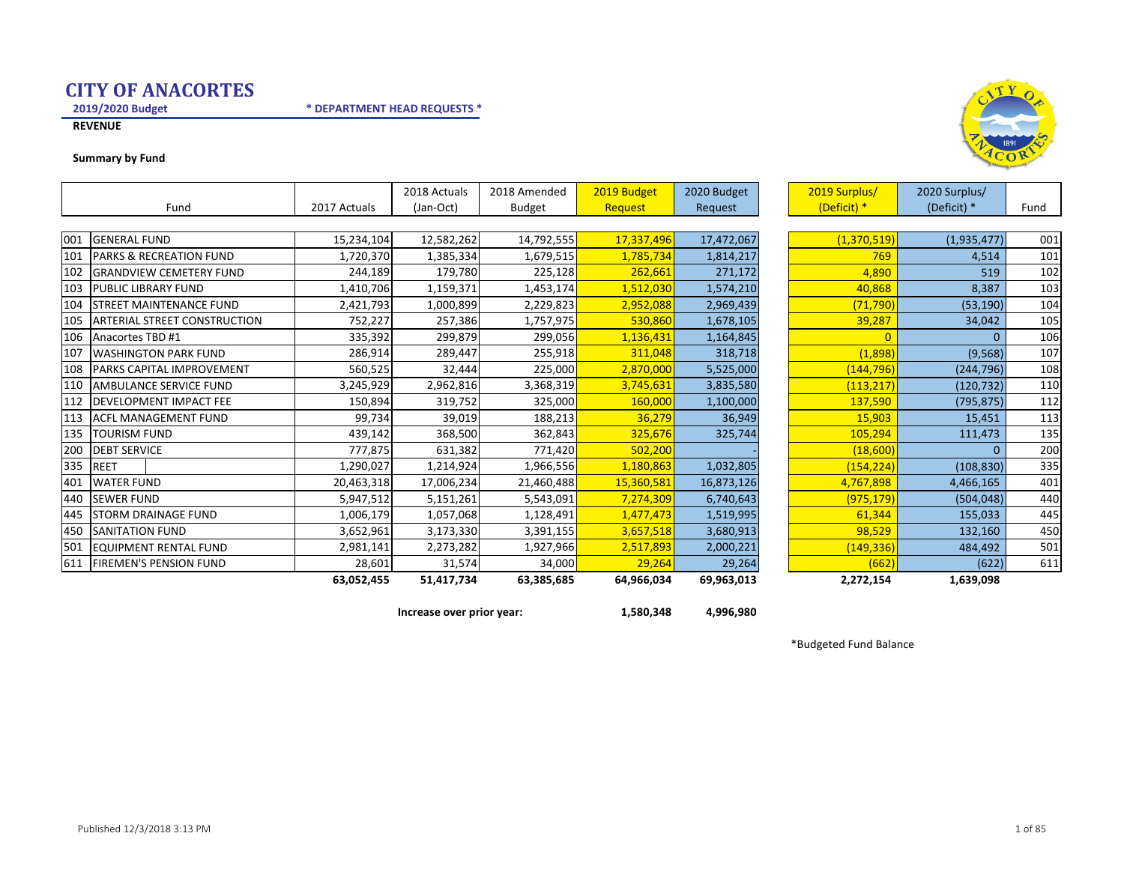2019/2020 Budget

\* DEPARTMENT HEAD REQUESTS \*



#### Summary by Fund



Increase over prior year: 1,580,348 4,996,980

\*Budgeted Fund Balance



<sup>105</sup>

<sup>113</sup>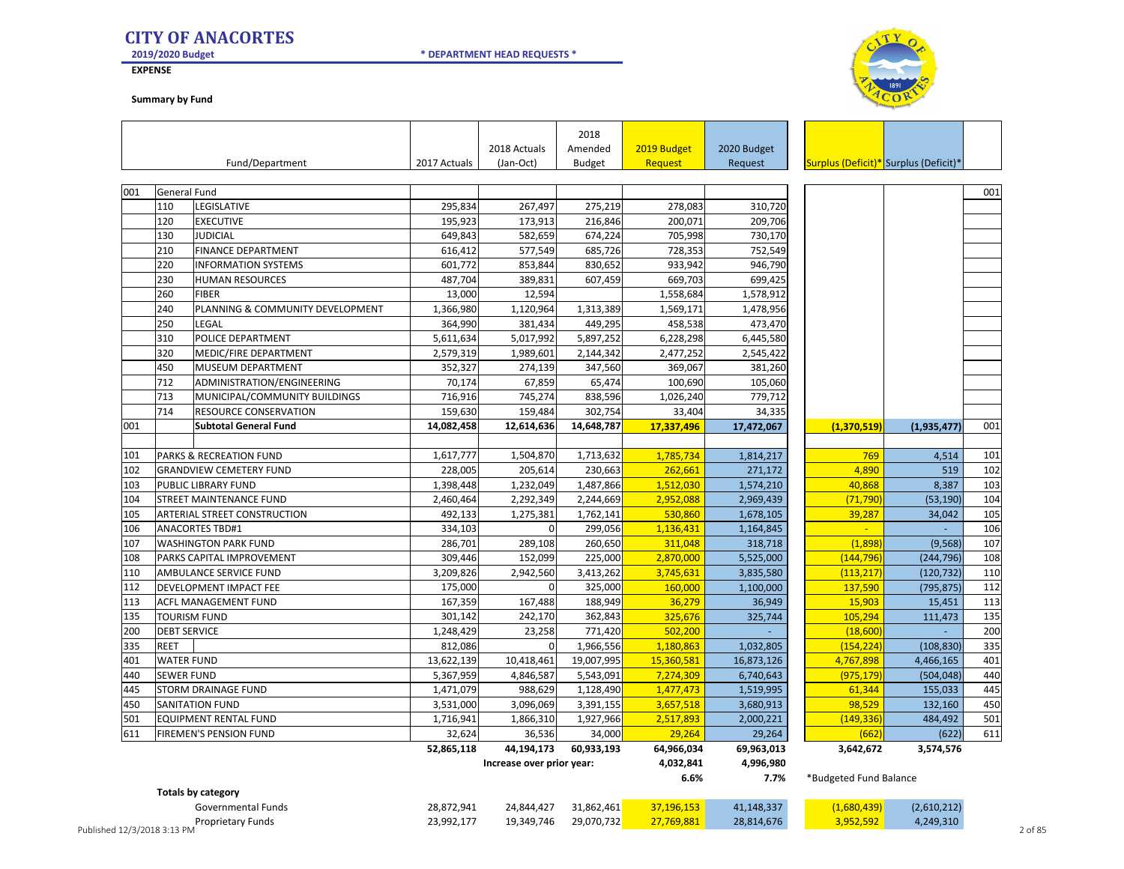2019/2020 Budget

**EXPENSE** 

Summary by Fund



|     |                     |                                                         |                        |                           | 2018                   |                        |                        |                                       |               |     |
|-----|---------------------|---------------------------------------------------------|------------------------|---------------------------|------------------------|------------------------|------------------------|---------------------------------------|---------------|-----|
|     |                     |                                                         |                        | 2018 Actuals              | Amended                | 2019 Budget            | 2020 Budget            |                                       |               |     |
|     |                     | Fund/Department                                         | 2017 Actuals           | (Jan-Oct)                 | <b>Budget</b>          | <b>Request</b>         | Request                | Surplus (Deficit)* Surplus (Deficit)* |               |     |
|     |                     |                                                         |                        |                           |                        |                        |                        |                                       |               |     |
| 001 | <b>General Fund</b> |                                                         |                        |                           |                        |                        |                        |                                       |               | 001 |
|     | 110                 | LEGISLATIVE                                             | 295,834                | 267,497                   | 275,219                | 278,083                | 310,720                |                                       |               |     |
|     | 120                 | <b>EXECUTIVE</b>                                        | 195,923                | 173,913                   | 216,846                | 200,071                | 209,706                |                                       |               |     |
|     | 130                 | <b>JUDICIAL</b>                                         | 649,843                | 582,659                   | 674,224                | 705,998                | 730,170                |                                       |               |     |
|     | 210<br>220          | <b>FINANCE DEPARTMENT</b><br><b>INFORMATION SYSTEMS</b> | 616,412<br>601,772     | 577,549<br>853,844        | 685,726<br>830,652     | 728,353<br>933,942     | 752,549<br>946,790     |                                       |               |     |
|     | 230                 |                                                         |                        |                           |                        |                        |                        |                                       |               |     |
|     | 260                 | <b>HUMAN RESOURCES</b><br><b>FIBER</b>                  | 487,704                | 389,831<br>12,594         | 607,459                | 669,703                | 699,425                |                                       |               |     |
|     | 240                 |                                                         | 13,000                 |                           |                        | 1,558,684              | 1,578,912              |                                       |               |     |
|     | 250                 | PLANNING & COMMUNITY DEVELOPMENT<br>LEGAL               | 1,366,980              | 1,120,964<br>381,434      | 1,313,389<br>449,295   | 1,569,171<br>458,538   | 1,478,956<br>473,470   |                                       |               |     |
|     |                     |                                                         | 364,990                |                           |                        |                        |                        |                                       |               |     |
|     | 310<br>320          | POLICE DEPARTMENT                                       | 5,611,634<br>2,579,319 | 5,017,992<br>1,989,601    | 5,897,252<br>2,144,342 | 6,228,298<br>2,477,252 | 6,445,580<br>2,545,422 |                                       |               |     |
|     |                     | MEDIC/FIRE DEPARTMENT                                   |                        |                           |                        |                        |                        |                                       |               |     |
|     | 450                 | MUSEUM DEPARTMENT                                       | 352,327                | 274,139                   | 347,560                | 369,067                | 381,260                |                                       |               |     |
|     | 712<br>713          | ADMINISTRATION/ENGINEERING                              | 70,174                 | 67,859                    | 65,474                 | 100,690                | 105,060                |                                       |               |     |
|     | 714                 | MUNICIPAL/COMMUNITY BUILDINGS                           | 716,916                | 745,274                   | 838,596                | 1,026,240              | 779,712                |                                       |               |     |
|     |                     | RESOURCE CONSERVATION                                   | 159,630                | 159,484                   | 302,754                | 33,404                 | 34,335                 |                                       |               |     |
| 001 |                     | <b>Subtotal General Fund</b>                            | 14,082,458             | 12,614,636                | 14,648,787             | 17,337,496             | 17,472,067             | (1,370,519)                           | (1, 935, 477) | 001 |
| 101 |                     | PARKS & RECREATION FUND                                 | 1,617,777              | 1,504,870                 | 1,713,632              | 1,785,734              | 1,814,217              | 769                                   | 4,514         | 101 |
| 102 |                     |                                                         | 228,005                | 205,614                   | 230,663                | 262,661                | 271,172                | 4,890                                 | 519           | 102 |
| 103 |                     | <b>GRANDVIEW CEMETERY FUND</b><br>PUBLIC LIBRARY FUND   |                        | 1,232,049                 | 1,487,866              | 1,512,030              | 1,574,210              | 40,868                                | 8,387         | 103 |
| 104 |                     | STREET MAINTENANCE FUND                                 | 1,398,448<br>2,460,464 | 2,292,349                 | 2,244,669              | 2,952,088              | 2,969,439              | (71, 790)                             | (53, 190)     | 104 |
| 105 |                     | ARTERIAL STREET CONSTRUCTION                            | 492,133                | 1,275,381                 | 1,762,141              | 530,860                | 1,678,105              | 39,287                                | 34,042        | 105 |
| 106 |                     | <b>ANACORTES TBD#1</b>                                  | 334,103                | $\Omega$                  | 299,056                | 1,136,431              | 1,164,845              | $\sim$                                |               | 106 |
| 107 |                     | <b>WASHINGTON PARK FUND</b>                             | 286,701                | 289,108                   | 260,650                | 311,048                | 318,718                | (1,898)                               | (9, 568)      | 107 |
| 108 |                     | PARKS CAPITAL IMPROVEMENT                               | 309,446                | 152,099                   | 225,000                | 2,870,000              | 5,525,000              | (144, 796)                            | (244, 796)    | 108 |
| 110 |                     | AMBULANCE SERVICE FUND                                  | 3,209,826              | 2,942,560                 | 3,413,262              | 3,745,631              | 3,835,580              | (113, 217)                            | (120, 732)    | 110 |
| 112 |                     | DEVELOPMENT IMPACT FEE                                  | 175,000                | $\Omega$                  | 325,000                | 160,000                | 1,100,000              | 137,590                               | (795, 875)    | 112 |
| 113 |                     | ACFL MANAGEMENT FUND                                    | 167,359                | 167,488                   | 188,949                | 36,279                 | 36,949                 | 15,903                                | 15,451        | 113 |
| 135 |                     | <b>TOURISM FUND</b>                                     | 301,142                | 242,170                   | 362,843                | 325,676                | 325,744                | 105,294                               | 111,473       | 135 |
| 200 | <b>DEBT SERVICE</b> |                                                         | 1,248,429              | 23,258                    | 771,420                | 502,200                |                        | (18,600)                              |               | 200 |
| 335 | <b>REET</b>         |                                                         | 812,086                | $\Omega$                  | 1,966,556              | 1,180,863              | 1,032,805              | (154, 224)                            | (108, 830)    | 335 |
| 401 | <b>WATER FUND</b>   |                                                         | 13,622,139             | 10,418,461                | 19,007,995             | 15,360,581             | 16,873,126             | 4,767,898                             | 4,466,165     | 401 |
| 440 | <b>SEWER FUND</b>   |                                                         | 5,367,959              | 4,846,587                 | 5,543,091              | 7,274,309              | 6,740,643              | (975, 179)                            | (504, 048)    | 440 |
| 445 |                     | STORM DRAINAGE FUND                                     | 1,471,079              | 988,629                   | 1,128,490              | 1,477,473              | 1,519,995              | 61,344                                | 155,033       | 445 |
| 450 |                     | <b>SANITATION FUND</b>                                  | 3,531,000              | 3,096,069                 | 3,391,155              | 3,657,518              | 3,680,913              | 98,529                                | 132,160       | 450 |
| 501 |                     | EQUIPMENT RENTAL FUND                                   | 1,716,941              | 1,866,310                 | 1,927,966              | 2,517,893              | 2,000,221              | (149, 336)                            | 484,492       | 501 |
| 611 |                     | <b>FIREMEN'S PENSION FUND</b>                           | 32,624                 | 36,536                    | 34,000                 | 29,264                 | 29,264                 | (662)                                 | (622)         | 611 |
|     |                     |                                                         | 52,865,118             | 44,194,173                | 60,933,193             | 64,966,034             | 69,963,013             | 3,642,672                             | 3,574,576     |     |
|     |                     |                                                         |                        | Increase over prior year: |                        | 4,032,841              | 4,996,980              |                                       |               |     |
|     |                     |                                                         |                        |                           |                        | 6.6%                   | 7.7%                   | *Budgeted Fund Balance                |               |     |
|     |                     | <b>Totals by category</b>                               |                        |                           |                        |                        |                        |                                       |               |     |
|     |                     |                                                         |                        |                           |                        |                        |                        |                                       |               |     |

\* DEPARTMENT HEAD REQUESTS \*

|                             | Governmental Funds | 28,872,941 | 24,844,427 | 31,862,461 | 37.196.153 | 41,148,337 |           | (2,610,212) |       |
|-----------------------------|--------------------|------------|------------|------------|------------|------------|-----------|-------------|-------|
|                             | Proprietary Funds  | 23,992,177 | 19,349,746 | 29,070,732 | 27.769.881 | 28,814,676 | 3.952.592 | 4,249,310   |       |
| Published 12/3/2018 3:13 PM |                    |            |            |            |            |            |           |             | of 85 |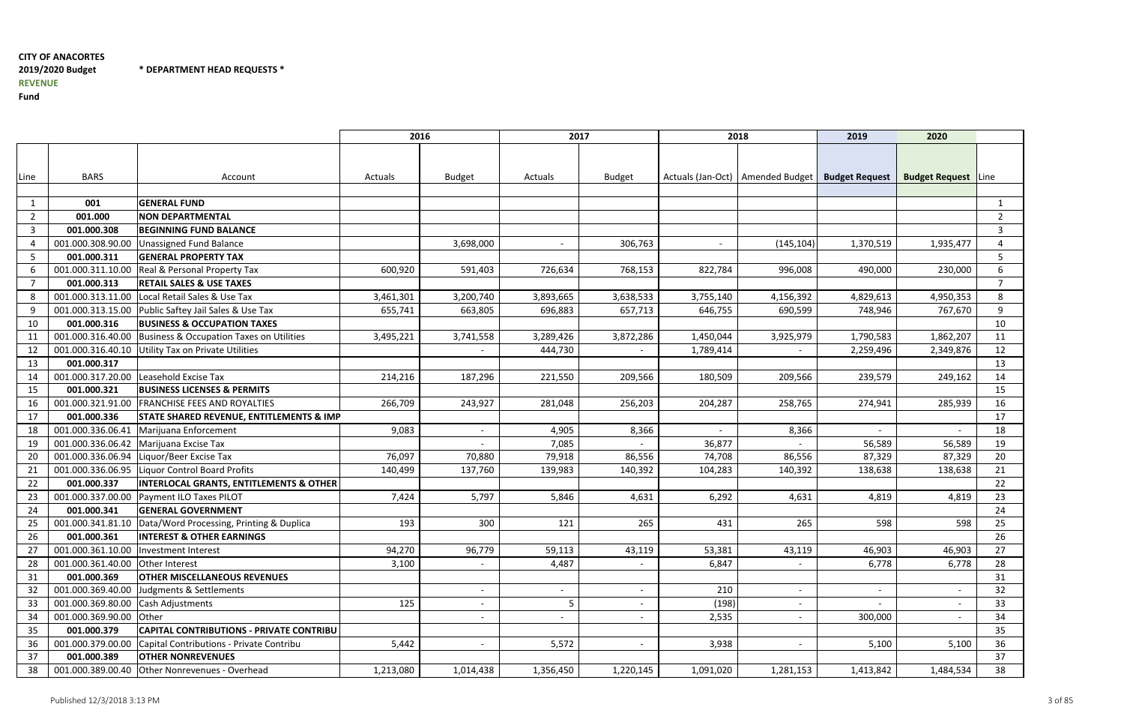\* DEPARTMENT HEAD REQUESTS \*

|                |                                        |                                                              | 2016      |                          | 2017      |                          |           | 2018                               | 2019                     | 2020                       |                |
|----------------|----------------------------------------|--------------------------------------------------------------|-----------|--------------------------|-----------|--------------------------|-----------|------------------------------------|--------------------------|----------------------------|----------------|
|                |                                        |                                                              |           |                          |           |                          |           |                                    |                          |                            |                |
|                |                                        |                                                              |           |                          |           |                          |           |                                    |                          |                            |                |
| Line           | <b>BARS</b>                            | Account                                                      | Actuals   | <b>Budget</b>            | Actuals   | <b>Budget</b>            |           | Actuals (Jan-Oct)   Amended Budget | <b>Budget Request</b>    | <b>Budget Request</b> Line |                |
|                |                                        |                                                              |           |                          |           |                          |           |                                    |                          |                            |                |
| 1              | 001                                    | <b>GENERAL FUND</b>                                          |           |                          |           |                          |           |                                    |                          |                            | $\mathbf{1}$   |
| $\overline{2}$ | 001.000                                | <b>NON DEPARTMENTAL</b>                                      |           |                          |           |                          |           |                                    |                          |                            | $\overline{2}$ |
| $\mathbf{3}$   | 001.000.308                            | <b>BEGINNING FUND BALANCE</b>                                |           |                          |           |                          |           |                                    |                          |                            | 3              |
| 4              | 001.000.308.90.00                      | Unassigned Fund Balance                                      |           | 3,698,000                |           | 306,763                  | $\sim$    | (145, 104)                         | 1,370,519                | 1,935,477                  | 4              |
| 5              | 001.000.311                            | <b>GENERAL PROPERTY TAX</b>                                  |           |                          |           |                          |           |                                    |                          |                            | 5              |
| 6              | 001.000.311.10.00                      | Real & Personal Property Tax                                 | 600,920   | 591,403                  | 726,634   | 768,153                  | 822,784   | 996,008                            | 490,000                  | 230,000                    | 6              |
| $\overline{7}$ | 001.000.313                            | <b>RETAIL SALES &amp; USE TAXES</b>                          |           |                          |           |                          |           |                                    |                          |                            |                |
| 8              | 001.000.313.11.00                      | Local Retail Sales & Use Tax                                 | 3,461,301 | 3,200,740                | 3,893,665 | 3,638,533                | 3,755,140 | 4,156,392                          | 4,829,613                | 4,950,353                  | 8              |
| 9              |                                        | 001.000.313.15.00 Public Saftey Jail Sales & Use Tax         | 655,741   | 663,805                  | 696,883   | 657,713                  | 646,755   | 690,599                            | 748,946                  | 767,670                    | 9              |
| 10             | 001.000.316                            | <b>BUSINESS &amp; OCCUPATION TAXES</b>                       |           |                          |           |                          |           |                                    |                          |                            | 10             |
| 11             | 001.000.316.40.00                      | Business & Occupation Taxes on Utilities                     | 3,495,221 | 3,741,558                | 3,289,426 | 3,872,286                | 1,450,044 | 3,925,979                          | 1,790,583                | 1,862,207                  | 11             |
| 12             | 001.000.316.40.10                      | Utility Tax on Private Utilities                             |           |                          | 444,730   | $\overline{\phantom{a}}$ | 1,789,414 | $\overline{\phantom{a}}$           | 2,259,496                | 2,349,876                  | 12             |
| 13             | 001.000.317                            |                                                              |           |                          |           |                          |           |                                    |                          |                            | 13             |
| 14             | 001.000.317.20.00                      | Leasehold Excise Tax                                         | 214,216   | 187,296                  | 221,550   | 209,566                  | 180,509   | 209,566                            | 239,579                  | 249,162                    | 14             |
| 15             | 001.000.321                            | <b>BUSINESS LICENSES &amp; PERMITS</b>                       |           |                          |           |                          |           |                                    |                          |                            | 15             |
| 16             | 001.000.321.91.00                      | <b>FRANCHISE FEES AND ROYALTIES</b>                          | 266,709   | 243,927                  | 281,048   | 256,203                  | 204,287   | 258,765                            | 274,941                  | 285,939                    | 16             |
| 17             | 001.000.336                            | <b>STATE SHARED REVENUE, ENTITLEMENTS &amp; IMP</b>          |           |                          |           |                          |           |                                    |                          |                            | 17             |
| 18             | 001.000.336.06.41                      | Marijuana Enforcement                                        | 9,083     |                          | 4,905     | 8,366                    |           | 8,366                              |                          |                            | 18             |
| 19             | 001.000.336.06.42                      | Marijuana Excise Tax                                         |           |                          | 7,085     |                          | 36,877    |                                    | 56,589                   | 56,589                     | 19             |
| 20             | 001.000.336.06.94                      | Liquor/Beer Excise Tax                                       | 76,097    | 70,880                   | 79,918    | 86,556                   | 74,708    | 86,556                             | 87,329                   | 87,329                     | 20             |
| 21             | 001.000.336.06.95                      | Liquor Control Board Profits                                 | 140,499   | 137,760                  | 139,983   | 140,392                  | 104,283   | 140,392                            | 138,638                  | 138,638                    | 21             |
| 22             | 001.000.337                            | <b>INTERLOCAL GRANTS, ENTITLEMENTS &amp; OTHER</b>           |           |                          |           |                          |           |                                    |                          |                            | 22             |
| 23             | 001.000.337.00.00                      | Payment ILO Taxes PILOT                                      | 7,424     | 5,797                    | 5,846     | 4,631                    | 6,292     | 4,631                              | 4,819                    | 4,819                      | 23             |
| 24             | 001.000.341                            | <b>GENERAL GOVERNMENT</b>                                    |           |                          |           |                          |           |                                    |                          |                            | 24             |
| 25             |                                        | 001.000.341.81.10   Data/Word Processing, Printing & Duplica | 193       | 300                      | 121       | 265                      | 431       | 265                                | 598                      | 598                        | 25             |
| 26             | 001.000.361                            | <b>INTEREST &amp; OTHER EARNINGS</b>                         |           |                          |           |                          |           |                                    |                          |                            | 26             |
| 27             | 001.000.361.10.00  Investment Interest |                                                              | 94,270    | 96,779                   | 59,113    | 43,119                   | 53,381    | 43,119                             | 46,903                   | 46,903                     | 27             |
| 28             | 001.000.361.40.00 Other Interest       |                                                              | 3,100     |                          | 4,487     |                          | 6,847     |                                    | 6,778                    | 6,778                      | 28             |
| 31             | 001.000.369                            | <b>OTHER MISCELLANEOUS REVENUES</b>                          |           |                          |           |                          |           |                                    |                          |                            | 31             |
| 32             |                                        | 001.000.369.40.00 Judgments & Settlements                    |           |                          |           | $\overline{\phantom{a}}$ | 210       | $\overline{a}$                     | $\sim$                   | $\overline{\phantom{a}}$   | 32             |
| 33             | 001.000.369.80.00                      | Cash Adjustments                                             | 125       | $\overline{\phantom{a}}$ | 5         | $\overline{\phantom{a}}$ | (198)     | $\overline{\phantom{a}}$           | $\overline{\phantom{a}}$ | $\sim$                     | 33             |
| 34             | 001.000.369.90.00 Other                |                                                              |           |                          |           | $\overline{\phantom{a}}$ | 2,535     | $\overline{\phantom{a}}$           | 300,000                  | $\sim$                     | 34             |
| 35             | 001.000.379                            | <b>CAPITAL CONTRIBUTIONS - PRIVATE CONTRIBU</b>              |           |                          |           |                          |           |                                    |                          |                            | 35             |
| 36             | 001.000.379.00.00                      | Capital Contributions - Private Contribu                     | 5,442     |                          | 5,572     | $\overline{\phantom{a}}$ | 3,938     | $\sim$                             | 5,100                    | 5,100                      | 36             |
| 37             | 001.000.389                            | <b>OTHER NONREVENUES</b>                                     |           |                          |           |                          |           |                                    |                          |                            | 37             |
| 38             |                                        | 001.000.389.00.40 Other Nonrevenues - Overhead               | 1,213,080 | 1,014,438                | 1,356,450 | 1,220,145                | 1,091,020 | 1,281,153                          | 1,413,842                | 1,484,534                  | 38             |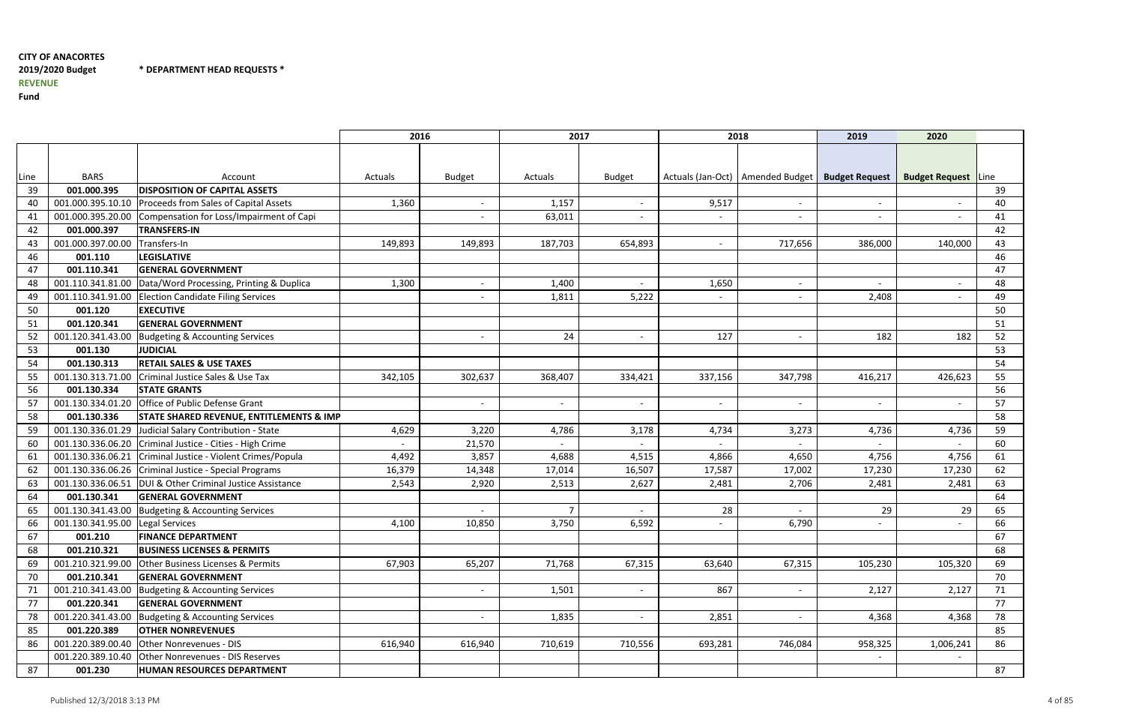\* DEPARTMENT HEAD REQUESTS \*

|      |                                |                                                            | 2016    |                          | 2017                     |                          |                          | 2018                                                | 2019                     | 2020                       |    |
|------|--------------------------------|------------------------------------------------------------|---------|--------------------------|--------------------------|--------------------------|--------------------------|-----------------------------------------------------|--------------------------|----------------------------|----|
|      |                                |                                                            |         |                          |                          |                          |                          |                                                     |                          |                            |    |
|      |                                |                                                            |         |                          |                          |                          |                          |                                                     |                          |                            |    |
| Line | <b>BARS</b>                    | Account                                                    | Actuals | <b>Budget</b>            | Actuals                  | <b>Budget</b>            |                          | Actuals (Jan-Oct)   Amended Budget   Budget Request |                          | <b>Budget Request</b> Line |    |
| 39   | 001.000.395                    | <b>DISPOSITION OF CAPITAL ASSETS</b>                       |         |                          |                          |                          |                          |                                                     |                          |                            | 39 |
| 40   | 001.000.395.10.10              | Proceeds from Sales of Capital Assets                      | 1,360   |                          | 1,157                    | $\overline{\phantom{a}}$ | 9,517                    | $\sim$                                              | $\overline{\phantom{a}}$ |                            | 40 |
| 41   | 001.000.395.20.00              | Compensation for Loss/Impairment of Capi                   |         |                          | 63,011                   | $\overline{\phantom{a}}$ | $\overline{\phantom{a}}$ | $\overline{\phantom{a}}$                            | $\overline{\phantom{0}}$ |                            | 41 |
| 42   | 001.000.397                    | <b>TRANSFERS-IN</b>                                        |         |                          |                          |                          |                          |                                                     |                          |                            | 42 |
| 43   | 001.000.397.00.00 Transfers-In |                                                            | 149,893 | 149,893                  | 187,703                  | 654,893                  | $\overline{\phantom{a}}$ | 717,656                                             | 386,000                  | 140,000                    | 43 |
| 46   | 001.110                        | <b>LEGISLATIVE</b>                                         |         |                          |                          |                          |                          |                                                     |                          |                            | 46 |
| 47   | 001.110.341                    | <b>GENERAL GOVERNMENT</b>                                  |         |                          |                          |                          |                          |                                                     |                          |                            | 47 |
| 48   | 001.110.341.81.00              | Data/Word Processing, Printing & Duplica                   | 1,300   | $\overline{\phantom{a}}$ | 1,400                    | $\overline{\phantom{a}}$ | 1,650                    | $\sim$                                              |                          | $\overline{\phantom{a}}$   | 48 |
| 49   | 001.110.341.91.00              | <b>Election Candidate Filing Services</b>                  |         |                          | 1,811                    | 5,222                    | $\overline{\phantom{a}}$ | $\overline{\phantom{0}}$                            | 2,408                    | $\overline{\phantom{a}}$   | 49 |
| 50   | 001.120                        | <b>EXECUTIVE</b>                                           |         |                          |                          |                          |                          |                                                     |                          |                            | 50 |
| 51   | 001.120.341                    | <b>GENERAL GOVERNMENT</b>                                  |         |                          |                          |                          |                          |                                                     |                          |                            | 51 |
| 52   | 001.120.341.43.00              | Budgeting & Accounting Services                            |         |                          | 24                       | $\overline{\phantom{a}}$ | 127                      | $\overline{\phantom{a}}$                            | 182                      | 182                        | 52 |
| 53   | 001.130                        | <b>JUDICIAL</b>                                            |         |                          |                          |                          |                          |                                                     |                          |                            | 53 |
| 54   | 001.130.313                    | <b>RETAIL SALES &amp; USE TAXES</b>                        |         |                          |                          |                          |                          |                                                     |                          |                            | 54 |
| 55   | 001.130.313.71.00              | Criminal Justice Sales & Use Tax                           | 342,105 | 302,637                  | 368,407                  | 334,421                  | 337,156                  | 347,798                                             | 416,217                  | 426,623                    | 55 |
| 56   | 001.130.334                    | <b>STATE GRANTS</b>                                        |         |                          |                          |                          |                          |                                                     |                          |                            | 56 |
| 57   | 001.130.334.01.20              | Office of Public Defense Grant                             |         | $\overline{\phantom{a}}$ | $\overline{\phantom{a}}$ | $\overline{\phantom{a}}$ | $\sim$                   | $\sim$                                              | $\overline{\phantom{a}}$ | $\overline{\phantom{a}}$   | 57 |
| 58   | 001.130.336                    | <b>STATE SHARED REVENUE, ENTITLEMENTS &amp; IMP</b>        |         |                          |                          |                          |                          |                                                     |                          |                            | 58 |
| 59   | 001.130.336.01.29              | Judicial Salary Contribution - State                       | 4,629   | 3,220                    | 4,786                    | 3,178                    | 4,734                    | 3,273                                               | 4,736                    | 4,736                      | 59 |
| 60   |                                | 001.130.336.06.20 Criminal Justice - Cities - High Crime   |         | 21,570                   |                          |                          |                          |                                                     |                          |                            | 60 |
| 61   |                                | 001.130.336.06.21 Criminal Justice - Violent Crimes/Popula | 4,492   | 3,857                    | 4,688                    | 4,515                    | 4,866                    | 4,650                                               | 4,756                    | 4,756                      | 61 |
| 62   |                                | 001.130.336.06.26 Criminal Justice - Special Programs      | 16,379  | 14,348                   | 17,014                   | 16,507                   | 17,587                   | 17,002                                              | 17,230                   | 17,230                     | 62 |
| 63   | 001.130.336.06.51              | DUI & Other Criminal Justice Assistance                    | 2,543   | 2,920                    | 2,513                    | 2,627                    | 2,481                    | 2,706                                               | 2,481                    | 2,481                      | 63 |
| 64   | 001.130.341                    | <b>GENERAL GOVERNMENT</b>                                  |         |                          |                          |                          |                          |                                                     |                          |                            | 64 |
| 65   | 001.130.341.43.00              | Budgeting & Accounting Services                            |         |                          | $\overline{7}$           | $\overline{a}$           | 28                       | $\overline{\phantom{a}}$                            | 29                       | 29                         | 65 |
| 66   | 001.130.341.95.00              | Legal Services                                             | 4,100   | 10,850                   | 3,750                    | 6,592                    |                          | 6,790                                               |                          |                            | 66 |
| 67   | 001.210                        | <b>FINANCE DEPARTMENT</b>                                  |         |                          |                          |                          |                          |                                                     |                          |                            | 67 |
| 68   | 001.210.321                    | <b>BUSINESS LICENSES &amp; PERMITS</b>                     |         |                          |                          |                          |                          |                                                     |                          |                            | 68 |
| 69   | 001.210.321.99.00              | Other Business Licenses & Permits                          | 67,903  | 65,207                   | 71,768                   | 67,315                   | 63,640                   | 67,315                                              | 105,230                  | 105,320                    | 69 |
| 70   | 001.210.341                    | <b>GENERAL GOVERNMENT</b>                                  |         |                          |                          |                          |                          |                                                     |                          |                            | 70 |
| 71   |                                | 001.210.341.43.00 Budgeting & Accounting Services          |         |                          | 1,501                    | $\overline{\phantom{a}}$ | 867                      | $\overline{\phantom{0}}$                            | 2,127                    | 2,127                      | 71 |
| 77   | 001.220.341                    | <b>GENERAL GOVERNMENT</b>                                  |         |                          |                          |                          |                          |                                                     |                          |                            | 77 |
| 78   | 001.220.341.43.00              | Budgeting & Accounting Services                            |         | $\overline{\phantom{a}}$ | 1,835                    | $\overline{\phantom{a}}$ | 2,851                    | $\sim$                                              | 4,368                    | 4,368                      | 78 |
| 85   | 001.220.389                    | <b>OTHER NONREVENUES</b>                                   |         |                          |                          |                          |                          |                                                     |                          |                            | 85 |
| 86   | 001.220.389.00.40              | <b>Other Nonrevenues - DIS</b>                             | 616,940 | 616,940                  | 710,619                  | 710,556                  | 693,281                  | 746,084                                             | 958,325                  | 1,006,241                  | 86 |
|      | 001.220.389.10.40              | Other Nonrevenues - DIS Reserves                           |         |                          |                          |                          |                          |                                                     |                          |                            |    |
| 87   | 001.230                        | HUMAN RESOURCES DEPARTMENT                                 |         |                          |                          |                          |                          |                                                     |                          |                            | 87 |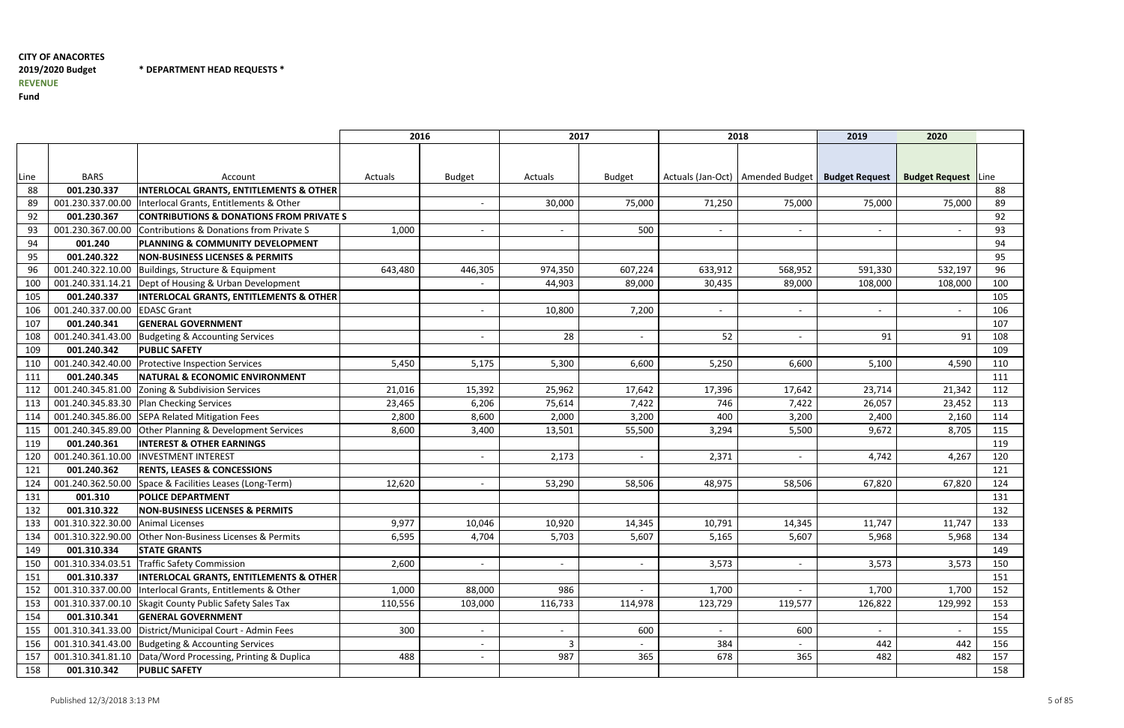\* DEPARTMENT HEAD REQUESTS \*

|      |                   |                                                              | 2016    |               | 2017           |                          |                          | 2018                                                | 2019                     | 2020                       |     |
|------|-------------------|--------------------------------------------------------------|---------|---------------|----------------|--------------------------|--------------------------|-----------------------------------------------------|--------------------------|----------------------------|-----|
|      |                   |                                                              |         |               |                |                          |                          |                                                     |                          |                            |     |
|      |                   |                                                              |         |               |                |                          |                          |                                                     |                          |                            |     |
| Line | <b>BARS</b>       | Account                                                      | Actuals | <b>Budget</b> | Actuals        | <b>Budget</b>            |                          | Actuals (Jan-Oct)   Amended Budget   Budget Request |                          | <b>Budget Request</b> Line |     |
| 88   | 001.230.337       | <b>INTERLOCAL GRANTS, ENTITLEMENTS &amp; OTHER</b>           |         |               |                |                          |                          |                                                     |                          |                            | 88  |
| 89   | 001.230.337.00.00 | Interlocal Grants, Entitlements & Other                      |         |               | 30,000         | 75,000                   | 71,250                   | 75,000                                              | 75,000                   | 75,000                     | 89  |
| 92   | 001.230.367       | <b>CONTRIBUTIONS &amp; DONATIONS FROM PRIVATE S</b>          |         |               |                |                          |                          |                                                     |                          |                            | 92  |
| 93   | 001.230.367.00.00 | Contributions & Donations from Private S                     | 1,000   |               |                | 500                      | $\overline{\phantom{a}}$ | $\overline{\phantom{a}}$                            |                          |                            | 93  |
| 94   | 001.240           | <b>PLANNING &amp; COMMUNITY DEVELOPMENT</b>                  |         |               |                |                          |                          |                                                     |                          |                            | 94  |
| 95   | 001.240.322       | <b>NON-BUSINESS LICENSES &amp; PERMITS</b>                   |         |               |                |                          |                          |                                                     |                          |                            | 95  |
| 96   | 001.240.322.10.00 | Buildings, Structure & Equipment                             | 643,480 | 446,305       | 974,350        | 607,224                  | 633,912                  | 568,952                                             | 591,330                  | 532,197                    | 96  |
| 100  | 001.240.331.14.21 | Dept of Housing & Urban Development                          |         |               | 44,903         | 89,000                   | 30,435                   | 89,000                                              | 108,000                  | 108,000                    | 100 |
| 105  | 001.240.337       | <b>INTERLOCAL GRANTS, ENTITLEMENTS &amp; OTHER</b>           |         |               |                |                          |                          |                                                     |                          |                            | 105 |
| 106  | 001.240.337.00.00 | <b>EDASC Grant</b>                                           |         |               | 10,800         | 7,200                    | $\overline{\phantom{a}}$ | $\blacksquare$                                      |                          |                            | 106 |
| 107  | 001.240.341       | <b>GENERAL GOVERNMENT</b>                                    |         |               |                |                          |                          |                                                     |                          |                            | 107 |
| 108  | 001.240.341.43.00 | Budgeting & Accounting Services                              |         |               | 28             | $\overline{\phantom{a}}$ | 52                       | $\overline{\phantom{a}}$                            | 91                       | 91                         | 108 |
| 109  | 001.240.342       | <b>PUBLIC SAFETY</b>                                         |         |               |                |                          |                          |                                                     |                          |                            | 109 |
| 110  | 001.240.342.40.00 | <b>Protective Inspection Services</b>                        | 5,450   | 5,175         | 5,300          | 6,600                    | 5,250                    | 6,600                                               | 5,100                    | 4,590                      | 110 |
| 111  | 001.240.345       | <b>NATURAL &amp; ECONOMIC ENVIRONMENT</b>                    |         |               |                |                          |                          |                                                     |                          |                            | 111 |
| 112  | 001.240.345.81.00 | Zoning & Subdivision Services                                | 21,016  | 15,392        | 25,962         | 17,642                   | 17,396                   | 17,642                                              | 23,714                   | 21,342                     | 112 |
| 113  |                   | 001.240.345.83.30 Plan Checking Services                     | 23,465  | 6,206         | 75,614         | 7,422                    | 746                      | 7,422                                               | 26,057                   | 23,452                     | 113 |
| 114  | 001.240.345.86.00 | SEPA Related Mitigation Fees                                 | 2,800   | 8,600         | 2,000          | 3,200                    | 400                      | 3,200                                               | 2,400                    | 2,160                      | 114 |
| 115  |                   | 001.240.345.89.00 Other Planning & Development Services      | 8,600   | 3,400         | 13,501         | 55,500                   | 3,294                    | 5,500                                               | 9,672                    | 8,705                      | 115 |
| 119  | 001.240.361       | <b>INTEREST &amp; OTHER EARNINGS</b>                         |         |               |                |                          |                          |                                                     |                          |                            | 119 |
| 120  | 001.240.361.10.00 | <b>INVESTMENT INTEREST</b>                                   |         |               | 2,173          | $\overline{\phantom{a}}$ | 2,371                    | $\overline{\phantom{a}}$                            | 4,742                    | 4,267                      | 120 |
| 121  | 001.240.362       | <b>RENTS, LEASES &amp; CONCESSIONS</b>                       |         |               |                |                          |                          |                                                     |                          |                            | 121 |
| 124  | 001.240.362.50.00 | Space & Facilities Leases (Long-Term)                        | 12,620  |               | 53,290         | 58,506                   | 48,975                   | 58,506                                              | 67,820                   | 67,820                     | 124 |
| 131  | 001.310           | <b>POLICE DEPARTMENT</b>                                     |         |               |                |                          |                          |                                                     |                          |                            | 131 |
| 132  | 001.310.322       | <b>NON-BUSINESS LICENSES &amp; PERMITS</b>                   |         |               |                |                          |                          |                                                     |                          |                            | 132 |
| 133  | 001.310.322.30.00 | Animal Licenses                                              | 9,977   | 10,046        | 10,920         | 14,345                   | 10,791                   | 14,345                                              | 11,747                   | 11,747                     | 133 |
| 134  |                   | 001.310.322.90.00 Other Non-Business Licenses & Permits      | 6,595   | 4,704         | 5,703          | 5,607                    | 5,165                    | 5,607                                               | 5,968                    | 5,968                      | 134 |
| 149  | 001.310.334       | <b>STATE GRANTS</b>                                          |         |               |                |                          |                          |                                                     |                          |                            | 149 |
| 150  | 001.310.334.03.51 | <b>Traffic Safety Commission</b>                             | 2,600   |               |                | $\overline{\phantom{a}}$ | 3,573                    | $\overline{\phantom{a}}$                            | 3,573                    | 3,573                      | 150 |
| 151  | 001.310.337       | <b>INTERLOCAL GRANTS, ENTITLEMENTS &amp; OTHER</b>           |         |               |                |                          |                          |                                                     |                          |                            | 151 |
| 152  |                   | 001.310.337.00.00  Interlocal Grants, Entitlements & Other   | 1,000   | 88,000        | 986            | $\overline{\phantom{a}}$ | 1,700                    | $\sim$                                              | 1,700                    | 1,700                      | 152 |
| 153  |                   | 001.310.337.00.10 Skagit County Public Safety Sales Tax      | 110,556 | 103,000       | 116,733        | 114,978                  | 123,729                  | 119,577                                             | 126,822                  | 129,992                    | 153 |
| 154  | 001.310.341       | <b>GENERAL GOVERNMENT</b>                                    |         |               |                |                          |                          |                                                     |                          |                            | 154 |
| 155  |                   | 001.310.341.33.00   District/Municipal Court - Admin Fees    | 300     |               |                | 600                      | $\overline{\phantom{a}}$ | 600                                                 | $\overline{\phantom{a}}$ |                            | 155 |
| 156  | 001.310.341.43.00 | Budgeting & Accounting Services                              |         |               | $\overline{3}$ |                          | 384                      | $\overline{\phantom{0}}$                            | 442                      | 442                        | 156 |
| 157  |                   | 001.310.341.81.10   Data/Word Processing, Printing & Duplica | 488     |               | 987            | 365                      | 678                      | 365                                                 | 482                      | 482                        | 157 |
| 158  | 001.310.342       | <b>PUBLIC SAFETY</b>                                         |         |               |                |                          |                          |                                                     |                          |                            | 158 |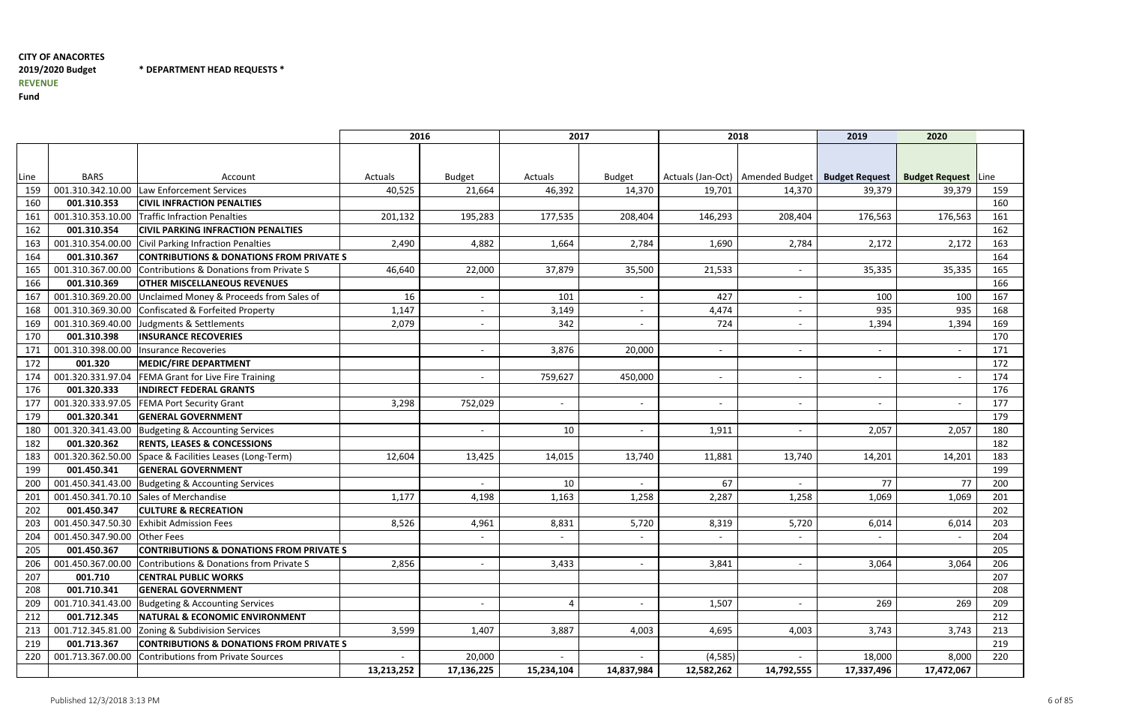\* DEPARTMENT HEAD REQUESTS \*

|      |                              |                                                     | 2016       |                          | 2017                     |                          |                          | 2018                     | 2019                                                | 2020                     |      |
|------|------------------------------|-----------------------------------------------------|------------|--------------------------|--------------------------|--------------------------|--------------------------|--------------------------|-----------------------------------------------------|--------------------------|------|
|      |                              |                                                     |            |                          |                          |                          |                          |                          |                                                     |                          |      |
|      |                              |                                                     |            |                          |                          |                          |                          |                          |                                                     |                          |      |
| Line | <b>BARS</b>                  | Account                                             | Actuals    | <b>Budget</b>            | Actuals                  | <b>Budget</b>            |                          |                          | Actuals (Jan-Oct)   Amended Budget   Budget Request | <b>Budget Request</b>    | Line |
| 159  | 001.310.342.10.00            | Law Enforcement Services                            | 40,525     | 21,664                   | 46,392                   | 14,370                   | 19,701                   | 14,370                   | 39,379                                              | 39,379                   | 159  |
| 160  | 001.310.353                  | <b>CIVIL INFRACTION PENALTIES</b>                   |            |                          |                          |                          |                          |                          |                                                     |                          | 160  |
| 161  | 001.310.353.10.00            | Traffic Infraction Penalties                        | 201,132    | 195,283                  | 177,535                  | 208,404                  | 146,293                  | 208,404                  | 176,563                                             | 176,563                  | 161  |
| 162  | 001.310.354                  | <b>CIVIL PARKING INFRACTION PENALTIES</b>           |            |                          |                          |                          |                          |                          |                                                     |                          | 162  |
| 163  | 001.310.354.00.00            | Civil Parking Infraction Penalties                  | 2,490      | 4,882                    | 1,664                    | 2,784                    | 1,690                    | 2,784                    | 2,172                                               | 2,172                    | 163  |
| 164  | 001.310.367                  | <b>CONTRIBUTIONS &amp; DONATIONS FROM PRIVATE S</b> |            |                          |                          |                          |                          |                          |                                                     |                          | 164  |
| 165  | 001.310.367.00.00            | Contributions & Donations from Private S            | 46,640     | 22,000                   | 37,879                   | 35,500                   | 21,533                   | $\overline{\phantom{a}}$ | 35,335                                              | 35,335                   | 165  |
| 166  | 001.310.369                  | <b>OTHER MISCELLANEOUS REVENUES</b>                 |            |                          |                          |                          |                          |                          |                                                     |                          | 166  |
| 167  | 001.310.369.20.00            | Unclaimed Money & Proceeds from Sales of            | 16         |                          | 101                      | $\blacksquare$           | 427                      | $\overline{\phantom{0}}$ | 100                                                 | 100                      | 167  |
| 168  | 001.310.369.30.00            | Confiscated & Forfeited Property                    | 1,147      |                          | 3,149                    | $\overline{\phantom{a}}$ | 4,474                    | $\overline{\phantom{a}}$ | 935                                                 | 935                      | 168  |
| 169  | 001.310.369.40.00            | Judgments & Settlements                             | 2,079      |                          | 342                      | $\overline{\phantom{a}}$ | 724                      | $\overline{\phantom{0}}$ | 1,394                                               | 1,394                    | 169  |
| 170  | 001.310.398                  | <b>INSURANCE RECOVERIES</b>                         |            |                          |                          |                          |                          |                          |                                                     |                          | 170  |
| 171  | 001.310.398.00.00            | <b>Insurance Recoveries</b>                         |            |                          | 3,876                    | 20,000                   | $\overline{\phantom{a}}$ | $\overline{\phantom{a}}$ | $\overline{\phantom{a}}$                            | $\overline{\phantom{a}}$ | 171  |
| 172  | 001.320                      | <b>MEDIC/FIRE DEPARTMENT</b>                        |            |                          |                          |                          |                          |                          |                                                     |                          | 172  |
| 174  | 001.320.331.97.04            | FEMA Grant for Live Fire Training                   |            |                          | 759,627                  | 450,000                  | $\overline{\phantom{a}}$ | $\overline{\phantom{0}}$ | $\overline{\phantom{a}}$                            |                          | 174  |
| 176  | 001.320.333                  | <b>INDIRECT FEDERAL GRANTS</b>                      |            |                          |                          |                          |                          |                          |                                                     |                          | 176  |
| 177  | 001.320.333.97.05            | <b>FEMA Port Security Grant</b>                     | 3,298      | 752,029                  |                          | $\overline{\phantom{a}}$ |                          | $\overline{\phantom{a}}$ |                                                     |                          | 177  |
| 179  | 001.320.341                  | <b>GENERAL GOVERNMENT</b>                           |            |                          |                          |                          |                          |                          |                                                     |                          | 179  |
| 180  | 001.320.341.43.00            | <b>Budgeting &amp; Accounting Services</b>          |            |                          | 10                       | $\overline{\phantom{a}}$ | 1,911                    | $\overline{\phantom{a}}$ | 2,057                                               | 2,057                    | 180  |
| 182  | 001.320.362                  | <b>RENTS, LEASES &amp; CONCESSIONS</b>              |            |                          |                          |                          |                          |                          |                                                     |                          | 182  |
| 183  | 001.320.362.50.00            | Space & Facilities Leases (Long-Term)               | 12,604     | 13,425                   | 14,015                   | 13,740                   | 11,881                   | 13,740                   | 14,201                                              | 14,201                   | 183  |
| 199  | 001.450.341                  | <b>GENERAL GOVERNMENT</b>                           |            |                          |                          |                          |                          |                          |                                                     |                          | 199  |
| 200  | 001.450.341.43.00            | Budgeting & Accounting Services                     |            |                          | 10                       | $\overline{\phantom{a}}$ | 67                       | $\overline{\phantom{0}}$ | 77                                                  | 77                       | 200  |
| 201  |                              | 001.450.341.70.10 Sales of Merchandise              | 1,177      | 4,198                    | 1,163                    | 1,258                    | 2,287                    | 1,258                    | 1,069                                               | 1,069                    | 201  |
| 202  | 001.450.347                  | <b>CULTURE &amp; RECREATION</b>                     |            |                          |                          |                          |                          |                          |                                                     |                          | 202  |
| 203  | 001.450.347.50.30            | <b>Exhibit Admission Fees</b>                       | 8,526      | 4,961                    | 8,831                    | 5,720                    | 8,319                    | 5,720                    | 6,014                                               | 6,014                    | 203  |
| 204  | 001.450.347.90.00 Other Fees |                                                     |            |                          | $\overline{\phantom{a}}$ | $\overline{\phantom{a}}$ | $\overline{\phantom{a}}$ | $\overline{\phantom{a}}$ |                                                     |                          | 204  |
| 205  | 001.450.367                  | <b>CONTRIBUTIONS &amp; DONATIONS FROM PRIVATE S</b> |            |                          |                          |                          |                          |                          |                                                     |                          | 205  |
| 206  | 001.450.367.00.00            | Contributions & Donations from Private S            | 2,856      |                          | 3,433                    | $\overline{\phantom{a}}$ | 3,841                    | $\overline{\phantom{a}}$ | 3,064                                               | 3,064                    | 206  |
| 207  | 001.710                      | <b>CENTRAL PUBLIC WORKS</b>                         |            |                          |                          |                          |                          |                          |                                                     |                          | 207  |
| 208  | 001.710.341                  | <b>GENERAL GOVERNMENT</b>                           |            |                          |                          |                          |                          |                          |                                                     |                          | 208  |
| 209  | 001.710.341.43.00            | Budgeting & Accounting Services                     |            | $\overline{\phantom{a}}$ | 4                        | $\overline{\phantom{a}}$ | 1,507                    | $\sim$                   | 269                                                 | 269                      | 209  |
| 212  | 001.712.345                  | <b>NATURAL &amp; ECONOMIC ENVIRONMENT</b>           |            |                          |                          |                          |                          |                          |                                                     |                          | 212  |
| 213  | 001.712.345.81.00            | Zoning & Subdivision Services                       | 3,599      | 1,407                    | 3,887                    | 4,003                    | 4,695                    | 4,003                    | 3,743                                               | 3,743                    | 213  |
| 219  | 001.713.367                  | <b>CONTRIBUTIONS &amp; DONATIONS FROM PRIVATE S</b> |            |                          |                          |                          |                          |                          |                                                     |                          | 219  |
| 220  | 001.713.367.00.00            | Contributions from Private Sources                  |            | 20,000                   |                          |                          | (4, 585)                 | $\overline{\phantom{0}}$ | 18,000                                              | 8,000                    | 220  |
|      |                              |                                                     | 13,213,252 | 17,136,225               | 15,234,104               | 14,837,984               | 12,582,262               | 14,792,555               | 17,337,496                                          | 17,472,067               |      |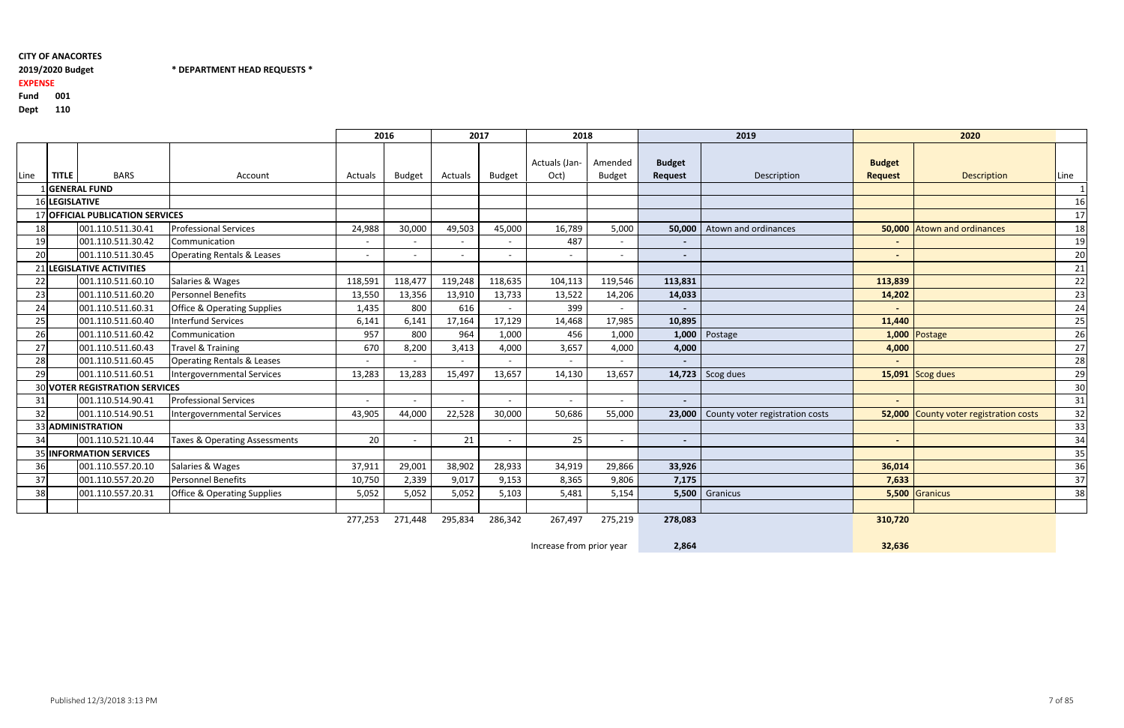# 2019/2020 Budget

2019/2020 Budget \* DEPARTMENT HEAD REQUESTS \*

#### 001 **Fund**

EXPENSE

Dept <sup>110</sup>

|      |                |                                       |                                        | 2016    |               |         | 2017                     | 2018                  |                          |                                 | 2019                            |                                 | 2020                            |      |
|------|----------------|---------------------------------------|----------------------------------------|---------|---------------|---------|--------------------------|-----------------------|--------------------------|---------------------------------|---------------------------------|---------------------------------|---------------------------------|------|
| Line | <b>TITLE</b>   | <b>BARS</b>                           | Account                                | Actuals | <b>Budget</b> | Actuals | <b>Budget</b>            | Actuals (Jan-<br>Oct) | Amended<br><b>Budget</b> | <b>Budget</b><br><b>Request</b> | Description                     | <b>Budget</b><br><b>Request</b> | <b>Description</b>              | Line |
|      |                | 1 GENERAL FUND                        |                                        |         |               |         |                          |                       |                          |                                 |                                 |                                 |                                 |      |
|      | 16 LEGISLATIVE |                                       |                                        |         |               |         |                          |                       |                          |                                 |                                 |                                 |                                 | 16   |
|      |                | 17 OFFICIAL PUBLICATION SERVICES      |                                        |         |               |         |                          |                       |                          |                                 |                                 |                                 |                                 | 17   |
| 18   |                | 001.110.511.30.41                     | <b>Professional Services</b>           | 24,988  | 30,000        | 49,503  | 45,000                   | 16,789                | 5,000                    | 50,000                          | Atown and ordinances            | 50,000                          | <b>Atown and ordinances</b>     | 18   |
| 19   |                | 001.110.511.30.42                     | Communication                          |         |               |         |                          | 487                   |                          | $\overline{\phantom{a}}$        |                                 |                                 |                                 | 19   |
| 20   |                | 001.110.511.30.45                     | <b>Operating Rentals &amp; Leases</b>  | $\sim$  |               |         | $\overline{\phantom{a}}$ |                       | $\sim$                   | $\overline{\phantom{a}}$        |                                 | $\sim$                          |                                 | 20   |
|      |                | 21 LEGISLATIVE ACTIVITIES             |                                        |         |               |         |                          |                       |                          |                                 |                                 |                                 |                                 | 21   |
| 22   |                | 001.110.511.60.10                     | Salaries & Wages                       | 118,591 | 118,477       | 119,248 | 118,635                  | 104,113               | 119,546                  | 113,831                         |                                 | 113,839                         |                                 | 22   |
| 23   |                | 001.110.511.60.20                     | Personnel Benefits                     | 13,550  | 13,356        | 13,910  | 13,733                   | 13,522                | 14,206                   | 14,033                          |                                 | 14,202                          |                                 | 23   |
| 24   |                | 001.110.511.60.31                     | <b>Office &amp; Operating Supplies</b> | 1,435   | 800           | 616     | $\sim$                   | 399                   | $\sim$                   |                                 |                                 |                                 |                                 | 24   |
| 25   |                | 001.110.511.60.40                     | <b>Interfund Services</b>              | 6,141   | 6,141         | 17,164  | 17,129                   | 14,468                | 17,985                   | 10,895                          |                                 | 11,440                          |                                 | 25   |
| 26   |                | 001.110.511.60.42                     | Communication                          | 957     | 800           | 964     | 1,000                    | 456                   | 1,000                    | 1,000                           | Postage                         | 1,000                           | Postage                         | 26   |
| 27   |                | 001.110.511.60.43                     | <b>Travel &amp; Training</b>           | 670     | 8,200         | 3,413   | 4,000                    | 3,657                 | 4,000                    | 4,000                           |                                 | 4,000                           |                                 | 27   |
| 28   |                | 001.110.511.60.45                     | <b>Operating Rentals &amp; Leases</b>  |         |               |         |                          |                       |                          |                                 |                                 |                                 |                                 | 28   |
| 29   |                | 001.110.511.60.51                     | <b>Intergovernmental Services</b>      | 13,283  | 13,283        | 15,497  | 13,657                   | 14,130                | 13,657                   |                                 | 14,723 Scog dues                |                                 | 15,091 Scog dues                | 29   |
|      |                | <b>30 VOTER REGISTRATION SERVICES</b> |                                        |         |               |         |                          |                       |                          |                                 |                                 |                                 |                                 | 30   |
| 31   |                | 001.110.514.90.41                     | <b>Professional Services</b>           |         |               |         |                          |                       |                          |                                 |                                 |                                 |                                 | 31   |
| 32   |                | 001.110.514.90.51                     | <b>Intergovernmental Services</b>      | 43,905  | 44,000        | 22,528  | 30,000                   | 50,686                | 55,000                   | 23,000                          | County voter registration costs | 52,000                          | County voter registration costs | 32   |
|      |                | 33 ADMINISTRATION                     |                                        |         |               |         |                          |                       |                          |                                 |                                 |                                 |                                 | 33   |
| 34   |                | 001.110.521.10.44                     | Taxes & Operating Assessments          | 20      |               | 21      | $\overline{\phantom{a}}$ | 25                    | $\sim$                   |                                 |                                 |                                 |                                 | 34   |
|      |                | 35 <b>INFORMATION SERVICES</b>        |                                        |         |               |         |                          |                       |                          |                                 |                                 |                                 |                                 | 35   |
| 36   |                | 001.110.557.20.10                     | Salaries & Wages                       | 37,911  | 29,001        | 38,902  | 28,933                   | 34,919                | 29,866                   | 33,926                          |                                 | 36,014                          |                                 | 36   |
| 37   |                | 001.110.557.20.20                     | <b>Personnel Benefits</b>              | 10,750  | 2,339         | 9,017   | 9,153                    | 8,365                 | 9,806                    | 7,175                           |                                 | 7,633                           |                                 | 37   |
| 38   |                | 001.110.557.20.31                     | <b>Office &amp; Operating Supplies</b> | 5,052   | 5,052         | 5,052   | 5,103                    | 5,481                 | 5,154                    | 5,500                           | Granicus                        | 5,500                           | Granicus                        | 38   |
|      |                |                                       |                                        |         |               |         |                          |                       |                          |                                 |                                 |                                 |                                 |      |
|      |                |                                       |                                        | 277,253 | 271,448       | 295,834 | 286,342                  | 267,497               | 275,219                  | 278,083                         |                                 | 310,720                         |                                 |      |

Increase from prior year

2,864

32,636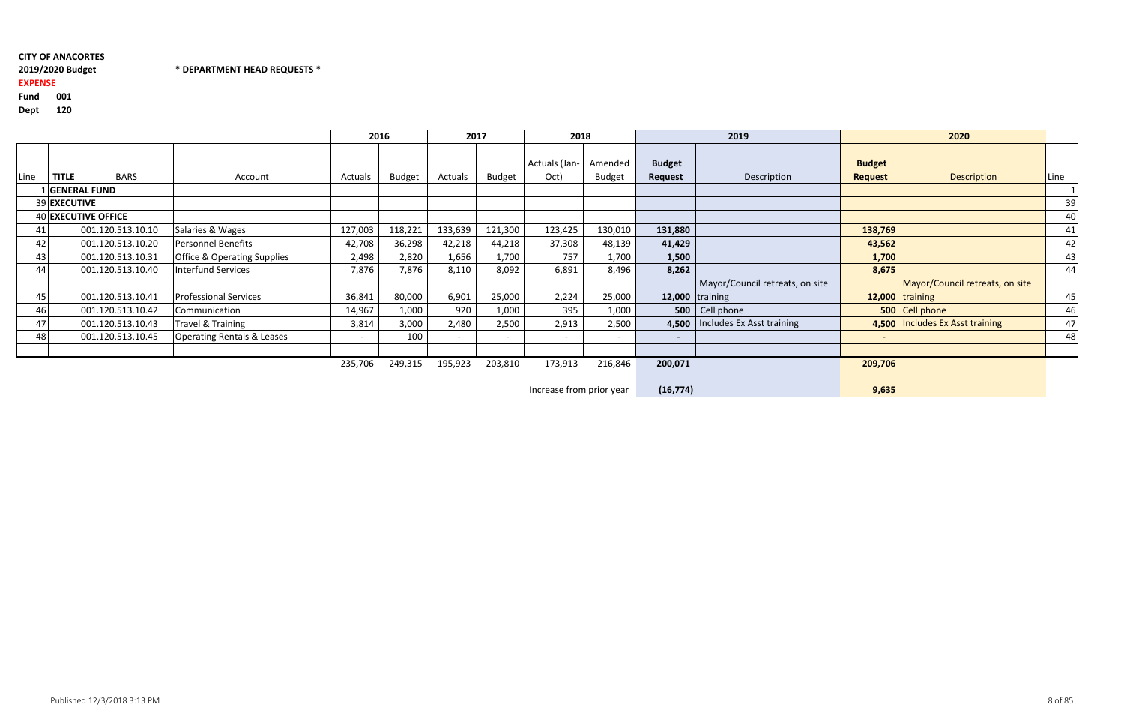d 001 Fund

# \* DEPARTMENT HEAD REQUESTS \*

## EXPENSE

Dept <sup>120</sup>

|      |              |                     |                                        |         | 2016          | 2017                     |                          | 2018                     |                          |                          | 2019                              |                                 | 2020                            |      |
|------|--------------|---------------------|----------------------------------------|---------|---------------|--------------------------|--------------------------|--------------------------|--------------------------|--------------------------|-----------------------------------|---------------------------------|---------------------------------|------|
| Line | <b>TITLE</b> | <b>BARS</b>         | Account                                | Actuals | <b>Budget</b> | Actuals                  | <b>Budget</b>            | Actuals (Jan-<br>Oct)    | Amended<br><b>Budget</b> | <b>Budget</b><br>Request | Description                       | <b>Budget</b><br><b>Request</b> | <b>Description</b>              | Line |
|      |              | 1 GENERAL FUND      |                                        |         |               |                          |                          |                          |                          |                          |                                   |                                 |                                 |      |
|      | 39 EXECUTIVE |                     |                                        |         |               |                          |                          |                          |                          |                          |                                   |                                 |                                 | 39   |
|      |              | 40 EXECUTIVE OFFICE |                                        |         |               |                          |                          |                          |                          |                          |                                   |                                 |                                 | 40   |
| 411  |              | 001.120.513.10.10   | Salaries & Wages                       | 127,003 | 118,221       | 133,639                  | 121,300                  | 123,425                  | 130,010                  | 131,880                  |                                   | 138,769                         |                                 | 41   |
| 42   |              | 001.120.513.10.20   | Personnel Benefits                     | 42,708  | 36,298        | 42,218                   | 44,218                   | 37,308                   | 48,139                   | 41,429                   |                                   | 43,562                          |                                 | 42   |
| 43   |              | 001.120.513.10.31   | <b>Office &amp; Operating Supplies</b> | 2,498   | 2,820         | 1,656                    | 1,700                    | 757                      | 1,700                    | 1,500                    |                                   | 1,700                           |                                 | 43   |
| 44   |              | 001.120.513.10.40   | <b>Interfund Services</b>              | 7,876   | 7,876         | 8,110                    | 8,092                    | 6,891                    | 8,496                    | 8,262                    |                                   | 8,675                           |                                 | 44   |
|      |              |                     |                                        |         |               |                          |                          |                          |                          |                          | Mayor/Council retreats, on site   |                                 | Mayor/Council retreats, on site |      |
| 45   |              | 001.120.513.10.41   | <b>Professional Services</b>           | 36,841  | 80,000        | 6,901                    | 25,000                   | 2,224                    | 25,000                   |                          | 12,000 $\taning$                  |                                 | $12,000$ training               | 45   |
|      |              | 001.120.513.10.42   | Communication                          | 14,967  | 1,000         | 920                      | 1,000                    | 395                      | 1,000                    |                          | 500   Cell phone                  |                                 | 500 Cell phone                  | 46   |
| 47   |              | 001.120.513.10.43   | Travel & Training                      | 3,814   | 3,000         | 2,480                    | 2,500                    | 2,913                    | 2,500                    |                          | 4,500   Includes Ex Asst training |                                 | 4,500 Includes Ex Asst training | 47   |
| 48   |              | 001.120.513.10.45   | <b>Operating Rentals &amp; Leases</b>  | $\sim$  | 100           | $\overline{\phantom{0}}$ | $\overline{\phantom{a}}$ | $\overline{\phantom{0}}$ | $\overline{\phantom{0}}$ | $\overline{\phantom{a}}$ |                                   | $\blacksquare$                  |                                 | 48   |
|      |              |                     |                                        |         |               |                          |                          |                          |                          |                          |                                   |                                 |                                 |      |
|      |              |                     |                                        | 235,706 | 249,315       | 195,923                  | 203,810                  | 173,913                  | 216,846                  | 200,071                  |                                   | 209,706                         |                                 |      |

Increase from prior year

(16,774) 9,635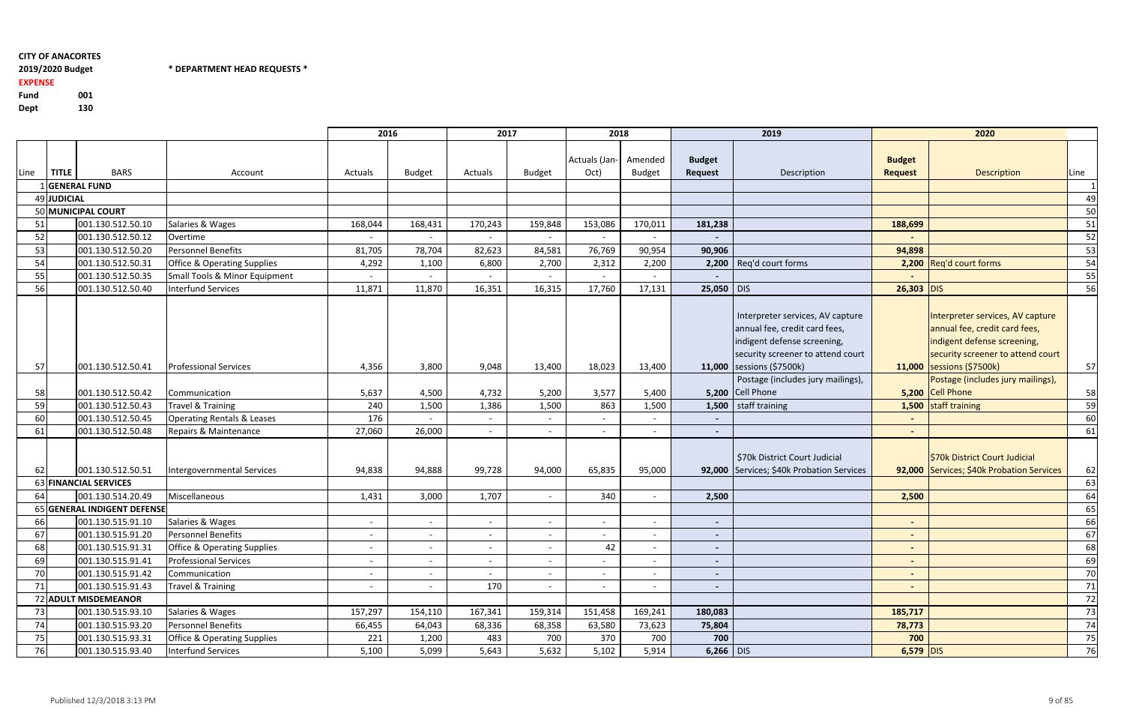2019/2020 Budget \* DEPARTMENT HEAD REQUESTS \*

Fund <sup>001</sup>130 Dept

# EXPENSE

|      |              |                             |                                        | 2016                     |               | 2017           |               | 2018                  |               |                          | 2019                                      |                          | 2020                                      |      |
|------|--------------|-----------------------------|----------------------------------------|--------------------------|---------------|----------------|---------------|-----------------------|---------------|--------------------------|-------------------------------------------|--------------------------|-------------------------------------------|------|
|      |              |                             |                                        |                          |               |                |               |                       |               |                          |                                           |                          |                                           |      |
|      |              |                             |                                        |                          |               |                |               | Actuals (Jan- Amended |               | <b>Budget</b>            |                                           | <b>Budget</b>            |                                           |      |
| Line | <b>TITLE</b> | <b>BARS</b>                 | Account                                | Actuals                  | <b>Budget</b> | Actuals        | <b>Budget</b> | Oct)                  | <b>Budget</b> | <b>Request</b>           | Description                               | <b>Request</b>           | <b>Description</b>                        | Line |
|      |              | 1GENERAL FUND               |                                        |                          |               |                |               |                       |               |                          |                                           |                          |                                           |      |
|      | 49 JUDICIAL  |                             |                                        |                          |               |                |               |                       |               |                          |                                           |                          |                                           | 49   |
|      |              | 50 MUNICIPAL COURT          |                                        |                          |               |                |               |                       |               |                          |                                           |                          |                                           | 50   |
| 51   |              | 001.130.512.50.10           | Salaries & Wages                       | 168,044                  | 168,431       | 170,243        | 159,848       | 153,086               | 170,011       | 181,238                  |                                           | 188,699                  |                                           | 51   |
| 52   |              | 001.130.512.50.12           | Overtime                               |                          |               |                |               |                       |               |                          |                                           |                          |                                           | 52   |
| 53   |              | 001.130.512.50.20           | Personnel Benefits                     | 81,705                   | 78,704        | 82,623         | 84,581        | 76,769                | 90,954        | 90,906                   |                                           | 94,898                   |                                           | 53   |
| 54   |              | 001.130.512.50.31           | <b>Office &amp; Operating Supplies</b> | 4,292                    | 1,100         | 6,800          | 2,700         | 2,312                 | 2,200         |                          | 2,200   Reg'd court forms                 |                          | 2,200 Reg'd court forms                   | 54   |
| 55   |              | 001.130.512.50.35           | Small Tools & Minor Equipment          |                          |               |                |               |                       |               |                          |                                           |                          |                                           | 55   |
| 56   |              | 001.130.512.50.40           | Interfund Services                     | 11,871                   | 11,870        | 16,351         | 16,315        | 17,760                | 17,131        | 25,050 DIS               |                                           | $26,303$ DIS             |                                           | 56   |
|      |              |                             |                                        |                          |               |                |               |                       |               |                          |                                           |                          |                                           |      |
|      |              |                             |                                        |                          |               |                |               |                       |               |                          | Interpreter services, AV capture          |                          | Interpreter services, AV capture          |      |
|      |              |                             |                                        |                          |               |                |               |                       |               |                          | annual fee, credit card fees,             |                          | annual fee, credit card fees,             |      |
|      |              |                             |                                        |                          |               |                |               |                       |               |                          | indigent defense screening,               |                          | indigent defense screening,               |      |
|      |              |                             |                                        |                          |               |                |               |                       |               |                          | security screener to attend court         |                          | security screener to attend court         |      |
| 57   |              | 001.130.512.50.41           | <b>Professional Services</b>           | 4,356                    | 3,800         | 9,048          | 13,400        | 18,023                | 13,400        |                          | 11,000 sessions (\$7500k)                 |                          | 11,000   sessions (\$7500k)               | 57   |
|      |              |                             |                                        |                          |               |                |               |                       |               |                          | Postage (includes jury mailings),         |                          | Postage (includes jury mailings),         |      |
| 58   |              | 001.130.512.50.42           | Communication                          | 5,637                    | 4,500         | 4,732          | 5,200         | 3,577                 | 5,400         |                          | 5,200 Cell Phone                          |                          | 5,200 Cell Phone                          | 58   |
| 59   |              | 001.130.512.50.43           | <b>Travel &amp; Training</b>           | 240                      | 1,500         | 1,386          | 1,500         | 863                   | 1,500         |                          | 1,500 staff training                      |                          | 1,500 staff training                      | 59   |
| 60   |              | 001.130.512.50.45           | <b>Operating Rentals &amp; Leases</b>  | 176                      |               |                |               |                       |               | $\blacksquare$           |                                           |                          |                                           | 60   |
| 61   |              | 001.130.512.50.48           | Repairs & Maintenance                  | 27,060                   | 26,000        |                |               |                       |               | $\blacksquare$           |                                           | $\sim$                   |                                           | 61   |
|      |              |                             |                                        |                          |               |                |               |                       |               |                          |                                           |                          |                                           |      |
|      |              |                             |                                        |                          |               |                |               |                       |               |                          | \$70k District Court Judicial             |                          | \$70k District Court Judicial             |      |
| 62   |              | 001.130.512.50.51           | Intergovernmental Services             | 94,838                   | 94,888        | 99,728         | 94,000        | 65,835                | 95,000        |                          | 92,000 Services; \$40k Probation Services |                          | 92,000 Services; \$40k Probation Services | 62   |
|      |              | 63 FINANCIAL SERVICES       |                                        |                          |               |                |               |                       |               |                          |                                           |                          |                                           | 63   |
| 64   |              | 001.130.514.20.49           | Miscellaneous                          | 1,431                    | 3,000         | 1,707          |               | 340                   |               | 2,500                    |                                           | 2,500                    |                                           | 64   |
|      |              | 65 GENERAL INDIGENT DEFENSE |                                        |                          |               |                |               |                       |               |                          |                                           |                          |                                           | 65   |
| 66   |              | 001.130.515.91.10           | Salaries & Wages                       | $\overline{\phantom{a}}$ |               |                |               |                       |               | $\blacksquare$           |                                           | $\overline{\phantom{a}}$ |                                           | 66   |
| 67   |              | 001.130.515.91.20           | <b>Personnel Benefits</b>              |                          |               |                |               |                       |               | $\blacksquare$           |                                           | ٠                        |                                           | 67   |
| 68   |              | 001.130.515.91.31           | Office & Operating Supplies            | $\sim$                   | $\sim$        | $\blacksquare$ | $\sim$        | 42                    | $\sim$        | $\sim$                   |                                           | $\sim$                   |                                           | 68   |
| 69   |              | 001.130.515.91.41           | <b>Professional Services</b>           | $\blacksquare$           |               |                |               |                       |               | $\blacksquare$           |                                           | $\blacksquare$           |                                           | 69   |
| 70   |              | 001.130.515.91.42           | Communication                          | $\overline{\phantom{a}}$ |               |                |               |                       |               | $\overline{\phantom{a}}$ |                                           | $\blacksquare$           |                                           | 70   |
| 71   |              | 001.130.515.91.43           | Travel & Training                      | $\overline{\phantom{a}}$ | $\sim$        | 170            |               |                       | $\sim$        | $\sim$                   |                                           | $\blacksquare$           |                                           | 71   |
|      |              | 72 ADULT MISDEMEANOR        |                                        |                          |               |                |               |                       |               |                          |                                           |                          |                                           | 72   |
| 73   |              | 001.130.515.93.10           | Salaries & Wages                       | 157,297                  | 154,110       | 167,341        | 159,314       | 151,458               | 169,241       | 180,083                  |                                           | 185,717                  |                                           | 73   |
| 74   |              | 001.130.515.93.20           | Personnel Benefits                     | 66,455                   | 64,043        | 68,336         | 68,358        | 63,580                | 73,623        | 75,804                   |                                           | 78,773                   |                                           | 74   |
| 75   |              | 001.130.515.93.31           | <b>Office &amp; Operating Supplies</b> | 221                      | 1,200         | 483            | 700           | 370                   | 700           | 700                      |                                           | 700                      |                                           | 75   |
| 76   |              | 001.130.515.93.40           | Interfund Services                     | 5,100                    | 5,099         | 5,643          | 5,632         | 5,102                 | 5,914         | $6,266$ DIS              |                                           | $6,579$ DIS              |                                           | 76   |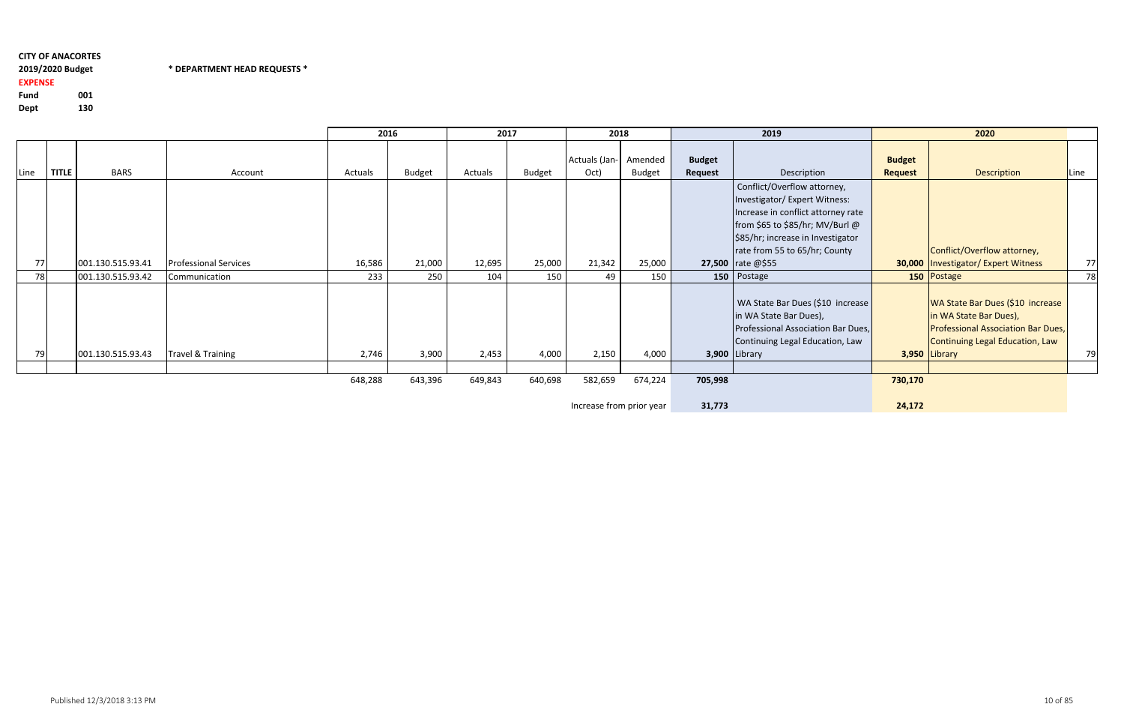# 2019/2020 Budget \* DEPARTMENT HEAD REQUESTS \*

Fund <sup>001</sup>130 Dept

# EXPENSE

|           |       |                   |                              | 2016                                                                                       |               | 2017    |               | 2018                  |                          |                          | 2019                                                                                                                                                                                                        |                                 | 2020                                                                                                                                                          |      |
|-----------|-------|-------------------|------------------------------|--------------------------------------------------------------------------------------------|---------------|---------|---------------|-----------------------|--------------------------|--------------------------|-------------------------------------------------------------------------------------------------------------------------------------------------------------------------------------------------------------|---------------------------------|---------------------------------------------------------------------------------------------------------------------------------------------------------------|------|
| Line      | TITLE | <b>BARS</b>       | Account                      | Actuals                                                                                    | <b>Budget</b> | Actuals | <b>Budget</b> | Actuals (Jan-<br>Oct) | Amended<br><b>Budget</b> | <b>Budget</b><br>Request | Description                                                                                                                                                                                                 | <b>Budget</b><br><b>Request</b> | Description                                                                                                                                                   | Line |
|           |       |                   |                              |                                                                                            |               |         |               |                       |                          |                          | Conflict/Overflow attorney,<br>Investigator/ Expert Witness:<br>Increase in conflict attorney rate<br>from \$65 to \$85/hr; MV/Burl @<br>\$85/hr; increase in Investigator<br>rate from 55 to 65/hr; County |                                 | Conflict/Overflow attorney,                                                                                                                                   |      |
| <b>77</b> |       | 001.130.515.93.41 | <b>Professional Services</b> | 16,586                                                                                     | 21,000        | 12,695  | 25,000        | 21,342                | 25,000                   |                          | <b>27,500</b> $rate @ $55$                                                                                                                                                                                  |                                 | 30,000   Investigator/ Expert Witness                                                                                                                         | 77   |
| 78        |       | 001.130.515.93.42 | Communication                | 233                                                                                        | 250           | 104     | 150           | 49                    | 150                      |                          | 150   Postage                                                                                                                                                                                               |                                 | 150 Postage                                                                                                                                                   | 78   |
| 79        |       | 001.130.515.93.43 | Travel & Training            | 2,746                                                                                      | 3,900         | 2,453   | 4,000         | 2,150                 | 4,000                    |                          | WA State Bar Dues (\$10 increase<br>in WA State Bar Dues),<br>Professional Association Bar Dues,<br>Continuing Legal Education, Law<br>$3,900$ Library                                                      |                                 | WA State Bar Dues (\$10 increase<br>in WA State Bar Dues),<br><b>Professional Association Bar Dues,</b><br>Continuing Legal Education, Law<br>$3,950$ Library | 79   |
|           |       |                   |                              |                                                                                            |               |         |               |                       |                          |                          |                                                                                                                                                                                                             |                                 |                                                                                                                                                               |      |
|           |       |                   |                              | 648,288<br>643,396<br>649,843<br>640,698<br>582,659<br>674,224<br>Increase from prior year |               |         |               |                       |                          | 705,998<br>31,773        |                                                                                                                                                                                                             | 730,170<br>24,172               |                                                                                                                                                               |      |

Increase from prior year31,773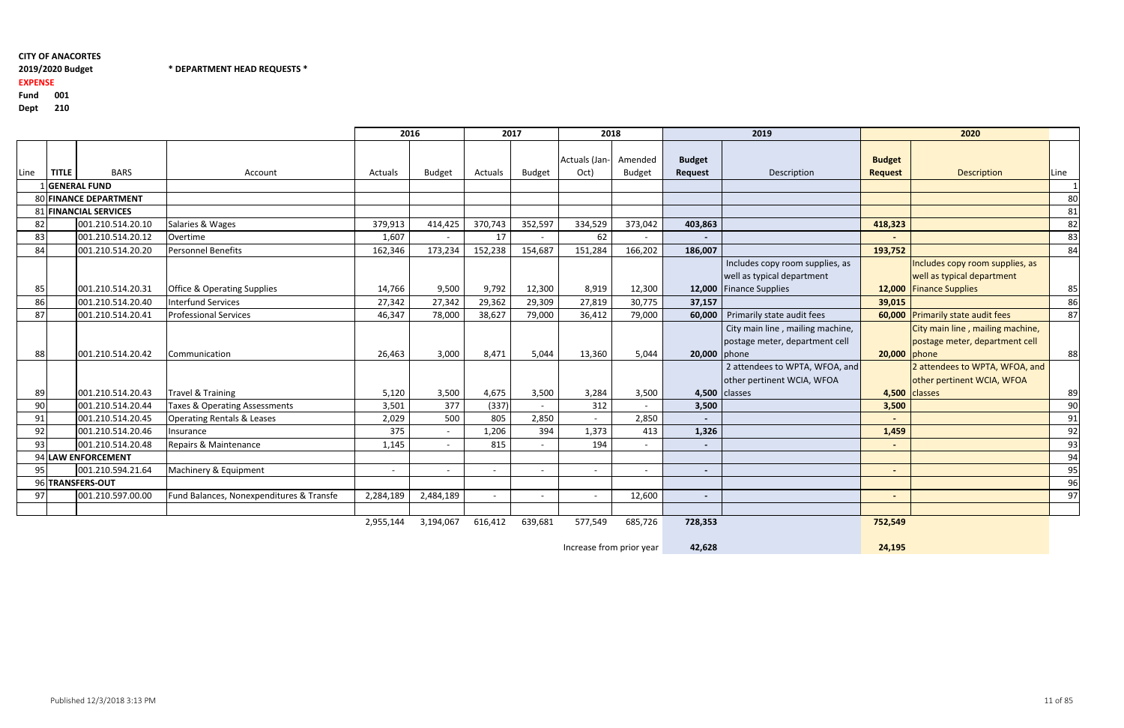# 2019/2020 Budget \* DEPARTMENT HEAD REQUESTS \*

EXPENSE

Fund <sup>001</sup>

Dept <sup>210</sup>

| レート・ | . |
|------|---|
|      |   |
|      |   |

|      |              |                              | 2016                                     |           |           | 2017    | 2018          |                               |               | 2019                            |                                     | 2020                            |                                   |      |
|------|--------------|------------------------------|------------------------------------------|-----------|-----------|---------|---------------|-------------------------------|---------------|---------------------------------|-------------------------------------|---------------------------------|-----------------------------------|------|
| Line | <b>TITLE</b> | <b>BARS</b>                  | Account                                  | Actuals   | Budget    | Actuals | <b>Budget</b> | Actuals (Jan- Amended<br>Oct) | <b>Budget</b> | <b>Budget</b><br><b>Request</b> | Description                         | <b>Budget</b><br><b>Request</b> | Description                       | Line |
|      |              | GENERAL FUND                 |                                          |           |           |         |               |                               |               |                                 |                                     |                                 |                                   |      |
|      |              | <b>80 FINANCE DEPARTMENT</b> |                                          |           |           |         |               |                               |               |                                 |                                     |                                 |                                   | 80   |
|      |              | 81 FINANCIAL SERVICES        |                                          |           |           |         |               |                               |               |                                 |                                     |                                 |                                   | 81   |
| 82   |              | 001.210.514.20.10            | Salaries & Wages                         | 379,913   | 414,425   | 370,743 | 352,597       | 334,529                       | 373,042       | 403,863                         |                                     | 418,323                         |                                   | 82   |
| 83   |              | 001.210.514.20.12            | Overtime                                 | 1,607     | $\sim$    | 17      |               | 62                            | $\sim$        |                                 |                                     |                                 |                                   | 83   |
| 84   |              | 001.210.514.20.20            | Personnel Benefits                       | 162,346   | 173,234   | 152,238 | 154,687       | 151,284                       | 166,202       | 186,007                         |                                     | 193,752                         |                                   | 84   |
|      |              |                              |                                          |           |           |         |               |                               |               |                                 | Includes copy room supplies, as     |                                 | Includes copy room supplies, as   |      |
|      |              |                              |                                          |           |           |         |               |                               |               |                                 | well as typical department          |                                 | well as typical department        |      |
| 85   |              | 001.210.514.20.31            | <b>Office &amp; Operating Supplies</b>   | 14,766    | 9,500     | 9,792   | 12,300        | 8,919                         | 12,300        |                                 | 12,000 Finance Supplies             |                                 | 12,000 Finance Supplies           | 85   |
| 86   |              | 001.210.514.20.40            | <b>Interfund Services</b>                | 27,342    | 27,342    | 29,362  | 29,309        | 27,819                        | 30,775        | 37,157                          |                                     | 39,015                          |                                   | 86   |
| 87   |              | 001.210.514.20.41            | <b>Professional Services</b>             | 46,347    | 78,000    | 38,627  | 79,000        | 36,412                        | 79,000        |                                 | 60,000   Primarily state audit fees |                                 | 60,000 Primarily state audit fees | 87   |
|      |              |                              |                                          |           |           |         |               |                               |               |                                 | City main line, mailing machine,    |                                 | City main line, mailing machine,  |      |
|      |              |                              |                                          |           |           |         |               |                               |               |                                 | postage meter, department cell      |                                 | postage meter, department cell    |      |
| 88   |              | 001.210.514.20.42            | Communication                            | 26,463    | 3,000     | 8,471   | 5,044         | 13,360                        | 5,044         | 20,000 phone                    |                                     | 20,000 phone                    |                                   | 88   |
|      |              |                              |                                          |           |           |         |               |                               |               |                                 | 2 attendees to WPTA, WFOA, and      |                                 | 2 attendees to WPTA, WFOA, and    |      |
|      |              |                              |                                          |           |           |         |               |                               |               |                                 | other pertinent WCIA, WFOA          |                                 | other pertinent WCIA, WFOA        |      |
| 89   |              | 001.210.514.20.43            | Travel & Training                        | 5,120     | 3,500     | 4,675   | 3,500         | 3,284                         | 3,500         |                                 | 4,500 classes                       |                                 | 4,500 classes                     | 89   |
| 90   |              | 001.210.514.20.44            | <b>Taxes &amp; Operating Assessments</b> | 3,501     | 377       | (337)   |               | 312                           | $\sim$        | 3,500                           |                                     | 3,500                           |                                   | 90   |
| 91   |              | 001.210.514.20.45            | <b>Operating Rentals &amp; Leases</b>    | 2,029     | 500       | 805     | 2,850         |                               | 2,850         | $\blacksquare$                  |                                     |                                 |                                   | 91   |
| 92   |              | 001.210.514.20.46            | Insurance                                | 375       | $\sim$    | 1,206   | 394           | 1,373                         | 413           | 1,326                           |                                     | 1,459                           |                                   | 92   |
| 93   |              | 001.210.514.20.48            | Repairs & Maintenance                    | 1,145     | $\sim$    | 815     |               | 194                           |               | $\blacksquare$                  |                                     |                                 |                                   | 93   |
|      |              | 94 LAW ENFORCEMENT           |                                          |           |           |         |               |                               |               |                                 |                                     |                                 |                                   | 94   |
| 95   |              | 001.210.594.21.64            | Machinery & Equipment                    | $\sim$    | $\sim$    |         |               |                               | $\sim$        | $\sim$                          |                                     | $\overline{a}$                  |                                   | 95   |
|      |              | 96 TRANSFERS-OUT             |                                          |           |           |         |               |                               |               |                                 |                                     |                                 |                                   | 96   |
| 97   |              | 001.210.597.00.00            | Fund Balances, Nonexpenditures & Transfe | 2,284,189 | 2,484,189 |         |               |                               | 12,600        | $\blacksquare$                  |                                     | $\blacksquare$                  |                                   | 97   |
|      |              |                              |                                          |           |           |         |               |                               |               |                                 |                                     |                                 |                                   |      |
|      |              |                              |                                          | 2,955,144 | 3,194,067 | 616,412 | 639,681       | 577,549                       | 685,726       | 728,353                         |                                     | 752,549                         |                                   |      |

Increase from prior year42,628 24,195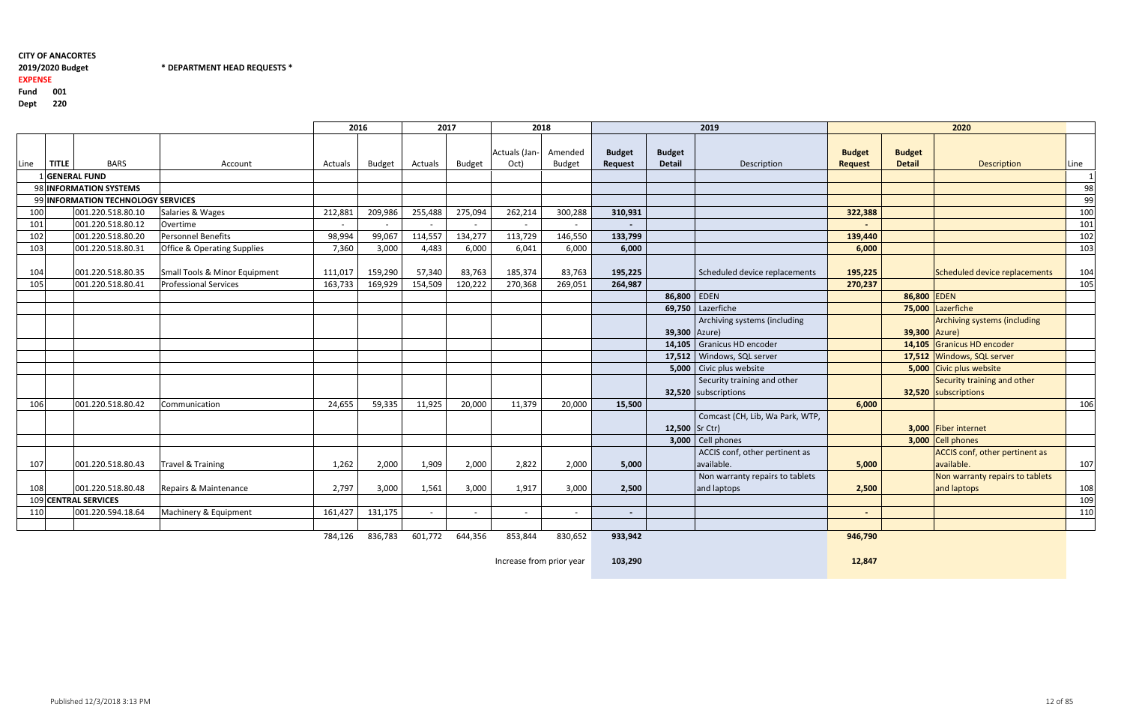2019/2020 Budget \* DEPARTMENT HEAD REQUESTS \*

#### 2019/2020 Budget

#### EXPENSE

Fund <sup>001</sup>

Dept <sup>220</sup>

|      |              |                                        |                                        | 2016    |         | 2017    |               | 2018                  |                          |                                 |                                | 2019                            |                                 |                                | 2020                                |      |
|------|--------------|----------------------------------------|----------------------------------------|---------|---------|---------|---------------|-----------------------|--------------------------|---------------------------------|--------------------------------|---------------------------------|---------------------------------|--------------------------------|-------------------------------------|------|
| Line | <b>TITLE</b> | <b>BARS</b>                            | Account                                | Actuals | Budget  | Actuals | <b>Budget</b> | Actuals (Jan-<br>Oct) | Amended<br><b>Budget</b> | <b>Budget</b><br><b>Request</b> | <b>Budget</b><br><b>Detail</b> | Description                     | <b>Budget</b><br><b>Request</b> | <b>Budget</b><br><b>Detail</b> | Description                         | Line |
|      |              | <b>GENERAL FUND</b>                    |                                        |         |         |         |               |                       |                          |                                 |                                |                                 |                                 |                                |                                     |      |
|      |              | 98 INFORMATION SYSTEMS                 |                                        |         |         |         |               |                       |                          |                                 |                                |                                 |                                 |                                |                                     | 98   |
| 99   |              | <b>INFORMATION TECHNOLOGY SERVICES</b> |                                        |         |         |         |               |                       |                          |                                 |                                |                                 |                                 |                                |                                     | 99   |
| 100  |              | 001.220.518.80.10                      | Salaries & Wages                       | 212,881 | 209,986 | 255,488 | 275,094       | 262,214               | 300,288                  | 310,931                         |                                |                                 | 322,388                         |                                |                                     | 100  |
| 101  |              | 001.220.518.80.12                      | Overtime                               |         |         |         |               |                       |                          |                                 |                                |                                 |                                 |                                |                                     | 101  |
| 102  |              | 001.220.518.80.20                      | Personnel Benefits                     | 98,994  | 99,067  | 114,557 | 134,277       | 113,729               | 146,550                  | 133,799                         |                                |                                 | 139,440                         |                                |                                     | 102  |
| 103  |              | 001.220.518.80.31                      | <b>Office &amp; Operating Supplies</b> | 7,360   | 3,000   | 4,483   | 6,000         | 6,041                 | 6,000                    | 6,000                           |                                |                                 | 6,000                           |                                |                                     | 103  |
| 104  |              | 001.220.518.80.35                      | Small Tools & Minor Equipment          | 111,017 | 159,290 | 57,340  | 83,763        | 185,374               | 83,763                   | 195,225                         |                                | Scheduled device replacements   | 195,225                         |                                | Scheduled device replacements       | 104  |
| 105  |              | 001.220.518.80.41                      | <b>Professional Services</b>           | 163,733 | 169,929 | 154,509 | 120,222       | 270,368               | 269,051                  | 264,987                         |                                |                                 | 270,237                         |                                |                                     | 105  |
|      |              |                                        |                                        |         |         |         |               |                       |                          |                                 | 86,800 EDEN                    |                                 |                                 | 86,800 EDEN                    |                                     |      |
|      |              |                                        |                                        |         |         |         |               |                       |                          |                                 | 69,750                         | Lazerfiche                      |                                 |                                | 75,000 Lazerfiche                   |      |
|      |              |                                        |                                        |         |         |         |               |                       |                          |                                 |                                | Archiving systems (including    |                                 |                                | <b>Archiving systems (including</b> |      |
|      |              |                                        |                                        |         |         |         |               |                       |                          |                                 | 39,300 Azure)                  |                                 |                                 | 39,300 Azure)                  |                                     |      |
|      |              |                                        |                                        |         |         |         |               |                       |                          |                                 |                                | 14,105 Granicus HD encoder      |                                 |                                | 14,105 Granicus HD encoder          |      |
|      |              |                                        |                                        |         |         |         |               |                       |                          |                                 |                                | 17,512   Windows, SQL server    |                                 |                                | 17,512 Windows, SQL server          |      |
|      |              |                                        |                                        |         |         |         |               |                       |                          |                                 |                                | 5,000 Civic plus website        |                                 |                                | 5,000 Civic plus website            |      |
|      |              |                                        |                                        |         |         |         |               |                       |                          |                                 |                                | Security training and other     |                                 |                                | Security training and other         |      |
|      |              |                                        |                                        |         |         |         |               |                       |                          |                                 |                                | 32,520 subscriptions            |                                 |                                | 32,520 subscriptions                |      |
| 106  |              | 001.220.518.80.42                      | Communication                          | 24,655  | 59,335  | 11,925  | 20,000        | 11,379                | 20,000                   | 15,500                          |                                |                                 | 6,000                           |                                |                                     | 106  |
|      |              |                                        |                                        |         |         |         |               |                       |                          |                                 |                                | Comcast (CH, Lib, Wa Park, WTP, |                                 |                                |                                     |      |
|      |              |                                        |                                        |         |         |         |               |                       |                          |                                 | 12,500 Sr Ctr)                 |                                 |                                 |                                | 3,000 Fiber internet                |      |
|      |              |                                        |                                        |         |         |         |               |                       |                          |                                 |                                | $3,000$ Cell phones             |                                 |                                | 3,000 Cell phones                   |      |
|      |              |                                        |                                        |         |         |         |               |                       |                          |                                 |                                | ACCIS conf, other pertinent as  |                                 |                                | ACCIS conf, other pertinent as      |      |
| 107  |              | 001.220.518.80.43                      | Travel & Training                      | 1,262   | 2,000   | 1,909   | 2,000         | 2,822                 | 2,000                    | 5,000                           |                                | available.                      | 5,000                           |                                | available.                          | 107  |
|      |              |                                        |                                        |         |         |         |               |                       |                          |                                 |                                | Non warranty repairs to tablets |                                 |                                | Non warranty repairs to tablets     |      |
| 108  |              | 001.220.518.80.48                      | Repairs & Maintenance                  | 2,797   | 3,000   | 1,561   | 3,000         | 1,917                 | 3,000                    | 2,500                           |                                | and laptops                     | 2,500                           |                                | and laptops                         | 108  |
|      |              | 109 CENTRAL SERVICES                   |                                        |         |         |         |               |                       |                          |                                 |                                |                                 |                                 |                                |                                     | 109  |
| 110  |              | 001.220.594.18.64                      | Machinery & Equipment                  | 161,427 | 131,175 |         |               | $\sim$                |                          |                                 |                                |                                 | $\blacksquare$                  |                                |                                     | 110  |
|      |              |                                        |                                        |         |         |         |               |                       |                          |                                 |                                |                                 |                                 |                                |                                     |      |

784,126 836,783 601,772 644,356 853,844 830,652 **933,942** 953,942 953,942 953,942 953,942 954,790 764,790 764,790

Increase from prior year

103,290

12,847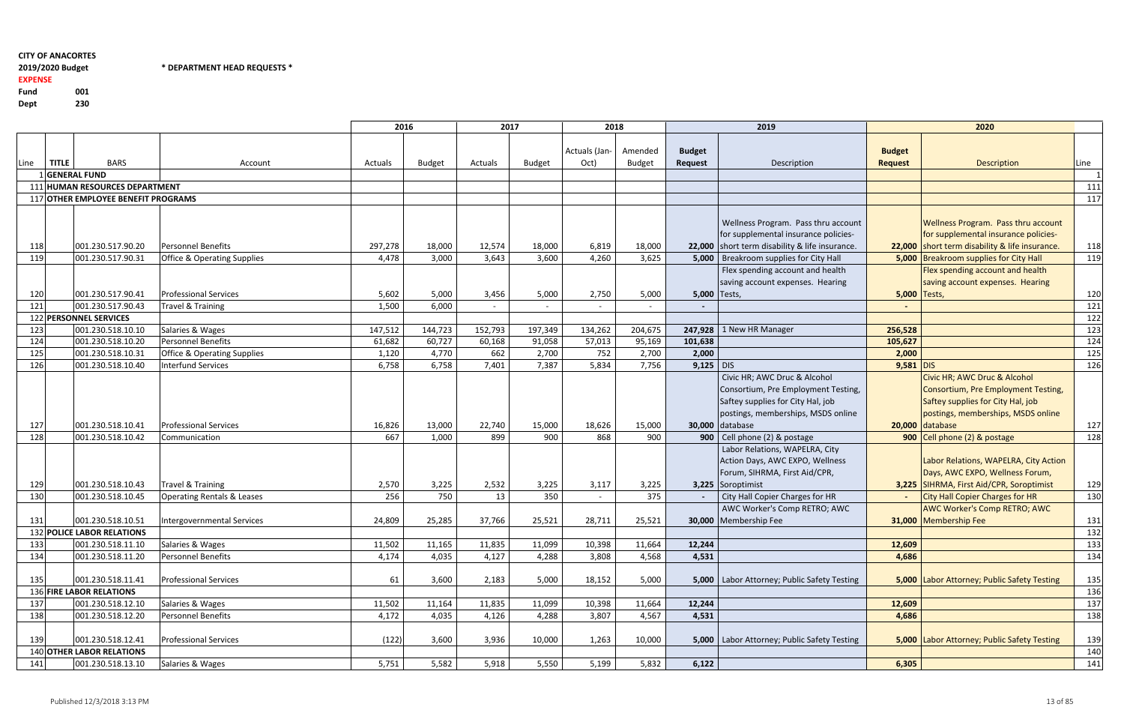# \* DEPARTMENT HEAD REQUESTS \*

EXPENSE

Fund <sup>001</sup> Dept<sup>230</sup>

| レート・ | --- |
|------|-----|
|      |     |
|      |     |

|            |              |                                                       |                                               | 2016    |               | 2017    |               | 2018                  |                          |                          | 2019                                                                                                                                                              |                                 | 2020                                                                                                                                                              |            |
|------------|--------------|-------------------------------------------------------|-----------------------------------------------|---------|---------------|---------|---------------|-----------------------|--------------------------|--------------------------|-------------------------------------------------------------------------------------------------------------------------------------------------------------------|---------------------------------|-------------------------------------------------------------------------------------------------------------------------------------------------------------------|------------|
| Line       | <b>TITLE</b> | <b>BARS</b>                                           | Account                                       | Actuals | <b>Budget</b> | Actuals | <b>Budget</b> | Actuals (Jan-<br>Oct) | Amended<br><b>Budget</b> | <b>Budget</b><br>Request | Description                                                                                                                                                       | <b>Budget</b><br><b>Request</b> | <b>Description</b>                                                                                                                                                | Line       |
|            |              | <b>GENERAL FUND</b>                                   |                                               |         |               |         |               |                       |                          |                          |                                                                                                                                                                   |                                 |                                                                                                                                                                   |            |
|            |              | 111 HUMAN RESOURCES DEPARTMENT                        |                                               |         |               |         |               |                       |                          |                          |                                                                                                                                                                   |                                 |                                                                                                                                                                   | 111        |
|            |              | 117 OTHER EMPLOYEE BENEFIT PROGRAMS                   |                                               |         |               |         |               |                       |                          |                          |                                                                                                                                                                   |                                 |                                                                                                                                                                   | 117        |
|            |              |                                                       |                                               |         |               |         |               |                       |                          |                          |                                                                                                                                                                   |                                 |                                                                                                                                                                   |            |
| 118        |              | 001.230.517.90.20                                     | <b>Personnel Benefits</b>                     | 297,278 | 18,000        | 12,574  | 18,000        | 6,819                 | 18,000                   |                          | Wellness Program. Pass thru account<br>for supplemental insurance policies-<br>22,000 short term disability & life insurance.                                     |                                 | Wellness Program. Pass thru account<br>for supplemental insurance policies-<br>22,000 short term disability & life insurance.                                     | 118        |
| 119        |              | 001.230.517.90.31                                     | <b>Office &amp; Operating Supplies</b>        | 4,478   | 3,000         | 3,643   | 3,600         | 4,260                 | 3,625                    |                          | 5,000   Breakroom supplies for City Hall                                                                                                                          |                                 | 5,000 Breakroom supplies for City Hall                                                                                                                            | 119        |
| 120        |              | 001.230.517.90.41                                     | <b>Professional Services</b>                  | 5,602   | 5,000         | 3,456   | 5,000         | 2,750                 | 5,000                    | 5,000 Tests,             | Flex spending account and health<br>saving account expenses. Hearing                                                                                              | 5,000 Tests,                    | Flex spending account and health<br>saving account expenses. Hearing                                                                                              | 120        |
| 121        |              | 001.230.517.90.43                                     | <b>Travel &amp; Training</b>                  | 1,500   | 6,000         |         |               |                       |                          |                          |                                                                                                                                                                   |                                 |                                                                                                                                                                   | 121        |
|            |              | 122 PERSONNEL SERVICES                                |                                               |         |               |         |               |                       |                          |                          |                                                                                                                                                                   |                                 |                                                                                                                                                                   | 122        |
| 123        |              | 001.230.518.10.10                                     | Salaries & Wages                              | 147,512 | 144,723       | 152,793 | 197,349       | 134,262               | 204,675                  |                          | 247,928 1 New HR Manager                                                                                                                                          | 256,528                         |                                                                                                                                                                   | 123        |
| 124        |              | 001.230.518.10.20                                     | <b>Personnel Benefits</b>                     | 61,682  | 60,727        | 60,168  | 91,058        | 57,013                | 95,169                   | 101,638                  |                                                                                                                                                                   | 105,627                         |                                                                                                                                                                   | 124        |
| 125        |              | 001.230.518.10.31                                     | <b>Office &amp; Operating Supplies</b>        | 1,120   | 4,770         | 662     | 2,700         | 752                   | 2,700                    | 2,000                    |                                                                                                                                                                   | 2,000                           |                                                                                                                                                                   | 125        |
| 126        |              | 001.230.518.10.40                                     | <b>Interfund Services</b>                     | 6,758   | 6,758         | 7,401   | 7,387         | 5,834                 | 7,756                    | $9,125$ DIS              |                                                                                                                                                                   | $9,581$ DIS                     |                                                                                                                                                                   | 126        |
| 127        |              | 001.230.518.10.41                                     | <b>Professional Services</b>                  | 16,826  | 13,000        | 22,740  | 15,000        | 18,626                | 15,000                   |                          | Civic HR; AWC Druc & Alcohol<br>Consortium, Pre Employment Testing,<br>Saftey supplies for City Hal, job<br>postings, memberships, MSDS online<br>30,000 database |                                 | Civic HR; AWC Druc & Alcohol<br>Consortium, Pre Employment Testing,<br>Saftey supplies for City Hal, job<br>postings, memberships, MSDS online<br>20,000 database | 127        |
| 128        |              | 001.230.518.10.42                                     | Communication                                 | 667     | 1,000         | 899     | 900           | 868                   | 900                      |                          | 900   Cell phone (2) & postage                                                                                                                                    |                                 | 900 Cell phone (2) & postage                                                                                                                                      | 128        |
|            |              |                                                       |                                               |         |               |         |               |                       |                          |                          | Labor Relations, WAPELRA, City<br>Action Days, AWC EXPO, Wellness<br>Forum, SIHRMA, First Aid/CPR,                                                                |                                 | Labor Relations, WAPELRA, City Action<br>Days, AWC EXPO, Wellness Forum,                                                                                          |            |
| 129        |              | 001.230.518.10.43                                     | Travel & Training                             | 2,570   | 3,225         | 2,532   | 3,225         | 3,117                 | 3,225                    |                          | 3,225 Soroptimist                                                                                                                                                 |                                 | 3,225 SIHRMA, First Aid/CPR, Soroptimist                                                                                                                          | 129        |
| 130        |              | 001.230.518.10.45                                     | <b>Operating Rentals &amp; Leases</b>         | 256     | 750           | 13      | 350           | $\sim$                | 375                      |                          | City Hall Copier Charges for HR                                                                                                                                   |                                 | <b>City Hall Copier Charges for HR</b>                                                                                                                            | 130        |
| 131        |              | 001.230.518.10.51                                     | Intergovernmental Services                    | 24,809  | 25,285        | 37,766  | 25,521        | 28,711                | 25,521                   |                          | AWC Worker's Comp RETRO; AWC<br>30,000 Membership Fee                                                                                                             |                                 | AWC Worker's Comp RETRO; AWC<br>31,000 Membership Fee                                                                                                             | 131        |
|            |              | 132 POLICE LABOR RELATIONS                            |                                               |         |               |         |               |                       |                          |                          |                                                                                                                                                                   |                                 |                                                                                                                                                                   | 132        |
| 133        |              | 001.230.518.11.10                                     | Salaries & Wages                              | 11,502  | 11,165        | 11,835  | 11,099        | 10,398                | 11,664                   | 12,244                   |                                                                                                                                                                   | 12,609                          |                                                                                                                                                                   | 133        |
| 134        |              | 001.230.518.11.20                                     | <b>Personnel Benefits</b>                     | 4,174   | 4,035         | 4,127   | 4,288         | 3,808                 | 4,568                    | 4,531                    |                                                                                                                                                                   | 4,686                           |                                                                                                                                                                   | 134        |
| 135        |              | 001.230.518.11.41<br>136 FIRE LABOR RELATIONS         | <b>Professional Services</b>                  | 61      | 3,600         | 2,183   | 5,000         | 18,152                | 5,000                    |                          | 5,000   Labor Attorney; Public Safety Testing                                                                                                                     |                                 | 5,000 Labor Attorney; Public Safety Testing                                                                                                                       | 135<br>136 |
|            |              | 001.230.518.12.10                                     |                                               |         | 11,164        | 11,835  | 11,099        |                       |                          | 12,244                   |                                                                                                                                                                   | 12,609                          |                                                                                                                                                                   |            |
| 137<br>138 |              |                                                       | Salaries & Wages<br><b>Personnel Benefits</b> | 11,502  |               | 4,126   | 4,288         | 10,398<br>3,807       | 11,664<br>4,567          | 4,531                    |                                                                                                                                                                   | 4,686                           |                                                                                                                                                                   | 137        |
|            |              | 001.230.518.12.20                                     |                                               | 4,172   | 4,035         |         |               |                       |                          |                          |                                                                                                                                                                   |                                 |                                                                                                                                                                   | 138        |
| 139        |              | 001.230.518.12.41<br><b>140 OTHER LABOR RELATIONS</b> | <b>Professional Services</b>                  | (122)   | 3,600         | 3,936   | 10,000        | 1,263                 | 10,000                   |                          | 5,000   Labor Attorney; Public Safety Testing                                                                                                                     |                                 | 5,000 Labor Attorney; Public Safety Testing                                                                                                                       | 139<br>140 |
| 141        |              | 001.230.518.13.10                                     | Salaries & Wages                              | 5,751   | 5,582         | 5,918   | 5,550         | 5,199                 | 5,832                    | 6,122                    |                                                                                                                                                                   | 6,305                           |                                                                                                                                                                   | 141        |
|            |              |                                                       |                                               |         |               |         |               |                       |                          |                          |                                                                                                                                                                   |                                 |                                                                                                                                                                   |            |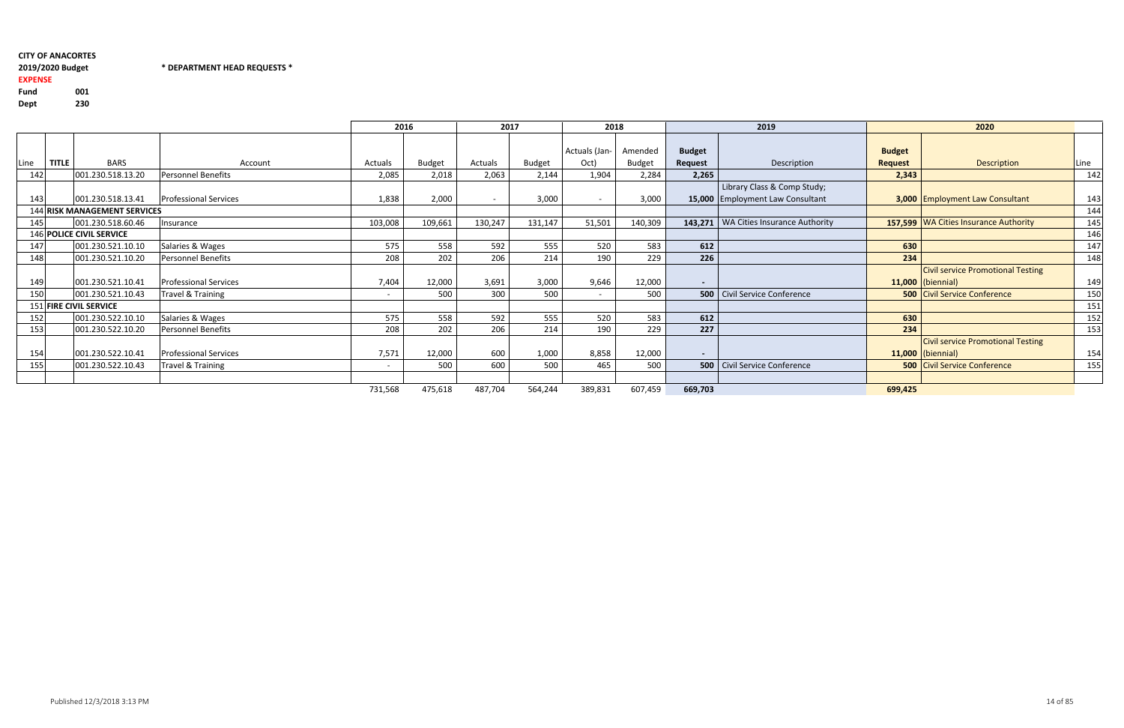#### \* DEPARTMENT HEAD REQUESTS \*

EXPENSE

Fund <sup>001</sup> Dept<sup>230</sup>

|                   |                                                      |                                                                                       |                                     |               |                          |               |                          |               |                  | 2019                              |                                                                                                                                                    | 2020                                     |                                                                                                                                                                                                      |
|-------------------|------------------------------------------------------|---------------------------------------------------------------------------------------|-------------------------------------|---------------|--------------------------|---------------|--------------------------|---------------|------------------|-----------------------------------|----------------------------------------------------------------------------------------------------------------------------------------------------|------------------------------------------|------------------------------------------------------------------------------------------------------------------------------------------------------------------------------------------------------|
|                   |                                                      |                                                                                       |                                     |               |                          |               |                          |               |                  |                                   |                                                                                                                                                    |                                          |                                                                                                                                                                                                      |
|                   |                                                      |                                                                                       |                                     |               |                          |               |                          |               |                  |                                   |                                                                                                                                                    |                                          |                                                                                                                                                                                                      |
| <b>TITLE</b>      | <b>BARS</b>                                          | Account                                                                               | Actuals                             | <b>Budget</b> | Actuals                  | <b>Budget</b> | Oct)                     | <b>Budget</b> | Request          | Description                       | <b>Request</b>                                                                                                                                     | Description                              | Line                                                                                                                                                                                                 |
|                   | 001.230.518.13.20                                    | Personnel Benefits                                                                    | 2,085                               | 2,018         | 2,063                    | 2,144         | 1,904                    | 2,284         | 2,265            |                                   | 2,343                                                                                                                                              |                                          | 142                                                                                                                                                                                                  |
|                   |                                                      |                                                                                       |                                     |               |                          |               |                          |               |                  | Library Class & Comp Study;       |                                                                                                                                                    |                                          |                                                                                                                                                                                                      |
|                   |                                                      | <b>Professional Services</b>                                                          | 1,838                               | 2,000         | $\overline{\phantom{0}}$ | 3,000         | $\overline{\phantom{0}}$ | 3,000         |                  |                                   |                                                                                                                                                    |                                          | 143                                                                                                                                                                                                  |
|                   |                                                      |                                                                                       |                                     |               |                          |               |                          |               |                  |                                   |                                                                                                                                                    |                                          | 144                                                                                                                                                                                                  |
|                   | 001.230.518.60.46                                    | Insurance                                                                             | 103,008                             | 109,661       | 130,247                  | 131,147       | 51,501                   | 140,309       |                  |                                   |                                                                                                                                                    |                                          | 145                                                                                                                                                                                                  |
|                   |                                                      |                                                                                       |                                     |               |                          |               |                          |               |                  |                                   |                                                                                                                                                    |                                          | 146                                                                                                                                                                                                  |
|                   | 001.230.521.10.10                                    | Salaries & Wages                                                                      | 575                                 | 558           | 592                      | 555           | 520                      | 583           | 612              |                                   | 630                                                                                                                                                |                                          | 147                                                                                                                                                                                                  |
|                   | 001.230.521.10.20                                    | Personnel Benefits                                                                    | 208                                 | 202           | 206                      | 214           | 190                      | 229           | 226              |                                   | 234                                                                                                                                                |                                          | 148                                                                                                                                                                                                  |
|                   |                                                      |                                                                                       |                                     |               |                          |               |                          |               |                  |                                   |                                                                                                                                                    | <b>Civil service Promotional Testing</b> |                                                                                                                                                                                                      |
|                   | 001.230.521.10.41                                    | <b>Professional Services</b>                                                          | 7,404                               | 12,000        | 3,691                    | 3,000         | 9,646                    |               | $\sim$ 100 $\mu$ |                                   |                                                                                                                                                    |                                          | 149                                                                                                                                                                                                  |
|                   | 001.230.521.10.43                                    | Travel & Training                                                                     | $\overline{\phantom{0}}$            | 500           | 300                      | 500           | $\overline{\phantom{0}}$ | 500           |                  |                                   |                                                                                                                                                    |                                          | 150                                                                                                                                                                                                  |
|                   |                                                      |                                                                                       |                                     |               |                          |               |                          |               |                  |                                   |                                                                                                                                                    |                                          | 151                                                                                                                                                                                                  |
|                   | 001.230.522.10.10                                    | Salaries & Wages                                                                      | 575                                 | 558           | 592                      | 555           | 520                      | 583           | 612              |                                   | 630                                                                                                                                                |                                          | 152                                                                                                                                                                                                  |
|                   | 001.230.522.10.20                                    | <b>Personnel Benefits</b>                                                             | 208                                 | 202           | 206                      | 214           | 190                      | 229           | 227              |                                   | 234                                                                                                                                                |                                          | 153                                                                                                                                                                                                  |
|                   |                                                      |                                                                                       |                                     |               |                          |               |                          |               |                  |                                   |                                                                                                                                                    | <b>Civil service Promotional Testing</b> |                                                                                                                                                                                                      |
|                   | 001.230.522.10.41                                    | <b>Professional Services</b>                                                          | 7,571                               | 12,000        | 600                      | 1,000         | 8,858                    |               | $\sim$           |                                   |                                                                                                                                                    |                                          | 154                                                                                                                                                                                                  |
|                   | 001.230.522.10.43                                    | <b>Travel &amp; Training</b>                                                          | $\overline{\phantom{a}}$            | 500           | 600                      | 500           | 465                      | 500           |                  |                                   |                                                                                                                                                    |                                          | 155                                                                                                                                                                                                  |
|                   |                                                      |                                                                                       |                                     |               |                          |               |                          |               |                  |                                   |                                                                                                                                                    |                                          |                                                                                                                                                                                                      |
|                   |                                                      |                                                                                       | 731,568                             | 475,618       | 487,704                  | 564,244       | 389,831                  | 607,459       | 669,703          |                                   | 699,425                                                                                                                                            |                                          |                                                                                                                                                                                                      |
| 150<br>153<br>154 | 142<br>143<br>145<br>147<br>148<br>149<br>152<br>155 | 001.230.518.13.41<br><b>146 POLICE CIVIL SERVICE</b><br><b>151 FIRE CIVIL SERVICE</b> | <b>144 RISK MANAGEMENT SERVICES</b> |               | 2016                     |               | 2017                     | Actuals (Jan- | 2018<br>Amended  | <b>Budget</b><br>12,000<br>12,000 | 15,000 Employment Law Consultant<br>143,271   WA Cities Insurance Authority<br><b>500</b> Civil Service Conference<br>500 Civil Service Conference | <b>Budget</b>                            | 3,000 Employment Law Consultant<br>157,599 WA Cities Insurance Authority<br>$11,000$ (biennial)<br><b>500 Civil Service Conference</b><br>$11,000$ (biennial)<br><b>500 Civil Service Conference</b> |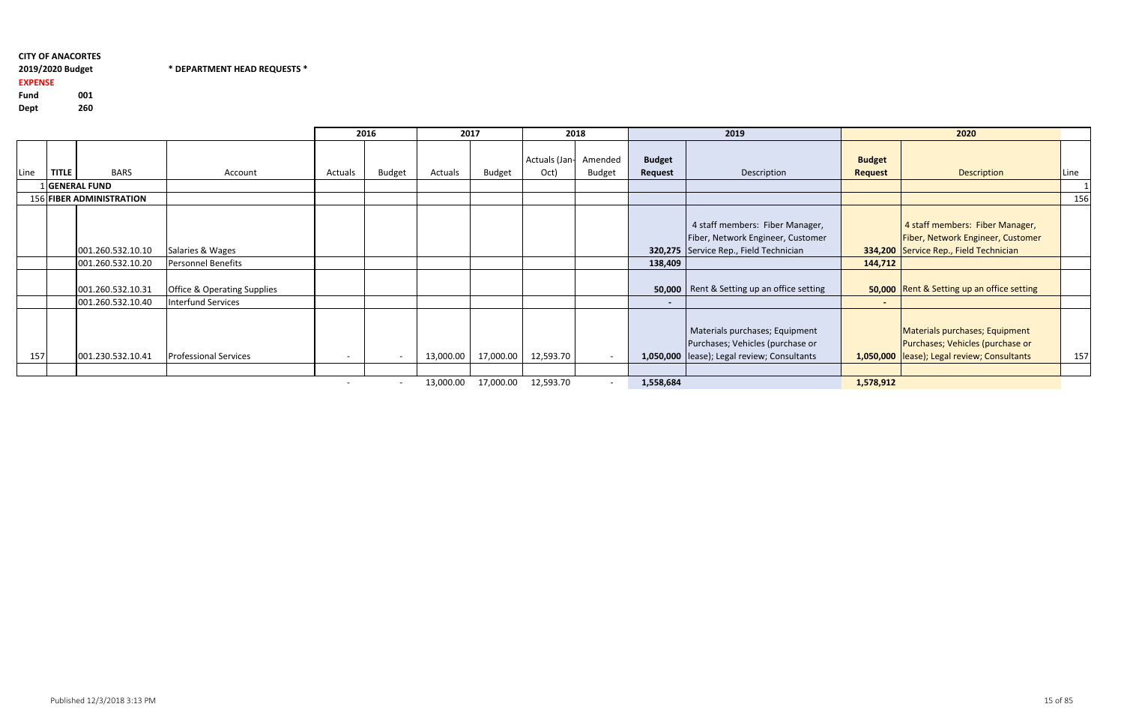Fund <sup>001</sup>260 Dept

# CITY OF ANACORTES2019/2020 Budget

#### 2019/2020 Budget \* DEPARTMENT HEAD REQUESTS \*

# EXPENSE

|      |              |                                        |                                                              |         | 2016          | 2017      |               |                       | 2018                     |                          | 2019                                                                                                               |                                 | 2020                                                                                                               |      |
|------|--------------|----------------------------------------|--------------------------------------------------------------|---------|---------------|-----------|---------------|-----------------------|--------------------------|--------------------------|--------------------------------------------------------------------------------------------------------------------|---------------------------------|--------------------------------------------------------------------------------------------------------------------|------|
| Line | <b>TITLE</b> | <b>BARS</b>                            | Account                                                      | Actuals | <b>Budget</b> | Actuals   | <b>Budget</b> | Actuals (Jan-<br>Oct) | Amended<br><b>Budget</b> | <b>Budget</b><br>Request | Description                                                                                                        | <b>Budget</b><br><b>Request</b> | Description                                                                                                        | Line |
|      |              | 1 GENERAL FUND                         |                                                              |         |               |           |               |                       |                          |                          |                                                                                                                    |                                 |                                                                                                                    |      |
|      |              | 156 FIBER ADMINISTRATION               |                                                              |         |               |           |               |                       |                          |                          |                                                                                                                    |                                 |                                                                                                                    | 156  |
|      |              | 001.260.532.10.10                      | Salaries & Wages                                             |         |               |           |               |                       |                          |                          | 4 staff members: Fiber Manager,<br>Fiber, Network Engineer, Customer<br>320,275 Service Rep., Field Technician     |                                 | 4 staff members: Fiber Manager,<br>Fiber, Network Engineer, Customer<br>334,200 Service Rep., Field Technician     |      |
|      |              | 001.260.532.10.20                      | Personnel Benefits                                           |         |               |           |               |                       |                          | 138,409                  |                                                                                                                    | 144,712                         |                                                                                                                    |      |
|      |              | 001.260.532.10.31<br>001.260.532.10.40 | <b>Office &amp; Operating Supplies</b><br>Interfund Services |         |               |           |               |                       |                          | $\sim$                   | <b>50,000</b>   Rent & Setting up an office setting                                                                | $\sim$                          | 50,000   Rent & Setting up an office setting                                                                       |      |
| 157  |              | 001.230.532.10.41                      | <b>Professional Services</b>                                 | $\sim$  |               | 13,000.00 | 17,000.00     | 12,593.70             | $\sim$                   |                          | Materials purchases; Equipment<br>Purchases; Vehicles (purchase or<br>1,050,000  lease); Legal review; Consultants |                                 | Materials purchases; Equipment<br>Purchases; Vehicles (purchase or<br>1,050,000  lease); Legal review; Consultants | 157  |
|      |              |                                        |                                                              |         |               | 13,000.00 | 17,000.00     | 12,593.70             |                          | 1,558,684                |                                                                                                                    | 1,578,912                       |                                                                                                                    |      |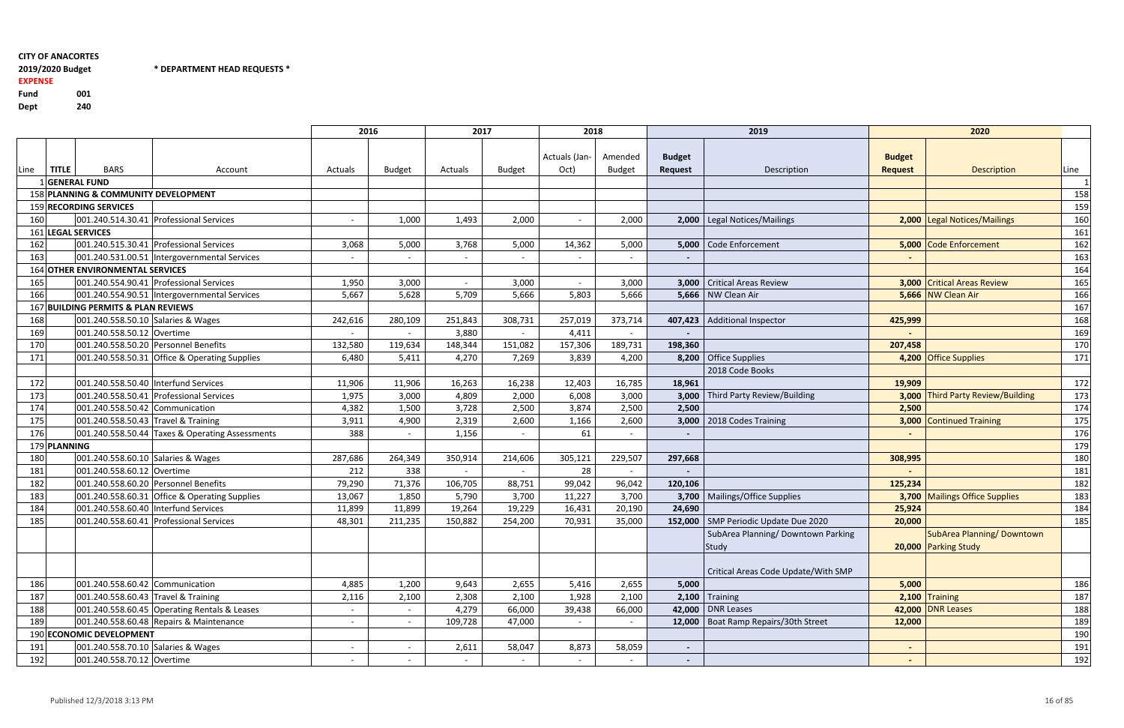$*$  DEPARTMENT HEAD REQUESTS  $*$ 

Fund <sup>001</sup>240 Dept

# EXPENSE

|      |              |                                         |                                                 | 2016    |               | 2017    |         | 2018                  |                          |                          | 2019                                   |                                 | 2020                              |      |
|------|--------------|-----------------------------------------|-------------------------------------------------|---------|---------------|---------|---------|-----------------------|--------------------------|--------------------------|----------------------------------------|---------------------------------|-----------------------------------|------|
| Line | <b>TITLE</b> | <b>BARS</b>                             | Account                                         | Actuals | <b>Budget</b> | Actuals | Budget  | Actuals (Jan-<br>Oct) | Amended<br><b>Budget</b> | <b>Budget</b><br>Request | Description                            | <b>Budget</b><br><b>Request</b> | <b>Description</b>                | Line |
|      |              | <b>GENERAL FUND</b>                     |                                                 |         |               |         |         |                       |                          |                          |                                        |                                 |                                   |      |
|      |              | 158 PLANNING & COMMUNITY DEVELOPMENT    |                                                 |         |               |         |         |                       |                          |                          |                                        |                                 |                                   | 158  |
|      |              | 159 RECORDING SERVICES                  |                                                 |         |               |         |         |                       |                          |                          |                                        |                                 |                                   | 159  |
| 160  |              |                                         | 001.240.514.30.41 Professional Services         |         | 1,000         | 1,493   | 2,000   |                       | 2,000                    |                          | 2,000   Legal Notices/Mailings         |                                 | 2,000 Legal Notices/Mailings      | 160  |
|      |              | 161 LEGAL SERVICES                      |                                                 |         |               |         |         |                       |                          |                          |                                        |                                 |                                   | 161  |
| 162  |              |                                         | 001.240.515.30.41 Professional Services         | 3,068   | 5,000         | 3,768   | 5,000   | 14,362                | 5,000                    |                          | 5,000 Code Enforcement                 |                                 | 5,000 Code Enforcement            | 162  |
| 163  |              |                                         | 001.240.531.00.51 Intergovernmental Services    |         |               |         |         |                       |                          |                          |                                        |                                 |                                   | 163  |
|      |              | <b>164 OTHER ENVIRONMENTAL SERVICES</b> |                                                 |         |               |         |         |                       |                          |                          |                                        |                                 |                                   | 164  |
| 165  |              |                                         | 001.240.554.90.41 Professional Services         | 1,950   | 3,000         | $\sim$  | 3,000   | $\sim$                | 3,000                    |                          | 3,000   Critical Areas Review          | 3.000                           | <b>Critical Areas Review</b>      | 165  |
| 166  |              |                                         | 001.240.554.90.51 Intergovernmental Services    | 5,667   | 5,628         | 5,709   | 5,666   | 5,803                 | 5,666                    |                          | 5,666   NW Clean Air                   |                                 | 5,666 NW Clean Air                | 166  |
|      |              | 167 BUILDING PERMITS & PLAN REVIEWS     |                                                 |         |               |         |         |                       |                          |                          |                                        |                                 |                                   | 167  |
| 168  |              | 001.240.558.50.10 Salaries & Wages      |                                                 | 242,616 | 280,109       | 251,843 | 308,731 | 257,019               | 373,714                  |                          | 407,423   Additional Inspector         | 425,999                         |                                   | 168  |
| 169  |              | 001.240.558.50.12 Overtime              |                                                 |         |               | 3,880   |         | 4,411                 |                          |                          |                                        |                                 |                                   | 169  |
| 170  |              | 001.240.558.50.20 Personnel Benefits    |                                                 | 132,580 | 119,634       | 148,344 | 151,082 | 157,306               | 189,731                  | 198,360                  |                                        | 207,458                         |                                   | 170  |
| 171  |              |                                         | 001.240.558.50.31 Office & Operating Supplies   | 6,480   | 5,411         | 4,270   | 7,269   | 3,839                 | 4,200                    |                          | 8,200 Office Supplies                  |                                 | 4,200 Office Supplies             | 171  |
|      |              |                                         |                                                 |         |               |         |         |                       |                          |                          | 2018 Code Books                        |                                 |                                   |      |
| 172  |              | 001.240.558.50.40 Interfund Services    |                                                 | 11,906  | 11,906        | 16,263  | 16,238  | 12,403                | 16,785                   | 18,961                   |                                        | 19,909                          |                                   | 172  |
| 173  |              |                                         | 001.240.558.50.41 Professional Services         | 1,975   | 3,000         | 4,809   | 2,000   | 6,008                 | 3,000                    |                          | 3,000   Third Party Review/Building    |                                 | 3,000 Third Party Review/Building | 173  |
| 174  |              | 001.240.558.50.42 Communication         |                                                 | 4,382   | 1,500         | 3,728   | 2,500   | 3,874                 | 2,500                    | 2,500                    |                                        | 2,500                           |                                   | 174  |
| 175  |              | 001.240.558.50.43 Travel & Training     |                                                 | 3,911   | 4,900         | 2,319   | 2,600   | 1,166                 | 2,600                    |                          | 3,000   2018 Codes Training            | 3,000                           | <b>Continued Training</b>         | 175  |
| 176  |              |                                         | 001.240.558.50.44 Taxes & Operating Assessments | 388     | $\sim$        | 1,156   |         | 61                    |                          |                          |                                        |                                 |                                   | 176  |
|      | 179 PLANNING |                                         |                                                 |         |               |         |         |                       |                          |                          |                                        |                                 |                                   | 179  |
| 180  |              | 001.240.558.60.10 Salaries & Wages      |                                                 | 287,686 | 264,349       | 350,914 | 214,606 | 305,121               | 229,507                  | 297,668                  |                                        | 308,995                         |                                   | 180  |
| 181  |              | 001.240.558.60.12 Overtime              |                                                 | 212     | 338           |         |         | 28                    |                          |                          |                                        |                                 |                                   | 181  |
| 182  |              | 001.240.558.60.20 Personnel Benefits    |                                                 | 79,290  | 71,376        | 106,705 | 88,751  | 99,042                | 96,042                   | 120,106                  |                                        | 125,234                         |                                   | 182  |
| 183  |              |                                         | 001.240.558.60.31 Office & Operating Supplies   | 13,067  | 1,850         | 5,790   | 3,700   | 11,227                | 3,700                    |                          | 3,700   Mailings/Office Supplies       |                                 | 3,700 Mailings Office Supplies    | 183  |
| 184  |              | 001.240.558.60.40 Interfund Services    |                                                 | 11,899  | 11,899        | 19,264  | 19,229  | 16,431                | 20,190                   | 24,690                   |                                        | 25,924                          |                                   | 184  |
| 185  |              |                                         | 001.240.558.60.41 Professional Services         | 48,301  | 211,235       | 150,882 | 254,200 | 70,931                | 35,000                   | 152,000                  | SMP Periodic Update Due 2020           | 20,000                          |                                   | 185  |
|      |              |                                         |                                                 |         |               |         |         |                       |                          |                          | SubArea Planning/Downtown Parking      |                                 | SubArea Planning/Downtown         |      |
|      |              |                                         |                                                 |         |               |         |         |                       |                          |                          | Study                                  |                                 | 20,000 Parking Study              |      |
|      |              |                                         |                                                 |         |               |         |         |                       |                          |                          |                                        |                                 |                                   |      |
|      |              |                                         |                                                 |         |               |         |         |                       |                          |                          | Critical Areas Code Update/With SMP    |                                 |                                   |      |
| 186  |              | 001.240.558.60.42 Communication         |                                                 | 4,885   | 1,200         | 9,643   | 2,655   | 5,416                 | 2,655                    | 5,000                    |                                        | 5,000                           |                                   | 186  |
| 187  |              | 001.240.558.60.43 Travel & Training     |                                                 | 2,116   | 2,100         | 2,308   | 2,100   | 1,928                 | 2,100                    |                          | $2,100$ Training                       |                                 | 2,100 Training                    | 187  |
| 188  |              |                                         | 001.240.558.60.45 Operating Rentals & Leases    |         | $\sim$        | 4,279   | 66,000  | 39,438                | 66,000                   |                          | 42,000 DNR Leases                      |                                 | 42,000 DNR Leases                 | 188  |
| 189  |              |                                         | 001.240.558.60.48 Repairs & Maintenance         |         |               | 109,728 | 47,000  |                       |                          |                          | 12,000   Boat Ramp Repairs/30th Street | 12,000                          |                                   | 189  |
|      |              | 190 ECONOMIC DEVELOPMENT                |                                                 |         |               |         |         |                       |                          |                          |                                        |                                 |                                   | 190  |
| 191  |              | 001.240.558.70.10 Salaries & Wages      |                                                 |         |               | 2,611   | 58,047  | 8,873                 | 58,059                   | $\overline{\phantom{a}}$ |                                        |                                 |                                   | 191  |
| 192  |              | 001.240.558.70.12 Overtime              |                                                 | $\sim$  |               |         |         |                       |                          | $\sim$                   |                                        | $\sim$                          |                                   | 192  |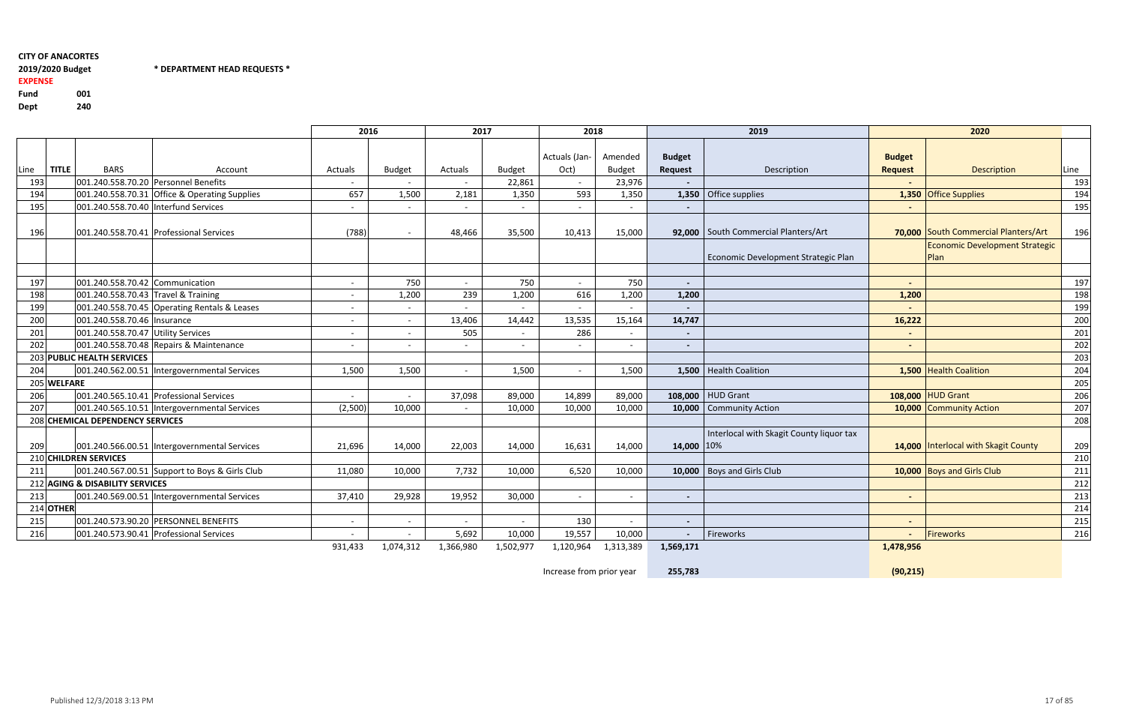# 2019/2020 Budget

 $*$  DEPARTMENT HEAD REQUESTS  $*$ 

#### EXPENSEFund <sup>001</sup>240 Dept

|      |              |                                                                                 |                                                | 2016    |               | 2017      |               | 2018          |               |                | 2019                                     |                | 2020                                   |      |
|------|--------------|---------------------------------------------------------------------------------|------------------------------------------------|---------|---------------|-----------|---------------|---------------|---------------|----------------|------------------------------------------|----------------|----------------------------------------|------|
|      |              |                                                                                 |                                                |         |               |           |               | Actuals (Jan- | Amended       | <b>Budget</b>  |                                          | <b>Budget</b>  |                                        |      |
| Line | <b>TITLE</b> | <b>BARS</b>                                                                     | Account                                        | Actuals | <b>Budget</b> | Actuals   | <b>Budget</b> | Oct)          | <b>Budget</b> | <b>Request</b> | Description                              | <b>Request</b> | Description                            | Line |
| 193  |              |                                                                                 | 001.240.558.70.20 Personnel Benefits           | $\sim$  |               |           | 22,861        | $\sim$        | 23,976        |                |                                          |                |                                        | 193  |
| 194  |              |                                                                                 | 001.240.558.70.31 Office & Operating Supplies  | 657     | 1,500         | 2,181     | 1,350         | 593           | 1,350         |                | 1,350 Office supplies                    |                | 1,350 Office Supplies                  | 194  |
| 195  |              | 001.240.558.70.40 Interfund Services                                            |                                                | $\sim$  | $\sim$        | $\sim$    | $\sim$        | $\sim$        |               |                |                                          | $\sim$         |                                        | 195  |
| 196  |              |                                                                                 | 001.240.558.70.41 Professional Services        | (788)   | $\sim$        | 48,466    | 35,500        | 10,413        | 15,000        |                | 92,000 South Commercial Planters/Art     |                | 70,000 South Commercial Planters/Art   | 196  |
|      |              |                                                                                 |                                                |         |               |           |               |               |               |                | Economic Development Strategic Plan      |                | Economic Development Strategic<br>Plan |      |
|      |              |                                                                                 |                                                |         |               |           |               |               |               |                |                                          |                |                                        |      |
| 197  |              | 001.240.558.70.42 Communication                                                 |                                                | $\sim$  | 750           | $\sim$    | 750           | $\sim$        | 750           | $\sim$         |                                          |                |                                        | 197  |
| 198  |              | 001.240.558.70.43 Travel & Training                                             |                                                | $\sim$  | 1,200         | 239       | 1,200         | 616           | 1,200         | 1,200          |                                          | 1,200          |                                        | 198  |
| 199  |              |                                                                                 | 001.240.558.70.45 Operating Rentals & Leases   | $\sim$  | $\sim$        |           | $\sim$        | $\sim$        | $\sim$        |                |                                          |                |                                        | 199  |
| 200  |              | 001.240.558.70.46   Insurance                                                   |                                                | $\sim$  | $\sim$        | 13,406    | 14,442        | 13,535        | 15,164        | 14,747         |                                          | 16,222         |                                        | 200  |
| 201  |              | 001.240.558.70.47 Utility Services                                              |                                                | $\sim$  | $\sim$        | 505       |               | 286           |               | $\sim$         |                                          | $\sim$         |                                        | 201  |
| 202  |              |                                                                                 | 001.240.558.70.48 Repairs & Maintenance        | $\sim$  | $\sim$        | $\sim$    | $\sim$        | $\sim$        | $\sim$        | $\blacksquare$ |                                          | $\sim$         |                                        | 202  |
|      |              | 203 PUBLIC HEALTH SERVICES                                                      |                                                |         |               |           |               |               |               |                |                                          |                |                                        | 203  |
| 204  |              |                                                                                 | 001.240.562.00.51 Intergovernmental Services   | 1,500   | 1,500         | $\sim$    | 1,500         | $\sim$        | 1,500         |                | 1,500   Health Coalition                 |                | 1,500 Health Coalition                 | 204  |
|      | 205 WELFARE  |                                                                                 |                                                |         |               |           |               |               |               |                |                                          |                |                                        | 205  |
| 206  |              |                                                                                 | 001.240.565.10.41 Professional Services        | $\sim$  |               | 37,098    | 89,000        | 14,899        | 89,000        |                | 108,000 HUD Grant                        |                | 108,000 HUD Grant                      | 206  |
| 207  |              |                                                                                 | 001.240.565.10.51 Intergovernmental Services   | (2,500) | 10,000        |           | 10,000        | 10,000        | 10,000        |                | 10,000 Community Action                  |                | 10,000 Community Action                | 207  |
|      |              | 208 CHEMICAL DEPENDENCY SERVICES                                                |                                                |         |               |           |               |               |               |                |                                          |                |                                        | 208  |
| 209  |              |                                                                                 | 001.240.566.00.51 Intergovernmental Services   | 21,696  | 14,000        | 22,003    | 14,000        | 16,631        | 14,000        | 14,000 10%     | Interlocal with Skagit County liquor tax |                | 14,000 Interlocal with Skagit County   | 209  |
|      |              | 210 CHILDREN SERVICES                                                           |                                                |         |               |           |               |               |               |                |                                          |                |                                        | 210  |
| 211  |              |                                                                                 | 001.240.567.00.51 Support to Boys & Girls Club | 11,080  | 10,000        | 7,732     | 10,000        | 6,520         | 10,000        |                | 10,000   Boys and Girls Club             |                | 10,000 Boys and Girls Club             | 211  |
|      |              | 212 AGING & DISABILITY SERVICES                                                 |                                                |         |               |           |               |               |               |                |                                          |                |                                        | 212  |
| 213  |              |                                                                                 | 001.240.569.00.51  Intergovernmental Services  | 37,410  | 29,928        | 19,952    | 30,000        | $\sim$        | $\sim$        |                |                                          | $\sim$         |                                        | 213  |
|      | 214 OTHER    |                                                                                 |                                                |         |               |           |               |               |               |                |                                          |                |                                        | 214  |
| 215  |              |                                                                                 |                                                | $\sim$  | $\sim$        |           |               | 130           | $\sim$        |                |                                          |                |                                        | 215  |
| 216  |              | 001.240.573.90.20 PERSONNEL BENEFITS<br>001.240.573.90.41 Professional Services |                                                |         | $\sim$        | 5,692     | 10,000        | 19,557        | 10,000        |                | Fireworks                                |                | Fireworks                              | 216  |
|      |              |                                                                                 |                                                | 931,433 | 1,074,312     | 1,366,980 | 1,502,977     | 1,120,964     | 1,313,389     | 1,569,171      |                                          | 1,478,956      |                                        |      |

Increase from prior year

255,783

(90,215)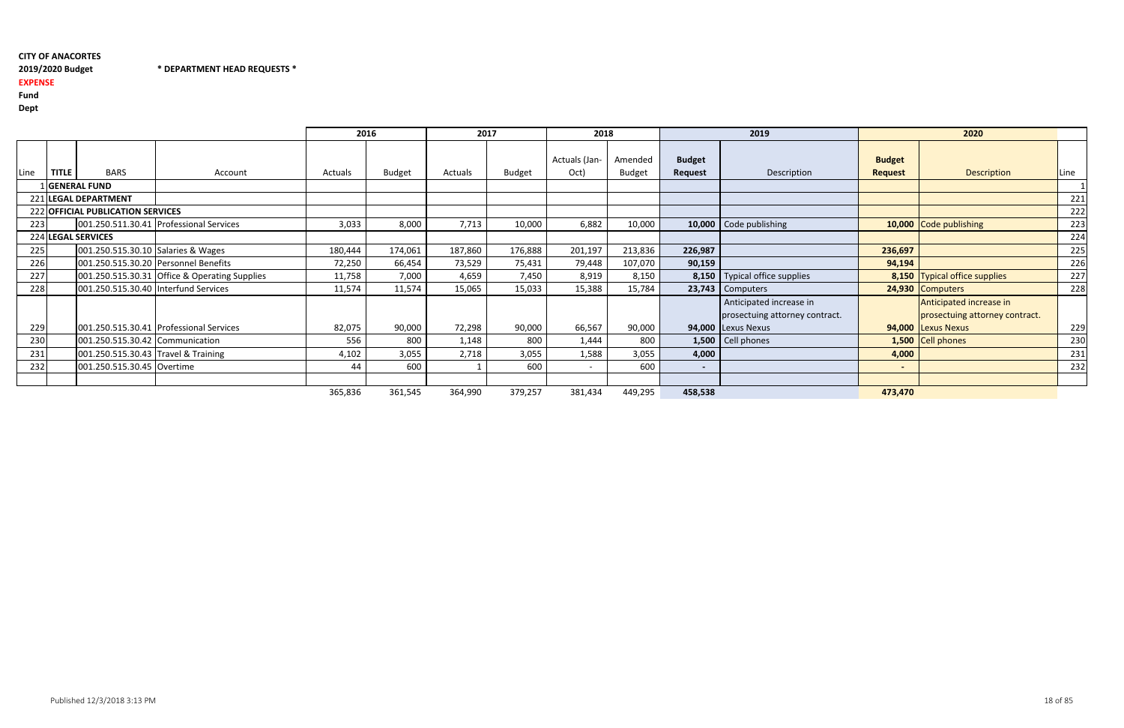2019/2020 Budget \* DEPARTMENT HEAD REQUESTS \*

# 2019/2020 Budget

EXPENSE

Fund

Dept

|      |              |                                     |                                               | 2016    |               | 2017    |               | 2018                  |                          |                          | 2019                            |                                 | 2020                           |      |
|------|--------------|-------------------------------------|-----------------------------------------------|---------|---------------|---------|---------------|-----------------------|--------------------------|--------------------------|---------------------------------|---------------------------------|--------------------------------|------|
| Line | <b>TITLE</b> | <b>BARS</b>                         | Account                                       | Actuals | <b>Budget</b> | Actuals | <b>Budget</b> | Actuals (Jan-<br>Oct) | Amended<br><b>Budget</b> | <b>Budget</b><br>Request | Description                     | <b>Budget</b><br><b>Request</b> | <b>Description</b>             | Line |
|      |              | <b>GENERAL FUND</b>                 |                                               |         |               |         |               |                       |                          |                          |                                 |                                 |                                |      |
|      |              | 221 LEGAL DEPARTMENT                |                                               |         |               |         |               |                       |                          |                          |                                 |                                 |                                | 221  |
|      |              | 222 OFFICIAL PUBLICATION SERVICES   |                                               |         |               |         |               |                       |                          |                          |                                 |                                 |                                | 222  |
| 223  |              |                                     | 001.250.511.30.41 Professional Services       | 3,033   | 8,000         | 7,713   | 10,000        | 6,882                 | 10,000                   |                          | 10,000 Code publishing          |                                 | 10,000 Code publishing         | 223  |
|      |              | 224 LEGAL SERVICES                  |                                               |         |               |         |               |                       |                          |                          |                                 |                                 |                                | 224  |
| 225  |              | 001.250.515.30.10 Salaries & Wages  |                                               | 180,444 | 174,061       | 187,860 | 176,888       | 201,197               | 213,836                  | 226,987                  |                                 | 236,697                         |                                | 225  |
| 226  |              |                                     | 001.250.515.30.20 Personnel Benefits          | 72,250  | 66,454        | 73,529  | 75,431        | 79,448                | 107,070                  | 90,159                   |                                 | 94,194                          |                                | 226  |
| 227  |              |                                     | 001.250.515.30.31 Office & Operating Supplies | 11,758  | 7,000         | 4,659   | 7,450         | 8,919                 | 8,150                    |                          | 8,150   Typical office supplies |                                 | 8,150 Typical office supplies  | 227  |
| 228  |              |                                     | 001.250.515.30.40 Interfund Services          | 11,574  | 11,574        | 15,065  | 15,033        | 15,388                | 15,784                   |                          | $23,743$ Computers              |                                 | 24,930 Computers               | 228  |
|      |              |                                     |                                               |         |               |         |               |                       |                          |                          | Anticipated increase in         |                                 | Anticipated increase in        |      |
|      |              |                                     |                                               |         |               |         |               |                       |                          |                          | prosectuing attorney contract.  |                                 | prosectuing attorney contract. |      |
| 229  |              |                                     | 001.250.515.30.41 Professional Services       | 82,075  | 90,000        | 72,298  | 90,000        | 66,567                | 90,000                   |                          | 94,000 Lexus Nexus              |                                 | 94,000 Lexus Nexus             | 229  |
| 230  |              | 001.250.515.30.42 Communication     |                                               | 556     | 800           | 1,148   | 800           | 1,444                 | 800                      |                          | $1,500$ Cell phones             |                                 | 1,500 Cell phones              | 230  |
| 231  |              | 001.250.515.30.43 Travel & Training |                                               | 4,102   | 3,055         | 2,718   | 3,055         | 1,588                 | 3,055                    | 4,000                    |                                 | 4,000                           |                                | 231  |
| 232  |              | 001.250.515.30.45 Overtime          |                                               | 44      | 600           |         | 600           | $\sim$                | 600                      | $\sim$                   |                                 |                                 |                                | 232  |
|      |              |                                     |                                               |         |               |         |               |                       |                          |                          |                                 |                                 |                                |      |
|      |              |                                     |                                               | 365,836 | 361,545       | 364,990 | 379,257       | 381,434               | 449,295                  | 458,538                  |                                 | 473,470                         |                                |      |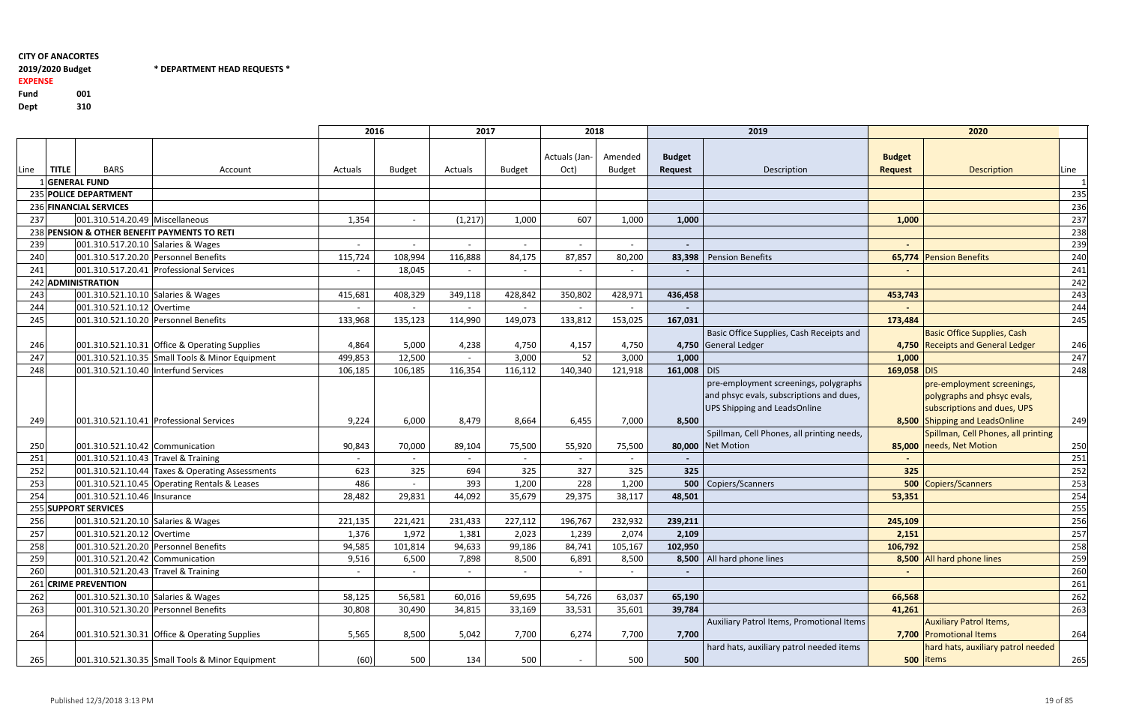$*$  DEPARTMENT HEAD REQUESTS  $*$ 

# 2019/2020 Budget EXPENSE

Fund <sup>001</sup>310 Dept

|            |              |                                      |                                                 |                 | 2016             | 2017            |                 | 2018                  |                          |                                 | 2019                                       |                                 | 2020                                             |            |
|------------|--------------|--------------------------------------|-------------------------------------------------|-----------------|------------------|-----------------|-----------------|-----------------------|--------------------------|---------------------------------|--------------------------------------------|---------------------------------|--------------------------------------------------|------------|
| Line       | <b>TITLE</b> | <b>BARS</b>                          | Account                                         | Actuals         | <b>Budget</b>    | Actuals         | <b>Budget</b>   | Actuals (Jan-<br>Oct) | Amended<br><b>Budget</b> | <b>Budget</b><br><b>Request</b> | Description                                | <b>Budget</b><br><b>Request</b> | Description                                      | Line       |
|            |              | 1 GENERAL FUND                       |                                                 |                 |                  |                 |                 |                       |                          |                                 |                                            |                                 |                                                  |            |
|            |              | 235 POLICE DEPARTMENT                |                                                 |                 |                  |                 |                 |                       |                          |                                 |                                            |                                 |                                                  | 235        |
|            |              | 236 FINANCIAL SERVICES               |                                                 |                 |                  |                 |                 |                       |                          |                                 |                                            |                                 |                                                  | 236        |
| 237        |              | 001.310.514.20.49 Miscellaneous      |                                                 | 1,354           |                  | (1, 217)        | 1,000           | 607                   | 1,000                    | 1,000                           |                                            | 1,000                           |                                                  | 237        |
|            |              |                                      | 238 PENSION & OTHER BENEFIT PAYMENTS TO RETI    |                 |                  |                 |                 |                       |                          |                                 |                                            |                                 |                                                  | 238        |
| 239        |              | 001.310.517.20.10 Salaries & Wages   |                                                 |                 |                  |                 | $\blacksquare$  | $\sim$                |                          |                                 |                                            |                                 |                                                  | 239        |
| 240        |              |                                      | 001.310.517.20.20 Personnel Benefits            | 115,724         | 108,994          | 116,888         | 84,175          | 87,857                | 80,200                   |                                 | 83,398   Pension Benefits                  |                                 | 65,774 Pension Benefits                          | 240        |
| 241        |              |                                      | 001.310.517.20.41 Professional Services         |                 | 18,045           |                 |                 |                       |                          |                                 |                                            |                                 |                                                  | 241        |
|            |              | 242 ADMINISTRATION                   |                                                 |                 |                  |                 |                 |                       |                          |                                 |                                            |                                 |                                                  | 242        |
| 243        |              | 001.310.521.10.10 Salaries & Wages   |                                                 | 415,681         | 408,329          | 349,118         | 428,842         | 350,802               | 428,971                  | 436,458                         |                                            | 453,743                         |                                                  | 243        |
| 244        |              | 001.310.521.10.12 Overtime           |                                                 |                 |                  |                 |                 |                       |                          |                                 |                                            |                                 |                                                  | 244        |
| 245        |              |                                      | 001.310.521.10.20 Personnel Benefits            | 133,968         | 135,123          | 114,990         | 149,073         | 133,812               | 153,025                  | 167,031                         |                                            | 173,484                         |                                                  | 245        |
|            |              |                                      |                                                 |                 |                  |                 |                 |                       |                          |                                 | Basic Office Supplies, Cash Receipts and   |                                 | <b>Basic Office Supplies, Cash</b>               |            |
| 246        |              |                                      | 001.310.521.10.31 Office & Operating Supplies   | 4,864           | 5,000            | 4,238           | 4,750           | 4,157                 | 4,750                    |                                 | 4,750 General Ledger                       |                                 | 4,750 Receipts and General Ledger                | 246        |
| 247        |              |                                      | 001.310.521.10.35 Small Tools & Minor Equipment | 499,853         | 12,500           |                 | 3,000           | 52                    | 3,000                    | 1,000                           |                                            | 1,000                           |                                                  | 247        |
| 248        |              | 001.310.521.10.40 Interfund Services |                                                 | 106,185         | 106,185          | 116,354         | 116,112         | 140,340               | 121,918                  | 161,008 DIS                     |                                            | 169,058 DIS                     |                                                  | 248        |
|            |              |                                      |                                                 |                 |                  |                 |                 |                       |                          |                                 | pre-employment screenings, polygraphs      |                                 | pre-employment screenings,                       |            |
|            |              |                                      |                                                 |                 |                  |                 |                 |                       |                          |                                 | and phsyc evals, subscriptions and dues,   |                                 | polygraphs and phsyc evals,                      |            |
|            |              |                                      |                                                 |                 |                  |                 |                 |                       |                          |                                 | UPS Shipping and LeadsOnline               |                                 | subscriptions and dues, UPS                      |            |
| 249        |              |                                      | 001.310.521.10.41 Professional Services         | 9,224           | 6,000            | 8,479           | 8,664           | 6,455                 | 7,000                    | 8,500                           |                                            |                                 | 8,500 Shipping and LeadsOnline                   | 249        |
|            |              |                                      |                                                 |                 |                  |                 |                 |                       |                          |                                 | Spillman, Cell Phones, all printing needs, |                                 | Spillman, Cell Phones, all printing              |            |
| 250        |              | 001.310.521.10.42 Communication      |                                                 | 90,843          | 70,000           | 89,104          | 75,500          | 55,920                | 75,500                   |                                 | 80,000 Net Motion                          |                                 | 85,000 needs, Net Motion                         | 250        |
| 251        |              | 001.310.521.10.43 Travel & Training  |                                                 |                 |                  |                 |                 |                       |                          |                                 |                                            | $\overline{\phantom{a}}$        |                                                  | 251        |
| 252        |              |                                      | 001.310.521.10.44 Taxes & Operating Assessments | 623             | 325              | 694             | 325             | 327                   | 325                      | 325                             |                                            | 325                             |                                                  | 252        |
| 253        |              |                                      | 001.310.521.10.45 Operating Rentals & Leases    | 486             |                  | 393             | 1,200           | 228                   | 1,200                    |                                 | 500 Copiers/Scanners                       |                                 | 500 Copiers/Scanners                             | 253        |
| 254        |              | 001.310.521.10.46   Insurance        |                                                 | 28,482          | 29,831           | 44,092          | 35,679          | 29,375                | 38,117                   | 48,501                          |                                            | 53,351                          |                                                  | 254        |
|            |              | 255 SUPPORT SERVICES                 |                                                 |                 |                  |                 |                 |                       |                          |                                 |                                            |                                 |                                                  | 255        |
| 256<br>257 |              | 001.310.521.20.10 Salaries & Wages   |                                                 | 221,135         | 221,421<br>1,972 | 231,433         | 227,112         | 196,767               | 232,932<br>2,074         | 239,211                         |                                            | 245,109                         |                                                  | 256<br>257 |
|            |              | 001.310.521.20.12 Overtime           |                                                 | 1,376           |                  | 1,381           | 2,023           | 1,239                 |                          | 2,109                           |                                            | 2,151                           |                                                  |            |
| 258<br>259 |              | 001.310.521.20.42 Communication      | 001.310.521.20.20 Personnel Benefits            | 94,585<br>9,516 | 101,814<br>6,500 | 94,633<br>7,898 | 99,186<br>8,500 | 84,741<br>6,891       | 105,167<br>8,500         | 102,950                         | 8,500   All hard phone lines               | 106,792                         | 8,500 All hard phone lines                       | 258        |
| 260        |              | 001.310.521.20.43 Travel & Training  |                                                 |                 |                  |                 |                 |                       |                          |                                 |                                            |                                 |                                                  | 259        |
|            |              | 261 CRIME PREVENTION                 |                                                 |                 |                  |                 |                 |                       |                          |                                 |                                            |                                 |                                                  | 260        |
|            |              | 001.310.521.30.10 Salaries & Wages   |                                                 |                 | 56,581           |                 | 59,695          | 54,726                |                          |                                 |                                            |                                 |                                                  | 261        |
| 262        |              |                                      |                                                 | 58,125          |                  | 60,016          |                 |                       | 63,037                   | 65,190                          |                                            | 66,568                          |                                                  | 262        |
| 263        |              |                                      | 001.310.521.30.20 Personnel Benefits            | 30,808          | 30,490           | 34,815          | 33,169          | 33,531                | 35,601                   | 39,784                          | Auxiliary Patrol Items, Promotional Items  | 41,261                          |                                                  | 263        |
|            |              |                                      |                                                 |                 |                  |                 |                 |                       |                          |                                 |                                            |                                 | <b>Auxiliary Patrol Items,</b>                   |            |
| 264        |              |                                      | 001.310.521.30.31 Office & Operating Supplies   | 5,565           | 8,500            | 5,042           | 7,700           | 6,274                 | 7,700                    | 7,700                           | hard hats, auxiliary patrol needed items   |                                 | 7,700 Promotional Items                          | 264        |
| 265        |              |                                      | 001.310.521.30.35 Small Tools & Minor Equipment | (60)            | 500              | 134             | 500             |                       | 500                      | 500                             |                                            |                                 | hard hats, auxiliary patrol needed<br>500 litems | 265        |
|            |              |                                      |                                                 |                 |                  |                 |                 |                       |                          |                                 |                                            |                                 |                                                  |            |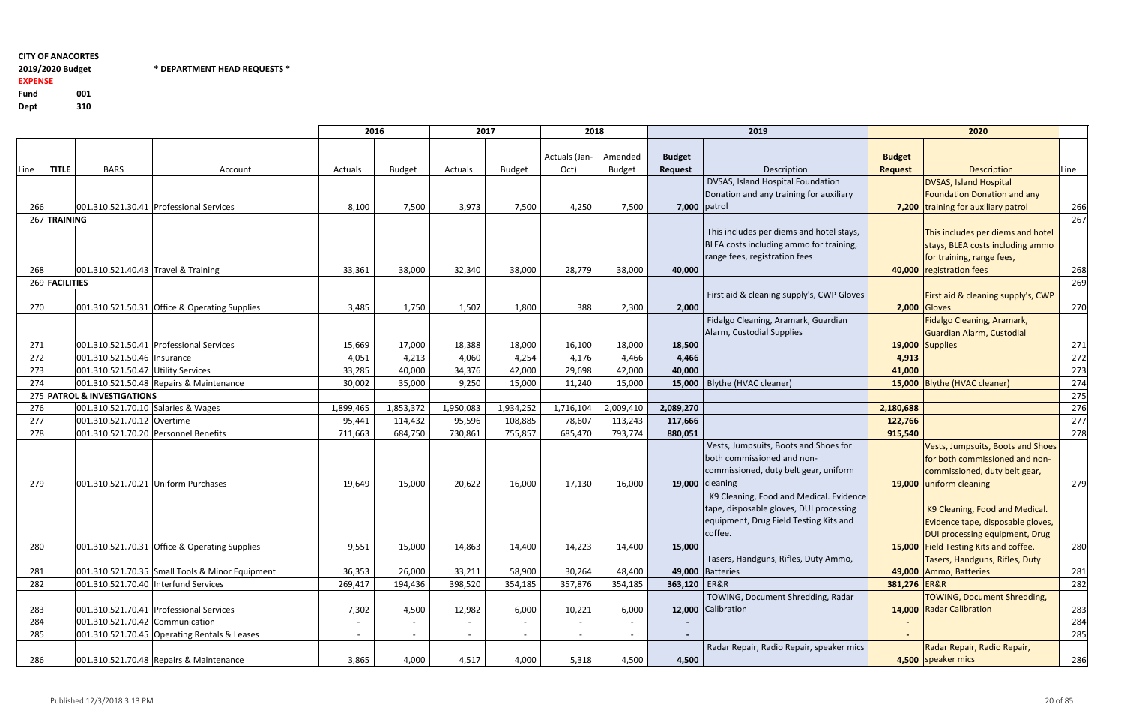2019/2020 Budget EXPENSE

Fund <sup>001</sup>310 Dept

2019/2020 Budget \* DEPARTMENT HEAD REQUESTS \*

|      |                |                                      |                                                 | 2016      |               | 2017      |               | 2018                  |                          |                          | 2019                                      |                                 | 2020                                  |             |
|------|----------------|--------------------------------------|-------------------------------------------------|-----------|---------------|-----------|---------------|-----------------------|--------------------------|--------------------------|-------------------------------------------|---------------------------------|---------------------------------------|-------------|
| Line | <b>TITLE</b>   | <b>BARS</b>                          | Account                                         | Actuals   | <b>Budget</b> | Actuals   | <b>Budget</b> | Actuals (Jan-<br>Oct) | Amended<br><b>Budget</b> | <b>Budget</b><br>Request | Description                               | <b>Budget</b><br><b>Request</b> | Description                           | <b>Line</b> |
|      |                |                                      |                                                 |           |               |           |               |                       |                          |                          | DVSAS, Island Hospital Foundation         |                                 | <b>DVSAS, Island Hospital</b>         |             |
|      |                |                                      |                                                 |           |               |           |               |                       |                          |                          | Donation and any training for auxiliary   |                                 | <b>Foundation Donation and any</b>    |             |
| 266  |                |                                      | 001.310.521.30.41 Professional Services         | 8,100     | 7,500         | 3,973     | 7,500         | 4,250                 | 7,500                    |                          | 7,000 patrol                              |                                 | 7,200 training for auxiliary patrol   | 266         |
|      | 267 TRAINING   |                                      |                                                 |           |               |           |               |                       |                          |                          |                                           |                                 |                                       | 267         |
|      |                |                                      |                                                 |           |               |           |               |                       |                          |                          | This includes per diems and hotel stays,  |                                 | This includes per diems and hotel     |             |
|      |                |                                      |                                                 |           |               |           |               |                       |                          |                          | BLEA costs including ammo for training,   |                                 | stays, BLEA costs including ammo      |             |
|      |                |                                      |                                                 |           |               |           |               |                       |                          |                          | range fees, registration fees             |                                 | for training, range fees,             |             |
| 268  |                | 001.310.521.40.43 Travel & Training  |                                                 | 33,361    | 38,000        | 32,340    | 38,000        | 28,779                | 38,000                   | 40,000                   |                                           |                                 | 40,000 registration fees              | 268         |
|      | 269 FACILITIES |                                      |                                                 |           |               |           |               |                       |                          |                          |                                           |                                 |                                       | 269         |
|      |                |                                      |                                                 |           |               |           |               |                       |                          |                          | First aid & cleaning supply's, CWP Gloves |                                 | First aid & cleaning supply's, CWP    |             |
| 270  |                |                                      | 001.310.521.50.31 Office & Operating Supplies   | 3,485     | 1,750         | 1,507     | 1,800         | 388                   | 2,300                    | 2,000                    |                                           |                                 | <b>2,000 Gloves</b>                   | 270         |
|      |                |                                      |                                                 |           |               |           |               |                       |                          |                          | Fidalgo Cleaning, Aramark, Guardian       |                                 | Fidalgo Cleaning, Aramark,            |             |
|      |                |                                      |                                                 |           |               |           |               |                       |                          |                          | Alarm, Custodial Supplies                 |                                 | Guardian Alarm, Custodial             |             |
| 271  |                |                                      | 001.310.521.50.41 Professional Services         | 15,669    | 17,000        | 18,388    | 18,000        | 16,100                | 18,000                   | 18,500                   |                                           |                                 | 19,000 Supplies                       | 271         |
| 272  |                | 001.310.521.50.46 Insurance          |                                                 | 4,051     | 4,213         | 4,060     | 4,254         | 4,176                 | 4,466                    | 4,466                    |                                           | 4,913                           |                                       | 272         |
| 273  |                | 001.310.521.50.47 Utility Services   |                                                 | 33,285    | 40,000        | 34,376    | 42,000        | 29,698                | 42,000                   | 40,000                   |                                           | 41,000                          |                                       | 273         |
| 274  |                |                                      | 001.310.521.50.48 Repairs & Maintenance         | 30,002    | 35,000        | 9,250     | 15,000        | 11,240                | 15,000                   |                          | 15,000   Blythe (HVAC cleaner)            |                                 | 15,000 Blythe (HVAC cleaner)          | 274         |
|      |                | 275 PATROL & INVESTIGATIONS          |                                                 |           |               |           |               |                       |                          |                          |                                           |                                 |                                       | 275         |
| 276  |                | 001.310.521.70.10 Salaries & Wages   |                                                 | 1,899,465 | 1,853,372     | 1,950,083 | 1,934,252     | 1,716,104             | 2,009,410                | 2,089,270                |                                           | 2,180,688                       |                                       | 276         |
| 277  |                | 001.310.521.70.12 Overtime           |                                                 | 95,441    | 114,432       | 95,596    | 108,885       | 78,607                | 113,243                  | 117,666                  |                                           | 122,766                         |                                       | 277         |
| 278  |                | 001.310.521.70.20 Personnel Benefits |                                                 | 711,663   | 684,750       | 730,861   | 755,857       | 685,470               | 793,774                  | 880,051                  |                                           | 915,540                         |                                       | 278         |
|      |                |                                      |                                                 |           |               |           |               |                       |                          |                          | Vests, Jumpsuits, Boots and Shoes for     |                                 | Vests, Jumpsuits, Boots and Shoes     |             |
|      |                |                                      |                                                 |           |               |           |               |                       |                          |                          | both commissioned and non-                |                                 | for both commissioned and non-        |             |
|      |                |                                      |                                                 |           |               |           |               |                       |                          |                          | commissioned, duty belt gear, uniform     |                                 | commissioned, duty belt gear,         |             |
| 279  |                | 001.310.521.70.21 Uniform Purchases  |                                                 | 19,649    | 15,000        | 20,622    | 16,000        | 17,130                | 16,000                   |                          | 19,000 cleaning                           |                                 | 19,000 uniform cleaning               | 279         |
|      |                |                                      |                                                 |           |               |           |               |                       |                          |                          | K9 Cleaning, Food and Medical. Evidence   |                                 |                                       |             |
|      |                |                                      |                                                 |           |               |           |               |                       |                          |                          | tape, disposable gloves, DUI processing   |                                 | K9 Cleaning, Food and Medical.        |             |
|      |                |                                      |                                                 |           |               |           |               |                       |                          |                          | equipment, Drug Field Testing Kits and    |                                 | Evidence tape, disposable gloves,     |             |
|      |                |                                      |                                                 |           |               |           |               |                       |                          |                          | coffee.                                   |                                 | DUI processing equipment, Drug        |             |
| 280  |                |                                      | 001.310.521.70.31 Office & Operating Supplies   | 9,551     | 15,000        | 14,863    | 14,400        | 14,223                | 14,400                   | 15,000                   |                                           |                                 | 15,000 Field Testing Kits and coffee. | 280         |
|      |                |                                      |                                                 |           |               |           |               |                       |                          |                          | Tasers, Handguns, Rifles, Duty Ammo,      |                                 | Tasers, Handguns, Rifles, Duty        |             |
| 281  |                |                                      | 001.310.521.70.35 Small Tools & Minor Equipment | 36,353    | 26,000        | 33,211    | 58,900        | 30,264                | 48,400                   |                          | 49,000 Batteries                          |                                 | 49,000 Ammo, Batteries                | 281         |
| 282  |                | 001.310.521.70.40 Interfund Services |                                                 | 269,417   | 194,436       | 398,520   | 354,185       | 357,876               | 354,185                  | 363,120   ER&R           |                                           | 381,276 ER&R                    |                                       | 282         |
|      |                |                                      |                                                 |           |               |           |               |                       |                          |                          | TOWING, Document Shredding, Radar         |                                 | <b>TOWING, Document Shredding,</b>    |             |
| 283  |                |                                      | 001.310.521.70.41 Professional Services         | 7,302     | 4,500         | 12,982    | 6,000         | 10,221                | 6,000                    |                          | 12,000 Calibration                        |                                 | 14,000 Radar Calibration              | 283         |
| 284  |                | 001.310.521.70.42 Communication      |                                                 |           |               |           |               |                       |                          |                          |                                           |                                 |                                       | 284         |
| 285  |                |                                      | 001.310.521.70.45 Operating Rentals & Leases    | $\sim$    |               |           |               |                       |                          |                          |                                           |                                 |                                       | 285         |
|      |                |                                      |                                                 |           |               |           |               |                       |                          |                          | Radar Repair, Radio Repair, speaker mics  |                                 | Radar Repair, Radio Repair,           |             |
| 286  |                |                                      | 001.310.521.70.48 Repairs & Maintenance         | 3,865     | 4,000         | 4,517     | 4,000         | 5,318                 | 4,500                    | 4,500                    |                                           |                                 | 4,500 speaker mics                    | 286         |
|      |                |                                      |                                                 |           |               |           |               |                       |                          |                          |                                           |                                 |                                       |             |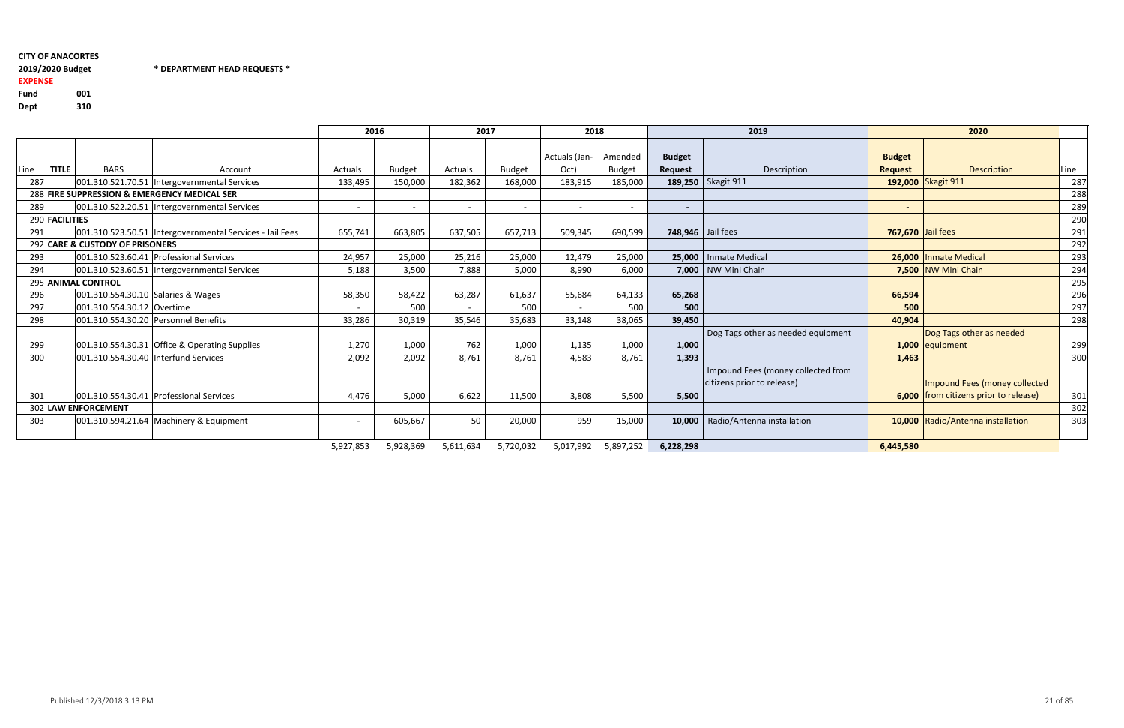# 2019/2020 Budget \* DEPARTMENT HEAD REQUESTS \*

## EXPENSEFund <sup>001</sup>

310 Dept

|      |                |                                 |                                                          | 2016    |               | 2017    |                          | 2018                  |                          |                                 | 2019                                                             |                                 | 2020                                                                   |             |
|------|----------------|---------------------------------|----------------------------------------------------------|---------|---------------|---------|--------------------------|-----------------------|--------------------------|---------------------------------|------------------------------------------------------------------|---------------------------------|------------------------------------------------------------------------|-------------|
| Line | <b>TITLE</b>   | <b>BARS</b>                     | Account                                                  | Actuals | <b>Budget</b> | Actuals | Budget                   | Actuals (Jan-<br>Oct) | Amended<br><b>Budget</b> | <b>Budget</b><br><b>Request</b> | Description                                                      | <b>Budget</b><br><b>Request</b> | <b>Description</b>                                                     | <b>Line</b> |
| 287  |                |                                 | 001.310.521.70.51  Intergovernmental Services            | 133,495 | 150,000       | 182,362 | 168,000                  | 183,915               | 185,000                  |                                 | 189,250   Skagit 911                                             |                                 | 192,000 Skagit 911                                                     | 287         |
|      |                |                                 | 288 FIRE SUPPRESSION & EMERGENCY MEDICAL SER             |         |               |         |                          |                       |                          |                                 |                                                                  |                                 |                                                                        | 288         |
| 289  |                |                                 | 001.310.522.20.51 Intergovernmental Services             |         |               |         | $\overline{\phantom{0}}$ |                       | $\overline{\phantom{a}}$ | $\sim$                          |                                                                  | $\sim$                          |                                                                        | 289         |
|      | 290 FACILITIES |                                 |                                                          |         |               |         |                          |                       |                          |                                 |                                                                  |                                 |                                                                        | 290         |
| 291  |                |                                 | 001.310.523.50.51 Intergovernmental Services - Jail Fees | 655,741 | 663,805       | 637,505 | 657,713                  | 509,345               | 690,599                  | 748,946 Jail fees               |                                                                  | <b>767,670</b> Jail fees        |                                                                        | 291         |
|      |                | 292 CARE & CUSTODY OF PRISONERS |                                                          |         |               |         |                          |                       |                          |                                 |                                                                  |                                 |                                                                        | 292         |
| 293  |                |                                 | 001.310.523.60.41 Professional Services                  | 24,957  | 25,000        | 25,216  | 25,000                   | 12,479                | 25,000                   |                                 | 25,000   Inmate Medical                                          |                                 | 26,000 Inmate Medical                                                  | 293         |
| 294  |                |                                 | 001.310.523.60.51 Intergovernmental Services             | 5,188   | 3,500         | 7,888   | 5,000                    | 8,990                 | 6,000                    |                                 | 7,000   NW Mini Chain                                            |                                 | 7,500 NW Mini Chain                                                    | 294         |
|      |                | 295 ANIMAL CONTROL              |                                                          |         |               |         |                          |                       |                          |                                 |                                                                  |                                 |                                                                        | 295         |
| 296  |                |                                 | 001.310.554.30.10 Salaries & Wages                       | 58,350  | 58,422        | 63,287  | 61,637                   | 55,684                | 64,133                   | 65,268                          |                                                                  | 66,594                          |                                                                        | 296         |
| 297  |                | 001.310.554.30.12 Overtime      |                                                          |         | 500           | $\sim$  | 500                      | $\sim$                | 500                      | 500                             |                                                                  | 500                             |                                                                        | 297         |
| 298  |                |                                 | 001.310.554.30.20 Personnel Benefits                     | 33,286  | 30,319        | 35,546  | 35,683                   | 33,148                | 38,065                   | 39,450                          |                                                                  | 40,904                          |                                                                        | 298         |
| 299  |                |                                 | 001.310.554.30.31 Office & Operating Supplies            | 1,270   | 1,000         | 762     | 1,000                    | 1,135                 | 1,000                    | 1,000                           | Dog Tags other as needed equipment                               |                                 | Dog Tags other as needed<br>1,000 equipment                            | 299         |
| 300  |                |                                 | 001.310.554.30.40 Interfund Services                     | 2,092   | 2,092         | 8,761   | 8,761                    | 4,583                 | 8,761                    | 1,393                           |                                                                  | 1,463                           |                                                                        | 300         |
| 301  |                |                                 | 001.310.554.30.41 Professional Services                  | 4,476   | 5,000         | 6,622   | 11,500                   | 3,808                 | 5,500                    | 5,500                           | Impound Fees (money collected from<br>citizens prior to release) |                                 | Impound Fees (money collected<br>6,000 from citizens prior to release) | 301         |
|      |                | 302 LAW ENFORCEMENT             |                                                          |         |               |         |                          |                       |                          |                                 |                                                                  |                                 |                                                                        | 302         |

5,927,853 5,928,369 5,611,634 5,720,032 5,017,992 5,897,252 **6,228,298** 6.445,580

|                                        |                                         |                                                            | 2016        |               | 2017    |               | 2018          |                |                   | 2019                               |                   | 2020                                  |      |
|----------------------------------------|-----------------------------------------|------------------------------------------------------------|-------------|---------------|---------|---------------|---------------|----------------|-------------------|------------------------------------|-------------------|---------------------------------------|------|
|                                        |                                         |                                                            |             |               |         |               |               |                |                   |                                    |                   |                                       |      |
|                                        |                                         |                                                            |             |               |         |               | Actuals (Jan- | Amended        | <b>Budget</b>     |                                    | <b>Budget</b>     |                                       |      |
| <b>TITLE</b><br><b>BARS</b>            |                                         | Account                                                    | Actuals     | <b>Budget</b> | Actuals | <b>Budget</b> | Oct)          | <b>Budget</b>  | Request           | Description                        | <b>Request</b>    | <b>Description</b>                    | Line |
|                                        |                                         | 001.310.521.70.51  Intergovernmental Services              | 133,495     | 150,000       | 182,362 | 168,000       | 183,915       | 185,000        |                   | 189,250   Skagit 911               |                   | 192,000 Skagit 911                    | 287  |
|                                        |                                         | FIRE SUPPRESSION & EMERGENCY MEDICAL SER                   |             |               |         |               |               |                |                   |                                    |                   |                                       | 288  |
|                                        |                                         | 001.310.522.20.51   Intergovernmental Services             |             |               |         |               |               | $\blacksquare$ | $\sim$            |                                    | $\sim$            |                                       | 289  |
| <b>FACILITIES</b>                      |                                         |                                                            |             |               |         |               |               |                |                   |                                    |                   |                                       | 290  |
|                                        |                                         | 001.310.523.50.51   Intergovernmental Services - Jail Fees | 655,741     | 663,805       | 637,505 | 657,713       | 509,345       | 690,599        | 748,946 Jail fees |                                    | 767,670 Jail fees |                                       | 291  |
| <b>CARE &amp; CUSTODY OF PRISONERS</b> |                                         |                                                            |             |               |         |               |               |                |                   |                                    |                   |                                       | 292  |
|                                        |                                         | 001.310.523.60.41 Professional Services                    | 24,957      | 25,000        | 25,216  | 25,000        | 12,479        | 25,000         | 25,000            | Inmate Medical                     |                   | 26,000 Inmate Medical                 | 293  |
|                                        |                                         | 001.310.523.60.51  Intergovernmental Services              | 5,188       | 3,500         | 7,888   | 5,000         | 8,990         | 6,000          |                   | 7,000   NW Mini Chain              |                   | 7,500 NW Mini Chain                   | 294  |
| <b>ANIMAL CONTROL</b>                  |                                         |                                                            |             |               |         |               |               |                |                   |                                    |                   |                                       | 295  |
|                                        | 001.310.554.30.10 Salaries & Wages      |                                                            | 58,350      | 58,422        | 63,287  | 61,637        | 55,684        | 64,133         | 65,268            |                                    | 66,594            |                                       | 296  |
| 001.310.554.30.12 Overtime             |                                         |                                                            |             | 500           | $\sim$  | 500           | $\sim$        | 500            | 500               |                                    | 500               |                                       | 297  |
|                                        |                                         | 001.310.554.30.20 Personnel Benefits                       | 33,286      | 30,319        | 35,546  | 35,683        | 33,148        | 38,065         | 39,450            |                                    | 40,904            |                                       | 298  |
|                                        |                                         |                                                            |             |               |         |               |               |                |                   | Dog Tags other as needed equipment |                   | Dog Tags other as needed              |      |
|                                        |                                         | 001.310.554.30.31 Office & Operating Supplies              | 1,270       | 1,000         | 762     | 1,000         | 1,135         | 1,000          | 1,000             |                                    |                   | 1,000 equipment                       | 299  |
|                                        |                                         | 001.310.554.30.40 Interfund Services                       | 2,092       | 2,092         | 8,761   | 8,761         | 4,583         | 8,761          | 1,393             |                                    | 1,463             |                                       | 300  |
|                                        |                                         |                                                            |             |               |         |               |               |                |                   | Impound Fees (money collected from |                   |                                       |      |
|                                        |                                         |                                                            |             |               |         |               |               |                |                   | citizens prior to release)         |                   | Impound Fees (money collected         |      |
|                                        |                                         | 001.310.554.30.41 Professional Services                    | 4,476       | 5,000         | 6,622   | 11,500        | 3,808         | 5,500          | 5,500             |                                    |                   | 6,000 from citizens prior to release) | 301  |
| <b>LAW ENFORCEMENT</b>                 |                                         |                                                            |             |               |         |               |               |                |                   |                                    |                   |                                       | 302  |
|                                        | 001.310.594.21.64 Machinery & Equipment |                                                            |             | 605,667       | 50      | 20,000        | 959           | 15,000         | 10,000            | Radio/Antenna installation         |                   | 10,000 Radio/Antenna installation     | 303  |
|                                        |                                         |                                                            |             |               |         |               |               |                |                   |                                    |                   |                                       |      |
|                                        |                                         |                                                            | 5 9 7 8 5 2 |               | 5611634 | 5 720 032     | 5 017 992     | 5 897 757      | 622829            |                                    | <b>6 445 580</b>  |                                       |      |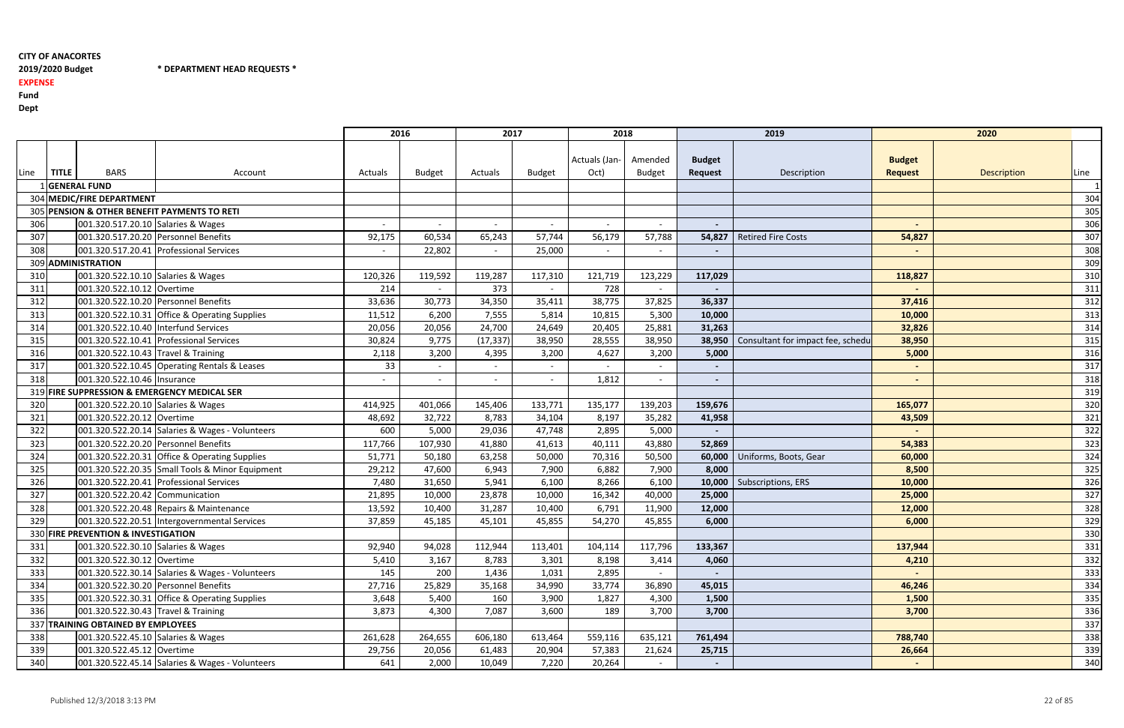2019/2020 Budget \* DEPARTMENT HEAD REQUESTS \*

# 2019/2020 Budget

EXPENSE

Fund

Dept

|      |              |                                      |                                                 | 2016    |               | 2017           |               | 2018                  |                          |                                 | 2019                              |                                 | 2020        |      |
|------|--------------|--------------------------------------|-------------------------------------------------|---------|---------------|----------------|---------------|-----------------------|--------------------------|---------------------------------|-----------------------------------|---------------------------------|-------------|------|
| Line | <b>TITLE</b> | <b>BARS</b>                          | Account                                         | Actuals | <b>Budget</b> | Actuals        | <b>Budget</b> | Actuals (Jan-<br>Oct) | Amended<br><b>Budget</b> | <b>Budget</b><br><b>Request</b> | Description                       | <b>Budget</b><br><b>Request</b> | Description | Line |
|      |              | <b>GENERAL FUND</b>                  |                                                 |         |               |                |               |                       |                          |                                 |                                   |                                 |             |      |
|      |              | 304 MEDIC/FIRE DEPARTMENT            |                                                 |         |               |                |               |                       |                          |                                 |                                   |                                 |             | 304  |
|      |              |                                      | 305 PENSION & OTHER BENEFIT PAYMENTS TO RETI    |         |               |                |               |                       |                          |                                 |                                   |                                 |             | 305  |
| 306  |              | 001.320.517.20.10 Salaries & Wages   |                                                 |         |               |                |               |                       | $\sim$                   |                                 |                                   |                                 |             | 306  |
| 307  |              |                                      | 001.320.517.20.20 Personnel Benefits            | 92,175  | 60,534        | 65,243         | 57,744        | 56,179                | 57,788                   | 54,827                          | <b>Retired Fire Costs</b>         | 54,827                          |             | 307  |
| 308  |              |                                      | 001.320.517.20.41 Professional Services         | $\sim$  | 22,802        |                | 25,000        | $\blacksquare$        | $\sim$                   | $\overline{\phantom{a}}$        |                                   |                                 |             | 308  |
|      |              | 309 ADMINISTRATION                   |                                                 |         |               |                |               |                       |                          |                                 |                                   |                                 |             | 309  |
| 310  |              | 001.320.522.10.10 Salaries & Wages   |                                                 | 120,326 | 119,592       | 119,287        | 117,310       | 121,719               | 123,229                  | 117,029                         |                                   | 118,827                         |             | 310  |
| 311  |              | 001.320.522.10.12 Overtime           |                                                 | 214     |               | 373            |               | 728                   |                          |                                 |                                   |                                 |             | 311  |
| 312  |              |                                      | 001.320.522.10.20 Personnel Benefits            | 33,636  | 30,773        | 34,350         | 35,411        | 38,775                | 37,825                   | 36,337                          |                                   | 37,416                          |             | 312  |
| 313  |              |                                      | 001.320.522.10.31 Office & Operating Supplies   | 11,512  | 6,200         | 7,555          | 5,814         | 10,815                | 5,300                    | 10,000                          |                                   | 10,000                          |             | 313  |
| 314  |              | 001.320.522.10.40 Interfund Services |                                                 | 20,056  | 20,056        | 24,700         | 24,649        | 20,405                | 25,881                   | 31,263                          |                                   | 32,826                          |             | 314  |
| 315  |              |                                      | 001.320.522.10.41 Professional Services         | 30,824  | 9,775         | (17, 337)      | 38,950        | 28,555                | 38,950                   | 38,950                          | Consultant for impact fee, schedu | 38,950                          |             | 315  |
| 316  |              | 001.320.522.10.43 Travel & Training  |                                                 | 2,118   | 3,200         | 4,395          | 3,200         | 4,627                 | 3,200                    | 5,000                           |                                   | 5,000                           |             | 316  |
| 317  |              |                                      | 001.320.522.10.45 Operating Rentals & Leases    | 33      |               | $\blacksquare$ | $\sim$        |                       | $\sim$                   | $\sim$                          |                                   |                                 |             | 317  |
| 318  |              | 001.320.522.10.46 Insurance          |                                                 |         |               |                |               | 1,812                 | $\sim$                   | $\sim$                          |                                   | $\sim$                          |             | 318  |
|      |              |                                      | 319 FIRE SUPPRESSION & EMERGENCY MEDICAL SER    |         |               |                |               |                       |                          |                                 |                                   |                                 |             | 319  |
| 320  |              | 001.320.522.20.10 Salaries & Wages   |                                                 | 414,925 | 401,066       | 145,406        | 133,771       | 135,177               | 139,203                  | 159,676                         |                                   | 165,077                         |             | 320  |
| 321  |              | 001.320.522.20.12 Overtime           |                                                 | 48,692  | 32,722        | 8,783          | 34,104        | 8,197                 | 35,282                   | 41,958                          |                                   | 43,509                          |             | 321  |
| 322  |              |                                      | 001.320.522.20.14 Salaries & Wages - Volunteers | 600     | 5,000         | 29,036         | 47,748        | 2,895                 | 5,000                    |                                 |                                   |                                 |             | 322  |
| 323  |              |                                      | 001.320.522.20.20 Personnel Benefits            | 117,766 | 107,930       | 41,880         | 41,613        | 40,111                | 43,880                   | 52,869                          |                                   | 54,383                          |             | 323  |
| 324  |              |                                      | 001.320.522.20.31 Office & Operating Supplies   | 51,771  | 50,180        | 63,258         | 50,000        | 70,316                | 50,500                   | 60,000                          | Uniforms, Boots, Gear             | 60,000                          |             | 324  |
| 325  |              |                                      | 001.320.522.20.35 Small Tools & Minor Equipment | 29,212  | 47,600        | 6,943          | 7,900         | 6,882                 | 7,900                    | 8,000                           |                                   | 8,500                           |             | 325  |
| 326  |              |                                      | 001.320.522.20.41 Professional Services         | 7,480   | 31,650        | 5,941          | 6,100         | 8,266                 | 6,100                    | 10,000                          | Subscriptions, ERS                | 10,000                          |             | 326  |
| 327  |              | 001.320.522.20.42 Communication      |                                                 | 21,895  | 10,000        | 23,878         | 10,000        | 16,342                | 40,000                   | 25,000                          |                                   | 25,000                          |             | 327  |
| 328  |              |                                      | 001.320.522.20.48 Repairs & Maintenance         | 13,592  | 10,400        | 31,287         | 10,400        | 6,791                 | 11,900                   | 12,000                          |                                   | 12,000                          |             | 328  |
| 329  |              |                                      | 001.320.522.20.51 Intergovernmental Services    | 37,859  | 45,185        | 45,101         | 45,855        | 54,270                | 45,855                   | 6,000                           |                                   | 6,000                           |             | 329  |
|      |              | 330 FIRE PREVENTION & INVESTIGATION  |                                                 |         |               |                |               |                       |                          |                                 |                                   |                                 |             | 330  |
| 331  |              | 001.320.522.30.10 Salaries & Wages   |                                                 | 92,940  | 94,028        | 112,944        | 113,401       | 104,114               | 117,796                  | 133,367                         |                                   | 137,944                         |             | 331  |
| 332  |              | 001.320.522.30.12 Overtime           |                                                 | 5,410   | 3,167         | 8,783          | 3,301         | 8,198                 | 3,414                    | 4,060                           |                                   | 4,210                           |             | 332  |
| 333  |              |                                      | 001.320.522.30.14 Salaries & Wages - Volunteers | 145     | 200           | 1,436          | 1,031         | 2,895                 |                          |                                 |                                   |                                 |             | 333  |
| 334  |              |                                      | 001.320.522.30.20 Personnel Benefits            | 27,716  | 25,829        | 35,168         | 34,990        | 33,774                | 36,890                   | 45,015                          |                                   | 46,246                          |             | 334  |
| 335  |              |                                      | 001.320.522.30.31 Office & Operating Supplies   | 3,648   | 5,400         | 160            | 3,900         | 1,827                 | 4,300                    | 1,500                           |                                   | 1,500                           |             | 335  |
| 336  |              | 001.320.522.30.43 Travel & Training  |                                                 | 3,873   | 4,300         | 7,087          | 3,600         | 189                   | 3,700                    | 3,700                           |                                   | 3,700                           |             | 336  |
|      |              | 337 TRAINING OBTAINED BY EMPLOYEES   |                                                 |         |               |                |               |                       |                          |                                 |                                   |                                 |             | 337  |
| 338  |              | 001.320.522.45.10 Salaries & Wages   |                                                 | 261,628 | 264,655       | 606,180        | 613,464       | 559,116               | 635,121                  | 761,494                         |                                   | 788,740                         |             | 338  |
| 339  |              | 001.320.522.45.12 Overtime           |                                                 | 29,756  | 20,056        | 61,483         | 20,904        | 57,383                | 21,624                   | 25,715                          |                                   | 26,664                          |             | 339  |
| 340  |              |                                      | 001.320.522.45.14 Salaries & Wages - Volunteers | 641     | 2,000         | 10,049         | 7,220         | 20,264                | $\sim$                   | $\sim$                          |                                   | $\sim$                          |             | 340  |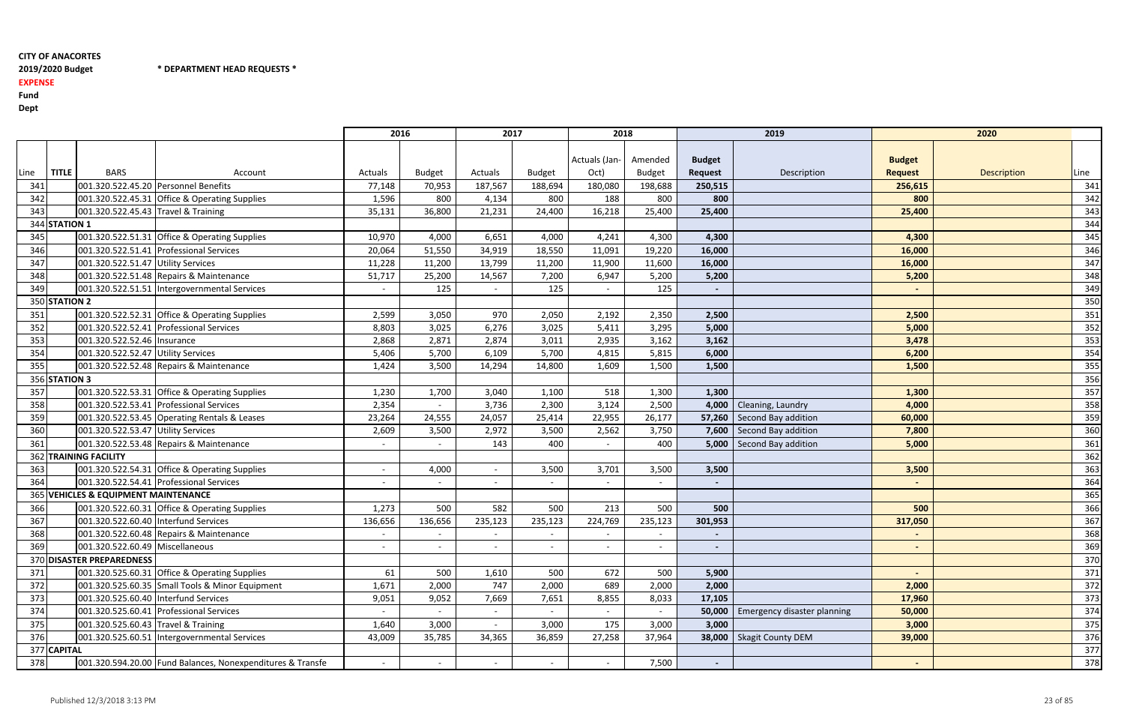2019/2020 Budget \* DEPARTMENT HEAD REQUESTS \*

# 2019/2020 Budget

EXPENSE

Fund

Dept

|      |               |                                        |                                                            | 2016    |               | 2017    |               | 2018          |               |                | 2019                               |                | 2020        |      |
|------|---------------|----------------------------------------|------------------------------------------------------------|---------|---------------|---------|---------------|---------------|---------------|----------------|------------------------------------|----------------|-------------|------|
|      |               |                                        |                                                            |         |               |         |               |               |               |                |                                    |                |             |      |
|      |               |                                        |                                                            |         |               |         |               | Actuals (Jan- | Amended       | <b>Budget</b>  |                                    | <b>Budget</b>  |             |      |
| .ine | <b>TITLE</b>  | <b>BARS</b>                            | Account                                                    | Actuals | <b>Budget</b> | Actuals | <b>Budget</b> | Oct)          | <b>Budget</b> | <b>Request</b> | Description                        | <b>Request</b> | Description | Line |
| 341  |               | 001.320.522.45.20 Personnel Benefits   |                                                            | 77,148  | 70,953        | 187,567 | 188,694       | 180,080       | 198,688       | 250,515        |                                    | 256,615        |             | 341  |
| 342  |               |                                        | 001.320.522.45.31 Office & Operating Supplies              | 1,596   | 800           | 4,134   | 800           | 188           | 800           | 800            |                                    | 800            |             | 342  |
| 343  |               | 001.320.522.45.43 Travel & Training    |                                                            | 35,131  | 36,800        | 21,231  | 24,400        | 16,218        | 25,400        | 25,400         |                                    | 25,400         |             | 343  |
|      | 344 STATION 1 |                                        |                                                            |         |               |         |               |               |               |                |                                    |                |             | 344  |
| 345  |               |                                        | 001.320.522.51.31 Office & Operating Supplies              | 10,970  | 4,000         | 6,651   | 4,000         | 4,241         | 4,300         | 4,300          |                                    | 4,300          |             | 345  |
| 346  |               |                                        | 001.320.522.51.41 Professional Services                    | 20,064  | 51,550        | 34,919  | 18,550        | 11,091        | 19,220        | 16,000         |                                    | 16,000         |             | 346  |
| 347  |               | 001.320.522.51.47 Utility Services     |                                                            | 11,228  | 11,200        | 13,799  | 11,200        | 11,900        | 11,600        | 16,000         |                                    | 16,000         |             | 347  |
| 348  |               |                                        | 001.320.522.51.48 Repairs & Maintenance                    | 51,717  | 25,200        | 14,567  | 7,200         | 6,947         | 5,200         | 5,200          |                                    | 5,200          |             | 348  |
| 349  |               |                                        | 001.320.522.51.51   Intergovernmental Services             | $\sim$  | 125           |         | 125           |               | 125           | $\sim$         |                                    |                |             | 349  |
|      | 350 STATION 2 |                                        |                                                            |         |               |         |               |               |               |                |                                    |                |             | 350  |
| 351  |               |                                        | 001.320.522.52.31 Office & Operating Supplies              | 2,599   | 3,050         | 970     | 2,050         | 2,192         | 2,350         | 2,500          |                                    | 2,500          |             | 351  |
| 352  |               |                                        | 001.320.522.52.41 Professional Services                    | 8,803   | 3,025         | 6,276   | 3,025         | 5,411         | 3,295         | 5,000          |                                    | 5,000          |             | 352  |
| 353  |               | 001.320.522.52.46   Insurance          |                                                            | 2,868   | 2,871         | 2,874   | 3,011         | 2,935         | 3,162         | 3,162          |                                    | 3,478          |             | 353  |
| 354  |               | 001.320.522.52.47 Utility Services     |                                                            | 5,406   | 5,700         | 6,109   | 5,700         | 4,815         | 5,815         | 6,000          |                                    | 6,200          |             | 354  |
| 355  |               |                                        | 001.320.522.52.48 Repairs & Maintenance                    | 1,424   | 3,500         | 14,294  | 14,800        | 1,609         | 1,500         | 1,500          |                                    | 1,500          |             | 355  |
|      | 356 STATION 3 |                                        |                                                            |         |               |         |               |               |               |                |                                    |                |             | 356  |
| 357  |               |                                        | 001.320.522.53.31 Office & Operating Supplies              | 1,230   | 1,700         | 3,040   | 1,100         | 518           | 1,300         | 1,300          |                                    | 1,300          |             | 357  |
| 358  |               |                                        | 001.320.522.53.41 Professional Services                    | 2,354   |               | 3,736   | 2,300         | 3,124         | 2,500         | 4,000          | Cleaning, Laundry                  | 4,000          |             | 358  |
| 359  |               |                                        | 001.320.522.53.45 Operating Rentals & Leases               | 23,264  | 24,555        | 24,057  | 25,414        | 22,955        | 26,177        |                | 57,260   Second Bay addition       | 60,000         |             | 359  |
| 360  |               | 001.320.522.53.47 Utility Services     |                                                            | 2,609   | 3,500         | 2,972   | 3,500         | 2,562         | 3,750         |                | 7,600 Second Bay addition          | 7,800          |             | 360  |
| 361  |               |                                        | 001.320.522.53.48 Repairs & Maintenance                    | $\sim$  |               | 143     | 400           |               | 400           |                | 5,000   Second Bay addition        | 5,000          |             | 361  |
|      |               | 362 TRAINING FACILITY                  |                                                            |         |               |         |               |               |               |                |                                    |                |             | 362  |
| 363  |               |                                        | 001.320.522.54.31 Office & Operating Supplies              | $\sim$  | 4,000         |         | 3,500         | 3,701         | 3,500         | 3,500          |                                    | 3,500          |             | 363  |
| 364  |               |                                        | 001.320.522.54.41 Professional Services                    |         |               |         |               |               | $\sim$        | $\blacksquare$ |                                    |                |             | 364  |
|      |               | 365 VEHICLES & EQUIPMENT MAINTENANCE   |                                                            |         |               |         |               |               |               |                |                                    |                |             | 365  |
| 366  |               |                                        | 001.320.522.60.31 Office & Operating Supplies              | 1,273   | 500           | 582     | 500           | 213           | 500           | 500            |                                    | 500            |             | 366  |
| 367  |               | 001.320.522.60.40 Interfund Services   |                                                            | 136,656 | 136,656       | 235,123 | 235,123       | 224,769       | 235,123       | 301,953        |                                    | 317,050        |             | 367  |
| 368  |               |                                        | 001.320.522.60.48 Repairs & Maintenance                    |         | $\sim$        | $\sim$  | $\sim$        |               | $\sim$        |                |                                    |                |             | 368  |
| 369  |               | 001.320.522.60.49 Miscellaneous        |                                                            | $\sim$  |               |         |               |               | $\sim$        | $\sim$         |                                    | $\sim$         |             | 369  |
|      |               | 370 DISASTER PREPAREDNESS              |                                                            |         |               |         |               |               |               |                |                                    |                |             | 370  |
| 371  |               |                                        | 001.320.525.60.31 Office & Operating Supplies              | 61      | 500           | 1,610   | 500           | 672           | 500           | 5,900          |                                    |                |             | 371  |
| 372  |               |                                        | 001.320.525.60.35 Small Tools & Minor Equipment            | 1,671   | 2,000         | 747     | 2,000         | 689           | 2,000         | 2,000          |                                    | 2,000          |             | 372  |
| 373  |               | 001.320.525.60.40   Interfund Services |                                                            | 9,051   | 9,052         | 7,669   | 7,651         | 8,855         | 8,033         | 17,105         |                                    | 17,960         |             | 373  |
| 374  |               |                                        | 001.320.525.60.41 Professional Services                    |         |               |         |               |               |               | 50,000         | <b>Emergency disaster planning</b> | 50,000         |             | 374  |
| 375  |               | 001.320.525.60.43 Travel & Training    |                                                            | 1,640   | 3,000         |         | 3,000         | 175           | 3,000         | 3,000          |                                    | 3,000          |             | 375  |
| 376  |               |                                        | 001.320.525.60.51 Intergovernmental Services               | 43,009  | 35,785        | 34,365  | 36,859        | 27,258        | 37,964        | 38,000         | Skagit County DEM                  | 39,000         |             | 376  |
|      | 377 CAPITAL   |                                        |                                                            |         |               |         |               |               |               |                |                                    |                |             | 377  |
| 378  |               |                                        | 001.320.594.20.00 Fund Balances, Nonexpenditures & Transfe |         |               |         |               | $\sim$        | 7,500         | $\sim$         |                                    | $\sim$         |             | 378  |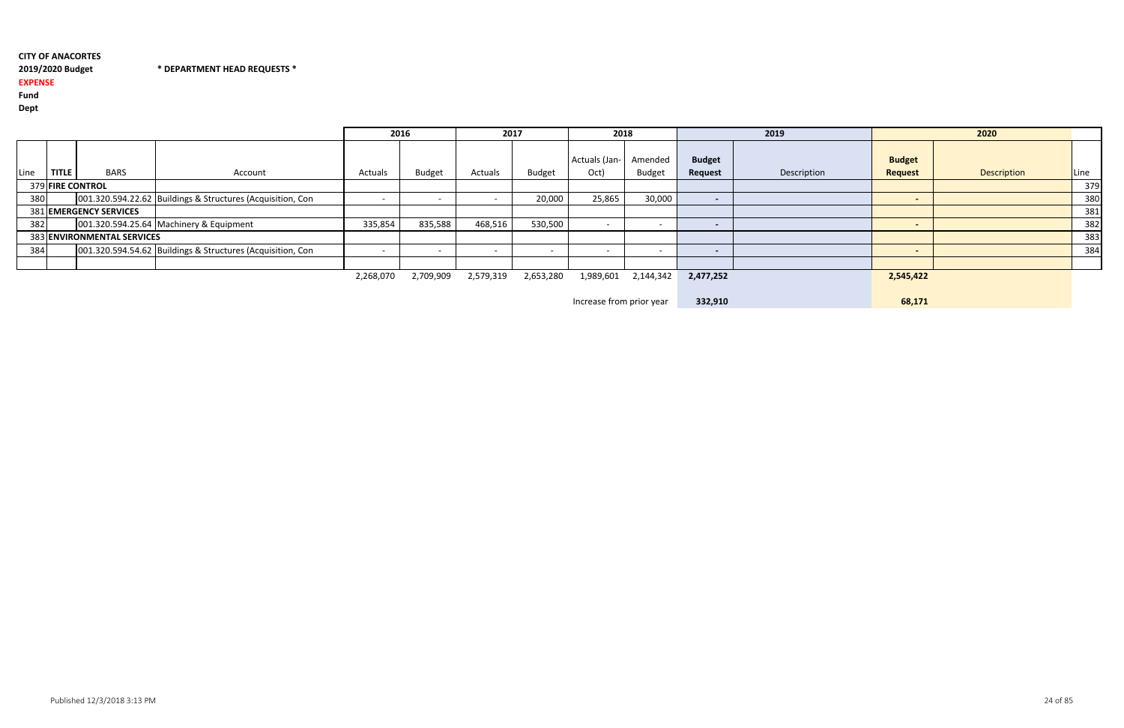2019/2020 Budget \* DEPARTMENT HEAD REQUESTS \*

2019/2020 Budget

# EXPENSE

Fund

Dept

|      |              |                               |                                                            | 2016      |               | 2017      |               | 2018                  |                          |                          | 2019        |                                 | 2020        |      |
|------|--------------|-------------------------------|------------------------------------------------------------|-----------|---------------|-----------|---------------|-----------------------|--------------------------|--------------------------|-------------|---------------------------------|-------------|------|
| Line | <b>TITLE</b> | <b>BARS</b>                   | Account                                                    | Actuals   | <b>Budget</b> | Actuals   | <b>Budget</b> | Actuals (Jan-<br>Oct) | Amended<br><b>Budget</b> | <b>Budget</b><br>Request | Description | <b>Budget</b><br><b>Request</b> | Description | Line |
|      |              | 379 FIRE CONTROL              |                                                            |           |               |           |               |                       |                          |                          |             |                                 |             | 379  |
| 380  |              |                               | 001.320.594.22.62 Buildings & Structures (Acquisition, Con |           |               |           | 20,000        | 25,865                | 30,000                   | $\overline{\phantom{0}}$ |             |                                 |             | 380  |
|      |              | <b>381 EMERGENCY SERVICES</b> |                                                            |           |               |           |               |                       |                          |                          |             |                                 |             | 381  |
| 382  |              |                               | 001.320.594.25.64 Machinery & Equipment                    | 335,854   | 835,588       | 468,516   | 530,500       |                       |                          |                          |             |                                 |             | 382  |
|      |              | 383 ENVIRONMENTAL SERVICES    |                                                            |           |               |           |               |                       |                          |                          |             |                                 |             | 383  |
| 384  |              |                               | 001.320.594.54.62 Buildings & Structures (Acquisition, Con |           |               |           |               |                       |                          | $\overline{\phantom{0}}$ |             |                                 |             | 384  |
|      |              |                               |                                                            |           |               |           |               |                       |                          |                          |             |                                 |             |      |
|      |              |                               |                                                            | 2,268,070 | 2,709,909     | 2,579,319 | 2,653,280     | 1,989,601             | 2,144,342                | 2,477,252                |             | 2,545,422                       |             |      |

Increase from prior year332,910 68,171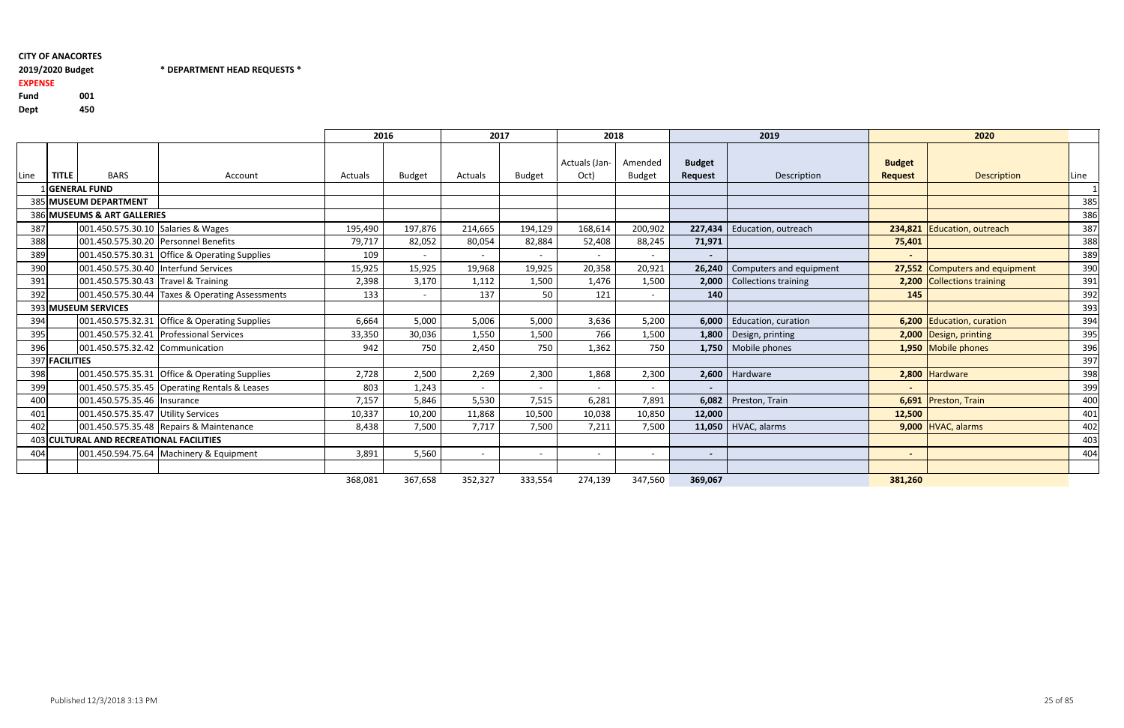# 2019/2020 Budget EXPENSE

Fund <sup>001</sup>450 Dept

#### 2019/2020 Budget \* DEPARTMENT HEAD REQUESTS \*

|      |                |                                          |                                                 | 2016    |                          | 2017                     |               | 2018           |                          |                | 2019                             |                | 2020                           |      |
|------|----------------|------------------------------------------|-------------------------------------------------|---------|--------------------------|--------------------------|---------------|----------------|--------------------------|----------------|----------------------------------|----------------|--------------------------------|------|
|      |                |                                          |                                                 |         |                          |                          |               | Actuals (Jan-  | Amended                  | <b>Budget</b>  |                                  | <b>Budget</b>  |                                |      |
| Line | <b>TITLE</b>   | <b>BARS</b>                              | Account                                         | Actuals | <b>Budget</b>            | Actuals                  | <b>Budget</b> | Oct)           | <b>Budget</b>            | <b>Request</b> | Description                      | <b>Request</b> | <b>Description</b>             | Line |
|      |                | <b>GENERAL FUND</b>                      |                                                 |         |                          |                          |               |                |                          |                |                                  |                |                                |      |
|      |                | 385 MUSEUM DEPARTMENT                    |                                                 |         |                          |                          |               |                |                          |                |                                  |                |                                | 385  |
|      |                | 386 MUSEUMS & ART GALLERIES              |                                                 |         |                          |                          |               |                |                          |                |                                  |                |                                | 386  |
| 387  |                | 001.450.575.30.10 Salaries & Wages       |                                                 | 195,490 | 197,876                  | 214,665                  | 194,129       | 168,614        | 200,902                  | 227,434        | Education, outreach              |                | 234,821 Education, outreach    | 387  |
| 388  |                |                                          | 001.450.575.30.20 Personnel Benefits            | 79,717  | 82,052                   | 80,054                   | 82,884        | 52,408         | 88,245                   | 71,971         |                                  | 75,401         |                                | 388  |
| 389  |                |                                          | 001.450.575.30.31 Office & Operating Supplies   | 109     | $\overline{\phantom{a}}$ | $\overline{\phantom{a}}$ | $\sim$        | $\blacksquare$ |                          | $\sim$         |                                  |                |                                | 389  |
| 390  |                | 001.450.575.30.40 Interfund Services     |                                                 | 15,925  | 15,925                   | 19,968                   | 19,925        | 20,358         | 20,921                   |                | 26,240   Computers and equipment |                | 27,552 Computers and equipment | 390  |
| 391  |                | 001.450.575.30.43 Travel & Training      |                                                 | 2,398   | 3,170                    | 1,112                    | 1,500         | 1,476          | 1,500                    | 2,000          | <b>Collections training</b>      |                | 2,200 Collections training     | 391  |
| 392  |                |                                          | 001.450.575.30.44 Taxes & Operating Assessments | 133     | $\overline{\phantom{a}}$ | 137                      | 50            | 121            | $\overline{\phantom{a}}$ | 140            |                                  | 145            |                                | 392  |
|      |                | 393 MUSEUM SERVICES                      |                                                 |         |                          |                          |               |                |                          |                |                                  |                |                                | 393  |
| 394  |                |                                          | 001.450.575.32.31 Office & Operating Supplies   | 6,664   | 5,000                    | 5,006                    | 5,000         | 3,636          | 5,200                    |                | 6,000   Education, curation      |                | 6,200 Education, curation      | 394  |
| 395  |                |                                          | 001.450.575.32.41 Professional Services         | 33,350  | 30,036                   | 1,550                    | 1,500         | 766            | 1,500                    | 1,800          | Design, printing                 |                | 2,000 Design, printing         | 395  |
| 396  |                | 001.450.575.32.42 Communication          |                                                 | 942     | 750                      | 2,450                    | 750           | 1,362          | 750                      |                | 1,750   Mobile phones            |                | 1,950 Mobile phones            | 396  |
|      | 397 FACILITIES |                                          |                                                 |         |                          |                          |               |                |                          |                |                                  |                |                                | 397  |
| 398  |                |                                          | 001.450.575.35.31 Office & Operating Supplies   | 2,728   | 2,500                    | 2,269                    | 2,300         | 1,868          | 2,300                    |                | 2,600 Hardware                   |                | 2,800 Hardware                 | 398  |
| 399  |                |                                          | 001.450.575.35.45 Operating Rentals & Leases    | 803     | 1,243                    | $\sim$                   | $\sim$        | $\sim$         | $\overline{\phantom{a}}$ | $\blacksquare$ |                                  |                |                                | 399  |
| 400  |                | 001.450.575.35.46 Insurance              |                                                 | 7,157   | 5,846                    | 5,530                    | 7,515         | 6,281          | 7,891                    | 6,082          | Preston, Train                   |                | 6,691 Preston, Train           | 400  |
| 401  |                | 001.450.575.35.47 Utility Services       |                                                 | 10,337  | 10,200                   | 11,868                   | 10,500        | 10,038         | 10,850                   | 12,000         |                                  | 12,500         |                                | 401  |
| 402  |                |                                          | 001.450.575.35.48 Repairs & Maintenance         | 8,438   | 7,500                    | 7,717                    | 7,500         | 7,211          | 7,500                    | 11,050         | HVAC, alarms                     |                | $9,000$ HVAC, alarms           | 402  |
|      |                | 403 CULTURAL AND RECREATIONAL FACILITIES |                                                 |         |                          |                          |               |                |                          |                |                                  |                |                                | 403  |
| 404  |                |                                          | 001.450.594.75.64 Machinery & Equipment         | 3,891   | 5,560                    | $\sim$                   | $\sim$        | $\sim$         | $\overline{\phantom{a}}$ | $\sim$         |                                  |                |                                | 404  |
|      |                |                                          |                                                 |         |                          |                          |               |                |                          |                |                                  |                |                                |      |
|      |                |                                          |                                                 | 368,081 | 367,658                  | 352,327                  | 333,554       | 274,139        | 347,560                  | 369,067        |                                  | 381,260        |                                |      |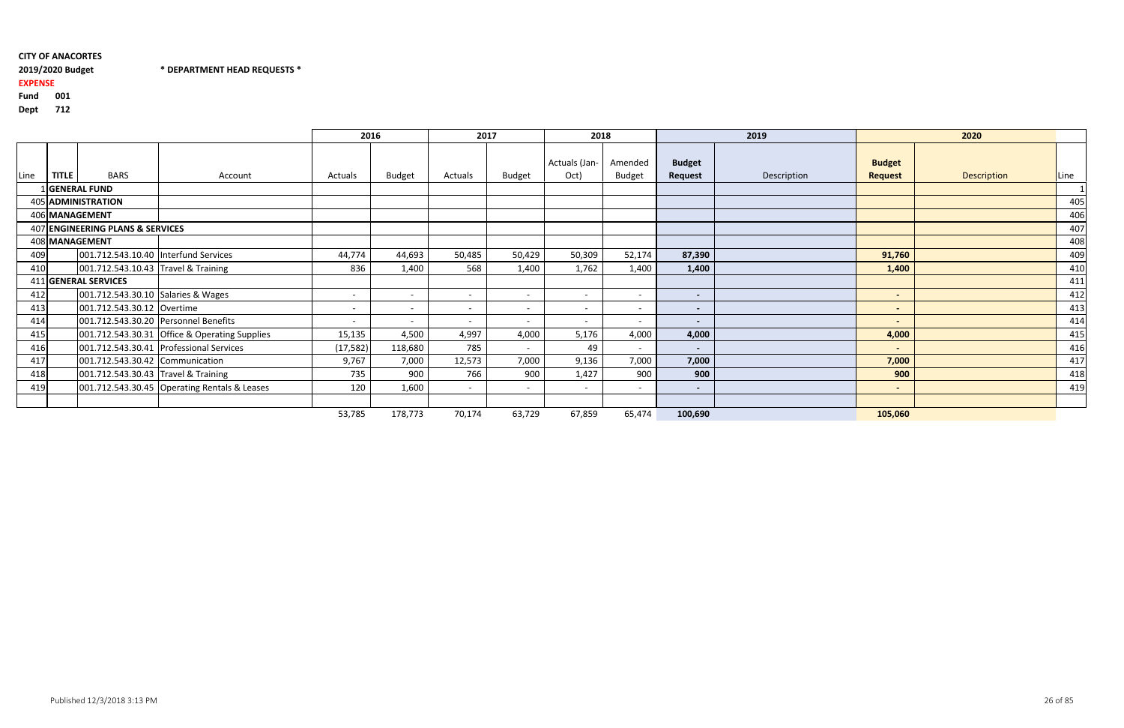# 2019/2020 Budget

2019/2020 Budget \* DEPARTMENT HEAD REQUESTS \*

EXPENSE

# Fund <sup>001</sup>

Dept <sup>712</sup>

|      |              |                                     |                                               | 2016                     |               | 2017                     |                          | 2018                     |                          |                          | 2019        |                                 | 2020        |      |
|------|--------------|-------------------------------------|-----------------------------------------------|--------------------------|---------------|--------------------------|--------------------------|--------------------------|--------------------------|--------------------------|-------------|---------------------------------|-------------|------|
| Line | <b>TITLE</b> | <b>BARS</b>                         | Account                                       | Actuals                  | <b>Budget</b> | Actuals                  | <b>Budget</b>            | Actuals (Jan-<br>Oct)    | Amended<br><b>Budget</b> | <b>Budget</b><br>Request | Description | <b>Budget</b><br><b>Request</b> | Description | Line |
|      |              | 1 GENERAL FUND                      |                                               |                          |               |                          |                          |                          |                          |                          |             |                                 |             |      |
|      |              | 405 ADMINISTRATION                  |                                               |                          |               |                          |                          |                          |                          |                          |             |                                 |             | 405  |
|      |              | 406 MANAGEMENT                      |                                               |                          |               |                          |                          |                          |                          |                          |             |                                 |             | 406  |
|      |              | 407 ENGINEERING PLANS & SERVICES    |                                               |                          |               |                          |                          |                          |                          |                          |             |                                 |             | 407  |
|      |              | 408 MANAGEMENT                      |                                               |                          |               |                          |                          |                          |                          |                          |             |                                 |             | 408  |
| 409  |              |                                     | 001.712.543.10.40   Interfund Services        | 44,774                   | 44,693        | 50,485                   | 50,429                   | 50,309                   | 52,174                   | 87,390                   |             | 91,760                          |             | 409  |
| 410  |              | 001.712.543.10.43 Travel & Training |                                               | 836                      | 1,400         | 568                      | 1,400                    | 1,762                    | 1,400                    | 1,400                    |             | 1,400                           |             | 410  |
|      |              | 411 GENERAL SERVICES                |                                               |                          |               |                          |                          |                          |                          |                          |             |                                 |             | 411  |
| 412  |              | 001.712.543.30.10 Salaries & Wages  |                                               | $\overline{\phantom{0}}$ |               | $\overline{\phantom{0}}$ | $\overline{\phantom{0}}$ | $\overline{\phantom{0}}$ | $-$                      | $\overline{\phantom{a}}$ |             | $\overline{\phantom{a}}$        |             | 412  |
| 413  |              | 001.712.543.30.12 Overtime          |                                               | $\overline{\phantom{0}}$ |               | $\overline{\phantom{a}}$ | $\overline{\phantom{a}}$ | $\overline{\phantom{0}}$ | $\overline{a}$           | $\overline{\phantom{a}}$ |             | $\sim$                          |             | 413  |
| 414  |              |                                     | 001.712.543.30.20 Personnel Benefits          | $-$                      |               | $\overline{\phantom{0}}$ | $\overline{\phantom{0}}$ | $\overline{\phantom{0}}$ | $-$                      | $\overline{\phantom{0}}$ |             |                                 |             | 414  |
| 415  |              |                                     | 001.712.543.30.31 Office & Operating Supplies | 15,135                   | 4,500         | 4,997                    | 4,000                    | 5,176                    | 4,000                    | 4,000                    |             | 4,000                           |             | 415  |
| 416  |              |                                     | 001.712.543.30.41 Professional Services       | (17, 582)                | 118,680       | 785                      | $\sim$                   | 49                       | $\overline{\phantom{0}}$ | $\sim$                   |             | $\overline{\phantom{a}}$        |             | 416  |
| 417  |              | 001.712.543.30.42 Communication     |                                               | 9,767                    | 7,000         | 12,573                   | 7,000                    | 9,136                    | 7,000                    | 7,000                    |             | 7,000                           |             | 417  |
| 418  |              | 001.712.543.30.43 Travel & Training |                                               | 735                      | 900           | 766                      | 900                      | 1,427                    | 900                      | 900                      |             | 900                             |             | 418  |
| 419  |              |                                     | 001.712.543.30.45 Operating Rentals & Leases  | 120                      | 1,600         | $\overline{\phantom{a}}$ | $\overline{a}$           | $\sim$                   | $\overline{a}$           | $\overline{\phantom{0}}$ |             | $\sim$                          |             | 419  |
|      |              |                                     |                                               |                          |               |                          |                          |                          |                          |                          |             |                                 |             |      |
|      |              |                                     |                                               | 53,785                   | 178,773       | 70,174                   | 63,729                   | 67,859                   | 65,474                   | 100,690                  |             | 105,060                         |             |      |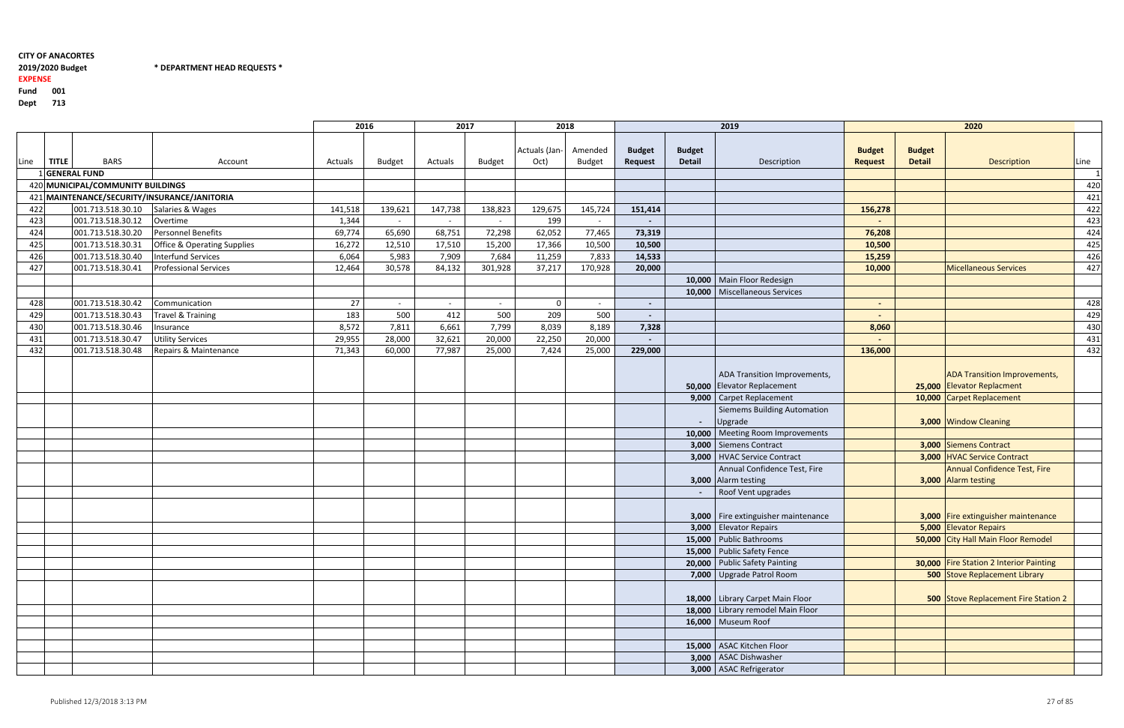$*$  DEPARTMENT HEAD REQUESTS  $*$ 

#### 2019/2020 Budget

#### EXPENSE

Fund <sup>001</sup>

Dept <sup>713</sup>

|      |           |                                   |                                              |         | 2016    | 2017           |               | 2018                  |                          |                          |                                | 2019                                                                                      |                                 |                                | 2020                                                                                           |             |
|------|-----------|-----------------------------------|----------------------------------------------|---------|---------|----------------|---------------|-----------------------|--------------------------|--------------------------|--------------------------------|-------------------------------------------------------------------------------------------|---------------------------------|--------------------------------|------------------------------------------------------------------------------------------------|-------------|
| Line | $ $ TITLE | <b>BARS</b>                       | Account                                      | Actuals | Budget  | Actuals        | <b>Budget</b> | Actuals (Jan-<br>Oct) | Amended<br><b>Budget</b> | <b>Budget</b><br>Request | <b>Budget</b><br><b>Detail</b> | Description                                                                               | <b>Budget</b><br><b>Request</b> | <b>Budget</b><br><b>Detail</b> | Description                                                                                    | <b>Line</b> |
|      |           | I GENERAL FUND                    |                                              |         |         |                |               |                       |                          |                          |                                |                                                                                           |                                 |                                |                                                                                                |             |
|      |           | 420 MUNICIPAL/COMMUNITY BUILDINGS |                                              |         |         |                |               |                       |                          |                          |                                |                                                                                           |                                 |                                |                                                                                                | 420         |
|      |           |                                   | 421 MAINTENANCE/SECURITY/INSURANCE/JANITORIA |         |         |                |               |                       |                          |                          |                                |                                                                                           |                                 |                                |                                                                                                | 421         |
| 422  |           | 001.713.518.30.10                 | Salaries & Wages                             | 141,518 | 139,621 | 147,738        | 138,823       | 129,675               | 145,724                  | 151,414                  |                                |                                                                                           | 156,278                         |                                |                                                                                                | 422         |
| 423  |           | 001.713.518.30.12                 | Overtime                                     | 1,344   | $\sim$  | $\overline{a}$ | $\sim$        | 199                   | $\sim$                   |                          |                                |                                                                                           |                                 |                                |                                                                                                | 423         |
| 424  |           | 001.713.518.30.20                 | Personnel Benefits                           | 69,774  | 65,690  | 68,751         | 72,298        | 62,052                | 77,465                   | 73,319                   |                                |                                                                                           | 76,208                          |                                |                                                                                                | 424         |
| 425  |           | 001.713.518.30.31                 | <b>Office &amp; Operating Supplies</b>       | 16,272  | 12,510  | 17,510         | 15,200        | 17,366                | 10,500                   | 10,500                   |                                |                                                                                           | 10,500                          |                                |                                                                                                | 425         |
| 426  |           | 001.713.518.30.40                 | <b>Interfund Services</b>                    | 6,064   | 5,983   | 7,909          | 7,684         | 11,259                | 7,833                    | 14,533                   |                                |                                                                                           | 15,259                          |                                |                                                                                                | 426         |
| 427  |           | 001.713.518.30.41                 | <b>Professional Services</b>                 | 12,464  | 30,578  | 84,132         | 301,928       | 37,217                | 170,928                  | 20,000                   |                                |                                                                                           | 10,000                          |                                | <b>Micellaneous Services</b>                                                                   | 427         |
|      |           |                                   |                                              |         |         |                |               |                       |                          |                          |                                | 10,000   Main Floor Redesign                                                              |                                 |                                |                                                                                                |             |
|      |           |                                   |                                              |         |         |                |               |                       |                          |                          |                                | 10,000   Miscellaneous Services                                                           |                                 |                                |                                                                                                |             |
| 428  |           | 001.713.518.30.42                 | Communication                                | 27      | $\sim$  | $\sim$         | $\sim$        | $\Omega$              | $\sim$                   |                          |                                |                                                                                           | $\blacksquare$                  |                                |                                                                                                | 428         |
| 429  |           | 001.713.518.30.43                 | <b>Travel &amp; Training</b>                 | 183     | 500     | 412            | 500           | 209                   | 500                      |                          |                                |                                                                                           |                                 |                                |                                                                                                | 429         |
| 430  |           | 001.713.518.30.46                 | Insurance                                    | 8,572   | 7,811   | 6,661          | 7,799         | 8,039                 | 8,189                    | 7,328                    |                                |                                                                                           | 8,060                           |                                |                                                                                                | 430         |
| 431  |           | 001.713.518.30.47                 | <b>Utility Services</b>                      | 29,955  | 28,000  | 32,621         | 20,000        | 22,250                | 20,000                   |                          |                                |                                                                                           |                                 |                                |                                                                                                | 431         |
| 432  |           | 001.713.518.30.48                 | Repairs & Maintenance                        | 71,343  | 60,000  | 77,987         | 25,000        | 7,424                 | 25,000                   | 229,000                  |                                |                                                                                           | 136,000                         |                                |                                                                                                | 432         |
|      |           |                                   |                                              |         |         |                |               |                       |                          |                          |                                | ADA Transition Improvements,<br>50,000 Elevator Replacement<br>9,000   Carpet Replacement |                                 |                                | <b>ADA Transition Improvements,</b><br>25,000 Elevator Replacment<br>10,000 Carpet Replacement |             |
|      |           |                                   |                                              |         |         |                |               |                       |                          |                          | $\sim$ $-$                     | <b>Siemems Building Automation</b><br>Upgrade                                             |                                 |                                | 3,000 Window Cleaning                                                                          |             |
|      |           |                                   |                                              |         |         |                |               |                       |                          |                          | 10,000                         | Meeting Room Improvements                                                                 |                                 |                                |                                                                                                |             |
|      |           |                                   |                                              |         |         |                |               |                       |                          |                          |                                | 3,000 Siemens Contract                                                                    |                                 |                                | 3,000 Siemens Contract                                                                         |             |
|      |           |                                   |                                              |         |         |                |               |                       |                          |                          |                                | 3,000   HVAC Service Contract                                                             |                                 |                                | 3,000 HVAC Service Contract                                                                    |             |
|      |           |                                   |                                              |         |         |                |               |                       |                          |                          |                                | Annual Confidence Test, Fire<br>3,000 Alarm testing                                       |                                 |                                | <b>Annual Confidence Test, Fire</b><br>3,000 Alarm testing                                     |             |
|      |           |                                   |                                              |         |         |                |               |                       |                          |                          |                                | Roof Vent upgrades                                                                        |                                 |                                |                                                                                                |             |
|      |           |                                   |                                              |         |         |                |               |                       |                          |                          |                                | 3,000 Fire extinguisher maintenance                                                       |                                 |                                | 3,000 Fire extinguisher maintenance                                                            |             |
|      |           |                                   |                                              |         |         |                |               |                       |                          |                          |                                | 3,000 Elevator Repairs                                                                    |                                 |                                | 5,000 Elevator Repairs                                                                         |             |
|      |           |                                   |                                              |         |         |                |               |                       |                          |                          |                                | 15,000 Public Bathrooms                                                                   |                                 |                                | 50,000 City Hall Main Floor Remodel                                                            |             |
|      |           |                                   |                                              |         |         |                |               |                       |                          |                          |                                | 15,000 Public Safety Fence                                                                |                                 |                                |                                                                                                |             |
|      |           |                                   |                                              |         |         |                |               |                       |                          |                          |                                | 20,000 Public Safety Painting                                                             |                                 |                                | 30,000 Fire Station 2 Interior Painting                                                        |             |
|      |           |                                   |                                              |         |         |                |               |                       |                          |                          |                                | 7,000 Upgrade Patrol Room                                                                 |                                 |                                | <b>500 Stove Replacement Library</b>                                                           |             |
|      |           |                                   |                                              |         |         |                |               |                       |                          |                          |                                | 18,000 Library Carpet Main Floor                                                          |                                 |                                | 500 Stove Replacement Fire Station 2                                                           |             |
|      |           |                                   |                                              |         |         |                |               |                       |                          |                          |                                | 18,000 Library remodel Main Floor                                                         |                                 |                                |                                                                                                |             |
|      |           |                                   |                                              |         |         |                |               |                       |                          |                          |                                | 16,000 Museum Roof                                                                        |                                 |                                |                                                                                                |             |
|      |           |                                   |                                              |         |         |                |               |                       |                          |                          |                                |                                                                                           |                                 |                                |                                                                                                |             |
|      |           |                                   |                                              |         |         |                |               |                       |                          |                          |                                | 15,000   ASAC Kitchen Floor                                                               |                                 |                                |                                                                                                |             |
|      |           |                                   |                                              |         |         |                |               |                       |                          |                          |                                | 3,000 ASAC Dishwasher                                                                     |                                 |                                |                                                                                                |             |
|      |           |                                   |                                              |         |         |                |               |                       |                          |                          |                                | 3,000 ASAC Refrigerator                                                                   |                                 |                                |                                                                                                |             |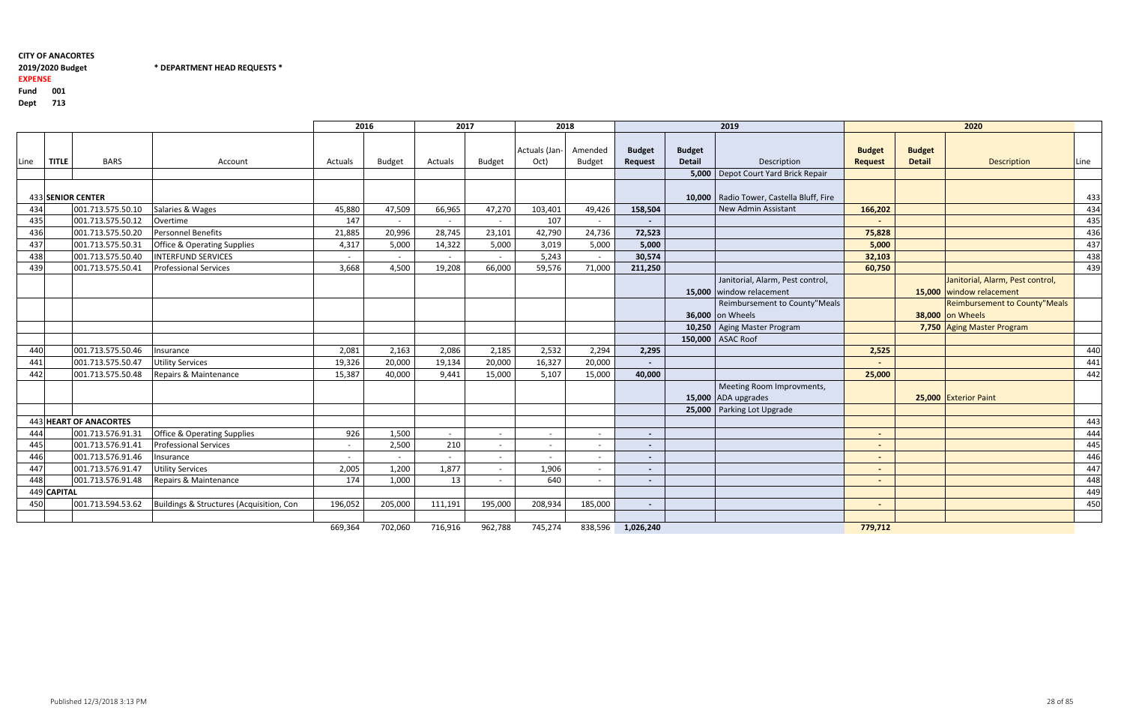$*$  DEPARTMENT HEAD REQUESTS  $*$ 

#### 2019/2020 Budget

#### EXPENSE

Fund <sup>001</sup>

Dept <sup>713</sup>

|      |             |                        |                                          | 2016    |         | 2017    |         | 2018          |                |                          |               | 2019                                       |                          |               | 2020                                 |      |
|------|-------------|------------------------|------------------------------------------|---------|---------|---------|---------|---------------|----------------|--------------------------|---------------|--------------------------------------------|--------------------------|---------------|--------------------------------------|------|
|      |             |                        |                                          |         |         |         |         | Actuals (Jan- | Amended        | <b>Budget</b>            | <b>Budget</b> |                                            | <b>Budget</b>            | <b>Budget</b> |                                      |      |
| Line | TITLE       | <b>BARS</b>            | Account                                  | Actuals | Budget  | Actuals | Budget  | Oct)          | <b>Budget</b>  | <b>Request</b>           | <b>Detail</b> | Description                                | <b>Request</b>           | <b>Detail</b> | Description                          | Line |
|      |             |                        |                                          |         |         |         |         |               |                |                          |               | 5,000   Depot Court Yard Brick Repair      |                          |               |                                      |      |
|      |             | 433 SENIOR CENTER      |                                          |         |         |         |         |               |                |                          |               | 10,000   Radio Tower, Castella Bluff, Fire |                          |               |                                      | 433  |
| 434  |             | 001.713.575.50.10      | Salaries & Wages                         | 45,880  | 47,509  | 66,965  | 47,270  | 103,401       | 49,426         | 158,504                  |               | New Admin Assistant                        | 166,202                  |               |                                      | 434  |
| 435  |             | 001.713.575.50.12      | Overtime                                 | 147     | $\sim$  |         | $\sim$  | 107           | $\sim$         |                          |               |                                            | $\overline{\phantom{a}}$ |               |                                      | 435  |
| 436  |             | 001.713.575.50.20      | Personnel Benefits                       | 21,885  | 20,996  | 28,745  | 23,101  | 42,790        | 24,736         | 72,523                   |               |                                            | 75,828                   |               |                                      | 436  |
| 437  |             | 001.713.575.50.31      | <b>Office &amp; Operating Supplies</b>   | 4,317   | 5,000   | 14,322  | 5,000   | 3,019         | 5,000          | 5,000                    |               |                                            | 5,000                    |               |                                      | 437  |
| 438  |             | 001.713.575.50.40      | <b>INTERFUND SERVICES</b>                | $\sim$  | $\sim$  |         | $\sim$  | 5,243         | $\sim$         | 30,574                   |               |                                            | 32,103                   |               |                                      | 438  |
| 439  |             | 001.713.575.50.41      | <b>Professional Services</b>             | 3,668   | 4,500   | 19,208  | 66,000  | 59,576        | 71,000         | 211,250                  |               |                                            | 60,750                   |               |                                      | 439  |
|      |             |                        |                                          |         |         |         |         |               |                |                          |               | Janitorial, Alarm, Pest control,           |                          |               | Janitorial, Alarm, Pest control,     |      |
|      |             |                        |                                          |         |         |         |         |               |                |                          |               | 15,000 window relacement                   |                          |               | 15,000 window relacement             |      |
|      |             |                        |                                          |         |         |         |         |               |                |                          |               | Reimbursement to County"Meals              |                          |               | <b>Reimbursement to County"Meals</b> |      |
|      |             |                        |                                          |         |         |         |         |               |                |                          |               | 36,000 on Wheels                           |                          |               | 38,000 on Wheels                     |      |
|      |             |                        |                                          |         |         |         |         |               |                |                          |               | 10,250 Aging Master Program                |                          |               | 7,750 Aging Master Program           |      |
|      |             |                        |                                          |         |         |         |         |               |                |                          |               | 150,000 ASAC Roof                          |                          |               |                                      |      |
| 440  |             | 001.713.575.50.46      | Insurance                                | 2,081   | 2,163   | 2,086   | 2,185   | 2,532         | 2,294          | 2,295                    |               |                                            | 2,525                    |               |                                      | 440  |
| 441  |             | 001.713.575.50.47      | <b>Utility Services</b>                  | 19,326  | 20,000  | 19,134  | 20,000  | 16,327        | 20,000         |                          |               |                                            |                          |               |                                      | 441  |
| 442  |             | 001.713.575.50.48      | Repairs & Maintenance                    | 15,387  | 40,000  | 9,441   | 15,000  | 5,107         | 15,000         | 40,000                   |               |                                            | 25,000                   |               |                                      | 442  |
|      |             |                        |                                          |         |         |         |         |               |                |                          |               | Meeting Room Improvments,                  |                          |               |                                      |      |
|      |             |                        |                                          |         |         |         |         |               |                |                          |               | 15,000 ADA upgrades                        |                          |               | 25,000 Exterior Paint                |      |
|      |             |                        |                                          |         |         |         |         |               |                |                          |               | 25,000   Parking Lot Upgrade               |                          |               |                                      |      |
|      |             | 443 HEART OF ANACORTES |                                          |         |         |         |         |               |                |                          |               |                                            |                          |               |                                      | 443  |
| 444  |             | 001.713.576.91.31      | <b>Office &amp; Operating Supplies</b>   | 926     | 1,500   | $\sim$  | $\sim$  |               |                |                          |               |                                            | $\overline{\phantom{a}}$ |               |                                      | 444  |
| 445  |             | 001.713.576.91.41      | <b>Professional Services</b>             | $\sim$  | 2,500   | 210     | $\sim$  |               | $\sim$         |                          |               |                                            | $\blacksquare$           |               |                                      | 445  |
| 446  |             | 001.713.576.91.46      | Insurance                                |         |         |         | $\sim$  |               | $\overline{a}$ |                          |               |                                            | $\blacksquare$           |               |                                      | 446  |
| 447  |             | 001.713.576.91.47      | <b>Utility Services</b>                  | 2,005   | 1,200   | 1,877   | $\sim$  | 1,906         | $\sim$         |                          |               |                                            | $\blacksquare$           |               |                                      | 447  |
| 448  |             | 001.713.576.91.48      | Repairs & Maintenance                    | 174     | 1,000   | 13      |         | 640           |                |                          |               |                                            | $\blacksquare$           |               |                                      | 448  |
|      | 449 CAPITAL |                        |                                          |         |         |         |         |               |                |                          |               |                                            |                          |               |                                      | 449  |
| 450  |             | 001.713.594.53.62      | Buildings & Structures (Acquisition, Con | 196,052 | 205,000 | 111,191 | 195,000 | 208,934       | 185,000        | $\overline{\phantom{0}}$ |               |                                            | $\blacksquare$           |               |                                      | 450  |
|      |             |                        |                                          |         |         |         |         |               |                |                          |               |                                            |                          |               |                                      |      |
|      |             |                        |                                          | 669,364 | 702,060 | 716,916 | 962,788 | 745,274       | 838,596        | 1,026,240                |               |                                            | 779,712                  |               |                                      |      |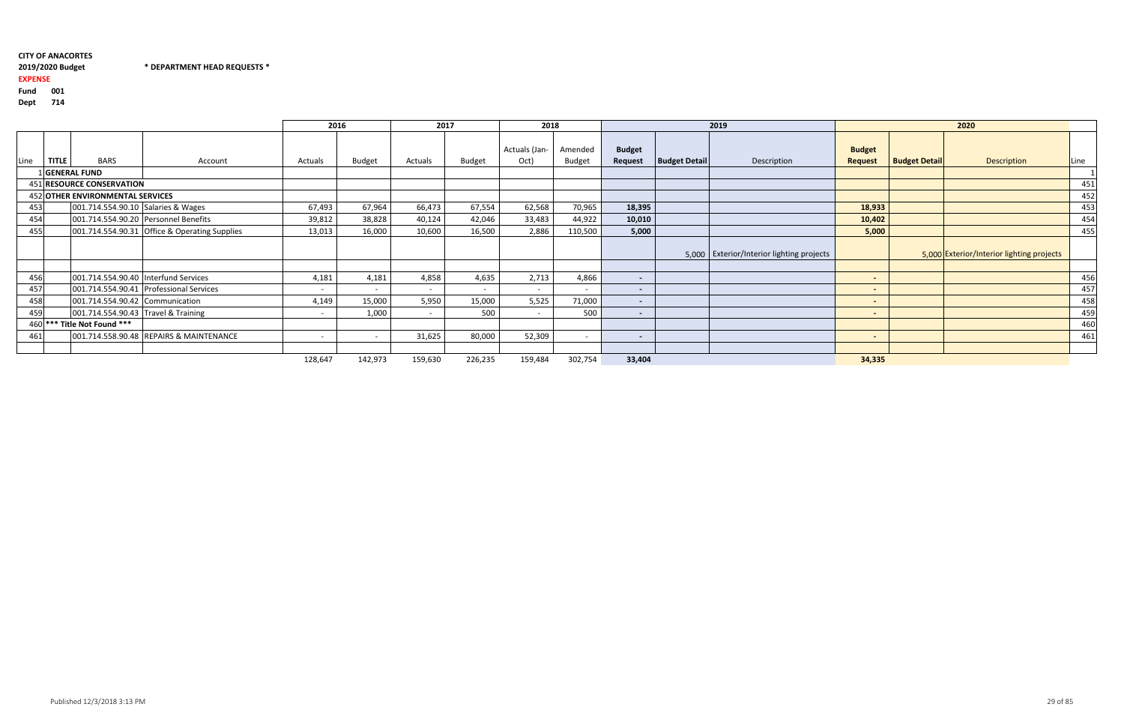2019/2020 Budget \* DEPARTMENT HEAD REQUESTS \*

### 2019/2020 Budget

#### EXPENSE

Fund <sup>001</sup>

Dept <sup>714</sup>

|                                                                                                                                                                                                                                                                                                                                                                    |              |                           |                                               | 2016                     |                          | 2017           |                          | 2018                     |                          |                          |                      | 2019                                      |                                 |                      | 2020                                      |      |
|--------------------------------------------------------------------------------------------------------------------------------------------------------------------------------------------------------------------------------------------------------------------------------------------------------------------------------------------------------------------|--------------|---------------------------|-----------------------------------------------|--------------------------|--------------------------|----------------|--------------------------|--------------------------|--------------------------|--------------------------|----------------------|-------------------------------------------|---------------------------------|----------------------|-------------------------------------------|------|
| Line                                                                                                                                                                                                                                                                                                                                                               | <b>TITLE</b> | <b>BARS</b>               | Account                                       | Actuals                  | <b>Budget</b>            | Actuals        | Budget                   | Actuals (Jan-<br>Oct)    | Amended<br><b>Budget</b> | <b>Budget</b><br>Request | <b>Budget Detail</b> | Description                               | <b>Budget</b><br><b>Request</b> | <b>Budget Detail</b> | <b>Description</b>                        | Line |
|                                                                                                                                                                                                                                                                                                                                                                    |              | <b>GENERAL FUND</b>       |                                               |                          |                          |                |                          |                          |                          |                          |                      |                                           |                                 |                      |                                           |      |
|                                                                                                                                                                                                                                                                                                                                                                    |              | 451 RESOURCE CONSERVATION |                                               |                          |                          |                |                          |                          |                          |                          |                      |                                           |                                 |                      |                                           | 451  |
|                                                                                                                                                                                                                                                                                                                                                                    |              |                           |                                               |                          |                          |                |                          |                          |                          |                          |                      |                                           |                                 |                      |                                           | 452  |
|                                                                                                                                                                                                                                                                                                                                                                    |              |                           |                                               | 67,493                   | 67,964                   | 66,473         | 67,554                   | 62,568                   | 70,965                   | 18,395                   |                      |                                           | 18,933                          |                      |                                           | 453  |
|                                                                                                                                                                                                                                                                                                                                                                    |              |                           |                                               | 39,812                   | 38,828                   | 40,124         | 42,046                   | 33,483                   | 44,922                   | 10,010                   |                      |                                           | 10,402                          |                      |                                           | 454  |
|                                                                                                                                                                                                                                                                                                                                                                    |              |                           | 001.714.554.90.31 Office & Operating Supplies | 13,013                   | 16,000                   | 10,600         | 16,500                   | 2,886                    | 110,500                  | 5,000                    |                      |                                           | 5,000                           |                      |                                           | 455  |
|                                                                                                                                                                                                                                                                                                                                                                    |              |                           |                                               |                          |                          |                |                          |                          |                          |                          |                      | 5,000 Exterior/Interior lighting projects |                                 |                      | 5,000 Exterior/Interior lighting projects |      |
|                                                                                                                                                                                                                                                                                                                                                                    |              |                           |                                               | 4,181                    | 4,181                    | 4,858          | 4,635                    | 2,713                    | 4,866                    | $\sim$                   |                      |                                           | $\blacksquare$                  |                      |                                           | 456  |
|                                                                                                                                                                                                                                                                                                                                                                    |              |                           |                                               | $\overline{\phantom{a}}$ | $\overline{\phantom{a}}$ | $\overline{a}$ | $\overline{\phantom{a}}$ | $\sim$                   | $\overline{\phantom{a}}$ | $\sim$                   |                      |                                           | $\blacksquare$                  |                      |                                           | 457  |
|                                                                                                                                                                                                                                                                                                                                                                    |              |                           |                                               | 4,149                    | 15,000                   | 5,950          | 15,000                   | 5,525                    | 71,000                   | $\sim$                   |                      |                                           | $\blacksquare$                  |                      |                                           | 458  |
|                                                                                                                                                                                                                                                                                                                                                                    |              |                           |                                               | $\overline{\phantom{0}}$ | 1,000                    | $\overline{a}$ | 500                      | $\overline{\phantom{a}}$ | 500                      | $\sim$                   |                      |                                           | $\blacksquare$                  |                      |                                           | 459  |
|                                                                                                                                                                                                                                                                                                                                                                    |              |                           |                                               |                          |                          |                |                          |                          |                          |                          |                      |                                           |                                 |                      |                                           | 460  |
|                                                                                                                                                                                                                                                                                                                                                                    |              |                           | 001.714.558.90.48 REPAIRS & MAINTENANCE       | $\overline{\phantom{0}}$ | $\overline{\phantom{0}}$ | 31,625         | 80,000                   | 52,309                   | $\overline{\phantom{0}}$ | $\sim$                   |                      |                                           | $\blacksquare$                  |                      |                                           | 461  |
|                                                                                                                                                                                                                                                                                                                                                                    |              |                           |                                               |                          |                          |                |                          |                          |                          |                          |                      |                                           |                                 |                      |                                           |      |
| 452 OTHER ENVIRONMENTAL SERVICES<br>001.714.554.90.10 Salaries & Wages<br>453<br>001.714.554.90.20 Personnel Benefits<br>454<br>455<br>456<br>001.714.554.90.40 Interfund Services<br>457<br>001.714.554.90.41 Professional Services<br>458<br>001.714.554.90.42 Communication<br>001.714.554.90.43 Travel & Training<br>459<br>460 *** Title Not Found ***<br>461 |              |                           |                                               | 128,647                  | 142,973                  | 159,630        | 226,235                  | 159,484                  | 302,754                  | 33,404                   |                      |                                           | 34,335                          |                      |                                           |      |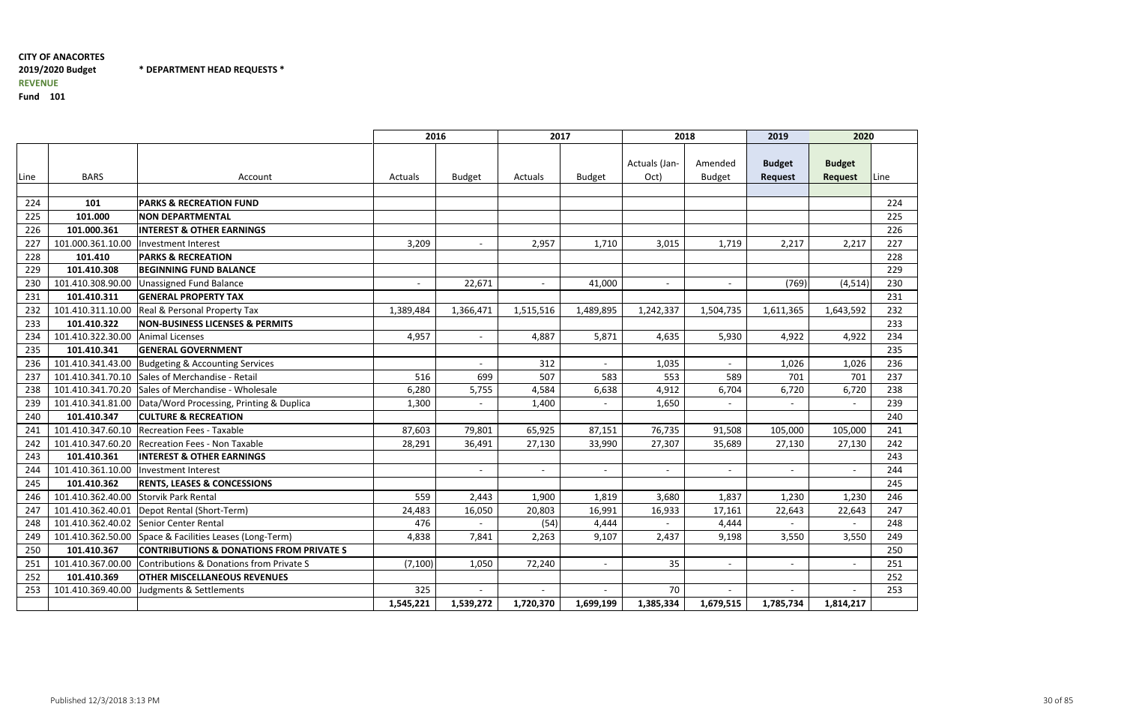\* DEPARTMENT HEAD REQUESTS \*

|      |                                       |                                                              | 2016                     |                          | 2017                     |               | 2018                     |                          | 2019                     | 2020           |      |
|------|---------------------------------------|--------------------------------------------------------------|--------------------------|--------------------------|--------------------------|---------------|--------------------------|--------------------------|--------------------------|----------------|------|
|      |                                       |                                                              |                          |                          |                          |               | Actuals (Jan-            | Amended                  | <b>Budget</b>            | <b>Budget</b>  |      |
| Line | <b>BARS</b>                           | Account                                                      | Actuals                  | <b>Budget</b>            | Actuals                  | <b>Budget</b> | Oct)                     | <b>Budget</b>            | <b>Request</b>           | <b>Request</b> | Line |
| 224  | 101                                   | <b>PARKS &amp; RECREATION FUND</b>                           |                          |                          |                          |               |                          |                          |                          |                | 224  |
| 225  | 101.000                               | <b>NON DEPARTMENTAL</b>                                      |                          |                          |                          |               |                          |                          |                          |                | 225  |
| 226  | 101.000.361                           | <b>INTEREST &amp; OTHER EARNINGS</b>                         |                          |                          |                          |               |                          |                          |                          |                | 226  |
| 227  | 101.000.361.10.00                     | Investment Interest                                          | 3,209                    |                          | 2,957                    | 1,710         | 3,015                    | 1,719                    | 2,217                    | 2,217          | 227  |
| 228  | 101.410                               | <b>PARKS &amp; RECREATION</b>                                |                          |                          |                          |               |                          |                          |                          |                | 228  |
| 229  | 101.410.308                           | <b>BEGINNING FUND BALANCE</b>                                |                          |                          |                          |               |                          |                          |                          |                | 229  |
| 230  | 101.410.308.90.00                     | <b>Unassigned Fund Balance</b>                               | $\overline{\phantom{a}}$ | 22,671                   | $\overline{\phantom{a}}$ | 41,000        | $\overline{\phantom{a}}$ | $\overline{\phantom{a}}$ | (769)                    | (4, 514)       | 230  |
| 231  | 101.410.311                           | <b>GENERAL PROPERTY TAX</b>                                  |                          |                          |                          |               |                          |                          |                          |                | 231  |
| 232  | 101.410.311.10.00                     | <b>Real &amp; Personal Property Tax</b>                      | 1,389,484                | 1,366,471                | 1,515,516                | 1,489,895     | 1,242,337                | 1,504,735                | 1,611,365                | 1,643,592      | 232  |
| 233  | 101.410.322                           | <b>NON-BUSINESS LICENSES &amp; PERMITS</b>                   |                          |                          |                          |               |                          |                          |                          |                | 233  |
| 234  | 101.410.322.30.00                     | Animal Licenses                                              | 4,957                    | $\overline{\phantom{a}}$ | 4,887                    | 5,871         | 4,635                    | 5,930                    | 4,922                    | 4,922          | 234  |
| 235  | 101.410.341                           | <b>GENERAL GOVERNMENT</b>                                    |                          |                          |                          |               |                          |                          |                          |                | 235  |
| 236  |                                       | 101.410.341.43.00 Budgeting & Accounting Services            |                          |                          | 312                      |               | 1,035                    | $\blacksquare$           | 1,026                    | 1,026          | 236  |
| 237  |                                       | 101.410.341.70.10 Sales of Merchandise - Retail              | 516                      | 699                      | 507                      | 583           | 553                      | 589                      | 701                      | 701            | 237  |
| 238  |                                       | 101.410.341.70.20 Sales of Merchandise - Wholesale           | 6,280                    | 5,755                    | 4,584                    | 6,638         | 4,912                    | 6,704                    | 6,720                    | 6,720          | 238  |
| 239  |                                       | 101.410.341.81.00   Data/Word Processing, Printing & Duplica | 1,300                    | $\overline{\phantom{a}}$ | 1,400                    |               | 1,650                    |                          |                          |                | 239  |
| 240  | 101.410.347                           | <b>CULTURE &amp; RECREATION</b>                              |                          |                          |                          |               |                          |                          |                          |                | 240  |
| 241  | 101.410.347.60.10                     | <b>Recreation Fees - Taxable</b>                             | 87,603                   | 79,801                   | 65,925                   | 87,151        | 76,735                   | 91,508                   | 105,000                  | 105,000        | 241  |
| 242  | 101.410.347.60.20                     | Recreation Fees - Non Taxable                                | 28,291                   | 36,491                   | 27,130                   | 33,990        | 27,307                   | 35,689                   | 27,130                   | 27,130         | 242  |
| 243  | 101.410.361                           | <b>INTEREST &amp; OTHER EARNINGS</b>                         |                          |                          |                          |               |                          |                          |                          |                | 243  |
| 244  | 101.410.361.10.00                     | Investment Interest                                          |                          | $\overline{\phantom{a}}$ | $\overline{\phantom{a}}$ |               | $\overline{\phantom{a}}$ | $\overline{\phantom{a}}$ | $\overline{\phantom{a}}$ |                | 244  |
| 245  | 101.410.362                           | <b>RENTS, LEASES &amp; CONCESSIONS</b>                       |                          |                          |                          |               |                          |                          |                          |                | 245  |
| 246  | 101.410.362.40.00 Storvik Park Rental |                                                              | 559                      | 2,443                    | 1,900                    | 1,819         | 3,680                    | 1,837                    | 1,230                    | 1,230          | 246  |
| 247  |                                       | 101.410.362.40.01   Depot Rental (Short-Term)                | 24,483                   | 16,050                   | 20,803                   | 16,991        | 16,933                   | 17,161                   | 22,643                   | 22,643         | 247  |
| 248  |                                       | 101.410.362.40.02 Senior Center Rental                       | 476                      |                          | (54)                     | 4,444         |                          | 4,444                    |                          |                | 248  |
| 249  |                                       | 101.410.362.50.00 Space & Facilities Leases (Long-Term)      | 4,838                    | 7,841                    | 2,263                    | 9.107         | 2,437                    | 9,198                    | 3,550                    | 3,550          | 249  |
| 250  | 101.410.367                           | <b>CONTRIBUTIONS &amp; DONATIONS FROM PRIVATE S</b>          |                          |                          |                          |               |                          |                          |                          |                | 250  |
| 251  | 101.410.367.00.00                     | Contributions & Donations from Private S                     | (7, 100)                 | 1,050                    | 72,240                   |               | 35                       |                          | $\overline{\phantom{a}}$ |                | 251  |
| 252  | 101.410.369                           | <b>OTHER MISCELLANEOUS REVENUES</b>                          |                          |                          |                          |               |                          |                          |                          |                | 252  |
| 253  | 101.410.369.40.00                     | Judgments & Settlements                                      | 325                      |                          |                          |               | 70                       |                          |                          |                | 253  |
|      |                                       |                                                              | 1,545,221                | 1,539,272                | 1,720,370                | 1,699,199     | 1,385,334                | 1,679,515                | 1,785,734                | 1,814,217      |      |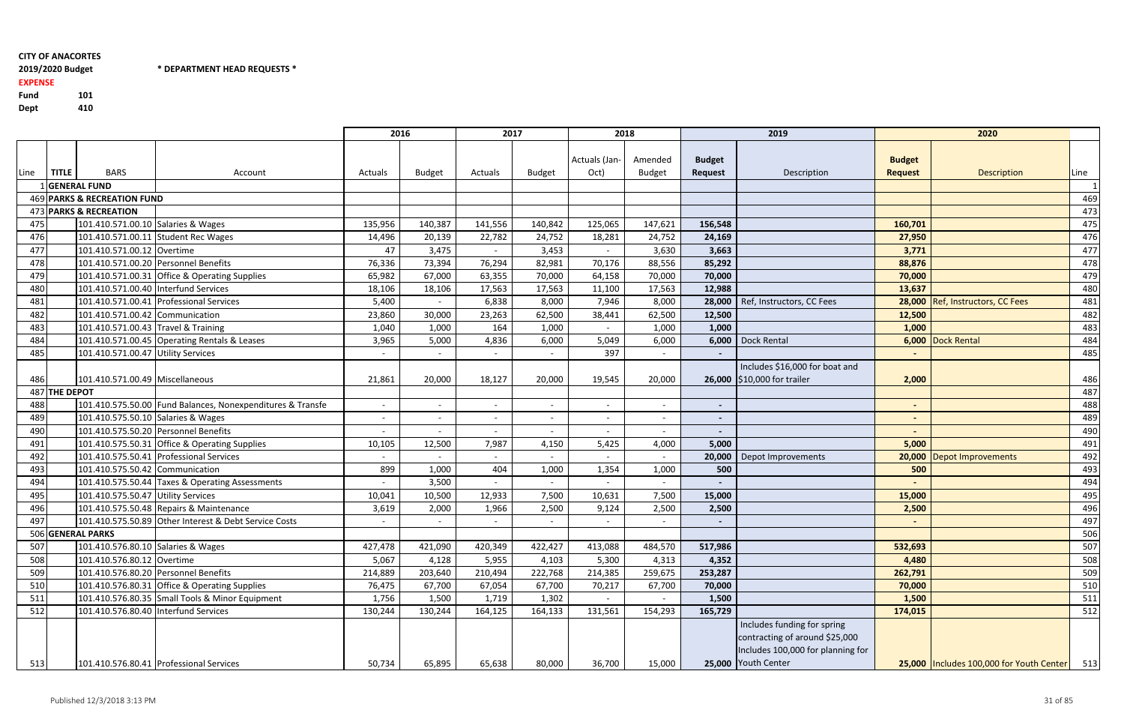# 2019/2020 Budget

Fund <sup>101</sup>410 Dept

2019/2020 Budget \* DEPARTMENT HEAD REQUESTS \*

# EXPENSE

|      |               |                                        |                                                            | 2016    |               | 2017    |                          | 2018          |               |                          | 2019                              |                | 2020                                       |      |
|------|---------------|----------------------------------------|------------------------------------------------------------|---------|---------------|---------|--------------------------|---------------|---------------|--------------------------|-----------------------------------|----------------|--------------------------------------------|------|
|      |               |                                        |                                                            |         |               |         |                          |               |               |                          |                                   |                |                                            |      |
|      |               |                                        |                                                            |         |               |         |                          | Actuals (Jan- | Amended       | <b>Budget</b>            |                                   | <b>Budget</b>  |                                            |      |
| Line | <b>TITLE</b>  | <b>BARS</b>                            | Account                                                    | Actuals | <b>Budget</b> | Actuals | <b>Budget</b>            | Oct)          | <b>Budget</b> | <b>Request</b>           | Description                       | <b>Request</b> | <b>Description</b>                         | Line |
|      |               | 1 GENERAL FUND                         |                                                            |         |               |         |                          |               |               |                          |                                   |                |                                            |      |
|      |               | 469 PARKS & RECREATION FUND            |                                                            |         |               |         |                          |               |               |                          |                                   |                |                                            | 469  |
|      |               | 473 PARKS & RECREATION                 |                                                            |         |               |         |                          |               |               |                          |                                   |                |                                            | 473  |
| 475  |               | 101.410.571.00.10 Salaries & Wages     |                                                            | 135,956 | 140,387       | 141,556 | 140,842                  | 125,065       | 147,621       | 156,548                  |                                   | 160,701        |                                            | 475  |
| 476  |               |                                        | 101.410.571.00.11 Student Rec Wages                        | 14,496  | 20,139        | 22,782  | 24,752                   | 18,281        | 24,752        | 24,169                   |                                   | 27,950         |                                            | 476  |
| 477  |               | 101.410.571.00.12 Overtime             |                                                            | 47      | 3,475         |         | 3,453                    |               | 3,630         | 3,663                    |                                   | 3,771          |                                            | 477  |
| 478  |               |                                        | 101.410.571.00.20 Personnel Benefits                       | 76,336  | 73,394        | 76,294  | 82,981                   | 70,176        | 88,556        | 85,292                   |                                   | 88,876         |                                            | 478  |
| 479  |               |                                        | 101.410.571.00.31 Office & Operating Supplies              | 65,982  | 67,000        | 63,355  | 70,000                   | 64,158        | 70,000        | 70,000                   |                                   | 70,000         |                                            | 479  |
| 480  |               | 101.410.571.00.40   Interfund Services |                                                            | 18,106  | 18,106        | 17,563  | 17,563                   | 11,100        | 17,563        | 12,988                   |                                   | 13,637         |                                            | 480  |
| 481  |               |                                        | 101.410.571.00.41 Professional Services                    | 5,400   |               | 6,838   | 8,000                    | 7,946         | 8,000         | 28,000                   | Ref, Instructors, CC Fees         |                | 28,000 Ref, Instructors, CC Fees           | 481  |
| 482  |               | 101.410.571.00.42 Communication        |                                                            | 23,860  | 30,000        | 23,263  | 62,500                   | 38,441        | 62,500        | 12,500                   |                                   | 12,500         |                                            | 482  |
| 483  |               | 101.410.571.00.43 Travel & Training    |                                                            | 1,040   | 1,000         | 164     | 1,000                    |               | 1,000         | 1,000                    |                                   | 1,000          |                                            | 483  |
| 484  |               |                                        | 101.410.571.00.45 Operating Rentals & Leases               | 3,965   | 5,000         | 4,836   | 6,000                    | 5,049         | 6,000         | 6,000                    | Dock Rental                       |                | 6,000 Dock Rental                          | 484  |
| 485  |               | 101.410.571.00.47 Utility Services     |                                                            |         |               |         |                          | 397           |               |                          |                                   |                |                                            | 485  |
|      |               |                                        |                                                            |         |               |         |                          |               |               |                          | Includes \$16,000 for boat and    |                |                                            |      |
| 486  |               | 101.410.571.00.49 Miscellaneous        |                                                            | 21,861  | 20,000        | 18,127  | 20,000                   | 19,545        | 20,000        |                          | 26,000 \$10,000 for trailer       | 2,000          |                                            | 486  |
|      | 487 THE DEPOT |                                        |                                                            |         |               |         |                          |               |               |                          |                                   |                |                                            | 487  |
| 488  |               |                                        | 101.410.575.50.00 Fund Balances, Nonexpenditures & Transfe | $\sim$  | $\sim$        |         | $\sim$                   | $\sim$        | $\sim$        | $\overline{\phantom{a}}$ |                                   |                |                                            | 488  |
| 489  |               | 101.410.575.50.10 Salaries & Wages     |                                                            | $\sim$  | $\sim$        |         | $\sim$                   | $\sim$        | $\sim$        | $\overline{\phantom{a}}$ |                                   | $\sim$         |                                            | 489  |
| 490  |               |                                        | 101.410.575.50.20 Personnel Benefits                       |         |               |         |                          |               |               |                          |                                   |                |                                            | 490  |
| 491  |               |                                        | 101.410.575.50.31 Office & Operating Supplies              | 10,105  | 12,500        | 7,987   | 4,150                    | 5,425         | 4,000         | 5,000                    |                                   | 5,000          |                                            | 491  |
| 492  |               |                                        | 101.410.575.50.41 Professional Services                    | $\sim$  |               |         |                          |               |               | 20,000                   | Depot Improvements                |                | 20,000 Depot Improvements                  | 492  |
| 493  |               | 101.410.575.50.42 Communication        |                                                            | 899     | 1,000         | 404     | 1,000                    | 1,354         | 1,000         | 500                      |                                   | 500            |                                            | 493  |
| 494  |               |                                        | 101.410.575.50.44 Taxes & Operating Assessments            | $\sim$  | 3,500         |         | $\overline{\phantom{0}}$ |               |               |                          |                                   |                |                                            | 494  |
| 495  |               | 101.410.575.50.47 Utility Services     |                                                            | 10,041  | 10,500        | 12,933  | 7,500                    | 10,631        | 7,500         | 15,000                   |                                   | 15,000         |                                            | 495  |
| 496  |               |                                        | 101.410.575.50.48 Repairs & Maintenance                    | 3,619   | 2,000         | 1,966   | 2,500                    | 9,124         | 2,500         | 2,500                    |                                   | 2,500          |                                            | 496  |
| 497  |               |                                        | 101.410.575.50.89 Other Interest & Debt Service Costs      | $\sim$  | $\sim$        |         | $\overline{\phantom{0}}$ |               |               | $\sim$                   |                                   |                |                                            | 497  |
|      |               | 506 GENERAL PARKS                      |                                                            |         |               |         |                          |               |               |                          |                                   |                |                                            | 506  |
| 507  |               | 101.410.576.80.10 Salaries & Wages     |                                                            | 427,478 | 421,090       | 420,349 | 422,427                  | 413,088       | 484,570       | 517,986                  |                                   | 532,693        |                                            | 507  |
| 508  |               | 101.410.576.80.12 Overtime             |                                                            | 5,067   | 4,128         | 5,955   | 4,103                    | 5,300         | 4,313         | 4,352                    |                                   | 4,480          |                                            | 508  |
| 509  |               |                                        | 101.410.576.80.20 Personnel Benefits                       | 214,889 | 203,640       | 210,494 | 222,768                  | 214,385       | 259,675       | 253,287                  |                                   | 262,791        |                                            | 509  |
| 510  |               |                                        | 101.410.576.80.31 Office & Operating Supplies              | 76,475  | 67,700        | 67,054  | 67,700                   | 70,217        | 67,700        | 70,000                   |                                   | 70,000         |                                            | 510  |
| 511  |               |                                        | 101.410.576.80.35 Small Tools & Minor Equipment            | 1,756   | 1,500         | 1,719   | 1,302                    |               |               | 1,500                    |                                   | 1,500          |                                            | 511  |
| 512  |               | 101.410.576.80.40   Interfund Services |                                                            | 130,244 | 130,244       | 164,125 | 164,133                  | 131,561       | 154,293       | 165,729                  |                                   | 174,015        |                                            | 512  |
|      |               |                                        |                                                            |         |               |         |                          |               |               |                          | Includes funding for spring       |                |                                            |      |
|      |               |                                        |                                                            |         |               |         |                          |               |               |                          | contracting of around \$25,000    |                |                                            |      |
|      |               |                                        |                                                            |         |               |         |                          |               |               |                          | Includes 100,000 for planning for |                |                                            |      |
| 513  |               |                                        | 101.410.576.80.41 Professional Services                    | 50,734  | 65,895        | 65,638  | 80,000                   | 36,700        | 15,000        |                          | 25,000 Youth Center               |                | 25,000   Includes 100,000 for Youth Center | 513  |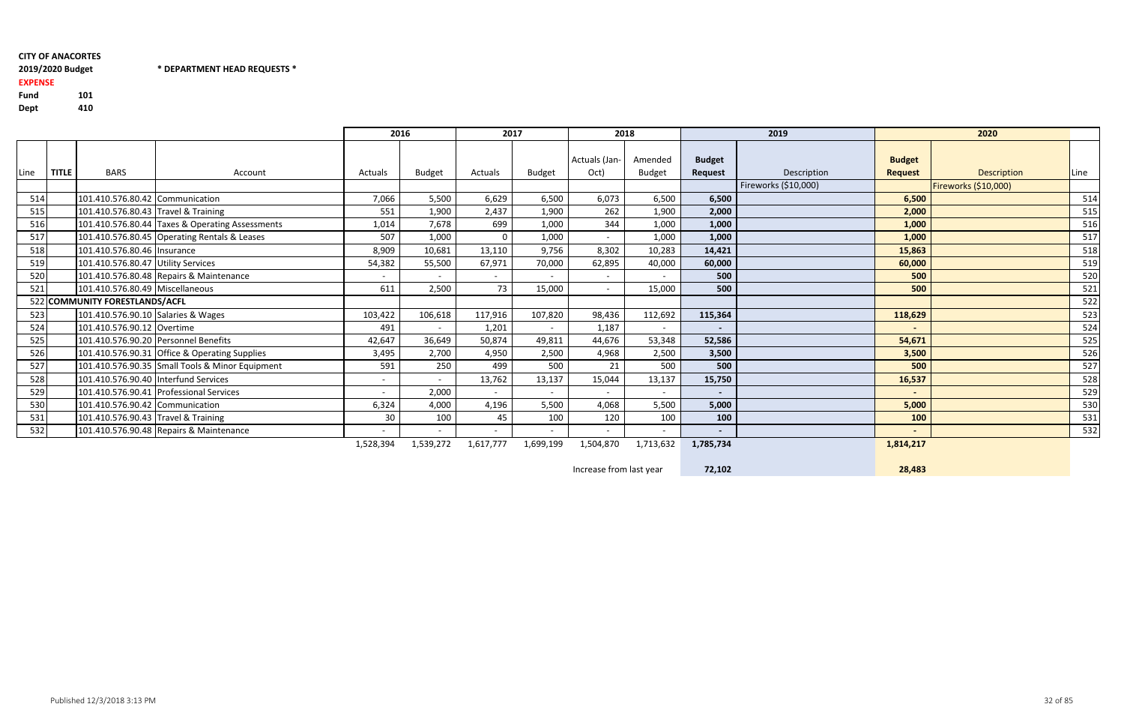# 2019/2020 Budget \* DEPARTMENT HEAD REQUESTS \*

Fund <sup>101</sup>410 Dept

EXPENSE

|      |              |                                     |                                                 | 2016      |               | 2017      |                          | 2018                  |                          |                                 | 2019                 |                                 | 2020                 |               |
|------|--------------|-------------------------------------|-------------------------------------------------|-----------|---------------|-----------|--------------------------|-----------------------|--------------------------|---------------------------------|----------------------|---------------------------------|----------------------|---------------|
| Line | <b>TITLE</b> | <b>BARS</b>                         | Account                                         | Actuals   | <b>Budget</b> | Actuals   | <b>Budget</b>            | Actuals (Jan-<br>Oct) | Amended<br><b>Budget</b> | <b>Budget</b><br><b>Request</b> | Description          | <b>Budget</b><br><b>Request</b> | <b>Description</b>   | <b>I</b> Line |
|      |              |                                     |                                                 |           |               |           |                          |                       |                          |                                 | Fireworks (\$10,000) |                                 | Fireworks (\$10,000) |               |
| 514  |              | 101.410.576.80.42 Communication     |                                                 | 7,066     | 5,500         | 6,629     | 6,500                    | 6,073                 | 6,500                    | 6,500                           |                      | 6,500                           |                      | 514           |
| 515  |              | 101.410.576.80.43 Travel & Training |                                                 | 551       | 1,900         | 2,437     | 1,900                    | 262                   | 1,900                    | 2,000                           |                      | 2,000                           |                      | 515           |
| 516  |              |                                     | 101.410.576.80.44 Taxes & Operating Assessments | 1,014     | 7,678         | 699       | 1,000                    | 344                   | 1,000                    | 1,000                           |                      | 1,000                           |                      | 516           |
| 517  |              |                                     | 101.410.576.80.45 Operating Rentals & Leases    | 507       | 1,000         |           | 1,000                    |                       | 1,000                    | 1,000                           |                      | 1,000                           |                      | 517           |
| 518  |              | 101.410.576.80.46   Insurance       |                                                 | 8,909     | 10,681        | 13,110    | 9,756                    | 8,302                 | 10,283                   | 14,421                          |                      | 15,863                          |                      | 518           |
| 519  |              | 101.410.576.80.47 Utility Services  |                                                 | 54,382    | 55,500        | 67,971    | 70,000                   | 62,895                | 40,000                   | 60,000                          |                      | 60,000                          |                      | 519           |
| 520  |              |                                     | 101.410.576.80.48 Repairs & Maintenance         | $\sim$    | $\sim$        | $\sim$    | $\sim$                   | $\sim$                | $\sim$                   | 500                             |                      | 500                             |                      | 520           |
| 521  |              | 101.410.576.80.49 Miscellaneous     |                                                 | 611       | 2,500         | 73        | 15,000                   | $\sim$                | 15,000                   | 500                             |                      | 500                             |                      | 521           |
|      |              | 522 COMMUNITY FORESTLANDS/ACFL      |                                                 |           |               |           |                          |                       |                          |                                 |                      |                                 |                      | 522           |
| 523  |              | 101.410.576.90.10 Salaries & Wages  |                                                 | 103,422   | 106,618       | 117,916   | 107,820                  | 98,436                | 112,692                  | 115,364                         |                      | 118,629                         |                      | 523           |
| 524  |              | 101.410.576.90.12 Overtime          |                                                 | 491       | $\sim$        | 1,201     | $\sim$                   | 1,187                 | $\sim$                   | $\sim$                          |                      | $\sim$                          |                      | 524           |
| 525  |              |                                     | 101.410.576.90.20 Personnel Benefits            | 42,647    | 36,649        | 50,874    | 49,811                   | 44,676                | 53,348                   | 52,586                          |                      | 54,671                          |                      | 525           |
| 526  |              |                                     | 101.410.576.90.31 Office & Operating Supplies   | 3,495     | 2,700         | 4,950     | 2,500                    | 4,968                 | 2,500                    | 3,500                           |                      | 3,500                           |                      | 526           |
| 527  |              |                                     | 101.410.576.90.35 Small Tools & Minor Equipment | 591       | 250           | 499       | 500                      | 21                    | 500                      | 500                             |                      | 500                             |                      | 527           |
| 528  |              |                                     | 101.410.576.90.40  Interfund Services           | $\sim$    |               | 13,762    | 13,137                   | 15,044                | 13,137                   | 15,750                          |                      | 16,537                          |                      | 528           |
| 529  |              |                                     | 101.410.576.90.41 Professional Services         | $\sim$    | 2,000         |           |                          |                       |                          | $\sim$                          |                      | $\sim$                          |                      | 529           |
| 530  |              | 101.410.576.90.42 Communication     |                                                 | 6,324     | 4,000         | 4,196     | 5,500                    | 4,068                 | 5,500                    | 5,000                           |                      | 5,000                           |                      | 530           |
| 531  |              | 101.410.576.90.43 Travel & Training |                                                 | 30        | 100           | 45        | 100                      | 120                   | 100                      | 100                             |                      | 100                             |                      | 531           |
| 532  |              |                                     | 101.410.576.90.48 Repairs & Maintenance         |           | $\sim$        |           | $\overline{\phantom{0}}$ |                       |                          | $\sim$                          |                      | $\overline{\phantom{a}}$        |                      | 532           |
|      |              |                                     |                                                 | 1,528,394 | 1,539,272     | 1,617,777 | 1,699,199                | 1,504,870             | 1,713,632                | 1,785,734                       |                      | 1,814,217                       |                      |               |

Increase from last year72,102 28,483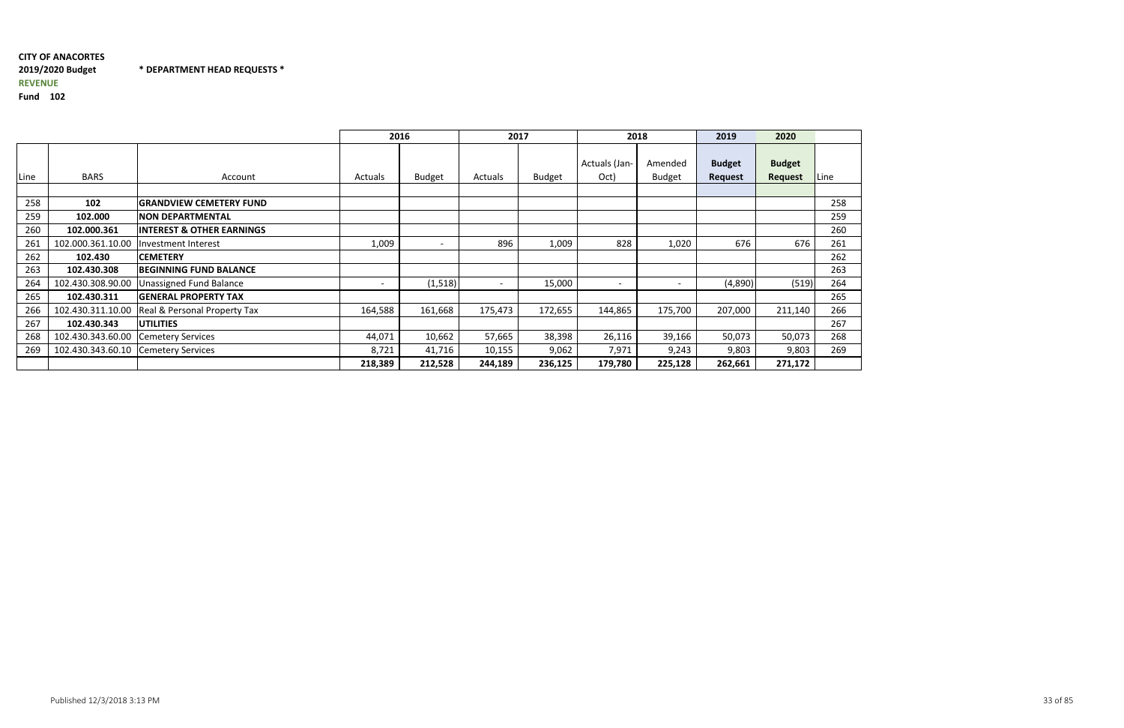#### CITY OF ANACORTES2019/2020 Budget \* DEPARTMENT HEAD REQUESTS \*REVENUE

|      |                   |                                      |         | 2016                     |                          | 2017          |                          | 2018                     | 2019           | 2020           |      |
|------|-------------------|--------------------------------------|---------|--------------------------|--------------------------|---------------|--------------------------|--------------------------|----------------|----------------|------|
|      |                   |                                      |         |                          |                          |               | Actuals (Jan-            | Amended                  | <b>Budget</b>  | <b>Budget</b>  |      |
| Line | <b>BARS</b>       | Account                              | Actuals | <b>Budget</b>            | Actuals                  | <b>Budget</b> | Oct)                     | <b>Budget</b>            | <b>Request</b> | <b>Request</b> | Line |
| 258  | 102               | <b>GRANDVIEW CEMETERY FUND</b>       |         |                          |                          |               |                          |                          |                |                | 258  |
| 259  | 102.000           | <b>NON DEPARTMENTAL</b>              |         |                          |                          |               |                          |                          |                |                | 259  |
| 260  | 102.000.361       | <b>INTEREST &amp; OTHER EARNINGS</b> |         |                          |                          |               |                          |                          |                |                | 260  |
| 261  | 102.000.361.10.00 | Investment Interest                  | 1,009   | $\overline{\phantom{0}}$ | 896                      | 1,009         | 828                      | 1,020                    | 676            | 676            | 261  |
| 262  | 102.430           | <b>CEMETERY</b>                      |         |                          |                          |               |                          |                          |                |                | 262  |
| 263  | 102.430.308       | <b>BEGINNING FUND BALANCE</b>        |         |                          |                          |               |                          |                          |                |                | 263  |
| 264  | 102.430.308.90.00 | Unassigned Fund Balance              |         | (1,518)                  | $\overline{\phantom{a}}$ | 15,000        | $\overline{\phantom{a}}$ | $\overline{\phantom{0}}$ | (4,890)        | (519)          | 264  |
| 265  | 102.430.311       | <b>GENERAL PROPERTY TAX</b>          |         |                          |                          |               |                          |                          |                |                | 265  |
| 266  | 102.430.311.10.00 | Real & Personal Property Tax         | 164,588 | 161,668                  | 175,473                  | 172,655       | 144,865                  | 175,700                  | 207,000        | 211,140        | 266  |
| 267  | 102.430.343       | <b>UTILITIES</b>                     |         |                          |                          |               |                          |                          |                |                | 267  |
| 268  | 102.430.343.60.00 | <b>Cemetery Services</b>             | 44,071  | 10,662                   | 57,665                   | 38,398        | 26,116                   | 39,166                   | 50,073         | 50,073         | 268  |
| 269  | 102.430.343.60.10 | <b>Cemetery Services</b>             | 8,721   | 41,716                   | 10,155                   | 9,062         | 7,971                    | 9,243                    | 9,803          | 9,803          | 269  |
|      |                   |                                      | 218,389 | 212,528                  | 244,189                  | 236,125       | 179,780                  | 225,128                  | 262,661        | 271,172        |      |

| .ine |
|------|
|      |
| 258  |
| 259  |
| 260  |
| 261  |
| 262  |
| 263  |
| 264  |
| 265  |
| 266  |
| 267  |
| 268  |
| 269  |
|      |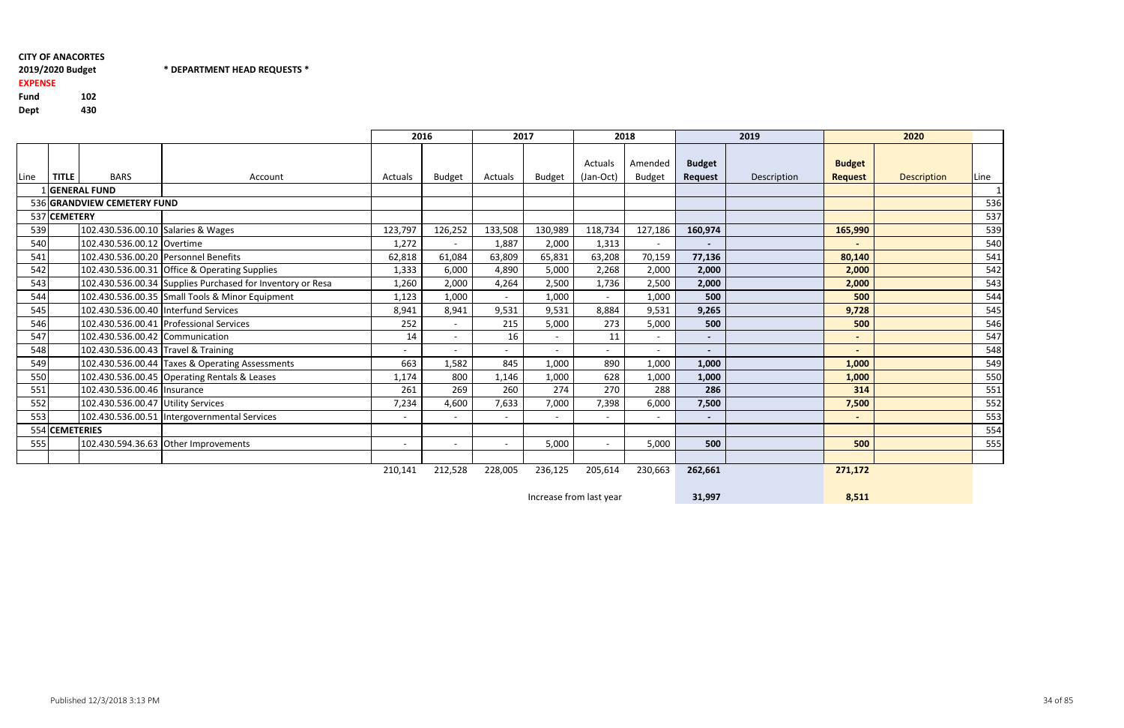# 2019/2020 BudgetEXPENSE

# \* DEPARTMENT HEAD REQUESTS \*

Fund <sup>102</sup> Dept<sup>430</sup>

|                                                    |                |                                       |                                                            |                          | 2016                     |         | 2017                     |                          | 2018                     |                          | 2019        |                              | 2020               |      |
|----------------------------------------------------|----------------|---------------------------------------|------------------------------------------------------------|--------------------------|--------------------------|---------|--------------------------|--------------------------|--------------------------|--------------------------|-------------|------------------------------|--------------------|------|
|                                                    |                |                                       |                                                            |                          |                          |         |                          | Actuals                  | Amended                  | <b>Budget</b>            |             | <b>Budget</b>                |                    |      |
| Line                                               | <b>TITLE</b>   | <b>BARS</b>                           | Account                                                    | Actuals                  | <b>Budget</b>            | Actuals | Budget                   | (Jan-Oct)                | <b>Budget</b>            | Request                  | Description | <b>Request</b>               | <b>Description</b> | Line |
| <b>GENERAL FUND</b><br>536 GRANDVIEW CEMETERY FUND |                |                                       |                                                            |                          |                          |         |                          |                          |                          |                          |             |                              |                    | 536  |
| 537 CEMETERY                                       |                |                                       |                                                            |                          |                          |         |                          |                          |                          |                          |             |                              |                    | 537  |
| 539                                                |                | 102.430.536.00.10 Salaries & Wages    |                                                            | 123,797                  | 126,252                  | 133,508 | 130,989                  | 118,734                  | 127,186                  | 160,974                  |             | 165,990                      |                    | 539  |
| 540                                                |                | 102.430.536.00.12 Overtime            |                                                            | 1,272                    | $\overline{\phantom{0}}$ | 1,887   | 2,000                    | 1,313                    | $\overline{\phantom{a}}$ | $\blacksquare$           |             | $\overline{\phantom{0}}$     |                    | 540  |
| 541                                                |                |                                       | 102.430.536.00.20 Personnel Benefits                       | 62,818                   | 61,084                   | 63,809  | 65,831                   | 63,208                   | 70,159                   | 77,136                   |             | 80,140                       |                    | 541  |
| 542                                                |                |                                       | 102.430.536.00.31 Office & Operating Supplies              | 1,333                    | 6,000                    | 4,890   | 5,000                    | 2,268                    | 2,000                    | 2,000                    |             | 2,000                        |                    | 542  |
| 543                                                |                |                                       | 102.430.536.00.34 Supplies Purchased for Inventory or Resa | 1,260                    | 2,000                    | 4,264   | 2,500                    | 1,736                    | 2,500                    | 2,000                    |             | 2,000                        |                    | 543  |
| 544                                                |                |                                       | 102.430.536.00.35 Small Tools & Minor Equipment            | 1,123                    | 1,000                    | $\sim$  | 1,000                    |                          | 1,000                    | 500                      |             | 500                          |                    | 544  |
| 545                                                |                | 102.430.536.00.40  Interfund Services |                                                            | 8,941                    | 8,941                    | 9,531   | 9,531                    | 8,884                    | 9,531                    | 9,265                    |             | 9,728                        |                    | 545  |
| 546                                                |                |                                       | 102.430.536.00.41 Professional Services                    | 252                      | $\overline{\phantom{0}}$ | 215     | 5,000                    | 273                      | 5,000                    | 500                      |             | 500                          |                    | 546  |
| 547                                                |                | 102.430.536.00.42 Communication       |                                                            | 14                       | $\overline{\phantom{0}}$ | 16      | $\overline{\phantom{0}}$ | 11                       |                          | $\blacksquare$           |             | $\overline{\phantom{0}}$     |                    | 547  |
| 548                                                |                | 102.430.536.00.43 Travel & Training   |                                                            | $\overline{\phantom{a}}$ |                          | $\sim$  | $\overline{\phantom{0}}$ |                          | $\overline{\phantom{a}}$ | $\overline{\phantom{0}}$ |             | $\qquad \qquad \blacksquare$ |                    | 548  |
| 549                                                |                |                                       | 102.430.536.00.44 Taxes & Operating Assessments            | 663                      | 1,582                    | 845     | 1,000                    | 890                      | 1,000                    | 1,000                    |             | 1,000                        |                    | 549  |
| 550                                                |                |                                       | 102.430.536.00.45 Operating Rentals & Leases               | 1,174                    | 800                      | 1,146   | 1,000                    | 628                      | 1,000                    | 1,000                    |             | 1,000                        |                    | 550  |
| 551                                                |                | 102.430.536.00.46   Insurance         |                                                            | 261                      | 269                      | 260     | 274                      | 270                      | 288                      | 286                      |             | 314                          |                    | 551  |
| 552                                                |                | 102.430.536.00.47 Utility Services    |                                                            | 7,234                    | 4,600                    | 7,633   | 7,000                    | 7,398                    | 6,000                    | 7,500                    |             | 7,500                        |                    | 552  |
| 553                                                |                |                                       | 102.430.536.00.51 Intergovernmental Services               | $\overline{\phantom{a}}$ |                          |         |                          |                          |                          | $\blacksquare$           |             | $\overline{\phantom{a}}$     |                    | 553  |
|                                                    | 554 CEMETERIES |                                       |                                                            |                          |                          |         |                          |                          |                          |                          |             |                              |                    | 554  |
| 555                                                |                |                                       | 102.430.594.36.63 Other Improvements                       | $\overline{\phantom{a}}$ | $\overline{\phantom{0}}$ | $\sim$  | 5,000                    | $\overline{\phantom{a}}$ | 5,000                    | 500                      |             | 500                          |                    | 555  |
|                                                    |                |                                       |                                                            | 210,141                  |                          |         |                          |                          |                          |                          |             |                              |                    |      |
|                                                    |                |                                       |                                                            |                          | 212,528                  | 228,005 | 236,125                  | 205,614                  | 230,663                  | 262,661                  |             | 271,172                      |                    |      |

Increase from last year

31,997

8,511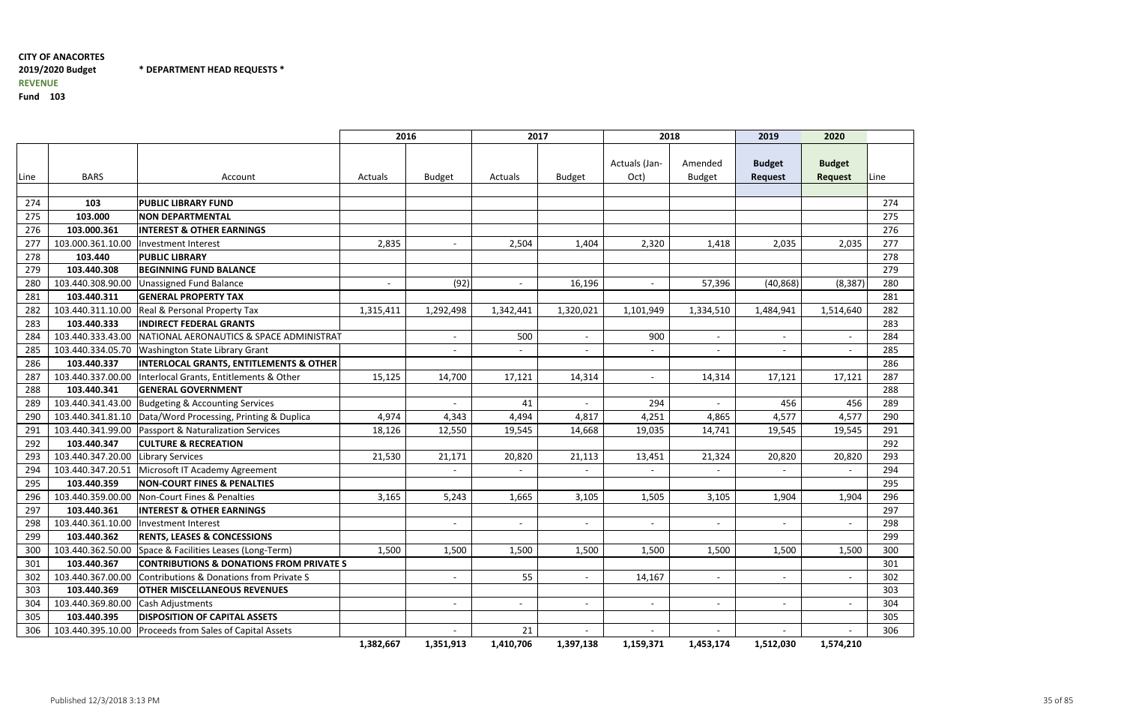\* DEPARTMENT HEAD REQUESTS \*

|      |                   |                                                            | 2016                     |               | 2017                     |               | 2018                     |                          | 2019                            | 2020                            |      |
|------|-------------------|------------------------------------------------------------|--------------------------|---------------|--------------------------|---------------|--------------------------|--------------------------|---------------------------------|---------------------------------|------|
| Line | <b>BARS</b>       | Account                                                    | Actuals                  | <b>Budget</b> | Actuals                  | <b>Budget</b> | Actuals (Jan-<br>Oct)    | Amended<br><b>Budget</b> | <b>Budget</b><br><b>Request</b> | <b>Budget</b><br><b>Request</b> | Line |
|      |                   |                                                            |                          |               |                          |               |                          |                          |                                 |                                 |      |
| 274  | 103               | <b>PUBLIC LIBRARY FUND</b>                                 |                          |               |                          |               |                          |                          |                                 |                                 | 274  |
| 275  | 103.000           | <b>NON DEPARTMENTAL</b>                                    |                          |               |                          |               |                          |                          |                                 |                                 | 275  |
| 276  | 103.000.361       | <b>INTEREST &amp; OTHER EARNINGS</b>                       |                          |               |                          |               |                          |                          |                                 |                                 | 276  |
| 277  | 103.000.361.10.00 | Investment Interest                                        | 2,835                    |               | 2,504                    | 1,404         | 2,320                    | 1,418                    | 2,035                           | 2,035                           | 277  |
| 278  | 103.440           | <b>PUBLIC LIBRARY</b>                                      |                          |               |                          |               |                          |                          |                                 |                                 | 278  |
| 279  | 103.440.308       | <b>BEGINNING FUND BALANCE</b>                              |                          |               |                          |               |                          |                          |                                 |                                 | 279  |
| 280  | 103.440.308.90.00 | <b>Unassigned Fund Balance</b>                             | $\overline{\phantom{a}}$ | (92)          | $\overline{\phantom{a}}$ | 16,196        | $\overline{\phantom{a}}$ | 57,396                   | (40, 868)                       | (8, 387)                        | 280  |
| 281  | 103.440.311       | <b>GENERAL PROPERTY TAX</b>                                |                          |               |                          |               |                          |                          |                                 |                                 | 281  |
| 282  | 103.440.311.10.00 | Real & Personal Property Tax                               | 1,315,411                | 1,292,498     | 1,342,441                | 1,320,021     | 1,101,949                | 1,334,510                | 1,484,941                       | 1,514,640                       | 282  |
| 283  | 103.440.333       | <b>INDIRECT FEDERAL GRANTS</b>                             |                          |               |                          |               |                          |                          |                                 |                                 | 283  |
| 284  |                   | 103.440.333.43.00 NATIONAL AERONAUTICS & SPACE ADMINISTRAT |                          |               | 500                      |               | 900                      |                          | $\overline{\phantom{a}}$        |                                 | 284  |
| 285  | 103.440.334.05.70 | Washington State Library Grant                             |                          |               | $\sim$                   |               | $\sim$                   |                          | $\sim$                          |                                 | 285  |
| 286  | 103.440.337       | <b>INTERLOCAL GRANTS, ENTITLEMENTS &amp; OTHER</b>         |                          |               |                          |               |                          |                          |                                 |                                 | 286  |
| 287  | 103.440.337.00.00 | Interlocal Grants, Entitlements & Other                    | 15,125                   | 14,700        | 17,121                   | 14,314        | $\overline{\phantom{a}}$ | 14,314                   | 17,121                          | 17,121                          | 287  |
| 288  | 103.440.341       | <b>GENERAL GOVERNMENT</b>                                  |                          |               |                          |               |                          |                          |                                 |                                 | 288  |
| 289  |                   | 103.440.341.43.00 Budgeting & Accounting Services          |                          |               | 41                       |               | 294                      |                          | 456                             | 456                             | 289  |
| 290  | 103.440.341.81.10 | Data/Word Processing, Printing & Duplica                   | 4,974                    | 4,343         | 4,494                    | 4,817         | 4,251                    | 4,865                    | 4,577                           | 4,577                           | 290  |
| 291  |                   | 103.440.341.99.00 Passport & Naturalization Services       | 18,126                   | 12,550        | 19,545                   | 14,668        | 19,035                   | 14,741                   | 19,545                          | 19,545                          | 291  |
| 292  | 103.440.347       | <b>CULTURE &amp; RECREATION</b>                            |                          |               |                          |               |                          |                          |                                 |                                 | 292  |
| 293  | 103.440.347.20.00 | Library Services                                           | 21,530                   | 21,171        | 20,820                   | 21,113        | 13,451                   | 21,324                   | 20,820                          | 20,820                          | 293  |
| 294  |                   | 103.440.347.20.51 Microsoft IT Academy Agreement           |                          |               | $\overline{\phantom{a}}$ |               |                          |                          | $\overline{\phantom{0}}$        |                                 | 294  |
| 295  | 103.440.359       | <b>NON-COURT FINES &amp; PENALTIES</b>                     |                          |               |                          |               |                          |                          |                                 |                                 | 295  |
| 296  |                   | 103.440.359.00.00   Non-Court Fines & Penalties            | 3,165                    | 5,243         | 1,665                    | 3,105         | 1,505                    | 3,105                    | 1,904                           | 1,904                           | 296  |
| 297  | 103.440.361       | <b>INTEREST &amp; OTHER EARNINGS</b>                       |                          |               |                          |               |                          |                          |                                 |                                 | 297  |
| 298  | 103.440.361.10.00 | Investment Interest                                        |                          |               | $\overline{\phantom{a}}$ |               | $\overline{\phantom{a}}$ |                          | $\overline{\phantom{0}}$        |                                 | 298  |
| 299  | 103.440.362       | <b>RENTS, LEASES &amp; CONCESSIONS</b>                     |                          |               |                          |               |                          |                          |                                 |                                 | 299  |
| 300  | 103.440.362.50.00 | Space & Facilities Leases (Long-Term)                      | 1,500                    | 1,500         | 1,500                    | 1,500         | 1,500                    | 1,500                    | 1,500                           | 1,500                           | 300  |
| 301  | 103.440.367       | <b>CONTRIBUTIONS &amp; DONATIONS FROM PRIVATE S</b>        |                          |               |                          |               |                          |                          |                                 |                                 | 301  |
| 302  | 103.440.367.00.00 | Contributions & Donations from Private S                   |                          |               | 55                       |               | 14,167                   | $\overline{\phantom{a}}$ | $ \,$                           |                                 | 302  |
| 303  | 103.440.369       | <b>OTHER MISCELLANEOUS REVENUES</b>                        |                          |               |                          |               |                          |                          |                                 |                                 | 303  |
| 304  | 103.440.369.80.00 | Cash Adjustments                                           |                          |               | $\sim$                   |               | $\overline{\phantom{a}}$ |                          | $\sim$                          |                                 | 304  |
| 305  | 103.440.395       | <b>DISPOSITION OF CAPITAL ASSETS</b>                       |                          |               |                          |               |                          |                          |                                 |                                 | 305  |
| 306  | 103.440.395.10.00 | <b>Proceeds from Sales of Capital Assets</b>               |                          |               | 21                       |               |                          |                          | $\overline{\phantom{a}}$        |                                 | 306  |
|      |                   |                                                            | 1,382,667                | 1,351,913     | 1,410,706                | 1,397,138     | 1,159,371                | 1,453,174                | 1,512,030                       | 1,574,210                       |      |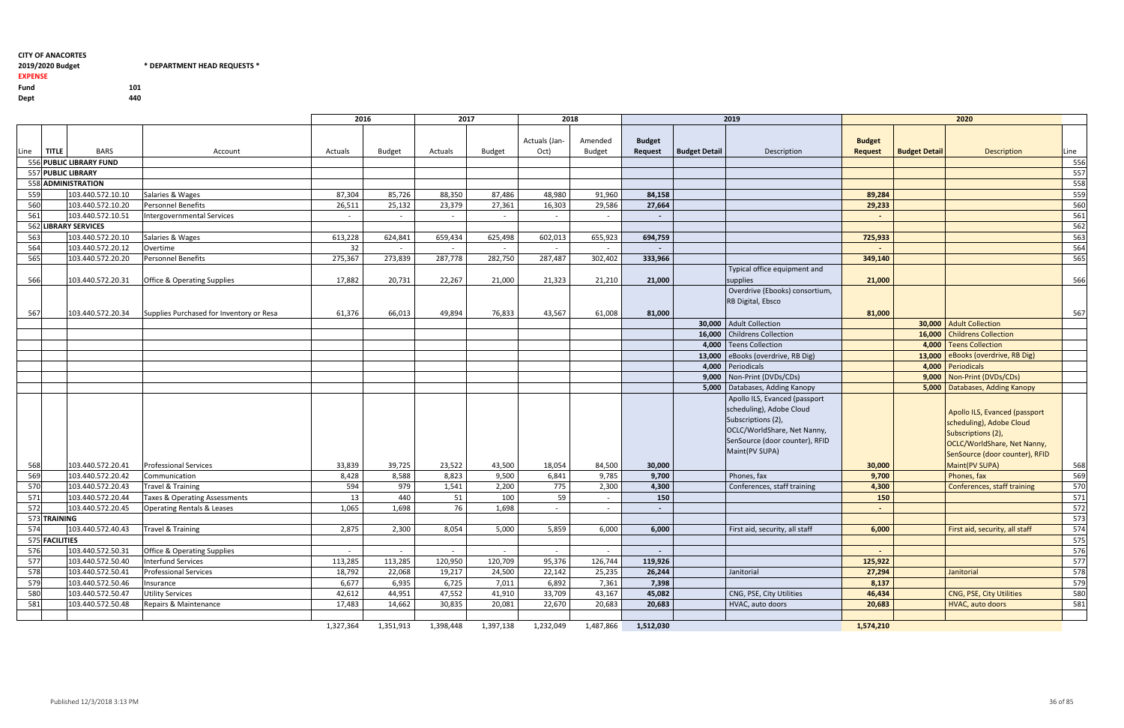$*$  DEPARTMENT HEAD REQUESTS  $*$ 

440

#### 2019/2020 Budget

EXPENSE

Fund <sup>101</sup>

Dept

|                         |                |                      |                                          | 2016      |               | 2017      |               | 2018          |               |                          |                      | 2019                                | 2020           |                      |                                     |      |
|-------------------------|----------------|----------------------|------------------------------------------|-----------|---------------|-----------|---------------|---------------|---------------|--------------------------|----------------------|-------------------------------------|----------------|----------------------|-------------------------------------|------|
|                         |                |                      |                                          |           |               |           |               | Actuals (Jan- | Amended       | <b>Budget</b>            |                      |                                     | <b>Budget</b>  |                      |                                     |      |
| Line                    | <b>TITLE</b>   | <b>BARS</b>          | Account                                  | Actuals   | <b>Budget</b> | Actuals   | <b>Budget</b> | Oct)          | <b>Budget</b> | Request                  | <b>Budget Detail</b> | Description                         | <b>Request</b> | <b>Budget Detail</b> | <b>Description</b>                  | Line |
| 556 PUBLIC LIBRARY FUND |                |                      |                                          |           |               |           |               |               |               |                          |                      |                                     |                |                      |                                     | 556  |
| 557 PUBLIC LIBRARY      |                |                      |                                          |           |               |           |               |               |               |                          |                      |                                     |                |                      |                                     | 557  |
|                         |                | 558 ADMINISTRATION   |                                          |           |               |           |               |               |               |                          |                      |                                     |                |                      |                                     | 558  |
| 559                     |                | 103.440.572.10.10    | Salaries & Wages                         | 87,304    | 85,726        | 88,350    | 87,486        | 48,980        | 91,960        | 84,158                   |                      |                                     | 89,284         |                      |                                     | 559  |
| 560                     |                | 103.440.572.10.20    | Personnel Benefits                       | 26,511    | 25,132        | 23,379    | 27,361        | 16,303        | 29,586        | 27,664                   |                      |                                     | 29,233         |                      |                                     | 560  |
| 561                     |                | 103.440.572.10.51    | Intergovernmental Services               | $\sim$    |               | $\sim$    |               |               | $\sim$        |                          |                      |                                     |                |                      |                                     | 561  |
|                         |                | 562 LIBRARY SERVICES |                                          |           |               |           |               |               |               |                          |                      |                                     |                |                      |                                     | 562  |
| 563                     |                | 103.440.572.20.10    | Salaries & Wages                         | 613,228   | 624,841       | 659,434   | 625,498       | 602,013       | 655,923       | 694,759                  |                      |                                     | 725,933        |                      |                                     | 563  |
| 564                     |                | 103.440.572.20.12    | Overtime                                 | 32        |               | $\sim$    | $\sim$        | $\sim$        | $\sim$        |                          |                      |                                     |                |                      |                                     | 564  |
| 565                     |                | 103.440.572.20.20    | <b>Personnel Benefits</b>                | 275,367   | 273,839       | 287,778   | 282,750       | 287,487       | 302,402       | 333,966                  |                      |                                     | 349,140        |                      |                                     | 565  |
|                         |                |                      |                                          |           |               |           |               |               |               |                          |                      | Typical office equipment and        |                |                      |                                     |      |
| 566                     |                | 103.440.572.20.31    | <b>Office &amp; Operating Supplies</b>   | 17,882    | 20,731        | 22,267    | 21,000        | 21,323        | 21,210        | 21,000                   |                      | supplies                            | 21,000         |                      |                                     | 566  |
|                         |                |                      |                                          |           |               |           |               |               |               |                          |                      | Overdrive (Ebooks) consortium,      |                |                      |                                     |      |
|                         |                |                      |                                          |           |               |           |               |               |               |                          |                      | RB Digital, Ebsco                   |                |                      |                                     |      |
| 567                     |                | 103.440.572.20.34    | Supplies Purchased for Inventory or Resa | 61,376    | 66,013        | 49,894    | 76,833        | 43,567        | 61,008        | 81,000                   |                      |                                     | 81,000         |                      |                                     | 567  |
|                         |                |                      |                                          |           |               |           |               |               |               |                          |                      | 30,000 Adult Collection             |                |                      | 30,000 Adult Collection             |      |
|                         |                |                      |                                          |           |               |           |               |               |               |                          |                      | 16,000 Childrens Collection         |                |                      | 16,000   Childrens Collection       |      |
|                         |                |                      |                                          |           |               |           |               |               |               |                          |                      | 4,000   Teens Collection            |                |                      | 4,000   Teens Collection            |      |
|                         |                |                      |                                          |           |               |           |               |               |               |                          |                      | 13,000   eBooks (overdrive, RB Dig) |                |                      | 13,000   eBooks (overdrive, RB Dig) |      |
|                         |                |                      |                                          |           |               |           |               |               |               |                          |                      | 4,000 Periodicals                   |                |                      | 4,000 Periodicals                   |      |
|                         |                |                      |                                          |           |               |           |               |               |               |                          |                      | $9,000$ Non-Print (DVDs/CDs)        |                |                      | 9,000 Non-Print (DVDs/CDs)          |      |
|                         |                |                      |                                          |           |               |           |               |               |               |                          |                      | 5,000   Databases, Adding Kanopy    |                |                      | 5,000   Databases, Adding Kanopy    |      |
|                         |                |                      |                                          |           |               |           |               |               |               |                          |                      | Apollo ILS, Evanced (passport       |                |                      |                                     |      |
|                         |                |                      |                                          |           |               |           |               |               |               |                          |                      | scheduling), Adobe Cloud            |                |                      | Apollo ILS, Evanced (passport       |      |
|                         |                |                      |                                          |           |               |           |               |               |               |                          |                      | Subscriptions (2),                  |                |                      | scheduling), Adobe Cloud            |      |
|                         |                |                      |                                          |           |               |           |               |               |               |                          |                      | OCLC/WorldShare, Net Nanny,         |                |                      | Subscriptions (2),                  |      |
|                         |                |                      |                                          |           |               |           |               |               |               |                          |                      | SenSource (door counter), RFID      |                |                      | OCLC/WorldShare, Net Nanny,         |      |
|                         |                |                      |                                          |           |               |           |               |               |               |                          |                      | Maint(PV SUPA)                      |                |                      | SenSource (door counter), RFID      |      |
| 568                     |                | 103.440.572.20.41    | <b>Professional Services</b>             | 33,839    | 39,725        | 23,522    | 43,500        | 18,054        | 84,500        | 30,000                   |                      |                                     | 30,000         |                      | Maint(PV SUPA)                      | 568  |
| 569                     |                | 103.440.572.20.42    | Communication                            | 8,428     | 8,588         | 8,823     | 9,500         | 6,841         | 9,785         | 9,700                    |                      | Phones, fax                         | 9,700          |                      | Phones, fax                         | 569  |
| 570                     |                | 103.440.572.20.43    | Travel & Training                        | 594       | 979           | 1,541     | 2,200         | 775           | 2,300         | 4,300                    |                      | Conferences, staff training         | 4,300          |                      | Conferences, staff training         | 570  |
| 571                     |                | 103.440.572.20.44    | <b>Taxes &amp; Operating Assessments</b> | 13        | 440           | 51        | 100           | 59            | $\sim$        | 150                      |                      |                                     | 150            |                      |                                     | 571  |
| 572                     |                | 103.440.572.20.45    | <b>Operating Rentals &amp; Leases</b>    | 1,065     | 1,698         | 76        | 1,698         |               | $\sim$        | $\overline{\phantom{a}}$ |                      |                                     | $\sim$         |                      |                                     | 572  |
|                         | 573 TRAINING   |                      |                                          |           |               |           |               |               |               |                          |                      |                                     |                |                      |                                     | 573  |
| 574                     |                | 103.440.572.40.43    | Travel & Training                        | 2,875     | 2,300         | 8,054     | 5,000         | 5,859         | 6,000         | 6,000                    |                      | First aid, security, all staff      | 6,000          |                      | First aid, security, all staff      | 574  |
|                         | 575 FACILITIES |                      |                                          |           |               |           |               |               |               |                          |                      |                                     |                |                      |                                     | 575  |
| 576                     |                | 103.440.572.50.31    | <b>Office &amp; Operating Supplies</b>   | $\sim$    | $\sim$        | $\sim$    | $\sim$        | $\sim$        | $\sim$        | $\sim$                   |                      |                                     | $\sim$         |                      |                                     | 576  |
| 577                     |                | 103.440.572.50.40    | <b>Interfund Services</b>                | 113,285   | 113,285       | 120,950   | 120,709       | 95,376        | 126,744       | 119,926                  |                      |                                     | 125,922        |                      |                                     | 577  |
| 578                     |                | 103.440.572.50.41    | <b>Professional Services</b>             | 18,792    | 22,068        | 19,217    | 24,500        | 22,142        | 25,235        | 26,244                   |                      | Janitorial                          | 27,294         |                      | Janitorial                          | 578  |
| 579                     |                | 103.440.572.50.46    | Insurance                                | 6,677     | 6,935         | 6,725     | 7,011         | 6,892         | 7,361         | 7,398                    |                      |                                     | 8,137          |                      |                                     | 579  |
| 580                     |                | 103.440.572.50.47    | <b>Utility Services</b>                  | 42,612    | 44,951        | 47,552    | 41,910        | 33,709        | 43,167        | 45,082                   |                      | CNG, PSE, City Utilities            | 46,434         |                      | CNG, PSE, City Utilities            | 580  |
| 581                     |                | 103.440.572.50.48    | Repairs & Maintenance                    | 17,483    | 14,662        | 30,835    | 20,081        | 22,670        | 20,683        | 20,683                   |                      | HVAC, auto doors                    | 20,683         |                      | HVAC, auto doors                    | 581  |
|                         |                |                      |                                          |           |               |           |               |               |               |                          |                      |                                     |                |                      |                                     |      |
|                         |                |                      |                                          | 1,327,364 | 1,351,913     | 1,398,448 | 1,397,138     | 1,232,049     | 1,487,866     | 1,512,030                |                      |                                     | 1,574,210      |                      |                                     |      |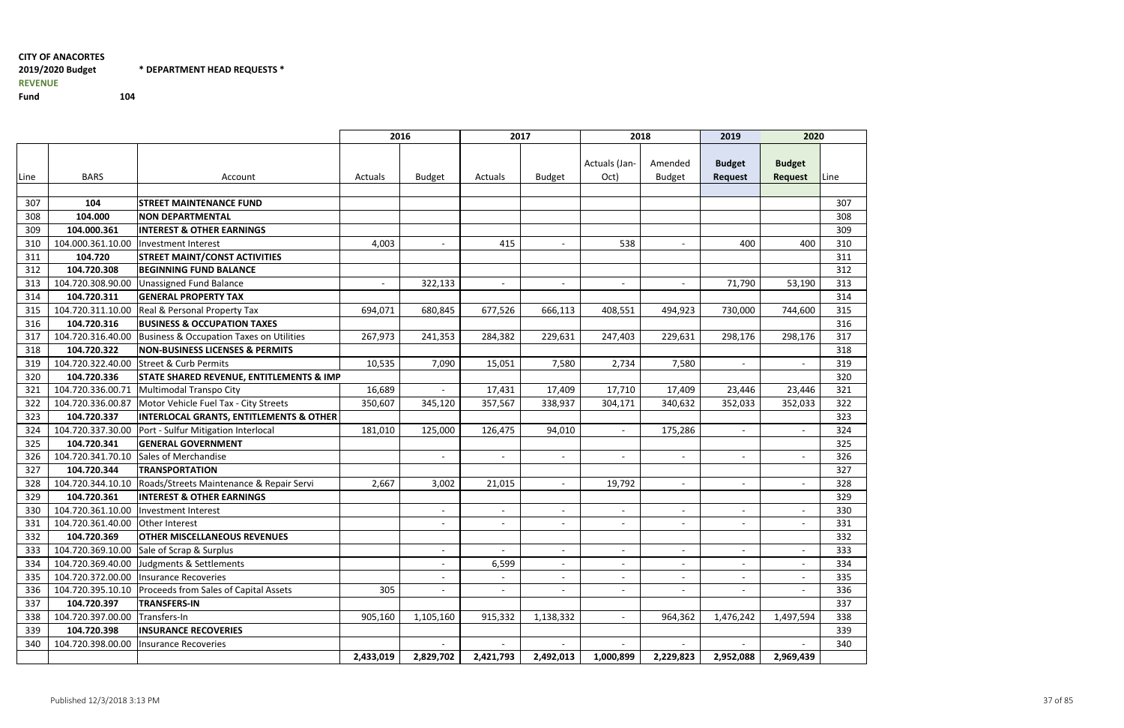#### 2019/2020 Budget\* DEPARTMENT HEAD REQUESTS \*

REVENUE

Fund

<sup>104</sup>

2016<u>2017 - 2018 - 2019 - 2020</u> Line BARS | Account Account Actuals Budget Actuals Budget Budget Actuals (Jan-Oct)Amended<br>Budget Budget RequestBudget<br>Request 307104 STREET MAINTENANCE FUND<br>104.000 NON DEPARTMENTAL **D** 307 308 104.000 NON DEPARTMENTAL <sup>308</sup> 309 104.000.361 INTEREST & OTHER EARNINGS <sup>309</sup> 3100 | 104.000.361.10.00 |Investment Interest 4,003 | 415 | 538 | 400 | 400 | 310 311104.720 STREET MAINT/CONST ACTIVITIES<br>104.720.308 BEGINNING FUND BALANCE 312 104.720.308 BEGINNING FUND BALANCE <sup>312</sup> 313 104.720.308.90.00 Unassigned Fund Balance - 322,133 - - - - 71,790 53,190 <sup>313</sup> 314104.720.311 GENERAL PROPERTY TAX<br>104.720.311.10.00 Real & Personal Property Tax  $\mathsf{X}$  and  $\mathsf{X}$  are the set of  $\mathsf{X}$  and  $\mathsf{X}$  are the set of  $\mathsf{X}$  and  $\mathsf{X}$  are the set of  $\mathsf{X}$  and  $\mathsf{X}$  are the set of  $\mathsf{X}$  and  $\mathsf{X}$  are the set of  $\mathsf{X}$  and  $\mathsf{X}$  are the set of 3155 | 104.720.311.10.00 |Real & Personal Property Tax 694,071 | 680,845 | 677,526 | 666,113 | 408,551 | 494,923 | 730,000 | 744,600 | 315 316104.720.316 |BUSINESS & OCCUPATION TAXES 317104.720.316.40.00 Business & Occupation Taxes on Utilities | 267,973 241,353 284,382 229,631 247,403 229,631 298,176 298,176 298,176 298,176 298,176 298,176 298,176 298,176 298,176 298,176 298,176 298,176 298,176 298,176 2 318104.720.322 NON-BUSINESS LICENSES & PERMITS<br>104.720.322.40.00 Street & Curb Permits 10.535 7.090 15.051 7.580 2.734 7.580 3199 104.720.322.40.00 Street & Curb Permits 10,535 7,090 15,051 7,580 2,734 7,580 - - - 319 320104.720.336 STATE SHARED REVENUE, ENTITLEMENTS & IMP **P** 320 321104.720.336.00.71 Multimodal Transpo City 16,689 16,689 17,431 17,409 17,710 17,409 23,446 23,446 23,446 23,446<br>104.720.336.00.87 Motor Vehicle Fuel Tax - City Streets 1950,607 345,120 357,567 338,937 304,171 340,632 352,0 322104.720.336.00.87 Motor Vehicle Fuel Tax - City Streets<br>104.720.337 INTERLOCAL GRANTS. ENTITLEMENT 323104.720.337 INTERLOCAL GRANTS, ENTITLEMENTS & OTHER<br>104.720.337.30.00 Port - Sulfur Mitigation Interlocal **R** 323 32404.720.337.30.00 Port - Sulfur Mitigation Interlocal 181,010 125,000 126,475 94,010 - 175,286 - - 175,286 - -<br>104.720.341 GENERAL GOVERNMENT 325 104.720.341 GENERAL GOVERNMENT <sup>325</sup> 326 104.720.341.70.10 Sales of Merchandise - - - - - - - <sup>326</sup> 327 104.720.344 TRANSPORTATIONN and the contract of  $\sim$  100  $\mu$  m  $\sim$  100  $\mu$  m  $\sim$  100  $\mu$   $\sim$  100  $\mu$   $\sim$  327 328104.720.344.10.10 Roads/Streets Maintenance & Repair Servi 199.667 13,002 21,015 - 19,792 - 19,792 - 19,792 - 1<br>104.720.361 INTEREST & OTHER EARNINGS 329 104.720.361 INTEREST & OTHER EARNINGS <sup>329</sup>  $330$  104.720.361.10.00 Investment Interest - - - - - - - <sup>330</sup> 331 104.720.361.40.00 Other Interest - - - - - - - <sup>331</sup> 332104.720.369 | OTHER MISCELLANEOUS REVENUES 333 104.720.369.10.00 Sale of Scrap & Surplus - - - - - - - <sup>333</sup> 334 104.720.369.40.00 Judgments & Settlements - 6,599 - - - - - <sup>334</sup> 335 104.720.372.00.00 Insurance Recoveries - - - - - - - <sup>335</sup> 336104.720.395.10.10 Proceeds from Sales of Capital Assets 1988 - 1988 - 1988 - 1988 - 1988 - 1988 - 1988 - 1988<br>104.720.397 TRANSFERS-IN 337104.720.397 TRANSFERS-IN<br>104.720.397.00.00 Transfers-In N and the contract of  $\sim$  100  $\pm$  2337  $\pm$  2337  $\pm$  2337  $\pm$  2337  $\pm$  2337 338 104.720.397.00.00 Transfers-In 905,160 1,105,160 915,332 1,138,332 - 964,362 1,476,242 1,497,594 <sup>338</sup> 339 104.720.398 INSURANCE RECOVERIES <sup>339</sup> 340 104.720.398.00.00 Insurance Recoveries - - - - - - - <sup>340</sup> 2,433,0192,829,702 2,421,793 2,492,013 1,000,899 2,229,823 2,952,088 2,969,439

| ine                                    |
|----------------------------------------|
|                                        |
| 307                                    |
| 308                                    |
| 809                                    |
| 310                                    |
| $\overline{3}11$                       |
| $\ddot{\phantom{0}}$<br>312            |
| 313                                    |
| $\vdots$<br>314                        |
| $\frac{1}{315}$                        |
| $\ddot{\phantom{0}}$<br>316            |
| $\frac{1}{317}$                        |
| $\ddot{\cdot}$<br>318                  |
| $\ddot{\phantom{0}}$<br>319            |
| $\overline{320}$                       |
| $\ddot{\cdot}$<br>321                  |
| 322                                    |
| $\ddot{\phantom{0}}$<br>$\frac{23}{2}$ |
| $\frac{324}{5}$                        |
| 325                                    |
| $\frac{1}{26}$<br>$\ddot{\cdot}$       |
| 327<br>Í                               |
| $\ddot{\phantom{0}}$<br>328            |
| 329                                    |
| $\ddot{\cdot}$<br>330                  |
| $\ddot{\cdot}$<br>331                  |
| 332                                    |
| 3.<br>3.                               |
| 34                                     |
| 335                                    |
| 336                                    |
| í<br>337                               |
| 338                                    |
| 339                                    |
| $\ddot{\phantom{a}}$<br>340            |
|                                        |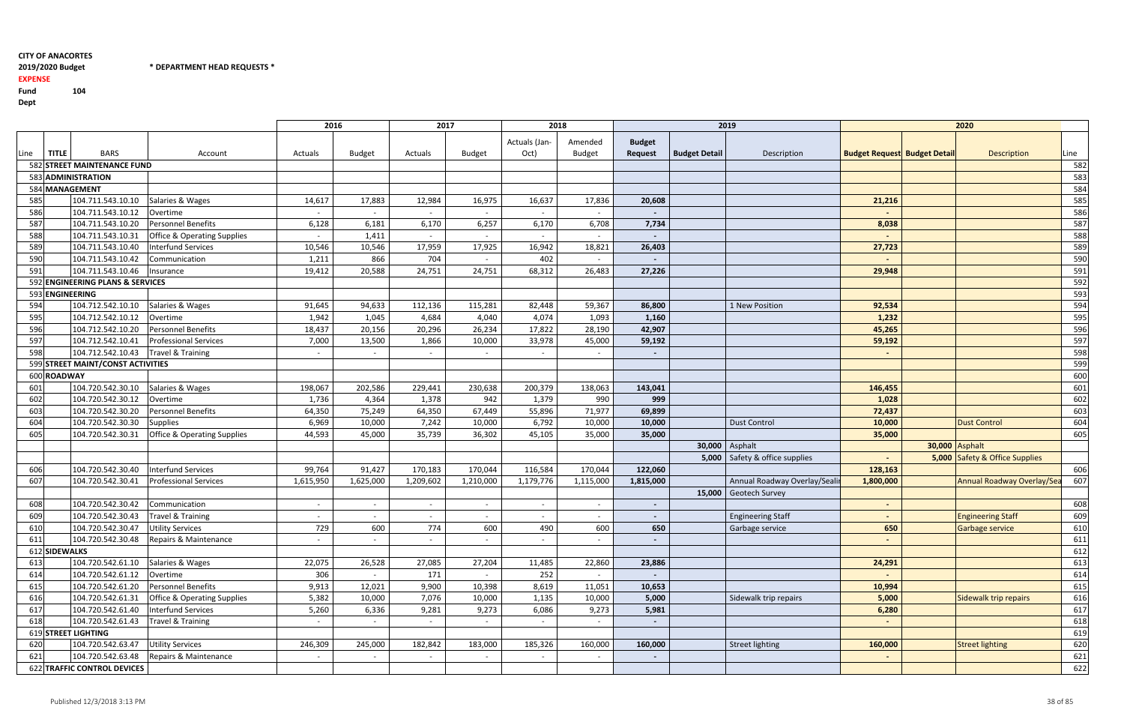$*$  DEPARTMENT HEAD REQUESTS  $*$ 

## 2019/2020 Budget

EXPENSE

Fund <sup>104</sup>

|                                   |                                                             |                                                             | 2016                     |                          | 2017                     |                          | 2018                     |                          | 2019           |                      |                                  | 2020                                |                |                                  |      |
|-----------------------------------|-------------------------------------------------------------|-------------------------------------------------------------|--------------------------|--------------------------|--------------------------|--------------------------|--------------------------|--------------------------|----------------|----------------------|----------------------------------|-------------------------------------|----------------|----------------------------------|------|
|                                   |                                                             |                                                             |                          |                          |                          |                          | Actuals (Jan-            | Amended                  | <b>Budget</b>  |                      |                                  |                                     |                |                                  |      |
| Line                              | <b>TITLE</b>                                                | <b>BARS</b><br>Account                                      | Actuals                  | <b>Budget</b>            | Actuals                  | Budget                   | Oct)                     | <b>Budget</b>            | <b>Request</b> | <b>Budget Detail</b> | Description                      | <b>Budget Request Budget Detail</b> |                | Description                      | Line |
|                                   |                                                             | 582 STREET MAINTENANCE FUND                                 |                          |                          |                          |                          |                          |                          |                |                      |                                  |                                     |                |                                  | 582  |
|                                   |                                                             | 583 ADMINISTRATION                                          |                          |                          |                          |                          |                          |                          |                |                      |                                  |                                     |                |                                  | 583  |
|                                   |                                                             | 584 MANAGEMENT                                              |                          |                          |                          |                          |                          |                          |                |                      |                                  |                                     |                |                                  | 584  |
| 585                               |                                                             | 104.711.543.10.10<br>Salaries & Wages                       | 14,617                   | 17,883                   | 12,984                   | 16,975                   | 16,637                   | 17,836                   | 20,608         |                      |                                  | 21,216                              |                |                                  | 585  |
| 586                               |                                                             | 104.711.543.10.12<br>Overtime                               | $\overline{\phantom{0}}$ |                          | $\overline{\phantom{a}}$ |                          | $\overline{\phantom{a}}$ | $\overline{\phantom{0}}$ |                |                      |                                  |                                     |                |                                  | 586  |
| 587                               |                                                             | 104.711.543.10.20<br>Personnel Benefits                     | 6,128                    | 6,181                    | 6,170                    | 6,257                    | 6,170                    | 6,708                    | 7,734          |                      |                                  | 8,038                               |                |                                  | 587  |
| 588                               | 104.711.543.10.31<br><b>Office &amp; Operating Supplies</b> |                                                             |                          | 1,411                    |                          |                          |                          |                          |                |                      |                                  |                                     |                |                                  | 588  |
| 589                               |                                                             | 104.711.543.10.40<br><b>Interfund Services</b>              | 10,546                   | 10,546                   | 17,959                   | 17,925                   | 16,942                   | 18,821                   | 26,403         |                      |                                  | 27,723                              |                |                                  | 589  |
| 590                               |                                                             | 104.711.543.10.42<br>Communication                          | 1,211                    | 866                      | 704                      |                          | 402                      |                          |                |                      |                                  |                                     |                |                                  | 590  |
| 591                               |                                                             | 104.711.543.10.46<br>Insurance                              | 19,412                   | 20,588                   | 24,751                   | 24,751                   | 68,312                   | 26,483                   | 27,226         |                      |                                  | 29,948                              |                |                                  | 591  |
|                                   |                                                             | 592 ENGINEERING PLANS & SERVICES                            |                          |                          |                          |                          |                          |                          |                |                      |                                  |                                     |                |                                  | 592  |
|                                   |                                                             | 593 ENGINEERING                                             |                          |                          |                          |                          |                          |                          |                |                      |                                  |                                     |                |                                  | 593  |
| 594                               |                                                             | 104.712.542.10.10<br>Salaries & Wages                       | 91,645                   | 94,633                   | 112,136                  | 115,281                  | 82,448                   | 59,367                   | 86,800         |                      | 1 New Position                   | 92,534                              |                |                                  | 594  |
| 595                               |                                                             | 104.712.542.10.12<br>Overtime                               | 1,942                    | 1,045                    | 4,684                    | 4,040                    | 4,074                    | 1,093                    | 1,160          |                      |                                  | 1,232                               |                |                                  | 595  |
| 596                               |                                                             | 104.712.542.10.20<br><b>Personnel Benefits</b>              | 18,437                   | 20,156                   | 20,296                   | 26,234                   | 17,822                   | 28,190                   | 42,907         |                      |                                  | 45,265                              |                |                                  | 596  |
| 597                               |                                                             | 104.712.542.10.41<br><b>Professional Services</b>           | 7,000                    | 13,500                   | 1,866                    | 10,000                   | 33,978                   | 45,000                   | 59,192         |                      |                                  | 59,192                              |                |                                  | 597  |
| 598                               |                                                             | 104.712.542.10.43<br>Travel & Training                      |                          |                          |                          |                          |                          |                          |                |                      |                                  |                                     |                |                                  | 598  |
| 599 STREET MAINT/CONST ACTIVITIES |                                                             |                                                             |                          |                          |                          |                          |                          |                          |                |                      |                                  |                                     |                |                                  | 599  |
|                                   | 600 ROADWAY                                                 |                                                             |                          |                          |                          |                          |                          |                          |                |                      |                                  |                                     |                |                                  | 600  |
| 601                               |                                                             | 104.720.542.30.10<br>Salaries & Wages                       | 198,067                  | 202,586                  | 229,441                  | 230,638                  | 200,379                  | 138,063                  | 143,041        |                      |                                  | 146,455                             |                |                                  | 601  |
| 602                               |                                                             | 104.720.542.30.12<br>Overtime                               | 1,736                    | 4,364                    | 1,378                    | 942                      | 1,379                    | 990                      | 999            |                      |                                  | 1,028                               |                |                                  | 602  |
| 603                               |                                                             | 104.720.542.30.20<br><b>Personnel Benefits</b>              | 64,350                   | 75,249                   | 64,350                   | 67,449                   | 55,896                   | 71,977                   | 69,899         |                      |                                  | 72,437                              |                |                                  | 603  |
| 604                               |                                                             | 104.720.542.30.30<br><b>Supplies</b>                        | 6,969                    | 10,000                   | 7,242                    | 10,000                   | 6,792                    | 10,000                   | 10,000         |                      | <b>Dust Control</b>              | 10,000                              |                | <b>Dust Control</b>              | 604  |
| 605                               |                                                             | 104.720.542.30.31<br><b>Office &amp; Operating Supplies</b> | 44,593                   | 45,000                   | 35,739                   | 36,302                   | 45,105                   | 35,000                   | 35,000         |                      |                                  | 35,000                              |                |                                  | 605  |
|                                   |                                                             |                                                             |                          |                          |                          |                          |                          |                          |                | 30,000 Asphalt       |                                  |                                     | 30,000 Asphalt |                                  |      |
|                                   |                                                             |                                                             |                          |                          |                          |                          |                          |                          |                |                      | 5,000   Safety & office supplies |                                     |                | 5,000 Safety & Office Supplies   |      |
| 606                               |                                                             | 104.720.542.30.40<br><b>Interfund Services</b>              | 99,764                   | 91,427                   | 170,183                  | 170,044                  | 116,584                  | 170,044                  | 122,060        |                      |                                  | 128,163                             |                |                                  | 606  |
| 607                               |                                                             | 104.720.542.30.41<br><b>Professional Services</b>           | 1,615,950                | 1,625,000                | 1,209,602                | 1,210,000                | 1,179,776                | 1,115,000                | 1,815,000      |                      | Annual Roadway Overlay/Seali     | 1,800,000                           |                | <b>Annual Roadway Overlay/Se</b> | 607  |
|                                   |                                                             |                                                             |                          |                          |                          |                          |                          |                          |                |                      | 15,000 Geotech Survey            |                                     |                |                                  |      |
| 608                               |                                                             | 104.720.542.30.42<br>Communication                          | $\overline{\phantom{0}}$ | $\overline{\phantom{0}}$ | $\overline{\phantom{a}}$ | $\overline{\phantom{a}}$ | $\overline{\phantom{a}}$ | $\overline{\phantom{0}}$ | $\sim$         |                      |                                  |                                     |                |                                  | 608  |
| 609                               |                                                             | 104.720.542.30.43<br>Travel & Training                      | $\sim$                   | $\overline{\phantom{0}}$ | $\sim$                   | $\sim$                   | $\overline{\phantom{a}}$ |                          |                |                      | <b>Engineering Staff</b>         |                                     |                | <b>Engineering Staff</b>         | 609  |
| 610                               |                                                             | 104.720.542.30.47 Utility Services                          | 729                      | 600                      | 774                      | 600                      | 490                      | 600                      | 650            |                      | Garbage service                  | 650                                 |                | Garbage service                  | 610  |
| 611                               |                                                             | 104.720.542.30.48<br>Repairs & Maintenance                  | $\sim$                   |                          | $\sim$                   |                          |                          |                          |                |                      |                                  |                                     |                |                                  | 611  |
|                                   | 612 SIDEWALKS                                               |                                                             |                          |                          |                          |                          |                          |                          |                |                      |                                  |                                     |                |                                  | 612  |
| 613                               |                                                             | 104.720.542.61.10<br>Salaries & Wages                       | 22,075                   | 26,528                   | 27,085                   | 27,204                   | 11,485                   | 22,860                   | 23,886         |                      |                                  | 24,291                              |                |                                  | 613  |
| 614                               |                                                             | 104.720.542.61.12<br>Overtime                               | 306                      | $\sim$                   | 171                      |                          | 252                      | $\sim$                   |                |                      |                                  |                                     |                |                                  | 614  |
| 615                               |                                                             | 104.720.542.61.20<br>Personnel Benefits                     | 9,913                    | 12,021                   | 9,900                    | 10,398                   | 8,619                    | 11,051                   | 10,653         |                      |                                  | 10,994                              |                |                                  | 615  |
| 616                               |                                                             | 104.720.542.61.31<br><b>Office &amp; Operating Supplies</b> | 5,382                    | 10,000                   | 7,076                    | 10,000                   | 1,135                    | 10,000                   | 5,000          |                      | Sidewalk trip repairs            | 5,000                               |                | Sidewalk trip repairs            | 616  |
| 617                               |                                                             | 104.720.542.61.40<br><b>Interfund Services</b>              | 5,260                    | 6,336                    | 9,281                    | 9,273                    | 6,086                    | 9,273                    | 5,981          |                      |                                  | 6,280                               |                |                                  | 617  |
| 618                               |                                                             | 104.720.542.61.43<br>Travel & Training                      | $\sim$                   | $\sim$                   | $\overline{\phantom{a}}$ |                          | $\overline{\phantom{a}}$ | $\sim$                   |                |                      |                                  |                                     |                |                                  | 618  |
|                                   |                                                             | 619 STREET LIGHTING                                         |                          |                          |                          |                          |                          |                          |                |                      |                                  |                                     |                |                                  | 619  |
| 620                               |                                                             | 104.720.542.63.47<br><b>Utility Services</b>                | 246,309                  | 245,000                  | 182,842                  | 183,000                  | 185,326                  | 160,000                  | 160,000        |                      | <b>Street lighting</b>           | 160,000                             |                | <b>Street lighting</b>           | 620  |
| 621                               |                                                             | 104.720.542.63.48<br>Repairs & Maintenance                  | $\overline{a}$           |                          |                          |                          |                          |                          |                |                      |                                  |                                     |                |                                  | 621  |
|                                   |                                                             | 622 TRAFFIC CONTROL DEVICES                                 |                          |                          |                          |                          |                          |                          |                |                      |                                  |                                     |                |                                  | 622  |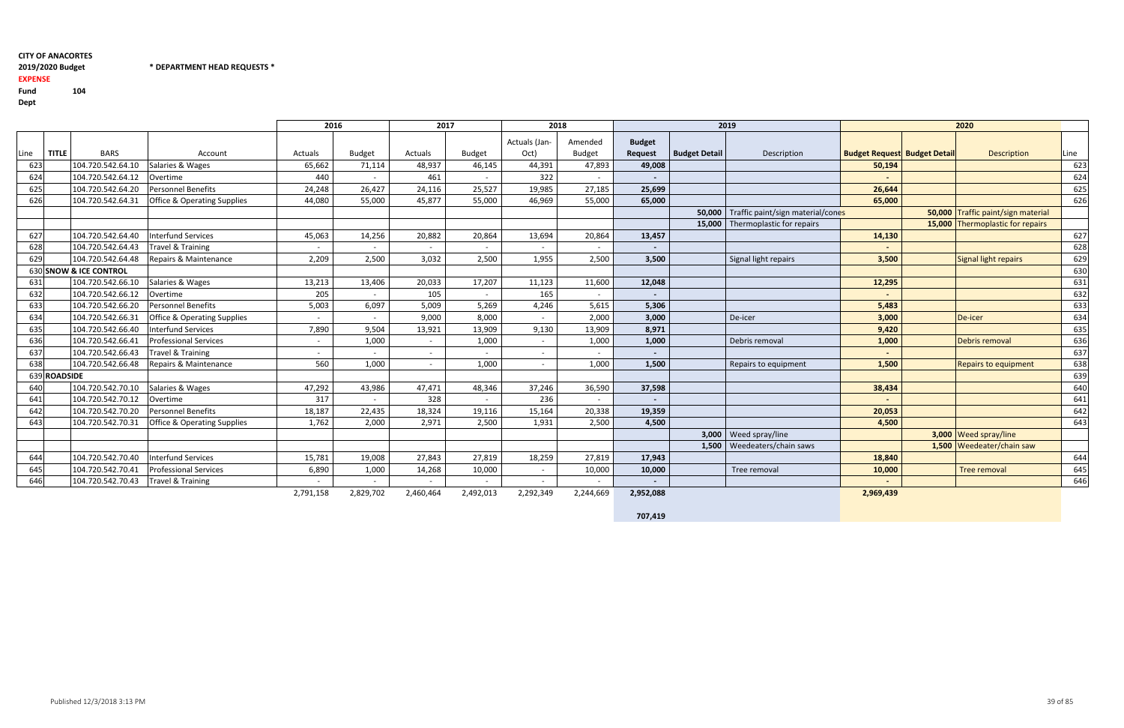2019/2020 Budget \* DEPARTMENT HEAD REQUESTS \*

## 2019/2020 Budget

EXPENSE

Fund <sup>104</sup>Dept

| ۰.<br>×<br>×<br>۰.<br>v<br>۰, |
|-------------------------------|
|-------------------------------|

|     |              | 2016                   |                                        | 2017                     |               | 2018      |               |                          |                          | 2019                     | 2020                 |                                   |                                     |  |                                    |      |
|-----|--------------|------------------------|----------------------------------------|--------------------------|---------------|-----------|---------------|--------------------------|--------------------------|--------------------------|----------------------|-----------------------------------|-------------------------------------|--|------------------------------------|------|
| ine | <b>TITLE</b> | <b>BARS</b>            | Account                                | Actuals                  | <b>Budget</b> | Actuals   | <b>Budget</b> | Actuals (Jan-<br>Oct)    | Amended<br><b>Budget</b> | <b>Budget</b><br>Request | <b>Budget Detail</b> | Description                       | <b>Budget Request Budget Detail</b> |  | <b>Description</b>                 | Line |
| 623 |              | 104.720.542.64.10      | Salaries & Wages                       | 65,662                   | 71,114        | 48,937    | 46,145        | 44,391                   | 47,893                   | 49,008                   |                      |                                   | 50,194                              |  |                                    | 623  |
| 624 |              | 104.720.542.64.12      | Overtime                               | 440                      |               | 461       |               | 322                      |                          |                          |                      |                                   |                                     |  |                                    | 624  |
| 625 |              | 104.720.542.64.20      | <b>Personnel Benefits</b>              | 24,248                   | 26,427        | 24,116    | 25,527        | 19,985                   | 27,185                   | 25,699                   |                      |                                   | 26,644                              |  |                                    | 625  |
| 626 |              | 104.720.542.64.31      | <b>Office &amp; Operating Supplies</b> | 44,080                   | 55,000        | 45,877    | 55,000        | 46,969                   | 55,000                   | 65,000                   |                      |                                   | 65,000                              |  |                                    | 626  |
|     |              |                        |                                        |                          |               |           |               |                          |                          |                          | 50.000               | Traffic paint/sign material/cones |                                     |  | 50,000 Traffic paint/sign material |      |
|     |              |                        |                                        |                          |               |           |               |                          |                          |                          | 15,000               | Thermoplastic for repairs         |                                     |  | 15,000 Thermoplastic for repairs   |      |
| 627 |              | 104.720.542.64.40      | <b>Interfund Services</b>              | 45,063                   | 14,256        | 20,882    | 20,864        | 13,694                   | 20,864                   | 13,457                   |                      |                                   | 14,130                              |  |                                    | 627  |
| 628 |              | 104.720.542.64.43      | Travel & Training                      |                          |               |           |               |                          |                          |                          |                      |                                   |                                     |  |                                    | 628  |
| 629 |              | 104.720.542.64.48      | Repairs & Maintenance                  | 2,209                    | 2,500         | 3,032     | 2,500         | 1,955                    | 2,500                    | 3,500                    |                      | Signal light repairs              | 3,500                               |  | Signal light repairs               | 629  |
|     |              | 630 SNOW & ICE CONTROL |                                        |                          |               |           |               |                          |                          |                          |                      |                                   |                                     |  |                                    | 630  |
| 631 |              | 104.720.542.66.10      | Salaries & Wages                       | 13,213                   | 13,406        | 20,033    | 17,207        | 11,123                   | 11,600                   | 12,048                   |                      |                                   | 12,295                              |  |                                    | 631  |
| 632 |              | 104.720.542.66.12      | Overtime                               | 205                      |               | 105       |               | 165                      |                          | $\overline{\phantom{a}}$ |                      |                                   |                                     |  |                                    | 632  |
| 633 |              | 104.720.542.66.20      | Personnel Benefits                     | 5,003                    | 6,097         | 5,009     | 5,269         | 4,246                    | 5,615                    | 5,306                    |                      |                                   | 5,483                               |  |                                    | 633  |
| 634 |              | 104.720.542.66.31      | <b>Office &amp; Operating Supplies</b> |                          |               | 9,000     | 8,000         |                          | 2,000                    | 3,000                    |                      | De-icer                           | 3,000                               |  | De-icer                            | 634  |
| 635 |              | 104.720.542.66.40      | Interfund Services                     | 7,890                    | 9,504         | 13,921    | 13,909        | 9,130                    | 13,909                   | 8,971                    |                      |                                   | 9,420                               |  |                                    | 635  |
| 636 |              | 104.720.542.66.41      | <b>Professional Services</b>           |                          | 1,000         |           | 1,000         |                          | 1,000                    | 1,000                    |                      | Debris removal                    | 1,000                               |  | Debris removal                     | 636  |
| 637 |              | 104.720.542.66.43      | Travel & Training                      | $\overline{\phantom{a}}$ |               |           |               |                          |                          | $\overline{\phantom{a}}$ |                      |                                   |                                     |  |                                    | 637  |
| 638 |              | 104.720.542.66.48      | Repairs & Maintenance                  | 560                      | 1,000         |           | 1,000         |                          | 1,000                    | 1,500                    |                      | Repairs to equipment              | 1,500                               |  | Repairs to equipment               | 638  |
|     | 639 ROADSIDE |                        |                                        |                          |               |           |               |                          |                          |                          |                      |                                   |                                     |  |                                    | 639  |
| 640 |              | 104.720.542.70.10      | Salaries & Wages                       | 47,292                   | 43,986        | 47,471    | 48,346        | 37,246                   | 36,590                   | 37,598                   |                      |                                   | 38,434                              |  |                                    | 640  |
| 641 |              | 104.720.542.70.12      | Overtime                               | 317                      |               | 328       |               | 236                      |                          |                          |                      |                                   |                                     |  |                                    | 641  |
| 642 |              | 104.720.542.70.20      | Personnel Benefits                     | 18,187                   | 22,435        | 18,324    | 19,116        | 15,164                   | 20,338                   | 19,359                   |                      |                                   | 20,053                              |  |                                    | 642  |
| 643 |              | 104.720.542.70.31      | <b>Office &amp; Operating Supplies</b> | 1,762                    | 2,000         | 2,971     | 2,500         | 1,931                    | 2,500                    | 4,500                    |                      |                                   | 4,500                               |  |                                    | 643  |
|     |              |                        |                                        |                          |               |           |               |                          |                          |                          |                      | 3,000   Weed spray/line           |                                     |  | 3,000 Weed spray/line              |      |
|     |              |                        |                                        |                          |               |           |               |                          |                          |                          |                      | 1,500   Weedeaters/chain saws     |                                     |  | 1,500 Weedeater/chain saw          |      |
| 644 |              | 104.720.542.70.40      | <b>Interfund Services</b>              | 15,781                   | 19,008        | 27,843    | 27,819        | 18,259                   | 27,819                   | 17,943                   |                      |                                   | 18,840                              |  |                                    | 644  |
| 645 |              | 104.720.542.70.41      | <b>Professional Services</b>           | 6,890                    | 1,000         | 14,268    | 10,000        | $\overline{\phantom{a}}$ | 10,000                   | 10,000                   |                      | Tree removal                      | 10,000                              |  | <b>Tree removal</b>                | 645  |
| 646 |              | 104.720.542.70.43      | Travel & Training                      |                          |               |           |               |                          |                          |                          |                      |                                   |                                     |  |                                    | 646  |
|     |              |                        |                                        | 2,791,158                | 2,829,702     | 2,460,464 | 2,492,013     | 2,292,349                | 2,244,669                | 2,952,088                |                      |                                   | 2,969,439                           |  |                                    |      |

707,419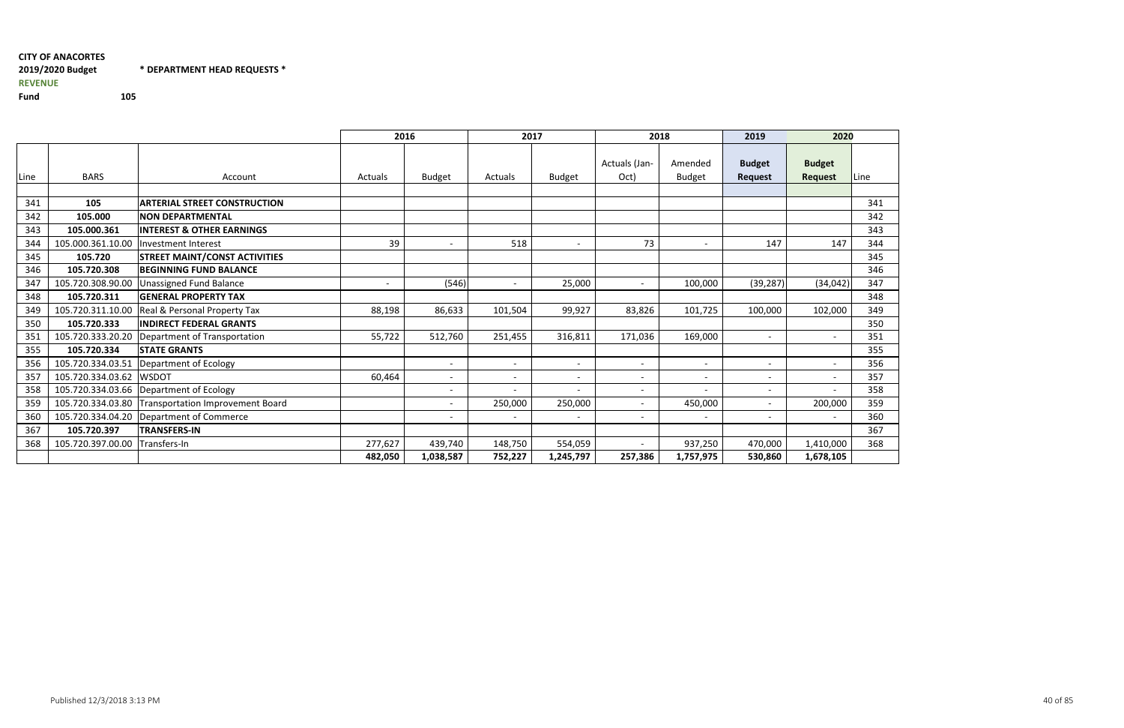#### CITY OF ANACORTES2019/2020 Budget\* DEPARTMENT HEAD REQUESTS \*

2016 <sup>2017</sup> <sup>2018</sup> <sup>2019</sup> <sup>2020</sup> Line BARS | Account Account Actuals Budget Actuals Budget Budget Actuals (Jan-Oct)Amended<br>Budget Budget Request**Budget**<br>Reque 341105 ARTERIAL STREET CONSTRUCTION<br>105.000 NON DEPARTMENTAL <u>N</u> 341 342 105.000 NON DEPARTMENTAL <sup>342</sup> 343 105.000.361 INTEREST & OTHER EARNINGS <sup>343</sup> 3444 | 105.000.361.10.00 |Investment Interest 39 | 518 | 73 | 147 | 147 | 344 345105.720 STREET MAINT/CONST ACTIVITIES<br>105.720.308 BEGINNING FUND BALANCE 346 105.720.308 BEGINNING FUND BALANCE <sup>346</sup> 347 105.720.308.90.00 Unassigned Fund Balance - (546) - 25,000 - 100,000 (39,287) (34,042) <sup>347</sup> 348105.720.311 GENERAL PROPERTY TAX<br>105.720.311.10.00 Real & Personal Property Tax  $\mathsf{X}$  , and the contract of the contract of the contract of the contract of the contract of the contract of the contract of the contract of the contract of the contract of the contract of the contract of the contract o 3499 | 105.720.311.10.00 |Real & Personal Property Tax 88,198 | 86,633 | 101,504 | 99,927 | 83,826 | 101,725 | 100,000 | 102,000 | 349 350 105.720.333 INDIRECT FEDERAL GRANTS <sup>350</sup> 351105.720.333.20.20 Department of Transportation 1990 1991 105.720 512,760 251,455 316,811 171,036 169,000 - 105<br>105.720.334 STATE GRANTS 355 105.720.334 STATE GRANTS <sup>355</sup> 356 105.720.334.03.51 Department of Ecology - - - - - - - <sup>356</sup> 357 105.720.334.03.62 WSDOT 60,464 - - - - - - - <sup>357</sup> 358 105.720.334.03.66 Department of Ecology - - - - - - - <sup>358</sup> 359105.720.334.03.80 Transportation Improvement Board 1990 100 100 100 1000 250,000 250,000 250,000 - 200,000 360<br>105.720.334.04.20 Department of Commerce 1990 1000 1000 1000 350,000 250,000 250,000 - 2000 250,000 360 360 36 360 105.720.334.04.20 Department of Commerce - - - - - - - <sup>360</sup> 367 105.720.397 TRANSFERS-IN $\sim$  367 368105.720.397.00.00 Transfers-In 277,627 | 439,740 | 148,750 | 554,059 | 937,250 | 470,000 | 1,410<br>482,050 | 1,038,587 | 752,227 | 1,245,797 | 257,386 | 1,757,975 | 530,860 | 1,678 | 1,678 482,0500 | 1,038,587 | 752,227 | 1,245,797 | 257,386 | 1,757,975 | 530,860 | 1,678,105

REVENUE

Fund

<sup>105</sup>

| 2020      |      |
|-----------|------|
| et<br>est | Line |
|           |      |
|           | 341  |
|           | 342  |
|           | 343  |
| 147       | 344  |
|           | 345  |
|           | 346  |
| 4,042)    | 347  |
|           | 348  |
| 2,000     | 349  |
|           | 350  |
|           | 351  |
|           | 355  |
|           | 356  |
|           | 357  |
|           | 358  |
| 0,000     | 359  |
|           | 360  |
|           | 367  |
| 0,000     | 368  |
| 3,105     |      |
|           |      |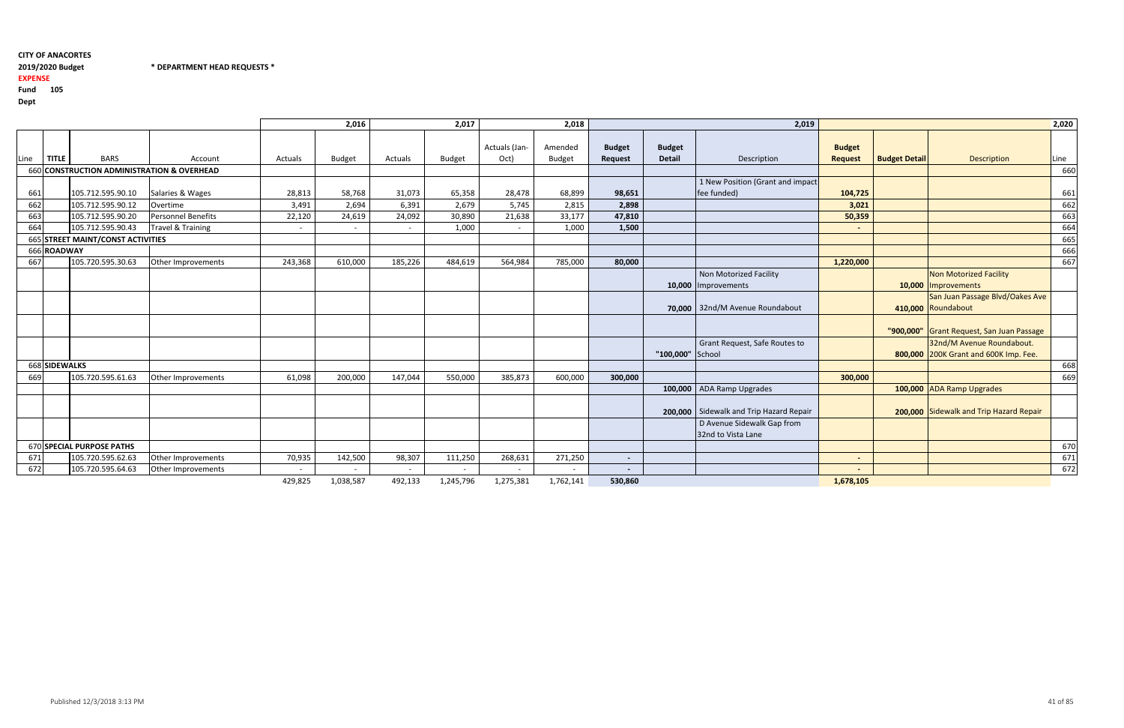## 2019/2020 Budget

2019/2020 Budget \* DEPARTMENT HEAD REQUESTS \*

## EXPENSE

| I<br>×<br>۰. |
|--------------|
|--------------|

|      |               |                                   |                                            |                | 2,016                    |         | 2,017         |                          | 2,018                    |                          |                                | 2,019                                            |                                 |                      |                                                                    |      |
|------|---------------|-----------------------------------|--------------------------------------------|----------------|--------------------------|---------|---------------|--------------------------|--------------------------|--------------------------|--------------------------------|--------------------------------------------------|---------------------------------|----------------------|--------------------------------------------------------------------|------|
| Line | <b>TITLE</b>  | <b>BARS</b>                       | Account                                    | Actuals        | <b>Budget</b>            | Actuals | <b>Budget</b> | Actuals (Jan-<br>Oct)    | Amended<br><b>Budget</b> | <b>Budget</b><br>Request | <b>Budget</b><br><b>Detail</b> | Description                                      | <b>Budget</b><br><b>Request</b> | <b>Budget Detail</b> | Description                                                        | Line |
|      |               |                                   | 660 CONSTRUCTION ADMINISTRATION & OVERHEAD |                |                          |         |               |                          |                          |                          |                                |                                                  |                                 |                      |                                                                    | 660  |
| 661  |               | 105.712.595.90.10                 | Salaries & Wages                           | 28,813         | 58,768                   | 31,073  | 65,358        | 28,478                   | 68,899                   | fee funded)<br>98,651    |                                | 1 New Position (Grant and impact                 | 104,725                         |                      |                                                                    | 661  |
| 662  |               | 105.712.595.90.12                 | Overtime                                   | 3,491          | 2,694                    | 6,391   | 2,679         | 5,745                    | 2,815                    | 2,898                    |                                |                                                  | 3,021                           |                      |                                                                    | 662  |
| 663  |               | 105.712.595.90.20                 | Personnel Benefits                         | 22,120         | 24,619                   | 24,092  | 30,890        | 21,638                   | 33,177                   | 47,810                   |                                |                                                  | 50,359                          |                      |                                                                    | 663  |
| 664  |               | 105.712.595.90.43                 | Travel & Training                          | $\overline{a}$ | $\overline{\phantom{a}}$ |         | 1,000         | $\overline{\phantom{a}}$ | 1,000                    | 1,500                    |                                |                                                  | $\sim$                          |                      |                                                                    | 664  |
|      |               | 665 STREET MAINT/CONST ACTIVITIES |                                            |                |                          |         |               |                          |                          |                          |                                |                                                  |                                 |                      |                                                                    | 665  |
|      | 666 ROADWAY   |                                   |                                            |                |                          |         |               |                          |                          |                          |                                |                                                  |                                 |                      |                                                                    | 666  |
| 667  |               | 105.720.595.30.63                 | Other Improvements                         | 243,368        | 610,000                  | 185,226 | 484,619       | 564,984                  | 785,000                  | 80,000                   |                                |                                                  | 1,220,000                       |                      |                                                                    | 667  |
|      |               |                                   |                                            |                |                          |         |               |                          |                          |                          |                                | Non Motorized Facility<br>10,000 Improvements    |                                 |                      | <b>Non Motorized Facility</b><br>10,000 Improvements               |      |
|      |               |                                   |                                            |                |                          |         |               |                          |                          |                          |                                | 70,000 32nd/M Avenue Roundabout                  |                                 |                      | San Juan Passage Blvd/Oakes Ave<br>410,000 Roundabout              |      |
|      |               |                                   |                                            |                |                          |         |               |                          |                          |                          |                                |                                                  |                                 |                      | "900,000" Grant Request, San Juan Passage                          |      |
|      |               |                                   |                                            |                |                          |         |               |                          |                          |                          | "100,000" School               | Grant Request, Safe Routes to                    |                                 |                      | 32nd/M Avenue Roundabout.<br>800,000 200K Grant and 600K Imp. Fee. |      |
|      | 668 SIDEWALKS |                                   |                                            |                |                          |         |               |                          |                          |                          |                                |                                                  |                                 |                      |                                                                    | 668  |
| 669  |               | 105.720.595.61.63                 | Other Improvements                         | 61,098         | 200,000                  | 147,044 | 550,000       | 385,873                  | 600,000                  | 300,000                  |                                |                                                  | 300,000                         |                      |                                                                    | 669  |
|      |               |                                   |                                            |                |                          |         |               |                          |                          |                          |                                | 100,000   ADA Ramp Upgrades                      |                                 |                      | 100,000 ADA Ramp Upgrades                                          |      |
|      |               |                                   |                                            |                |                          |         |               |                          |                          |                          |                                | 200,000 Sidewalk and Trip Hazard Repair          |                                 |                      | 200,000 Sidewalk and Trip Hazard Repair                            |      |
|      |               |                                   |                                            |                |                          |         |               |                          |                          |                          |                                | D Avenue Sidewalk Gap from<br>32nd to Vista Lane |                                 |                      |                                                                    |      |
|      |               | 670 SPECIAL PURPOSE PATHS         |                                            |                |                          |         |               |                          |                          |                          |                                |                                                  |                                 |                      |                                                                    | 670  |
| 671  |               | 105.720.595.62.63                 | Other Improvements                         | 70,935         | 142,500                  | 98,307  | 111,250       | 268,631                  | 271,250                  | $\sim$                   |                                |                                                  | $\sim$                          |                      |                                                                    | 671  |
| 672  |               | 105.720.595.64.63                 | Other Improvements                         |                |                          |         |               |                          |                          | $\overline{\phantom{0}}$ |                                |                                                  |                                 |                      |                                                                    | 672  |
|      |               |                                   |                                            | 429,825        | 1,038,587                | 492,133 | 1,245,796     | 1,275,381                | 1,762,141                | 530,860                  |                                |                                                  | 1,678,105                       |                      |                                                                    |      |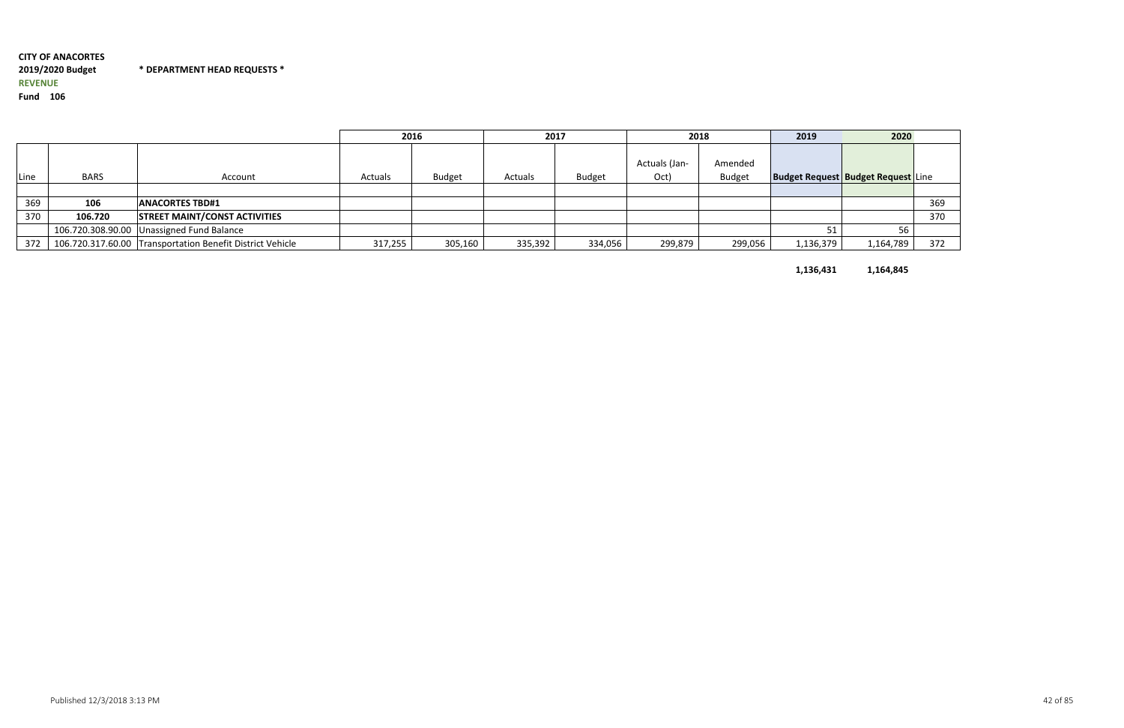## CITY OF ANACORTES2019/2020 Budget \* DEPARTMENT HEAD REQUESTS \*REVENUEFund <sup>106</sup>

|      |             |                                                           | 2016    |               | 2017    |               | 2018                  |                          | 2019                                      | 2020      |     |
|------|-------------|-----------------------------------------------------------|---------|---------------|---------|---------------|-----------------------|--------------------------|-------------------------------------------|-----------|-----|
| Line | <b>BARS</b> | Account                                                   | Actuals | <b>Budget</b> | Actuals | <b>Budget</b> | Actuals (Jan-<br>Oct) | Amended<br><b>Budget</b> | <b>Budget Request Budget Request Line</b> |           |     |
|      |             |                                                           |         |               |         |               |                       |                          |                                           |           |     |
| 369  | 106         | <b>IANACORTES TBD#1</b>                                   |         |               |         |               |                       |                          |                                           |           | 369 |
| 370  | 106.720     | <b>STREET MAINT/CONST ACTIVITIES</b>                      |         |               |         |               |                       |                          |                                           |           | 370 |
|      |             | 106.720.308.90.00 Unassigned Fund Balance                 |         |               |         |               |                       |                          |                                           | 56        |     |
| 372  |             | 106.720.317.60.00 Transportation Benefit District Vehicle | 317,255 | 305,160       | 335,392 | 334,056       | 299,879               | 299,056                  | 1,136,379                                 | 1,164,789 | 372 |

1,136,431

1,164,845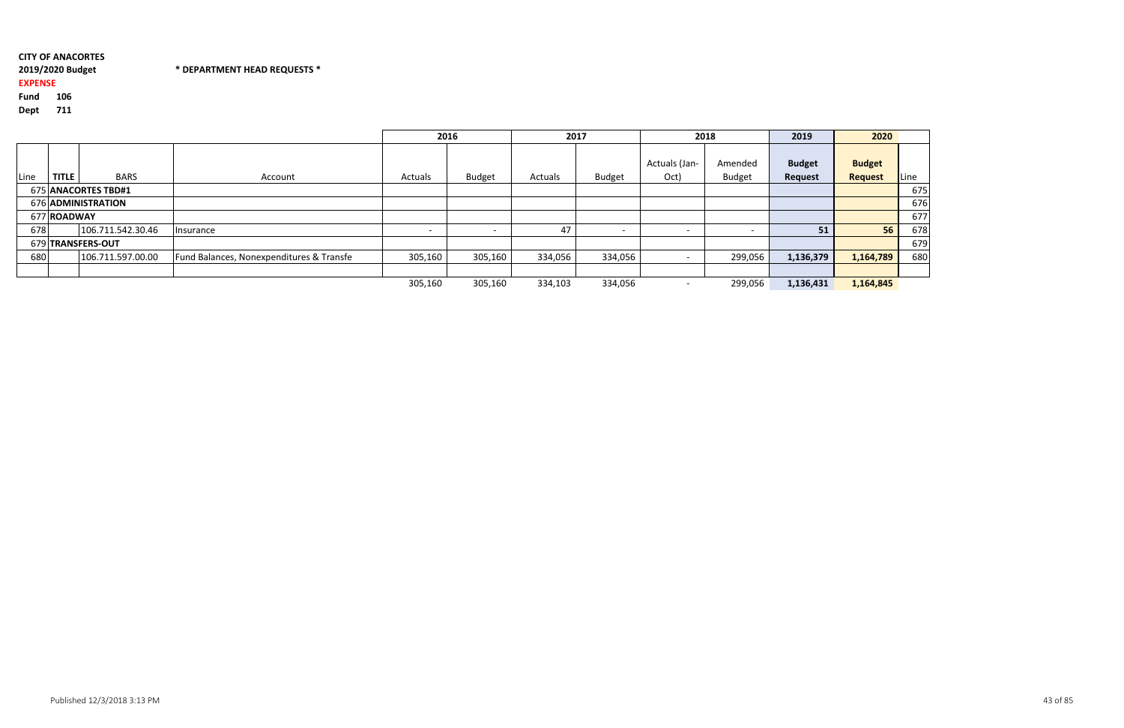#### 2019/2020 Budget\* DEPARTMENT HEAD REQUESTS \*

## EXPENSE

Fund <sup>106</sup>

|                     |              |                   |                                          | 2016    |               | 2017    |               |                       | 2018                     | 2019                            | 2020                            |      |
|---------------------|--------------|-------------------|------------------------------------------|---------|---------------|---------|---------------|-----------------------|--------------------------|---------------------------------|---------------------------------|------|
| Line                | <b>TITLE</b> | <b>BARS</b>       | Account                                  | Actuals | <b>Budget</b> | Actuals | <b>Budget</b> | Actuals (Jan-<br>Oct) | Amended<br><b>Budget</b> | <b>Budget</b><br><b>Request</b> | <b>Budget</b><br><b>Request</b> | Line |
| 675 ANACORTES TBD#1 |              |                   |                                          |         |               |         |               |                       |                          |                                 |                                 | 675  |
| 676 ADMINISTRATION  |              |                   |                                          |         |               |         |               |                       |                          |                                 |                                 | 676  |
|                     | 677 ROADWAY  |                   |                                          |         |               |         |               |                       |                          |                                 |                                 | 677  |
| 678                 |              | 106.711.542.30.46 | Insurance                                |         |               | 47      |               |                       |                          | 51                              | 56                              | 678  |
| 679 TRANSFERS-OUT   |              |                   |                                          |         |               |         |               |                       |                          |                                 |                                 | 679  |
| 680                 |              | 106.711.597.00.00 | Fund Balances, Nonexpenditures & Transfe | 305,160 | 305,160       | 334,056 | 334,056       |                       | 299,056                  | 1,136,379                       | 1,164,789                       | 680  |
|                     |              |                   |                                          |         |               |         |               |                       |                          |                                 |                                 |      |
|                     |              |                   |                                          | 305,160 | 305,160       | 334,103 | 334,056       |                       | 299,056                  | 1,136,431                       | 1,164,845                       |      |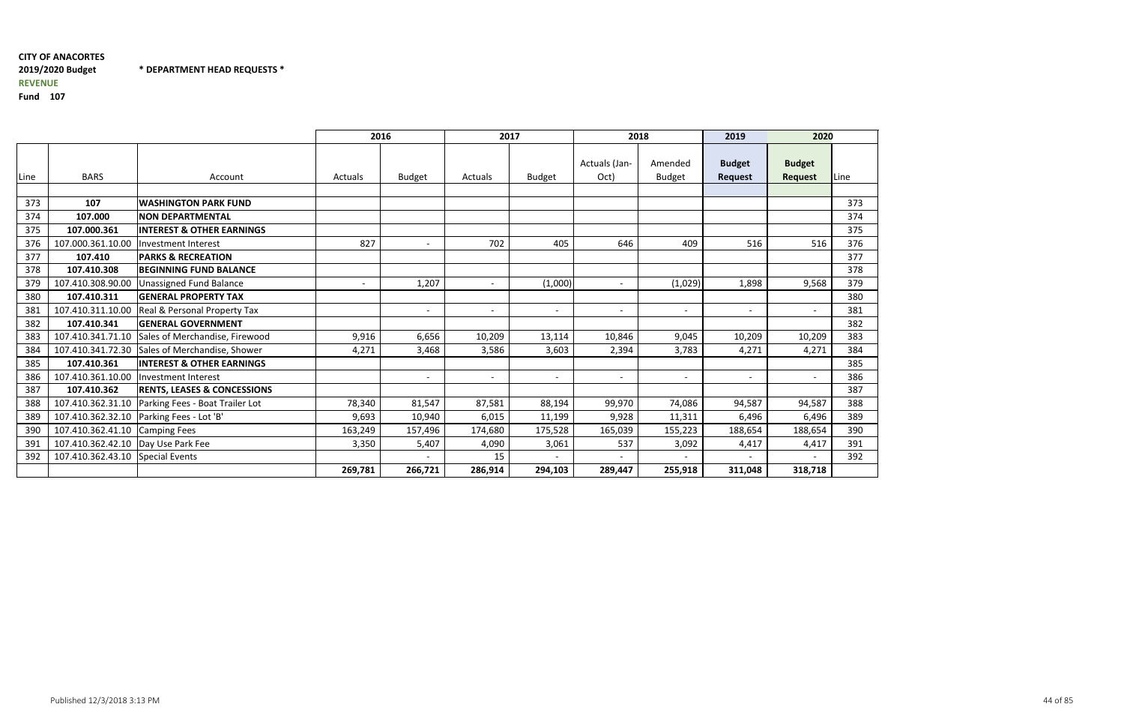## CITY OF ANACORTES2019/2020 Budget \* DEPARTMENT HEAD REQUESTS \*REVENUE

|      |                                      |                                         |                              | 2016                     | 2017                     |                          |                          | 2018                         | 2020<br>2019                    |                                 |      |
|------|--------------------------------------|-----------------------------------------|------------------------------|--------------------------|--------------------------|--------------------------|--------------------------|------------------------------|---------------------------------|---------------------------------|------|
| Line | <b>BARS</b>                          | Account                                 | <b>Actuals</b>               | <b>Budget</b>            | Actuals                  | <b>Budget</b>            | Actuals (Jan-<br>Oct)    | Amended<br><b>Budget</b>     | <b>Budget</b><br><b>Request</b> | <b>Budget</b><br><b>Request</b> | Line |
|      |                                      |                                         |                              |                          |                          |                          |                          |                              |                                 |                                 |      |
| 373  | 107                                  | <b>IWASHINGTON PARK FUND</b>            |                              |                          |                          |                          |                          |                              |                                 |                                 | 373  |
| 374  | 107.000                              | <b>NON DEPARTMENTAL</b>                 |                              |                          |                          |                          |                          |                              |                                 |                                 | 374  |
| 375  | 107.000.361                          | <b>INTEREST &amp; OTHER EARNINGS</b>    |                              |                          |                          |                          |                          |                              |                                 |                                 | 375  |
| 376  | 107.000.361.10.00                    | Investment Interest                     | 827                          | $\sim$                   | 702                      | 405                      | 646                      | 409                          | 516                             | 516                             | 376  |
| 377  | 107.410                              | <b>PARKS &amp; RECREATION</b>           |                              |                          |                          |                          |                          |                              |                                 |                                 | 377  |
| 378  | 107.410.308                          | <b>BEGINNING FUND BALANCE</b>           |                              |                          |                          |                          |                          |                              |                                 |                                 | 378  |
| 379  | 107.410.308.90.00                    | <b>Unassigned Fund Balance</b>          | $\qquad \qquad \blacksquare$ | 1,207                    | $\sim$                   | (1,000)                  | $\overline{\phantom{a}}$ | (1,029)                      | 1,898                           | 9,568                           | 379  |
| 380  | 107.410.311                          | <b>GENERAL PROPERTY TAX</b>             |                              |                          |                          |                          |                          |                              |                                 |                                 | 380  |
| 381  | 107.410.311.10.00                    | <b>Real &amp; Personal Property Tax</b> |                              | $\overline{\phantom{a}}$ | $\overline{\phantom{a}}$ | $\overline{\phantom{a}}$ | $\overline{\phantom{a}}$ | $\overline{\phantom{a}}$     | $\overline{\phantom{a}}$        |                                 | 381  |
| 382  | 107.410.341                          | <b>GENERAL GOVERNMENT</b>               |                              |                          |                          |                          |                          |                              |                                 |                                 | 382  |
| 383  | 107.410.341.71.10                    | Sales of Merchandise, Firewood          | 9,916                        | 6,656                    | 10,209                   | 13,114                   | 10,846                   | 9,045                        | 10,209                          | 10,209                          | 383  |
| 384  | 107.410.341.72.30                    | Sales of Merchandise, Shower            | 4,271                        | 3,468                    | 3,586                    | 3,603                    | 2,394                    | 3,783                        | 4,271                           | 4,271                           | 384  |
| 385  | 107.410.361                          | <b>INTEREST &amp; OTHER EARNINGS</b>    |                              |                          |                          |                          |                          |                              |                                 |                                 | 385  |
| 386  | 107.410.361.10.00                    | Investment Interest                     |                              | $\overline{\phantom{a}}$ | $\sim$                   | $\overline{\phantom{a}}$ | $\overline{a}$           | $\overline{\phantom{a}}$     | $\sim$                          |                                 | 386  |
| 387  | 107.410.362                          | <b>RENTS, LEASES &amp; CONCESSIONS</b>  |                              |                          |                          |                          |                          |                              |                                 |                                 | 387  |
| 388  | 107.410.362.31.10                    | Parking Fees - Boat Trailer Lot         | 78,340                       | 81,547                   | 87,581                   | 88,194                   | 99,970                   | 74,086                       | 94,587                          | 94,587                          | 388  |
| 389  | 107.410.362.32.10                    | Parking Fees - Lot 'B'                  | 9,693                        | 10,940                   | 6,015                    | 11,199                   | 9,928                    | 11,311                       | 6,496                           | 6,496                           | 389  |
| 390  | 107.410.362.41.10                    | <b>Camping Fees</b>                     | 163,249                      | 157,496                  | 174,680                  | 175,528                  | 165,039                  | 155,223                      | 188,654                         | 188,654                         | 390  |
| 391  | 107.410.362.42.10   Day Use Park Fee |                                         | 3,350                        | 5,407                    | 4,090                    | 3,061                    | 537                      | 3,092                        | 4,417                           | 4,417                           | 391  |
| 392  | 107.410.362.43.10 Special Events     |                                         |                              |                          | 15                       |                          | $\overline{\phantom{a}}$ | $\qquad \qquad \blacksquare$ | $\overline{\phantom{a}}$        |                                 | 392  |
|      |                                      |                                         | 269,781                      | 266,721                  | 286,914                  | 294,103                  | 289,447                  | 255,918                      | 311,048                         | 318,718                         |      |

| <b>20</b>            |                 |
|----------------------|-----------------|
|                      |                 |
|                      | Line            |
|                      |                 |
|                      | 373             |
|                      | 374             |
|                      | 375             |
| -<br>                | $\frac{1}{376}$ |
|                      | $\frac{1}{377}$ |
|                      | 378             |
| $\ddot{\phantom{0}}$ | 379             |
|                      | 380             |
|                      | 381             |
|                      | 382             |
| Ī                    | 383             |
| ֧֚֡֬ <u>֓</u>        | 384             |
|                      | 385             |
|                      | 386             |
|                      | 387             |
| ī                    | 388             |
| ;<br>;               | 389             |
|                      | 390             |
|                      | 391             |
|                      | 392             |
| ֧֧֖֖֚֚֚֚֝֝<br>֧֚֚֚֝  |                 |
|                      |                 |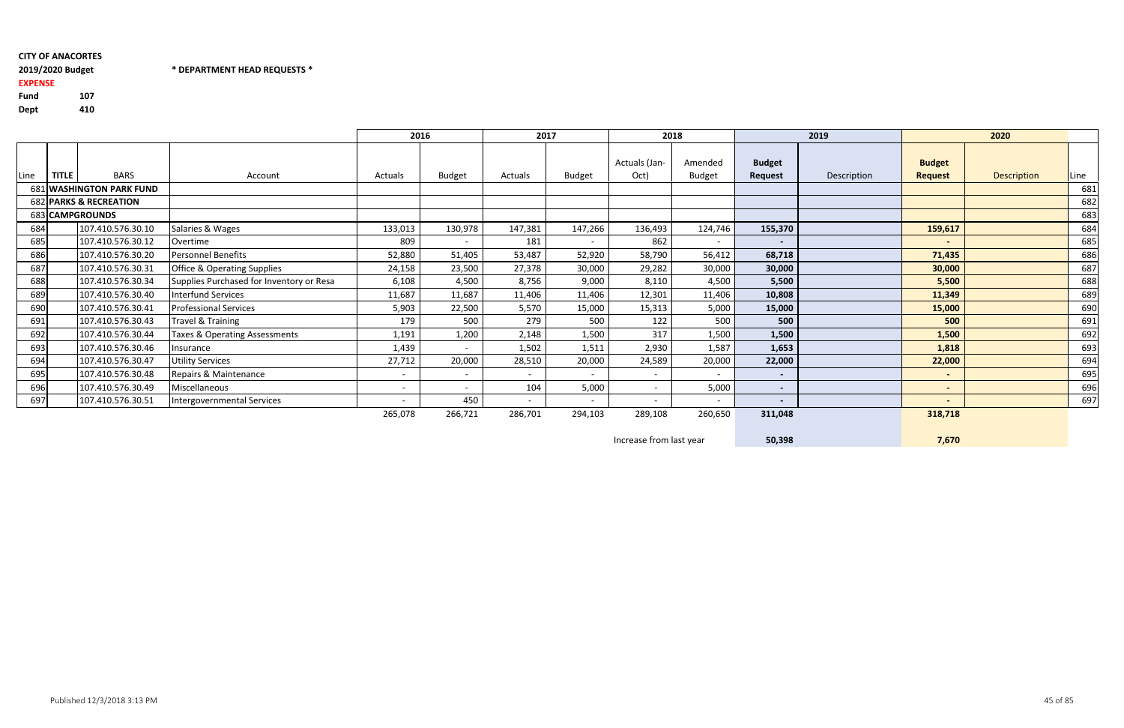Fund <sup>107</sup>410 Dept

## CITY OF ANACORTES2019/2020 Budget

## 2019/2020 Budget \* DEPARTMENT HEAD REQUESTS \*

## EXPENSE

|                 |              |                          |                                          | 2016                     |                          | 2017                     |         |                          | 2018                     |                          | 2019        |                                 | 2020               |      |
|-----------------|--------------|--------------------------|------------------------------------------|--------------------------|--------------------------|--------------------------|---------|--------------------------|--------------------------|--------------------------|-------------|---------------------------------|--------------------|------|
| Line            | <b>TITLE</b> | <b>BARS</b>              | Account                                  | Actuals                  | <b>Budget</b>            | Actuals                  | Budget  | Actuals (Jan-<br>Oct)    | Amended<br><b>Budget</b> | <b>Budget</b><br>Request | Description | <b>Budget</b><br><b>Request</b> | <b>Description</b> | Line |
|                 |              | 681 WASHINGTON PARK FUND |                                          |                          |                          |                          |         |                          |                          |                          |             |                                 |                    | 681  |
|                 |              | 682 PARKS & RECREATION   |                                          |                          |                          |                          |         |                          |                          |                          |             |                                 |                    | 682  |
| 683 CAMPGROUNDS |              |                          |                                          |                          |                          |                          |         |                          |                          |                          |             |                                 |                    | 683  |
| 684             |              | 107.410.576.30.10        | Salaries & Wages                         | 133,013                  | 130,978                  | 147,381                  | 147,266 | 136,493                  | 124,746                  | 155,370                  |             | 159,617                         |                    | 684  |
| 685             |              | 107.410.576.30.12        | Overtime                                 | 809                      | $\sim$                   | 181                      | $\sim$  | 862                      | $\sim$                   | $\sim$                   |             | $\sim$                          |                    | 685  |
| 686             |              | 107.410.576.30.20        | <b>Personnel Benefits</b>                | 52,880                   | 51,405                   | 53,487                   | 52,920  | 58,790                   | 56,412                   | 68,718                   |             | 71,435                          |                    | 686  |
| 687             |              | 107.410.576.30.31        | <b>Office &amp; Operating Supplies</b>   | 24,158                   | 23,500                   | 27,378                   | 30,000  | 29,282                   | 30,000                   | 30,000                   |             | 30,000                          |                    | 687  |
| 688             |              | 107.410.576.30.34        | Supplies Purchased for Inventory or Resa | 6,108                    | 4,500                    | 8,756                    | 9,000   | 8,110                    | 4,500                    | 5,500                    |             | 5,500                           |                    | 688  |
| 689             |              | 107.410.576.30.40        | <b>Interfund Services</b>                | 11,687                   | 11,687                   | 11,406                   | 11,406  | 12,301                   | 11,406                   | 10,808                   |             | 11,349                          |                    | 689  |
| 690             |              | 107.410.576.30.41        | <b>Professional Services</b>             | 5,903                    | 22,500                   | 5,570                    | 15,000  | 15,313                   | 5,000                    | 15,000                   |             | 15,000                          |                    | 690  |
| 691             |              | 107.410.576.30.43        | Travel & Training                        | 179                      | 500                      | 279                      | 500     | 122                      | 500                      | 500                      |             | 500                             |                    | 691  |
| 692             |              | 107.410.576.30.44        | <b>Taxes &amp; Operating Assessments</b> | 1,191                    | 1,200                    | 2,148                    | 1,500   | 317                      | 1,500                    | 1,500                    |             | 1,500                           |                    | 692  |
| 693             |              | 107.410.576.30.46        | Insurance                                | 1,439                    |                          | 1,502                    | 1,511   | 2,930                    | 1,587                    | 1,653                    |             | 1,818                           |                    | 693  |
| 694             |              | 107.410.576.30.47        | <b>Utility Services</b>                  | 27,712                   | 20,000                   | 28,510                   | 20,000  | 24,589                   | 20,000                   | 22,000                   |             | 22,000                          |                    | 694  |
| 695             |              | 107.410.576.30.48        | Repairs & Maintenance                    | $\overline{\phantom{a}}$ | $\overline{\phantom{0}}$ | $\overline{\phantom{0}}$ |         | $\overline{\phantom{0}}$ | $\overline{\phantom{0}}$ | $\sim$                   |             | $\sim$                          |                    | 695  |
| 696             |              | 107.410.576.30.49        | Miscellaneous                            | $\overline{\phantom{a}}$ | $\sim$                   | 104                      | 5,000   | $\sim$                   | 5,000                    | $\sim$                   |             | $\sim$                          |                    | 696  |
| 697             |              | 107.410.576.30.51        | Intergovernmental Services               |                          | 450                      | $\overline{\phantom{a}}$ |         | $\overline{\phantom{0}}$ | $\overline{\phantom{a}}$ | $\blacksquare$           |             | $\blacksquare$                  |                    | 697  |
|                 |              |                          |                                          | 265,078                  | 266,721                  | 286,701                  | 294,103 | 289,108                  | 260,650                  | 311,048                  |             | 318,718                         |                    |      |

Increase from last year

50,398

7,670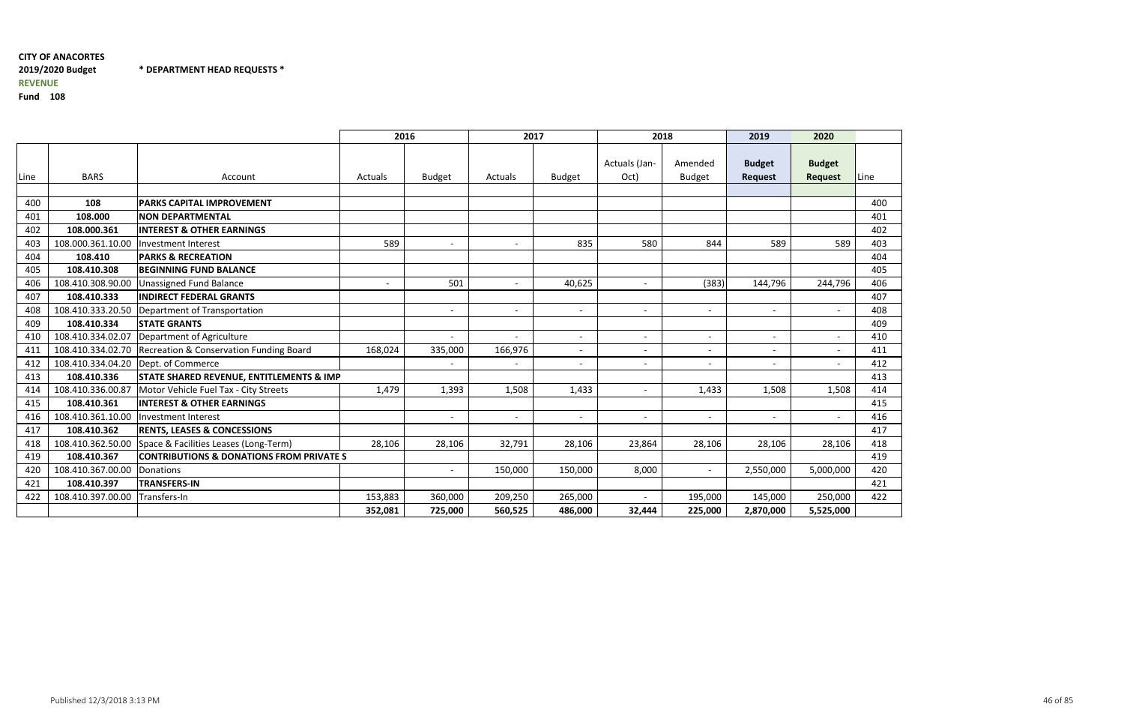# CITY OF ANACORTES2019/2020 BudgetREVENUE

\* DEPARTMENT HEAD REQUESTS \*

|      |                   |                                                     | 2016                     |                          | 2017                     |                          | 2018                     |                          | 2019                            | 2020                            |      |
|------|-------------------|-----------------------------------------------------|--------------------------|--------------------------|--------------------------|--------------------------|--------------------------|--------------------------|---------------------------------|---------------------------------|------|
| Line | <b>BARS</b>       | Account                                             | Actuals                  | <b>Budget</b>            | Actuals                  | <b>Budget</b>            | Actuals (Jan-<br>Oct)    | Amended<br><b>Budget</b> | <b>Budget</b><br><b>Request</b> | <b>Budget</b><br><b>Request</b> | Line |
|      |                   |                                                     |                          |                          |                          |                          |                          |                          |                                 |                                 |      |
| 400  | 108               | <b>PARKS CAPITAL IMPROVEMENT</b>                    |                          |                          |                          |                          |                          |                          |                                 |                                 | 400  |
| 401  | 108.000           | <b>NON DEPARTMENTAL</b>                             |                          |                          |                          |                          |                          |                          |                                 |                                 | 401  |
| 402  | 108.000.361       | <b>INTEREST &amp; OTHER EARNINGS</b>                |                          |                          |                          |                          |                          |                          |                                 |                                 | 402  |
| 403  | 108.000.361.10.00 | Investment Interest                                 | 589                      |                          |                          | 835                      | 580                      | 844                      | 589                             | 589                             | 403  |
| 404  | 108.410           | <b>PARKS &amp; RECREATION</b>                       |                          |                          |                          |                          |                          |                          |                                 |                                 | 404  |
| 405  | 108.410.308       | <b>BEGINNING FUND BALANCE</b>                       |                          |                          |                          |                          |                          |                          |                                 |                                 | 405  |
| 406  | 108.410.308.90.00 | <b>Unassigned Fund Balance</b>                      | $\overline{\phantom{a}}$ | 501                      | $\overline{\phantom{0}}$ | 40,625                   | $\sim$                   | (383)                    | 144,796                         | 244,796                         | 406  |
| 407  | 108.410.333       | <b>INDIRECT FEDERAL GRANTS</b>                      |                          |                          |                          |                          |                          |                          |                                 |                                 | 407  |
| 408  | 108.410.333.20.50 | Department of Transportation                        |                          | $\overline{\phantom{a}}$ | $\overline{\phantom{a}}$ | $\overline{\phantom{a}}$ | $\blacksquare$           |                          | $\overline{\phantom{a}}$        |                                 | 408  |
| 409  | 108.410.334       | <b>STATE GRANTS</b>                                 |                          |                          |                          |                          |                          |                          |                                 |                                 | 409  |
| 410  | 108.410.334.02.07 | Department of Agriculture                           |                          |                          |                          | $\overline{\phantom{a}}$ | $\overline{\phantom{a}}$ |                          |                                 |                                 | 410  |
| 411  | 108.410.334.02.70 | Recreation & Conservation Funding Board             | 168,024                  | 335,000                  | 166,976                  |                          | $\overline{\phantom{a}}$ |                          | $\overline{\phantom{0}}$        |                                 | 411  |
| 412  | 108.410.334.04.20 | Dept. of Commerce                                   |                          |                          |                          |                          | $\overline{\phantom{a}}$ |                          |                                 |                                 | 412  |
| 413  | 108.410.336       | <b>STATE SHARED REVENUE, ENTITLEMENTS &amp; IMP</b> |                          |                          |                          |                          |                          |                          |                                 |                                 | 413  |
| 414  | 108.410.336.00.87 | Motor Vehicle Fuel Tax - City Streets               | 1,479                    | 1,393                    | 1,508                    | 1,433                    | $\overline{\phantom{a}}$ | 1,433                    | 1,508                           | 1,508                           | 414  |
| 415  | 108.410.361       | <b>INTEREST &amp; OTHER EARNINGS</b>                |                          |                          |                          |                          |                          |                          |                                 |                                 | 415  |
| 416  | 108.410.361.10.00 | <b>Investment Interest</b>                          |                          | $\overline{\phantom{a}}$ | $\overline{\phantom{0}}$ | $\overline{\phantom{a}}$ | $\overline{\phantom{a}}$ | $\overline{\phantom{a}}$ | $\overline{\phantom{0}}$        |                                 | 416  |
| 417  | 108.410.362       | <b>RENTS, LEASES &amp; CONCESSIONS</b>              |                          |                          |                          |                          |                          |                          |                                 |                                 | 417  |
| 418  | 108.410.362.50.00 | Space & Facilities Leases (Long-Term)               | 28,106                   | 28,106                   | 32,791                   | 28,106                   | 23,864                   | 28,106                   | 28,106                          | 28,106                          | 418  |
| 419  | 108.410.367       | <b>CONTRIBUTIONS &amp; DONATIONS FROM PRIVATE S</b> |                          |                          |                          |                          |                          |                          |                                 |                                 | 419  |
| 420  | 108.410.367.00.00 | Donations                                           |                          | $\overline{\phantom{a}}$ | 150,000                  | 150,000                  | 8,000                    | $\overline{\phantom{a}}$ | 2,550,000                       | 5,000,000                       | 420  |
| 421  | 108.410.397       | <b>TRANSFERS-IN</b>                                 |                          |                          |                          |                          |                          |                          |                                 |                                 | 421  |
| 422  | 108.410.397.00.00 | Transfers-In                                        | 153,883                  | 360,000                  | 209,250                  | 265,000                  | $\sim$                   | 195,000                  | 145,000                         | 250,000                         | 422  |
|      |                   |                                                     | 352,081                  | 725,000                  | 560,525                  | 486,000                  | 32,444                   | 225,000                  | 2,870,000                       | 5,525,000                       |      |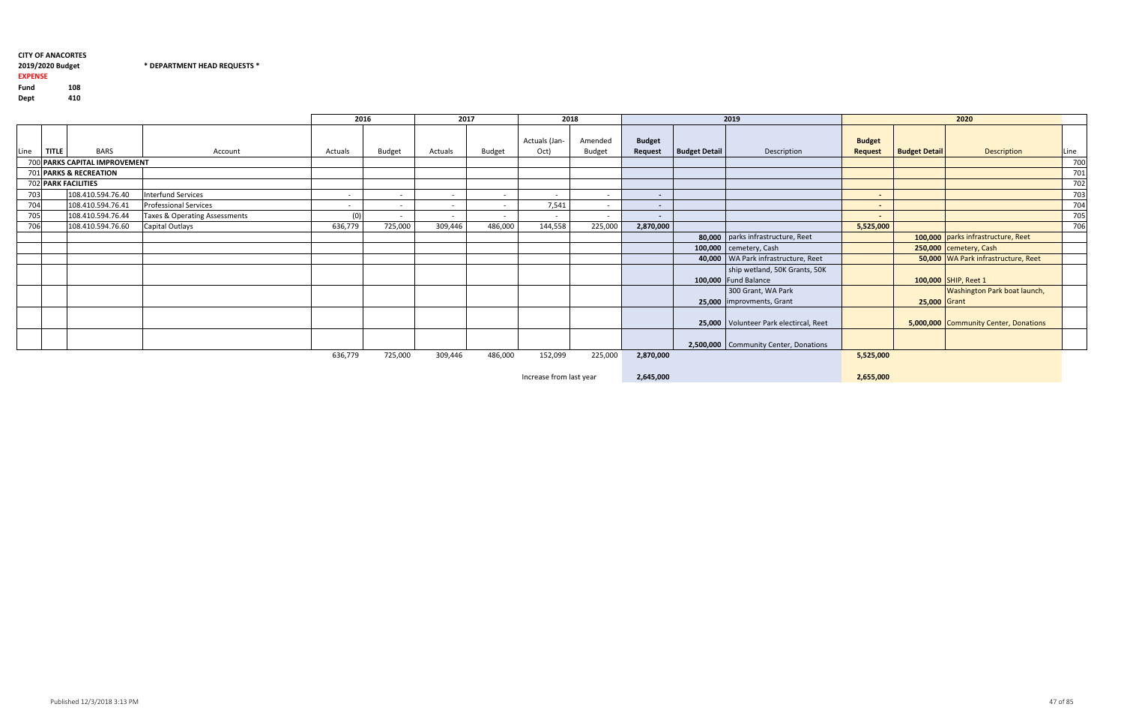2019/2020 Budget

## $*$  DEPARTMENT HEAD REQUESTS  $*$

#### EXPENSEFund <sup>108</sup>410 Dept

|      |                               |                               | 2016    |               | 2017    |               | 2018                     |                          |                                           |                      | 2019                                     |                                 |                      | 2020                                  |      |
|------|-------------------------------|-------------------------------|---------|---------------|---------|---------------|--------------------------|--------------------------|-------------------------------------------|----------------------|------------------------------------------|---------------------------------|----------------------|---------------------------------------|------|
| Line | <b>BARS</b><br><b>TITLE</b>   | Account                       | Actuals | <b>Budget</b> | Actuals | <b>Budget</b> | Actuals (Jan-<br>Oct)    | Amended<br><b>Budget</b> | <b>Budget</b><br>Request                  | <b>Budget Detail</b> | Description                              | <b>Budget</b><br><b>Request</b> | <b>Budget Detail</b> | Description                           | Line |
|      | 700 PARKS CAPITAL IMPROVEMENT |                               |         |               |         |               |                          |                          |                                           |                      |                                          |                                 |                      |                                       | 700  |
|      | 701 PARKS & RECREATION        |                               |         |               |         |               |                          |                          |                                           |                      |                                          |                                 |                      |                                       | 701  |
|      | <b>702 PARK FACILITIES</b>    |                               |         |               |         |               |                          |                          |                                           |                      |                                          |                                 |                      |                                       | 702  |
| 703  | 108.410.594.76.40             | <b>Interfund Services</b>     | $\sim$  | $\sim$        | $\sim$  | $\sim$        | $\overline{\phantom{0}}$ | $\sim$                   | $\sim$                                    |                      |                                          | $\sim$                          |                      |                                       | 703  |
| 704  | 108.410.594.76.41             | <b>Professional Services</b>  | $\sim$  | $\sim$        | $\sim$  | $\sim$        | 7,541                    | $\sim$                   | $\sim$                                    |                      |                                          | $\sim$ $\sim$                   |                      |                                       | 704  |
| 705  | 108.410.594.76.44             | Taxes & Operating Assessments |         |               | $\sim$  | $\sim$        |                          | $\sim$                   | $\sim$                                    |                      |                                          | $\sim$ 10 $\pm$                 |                      |                                       | 705  |
| 706  | 108.410.594.76.60             | Capital Outlays               | 636,779 | 725,000       | 309,446 | 486,000       | 144,558                  | 225,000                  | 2,870,000                                 |                      |                                          | 5,525,000                       |                      |                                       | 706  |
|      |                               |                               |         |               |         |               |                          |                          |                                           |                      | 80,000   parks infrastructure, Reet      |                                 |                      | 100,000 parks infrastructure, Reet    |      |
|      |                               |                               |         |               |         |               |                          |                          |                                           |                      | 100,000 cemetery, Cash                   |                                 |                      | 250,000 cemetery, Cash                |      |
|      |                               |                               |         |               |         |               |                          |                          |                                           |                      | 40,000   WA Park infrastructure, Reet    |                                 |                      | 50,000 WA Park infrastructure, Reet   |      |
|      |                               |                               |         |               |         |               |                          |                          |                                           |                      | ship wetland, 50K Grants, 50K            |                                 |                      |                                       |      |
|      |                               |                               |         |               |         |               |                          |                          |                                           |                      | 100,000 Fund Balance                     |                                 |                      | 100,000 SHIP, Reet 1                  |      |
|      |                               |                               |         |               |         |               |                          |                          |                                           |                      | 300 Grant, WA Park                       |                                 |                      | <b>Washington Park boat launch,</b>   |      |
|      |                               |                               |         |               |         |               |                          |                          |                                           |                      | 25,000   improvments, Grant              |                                 | 25,000 Grant         |                                       |      |
|      |                               |                               |         |               |         |               |                          |                          |                                           |                      | 25,000   Volunteer Park electircal, Reet |                                 |                      | 5,000,000 Community Center, Donations |      |
|      |                               |                               |         |               |         |               |                          |                          |                                           |                      | 2,500,000   Community Center, Donations  |                                 |                      |                                       |      |
|      |                               |                               | 636,779 | 725,000       | 309,446 | 486,000       | 152,099                  | 225,000                  | 2,870,000                                 |                      |                                          | 5,525,000                       |                      |                                       |      |
|      |                               |                               |         |               |         |               |                          |                          | $\sim$ $\sim$ $\sim$ $\sim$ $\sim$ $\sim$ |                      |                                          | $- - - - - - -$                 |                      |                                       |      |

Increase from last year

2,645,000

2,655,000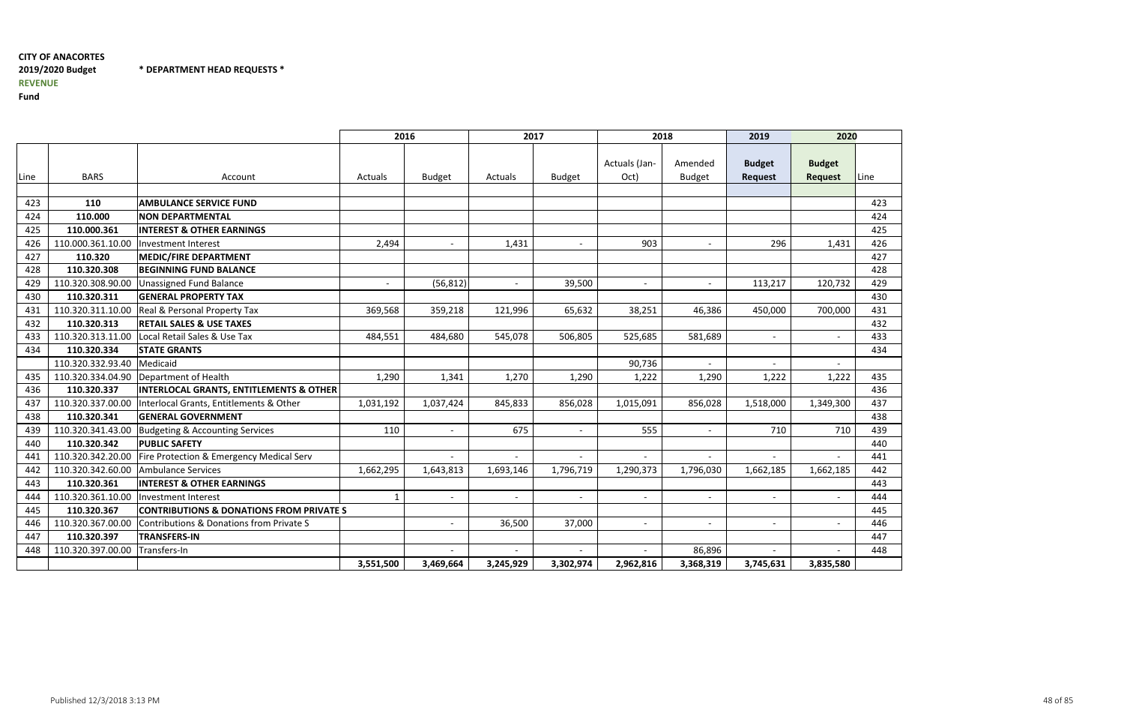## CITY OF ANACORTES2019/2020 BudgetREVENUE

\* DEPARTMENT HEAD REQUESTS \*

|      |                   |                                                     | 2016                     |                          | 2017                     |                          | 2018                     |                          | 2019                            | 2020                            |      |
|------|-------------------|-----------------------------------------------------|--------------------------|--------------------------|--------------------------|--------------------------|--------------------------|--------------------------|---------------------------------|---------------------------------|------|
| Line | <b>BARS</b>       | Account                                             | <b>Actuals</b>           | <b>Budget</b>            | Actuals                  | <b>Budget</b>            | Actuals (Jan-<br>Oct)    | Amended<br><b>Budget</b> | <b>Budget</b><br><b>Request</b> | <b>Budget</b><br><b>Request</b> | Line |
|      |                   |                                                     |                          |                          |                          |                          |                          |                          |                                 |                                 |      |
| 423  | 110               | <b>AMBULANCE SERVICE FUND</b>                       |                          |                          |                          |                          |                          |                          |                                 |                                 | 423  |
| 424  | 110.000           | <b>NON DEPARTMENTAL</b>                             |                          |                          |                          |                          |                          |                          |                                 |                                 | 424  |
| 425  | 110.000.361       | <b>INTEREST &amp; OTHER EARNINGS</b>                |                          |                          |                          |                          |                          |                          |                                 |                                 | 425  |
| 426  | 110.000.361.10.00 | Investment Interest                                 | 2,494                    |                          | 1,431                    | $\overline{\phantom{a}}$ | 903                      | $\overline{\phantom{a}}$ | 296                             | 1,431                           | 426  |
| 427  | 110.320           | <b>MEDIC/FIRE DEPARTMENT</b>                        |                          |                          |                          |                          |                          |                          |                                 |                                 | 427  |
| 428  | 110.320.308       | <b>BEGINNING FUND BALANCE</b>                       |                          |                          |                          |                          |                          |                          |                                 |                                 | 428  |
| 429  | 110.320.308.90.00 | <b>Unassigned Fund Balance</b>                      | $\overline{\phantom{a}}$ | (56, 812)                | $\overline{\phantom{a}}$ | 39,500                   | $\overline{\phantom{a}}$ | $\overline{\phantom{a}}$ | 113,217                         | 120,732                         | 429  |
| 430  | 110.320.311       | <b>GENERAL PROPERTY TAX</b>                         |                          |                          |                          |                          |                          |                          |                                 |                                 | 430  |
| 431  | 110.320.311.10.00 | Real & Personal Property Tax                        | 369,568                  | 359,218                  | 121,996                  | 65,632                   | 38,251                   | 46,386                   | 450,000                         | 700,000                         | 431  |
| 432  | 110.320.313       | <b>RETAIL SALES &amp; USE TAXES</b>                 |                          |                          |                          |                          |                          |                          |                                 |                                 | 432  |
| 433  | 110.320.313.11.00 | Local Retail Sales & Use Tax                        | 484,551                  | 484,680                  | 545,078                  | 506,805                  | 525,685                  | 581,689                  | $ \,$                           |                                 | 433  |
| 434  | 110.320.334       | <b>STATE GRANTS</b>                                 |                          |                          |                          |                          |                          |                          |                                 |                                 | 434  |
|      | 110.320.332.93.40 | Medicaid                                            |                          |                          |                          |                          | 90,736                   | $\overline{\phantom{0}}$ | $\blacksquare$                  |                                 |      |
| 435  | 110.320.334.04.90 | Department of Health                                | 1,290                    | 1,341                    | 1,270                    | 1,290                    | 1,222                    | 1,290                    | 1,222                           | 1,222                           | 435  |
| 436  | 110.320.337       | <b>INTERLOCAL GRANTS, ENTITLEMENTS &amp; OTHER</b>  |                          |                          |                          |                          |                          |                          |                                 |                                 | 436  |
| 437  | 110.320.337.00.00 | Interlocal Grants, Entitlements & Other             | 1,031,192                | 1,037,424                | 845,833                  | 856,028                  | 1,015,091                | 856,028                  | 1,518,000                       | 1,349,300                       | 437  |
| 438  | 110.320.341       | <b>GENERAL GOVERNMENT</b>                           |                          |                          |                          |                          |                          |                          |                                 |                                 | 438  |
| 439  | 110.320.341.43.00 | Budgeting & Accounting Services                     | 110                      |                          | 675                      |                          | 555                      |                          | 710                             | 710                             | 439  |
| 440  | 110.320.342       | <b>PUBLIC SAFETY</b>                                |                          |                          |                          |                          |                          |                          |                                 |                                 | 440  |
| 441  | 110.320.342.20.00 | Fire Protection & Emergency Medical Serv            |                          |                          |                          |                          | $\overline{\phantom{a}}$ |                          | $\overline{\phantom{a}}$        |                                 | 441  |
| 442  | 110.320.342.60.00 | Ambulance Services                                  | 1,662,295                | 1,643,813                | 1,693,146                | 1,796,719                | 1,290,373                | 1,796,030                | 1,662,185                       | 1,662,185                       | 442  |
| 443  | 110.320.361       | <b>INTEREST &amp; OTHER EARNINGS</b>                |                          |                          |                          |                          |                          |                          |                                 |                                 | 443  |
| 444  | 110.320.361.10.00 | Investment Interest                                 | $\mathbf{1}$             | $\overline{\phantom{a}}$ | $\overline{\phantom{a}}$ | $\overline{\phantom{a}}$ | $\overline{\phantom{a}}$ | $\overline{\phantom{a}}$ | $\overline{\phantom{a}}$        |                                 | 444  |
| 445  | 110.320.367       | <b>CONTRIBUTIONS &amp; DONATIONS FROM PRIVATE S</b> |                          |                          |                          |                          |                          |                          |                                 |                                 | 445  |
| 446  | 110.320.367.00.00 | Contributions & Donations from Private S            |                          |                          | 36,500                   | 37,000                   | $\overline{\phantom{a}}$ | $\overline{\phantom{a}}$ | $\overline{\phantom{a}}$        |                                 | 446  |
| 447  | 110.320.397       | <b>TRANSFERS-IN</b>                                 |                          |                          |                          |                          |                          |                          |                                 |                                 | 447  |
| 448  | 110.320.397.00.00 | Transfers-In                                        |                          |                          |                          |                          |                          | 86,896                   |                                 |                                 | 448  |
|      |                   |                                                     | 3,551,500                | 3,469,664                | 3,245,929                | 3,302,974                | 2,962,816                | 3,368,319                | 3,745,631                       | 3,835,580                       |      |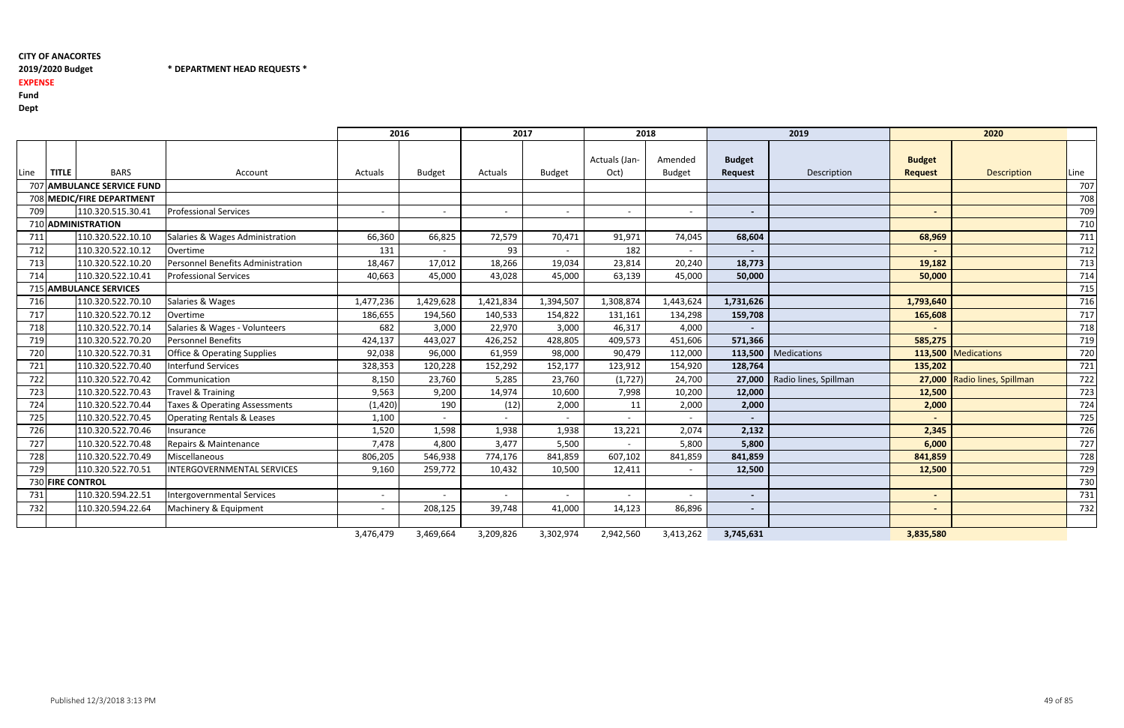2019/2020 Budget \* DEPARTMENT HEAD REQUESTS \*

## EXPENSE

Fund

|      |              |                            |                                          | 2016      |               | 2017      |               | 2018          |               |                | 2019                  |                | 2020                         |      |
|------|--------------|----------------------------|------------------------------------------|-----------|---------------|-----------|---------------|---------------|---------------|----------------|-----------------------|----------------|------------------------------|------|
|      |              |                            |                                          |           |               |           |               | Actuals (Jan- | Amended       | <b>Budget</b>  |                       | <b>Budget</b>  |                              |      |
| Line | <b>TITLE</b> | <b>BARS</b>                | Account                                  | Actuals   | <b>Budget</b> | Actuals   | <b>Budget</b> | Oct)          | <b>Budget</b> | <b>Request</b> | Description           | <b>Request</b> | Description                  | Line |
|      |              | 707 AMBULANCE SERVICE FUND |                                          |           |               |           |               |               |               |                |                       |                |                              | 707  |
|      |              | 708 MEDIC/FIRE DEPARTMENT  |                                          |           |               |           |               |               |               |                |                       |                |                              | 708  |
| 709  |              | 110.320.515.30.41          | <b>Professional Services</b>             | $\sim$    |               |           |               | $\sim$        |               | $\blacksquare$ |                       |                |                              | 709  |
|      |              | 710 ADMINISTRATION         |                                          |           |               |           |               |               |               |                |                       |                |                              | 710  |
| 711  |              | 110.320.522.10.10          | Salaries & Wages Administration          | 66,360    | 66,825        | 72,579    | 70,471        | 91,971        | 74,045        | 68,604         |                       | 68,969         |                              | 711  |
| 712  |              | 110.320.522.10.12          | Overtime                                 | 131       | $\sim$        | 93        |               | 182           |               | $\sim$         |                       |                |                              | 712  |
| 713  |              | 110.320.522.10.20          | <b>Personnel Benefits Administration</b> | 18,467    | 17,012        | 18,266    | 19,034        | 23,814        | 20,240        | 18,773         |                       | 19,182         |                              | 713  |
| 714  |              | 110.320.522.10.41          | <b>Professional Services</b>             | 40,663    | 45,000        | 43,028    | 45,000        | 63,139        | 45,000        | 50,000         |                       | 50,000         |                              | 714  |
|      |              | 715 AMBULANCE SERVICES     |                                          |           |               |           |               |               |               |                |                       |                |                              | 715  |
| 716  |              | 110.320.522.70.10          | Salaries & Wages                         | 1,477,236 | 1,429,628     | 1,421,834 | 1,394,507     | 1,308,874     | 1,443,624     | 1,731,626      |                       | 1,793,640      |                              | 716  |
| 717  |              | 110.320.522.70.12          | Overtime                                 | 186,655   | 194,560       | 140,533   | 154,822       | 131,161       | 134,298       | 159,708        |                       | 165,608        |                              | 717  |
| 718  |              | 110.320.522.70.14          | Salaries & Wages - Volunteers            | 682       | 3,000         | 22,970    | 3,000         | 46,317        | 4,000         |                |                       |                |                              | 718  |
| 719  |              | 110.320.522.70.20          | <b>Personnel Benefits</b>                | 424,137   | 443,027       | 426,252   | 428,805       | 409,573       | 451,606       | 571,366        |                       | 585,275        |                              | 719  |
| 720  |              | 110.320.522.70.31          | <b>Office &amp; Operating Supplies</b>   | 92,038    | 96,000        | 61,959    | 98,000        | 90,479        | 112,000       |                | 113,500   Medications |                | 113,500 Medications          | 720  |
| 721  |              | 110.320.522.70.40          | <b>Interfund Services</b>                | 328,353   | 120,228       | 152,292   | 152,177       | 123,912       | 154,920       | 128,764        |                       | 135,202        |                              | 721  |
| 722  |              | 110.320.522.70.42          | Communication                            | 8,150     | 23,760        | 5,285     | 23,760        | (1,727)       | 24,700        | 27,000         | Radio lines, Spillman |                | 27,000 Radio lines, Spillman | 722  |
| 723  |              | 110.320.522.70.43          | Travel & Training                        | 9,563     | 9,200         | 14,974    | 10,600        | 7,998         | 10,200        | 12,000         |                       | 12,500         |                              | 723  |
| 724  |              | 110.320.522.70.44          | Taxes & Operating Assessments            | (1, 420)  | 190           | (12)      | 2,000         | 11            | 2,000         | 2,000          |                       | 2,000          |                              | 724  |
| 725  |              | 110.320.522.70.45          | <b>Operating Rentals &amp; Leases</b>    | 1,100     |               |           |               | $\sim$        |               |                |                       |                |                              | 725  |
| 726  |              | 110.320.522.70.46          | Insurance                                | 1,520     | 1,598         | 1,938     | 1,938         | 13,221        | 2,074         | 2,132          |                       | 2,345          |                              | 726  |
| 727  |              | 110.320.522.70.48          | Repairs & Maintenance                    | 7,478     | 4,800         | 3,477     | 5,500         |               | 5,800         | 5,800          |                       | 6,000          |                              | 727  |
| 728  |              | 110.320.522.70.49          | Miscellaneous                            | 806,205   | 546,938       | 774,176   | 841,859       | 607,102       | 841,859       | 841,859        |                       | 841,859        |                              | 728  |
| 729  |              | 110.320.522.70.51          | INTERGOVERNMENTAL SERVICES               | 9,160     | 259,772       | 10,432    | 10,500        | 12,411        |               | 12,500         |                       | 12,500         |                              | 729  |
|      |              | 730 FIRE CONTROL           |                                          |           |               |           |               |               |               |                |                       |                |                              | 730  |
| 731  |              | 110.320.594.22.51          | Intergovernmental Services               | $\sim$    |               | $\sim$    |               | $\sim$        |               | $\blacksquare$ |                       |                |                              | 731  |
| 732  |              | 110.320.594.22.64          | Machinery & Equipment                    | $\sim$    | 208,125       | 39,748    | 41,000        | 14,123        | 86,896        | $\sim$         |                       |                |                              | 732  |
|      |              |                            |                                          |           |               |           |               |               |               |                |                       |                |                              |      |
|      |              |                            |                                          | 3,476,479 | 3,469,664     | 3,209,826 | 3,302,974     | 2,942,560     | 3,413,262     | 3,745,631      |                       | 3,835,580      |                              |      |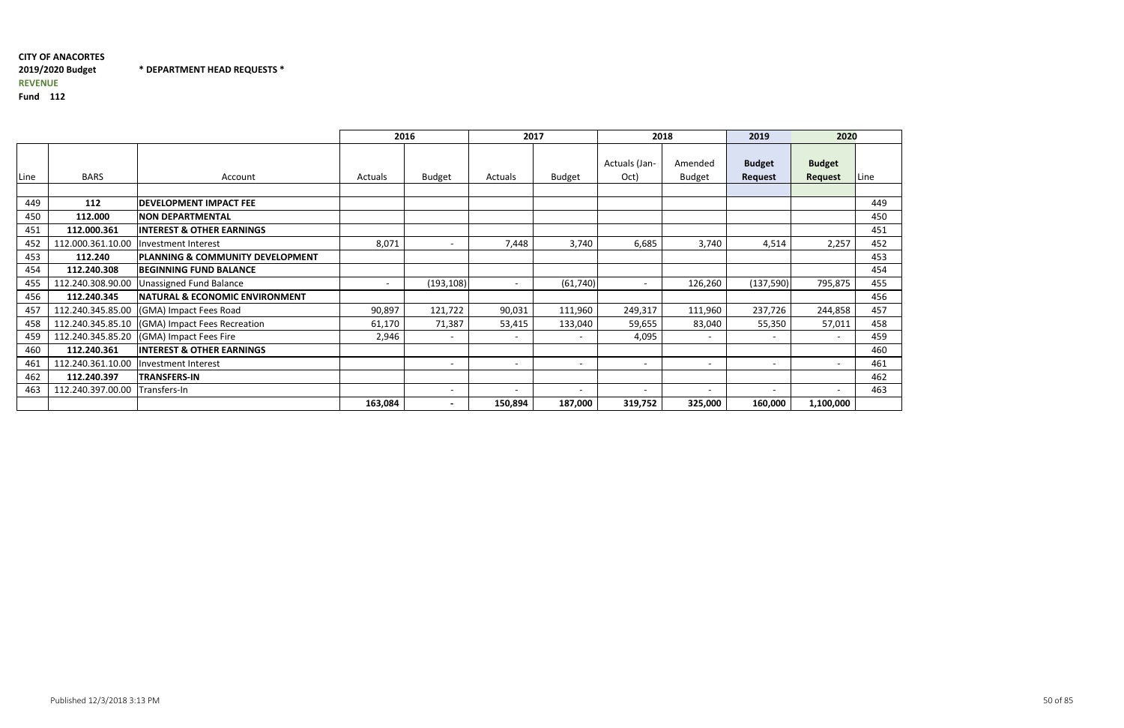## CITY OF ANACORTES2019/2020 Budget \* DEPARTMENT HEAD REQUESTS \*REVENUE

|      |                   |                                                | 2016                     |                          |                          | 2017                     | 2018                     |                          | 2019                     | 2020                     |      |
|------|-------------------|------------------------------------------------|--------------------------|--------------------------|--------------------------|--------------------------|--------------------------|--------------------------|--------------------------|--------------------------|------|
| Line | <b>BARS</b>       | Account                                        | <b>Actuals</b>           | <b>Budget</b>            | Actuals                  | <b>Budget</b>            | Actuals (Jan-<br>Oct)    | Amended<br><b>Budget</b> | <b>Budget</b><br>Request | <b>Budget</b><br>Request | Line |
|      |                   |                                                |                          |                          |                          |                          |                          |                          |                          |                          |      |
| 449  | 112               | <b>DEVELOPMENT IMPACT FEE</b>                  |                          |                          |                          |                          |                          |                          |                          |                          | 449  |
| 450  | 112.000           | <b>NON DEPARTMENTAL</b>                        |                          |                          |                          |                          |                          |                          |                          |                          | 450  |
| 451  | 112.000.361       | <b>INTEREST &amp; OTHER EARNINGS</b>           |                          |                          |                          |                          |                          |                          |                          |                          | 451  |
| 452  | 112.000.361.10.00 | Investment Interest                            | 8,071                    |                          | 7,448                    | 3,740                    | 6,685                    | 3,740                    | 4,514                    | 2,257                    | 452  |
| 453  | 112.240           | PLANNING & COMMUNITY DEVELOPMENT               |                          |                          |                          |                          |                          |                          |                          |                          | 453  |
| 454  | 112.240.308       | <b>BEGINNING FUND BALANCE</b>                  |                          |                          |                          |                          |                          |                          |                          |                          | 454  |
| 455  | 112.240.308.90.00 | <b>Unassigned Fund Balance</b>                 | $\overline{\phantom{0}}$ | (193, 108)               | $\overline{\phantom{0}}$ | (61, 740)                | $\overline{a}$           | 126,260                  | (137,590)                | 795,875                  | 455  |
| 456  | 112.240.345       | <b>NATURAL &amp; ECONOMIC ENVIRONMENT</b>      |                          |                          |                          |                          |                          |                          |                          |                          | 456  |
| 457  | 112.240.345.85.00 | (GMA) Impact Fees Road                         | 90,897                   | 121,722                  | 90,031                   | 111,960                  | 249,317                  | 111,960                  | 237,726                  | 244,858                  | 457  |
| 458  |                   | 112.240.345.85.10 (GMA) Impact Fees Recreation | 61,170                   | 71,387                   | 53,415                   | 133,040                  | 59,655                   | 83,040                   | 55,350                   | 57,011                   | 458  |
| 459  |                   | 112.240.345.85.20 (GMA) Impact Fees Fire       | 2,946                    | $\overline{\phantom{a}}$ | $\overline{\phantom{a}}$ |                          | 4,095                    |                          | $\overline{\phantom{0}}$ |                          | 459  |
| 460  | 112.240.361       | <b>INTEREST &amp; OTHER EARNINGS</b>           |                          |                          |                          |                          |                          |                          |                          |                          | 460  |
| 461  | 112.240.361.10.00 | Investment Interest                            |                          | $\overline{\phantom{a}}$ | $\overline{\phantom{a}}$ | $\overline{\phantom{a}}$ | $\overline{\phantom{a}}$ |                          | $\overline{\phantom{0}}$ | $\overline{\phantom{a}}$ | 461  |
| 462  | 112.240.397       | <b>TRANSFERS-IN</b>                            |                          |                          |                          |                          |                          |                          |                          |                          | 462  |
| 463  | 112.240.397.00.00 | Transfers-In                                   |                          | $\overline{\phantom{a}}$ |                          |                          | $\overline{\phantom{0}}$ |                          |                          |                          | 463  |
|      |                   |                                                | 163,084                  | $\overline{\phantom{0}}$ | 150,894                  | 187,000                  | 319,752                  | 325,000                  | 160,000                  | 1,100,000                |      |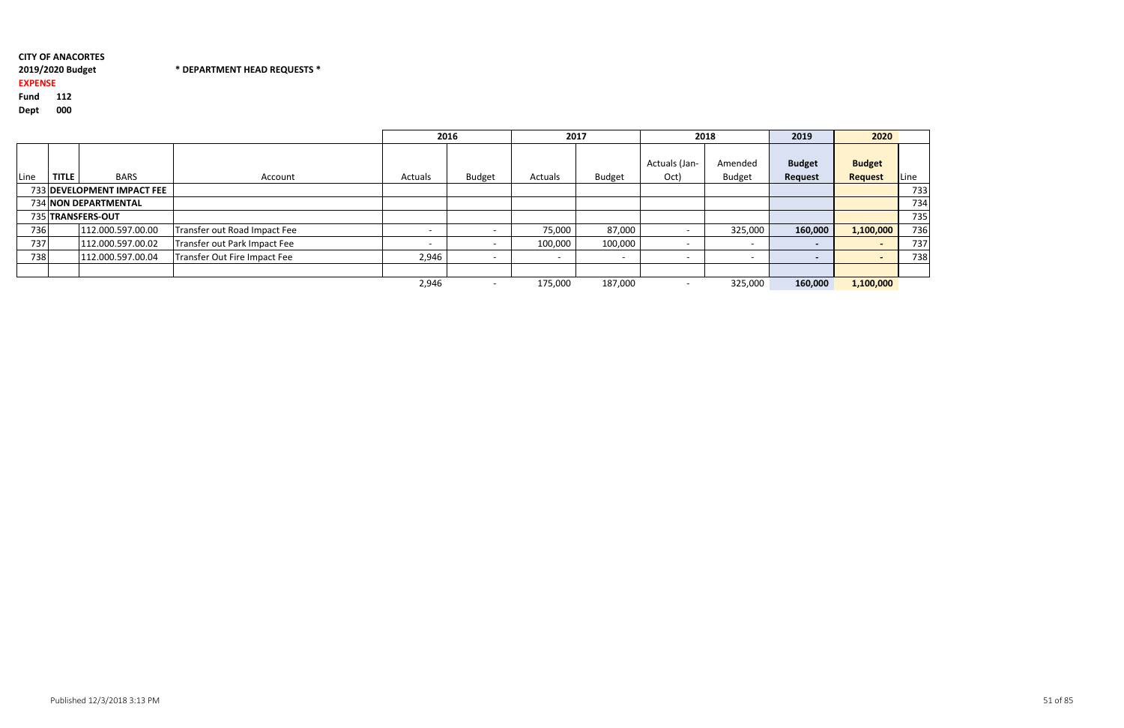#### 2019/2020 Budget\* DEPARTMENT HEAD REQUESTS \*

## EXPENSE

Fund <sup>112</sup>

|      |              |                            |                              | 2016    |               | 2017                     |                          |                       | 2018                     | 2019                     | 2020                            |      |
|------|--------------|----------------------------|------------------------------|---------|---------------|--------------------------|--------------------------|-----------------------|--------------------------|--------------------------|---------------------------------|------|
| Line | <b>TITLE</b> | <b>BARS</b>                | Account                      | Actuals | <b>Budget</b> | Actuals                  | <b>Budget</b>            | Actuals (Jan-<br>Oct) | Amended<br><b>Budget</b> | <b>Budget</b><br>Request | <b>Budget</b><br><b>Request</b> | Line |
|      |              | 733 DEVELOPMENT IMPACT FEE |                              |         |               |                          |                          |                       |                          |                          |                                 | 733  |
|      |              | 734 NON DEPARTMENTAL       |                              |         |               |                          |                          |                       |                          |                          |                                 | 734  |
|      |              | 735 TRANSFERS-OUT          |                              |         |               |                          |                          |                       |                          |                          |                                 | 735  |
| 736  |              | 112.000.597.00.00          | Transfer out Road Impact Fee |         |               | 75,000                   | 87,000                   |                       | 325,000                  | 160,000                  | 1,100,000                       | 736  |
| 737  |              | 112.000.597.00.02          | Transfer out Park Impact Fee |         |               | 100,000                  | 100,000                  |                       | $\overline{\phantom{0}}$ | $\overline{\phantom{0}}$ |                                 | 737  |
| 738  |              | 112.000.597.00.04          | Transfer Out Fire Impact Fee | 2,946   |               | $\overline{\phantom{a}}$ | $\overline{\phantom{0}}$ |                       | $\overline{\phantom{0}}$ | $\overline{\phantom{0}}$ |                                 | 738  |
|      |              |                            |                              |         |               |                          |                          |                       |                          |                          |                                 |      |
|      |              |                            |                              | 2,946   |               | 175,000                  | 187,000                  |                       | 325,000                  | 160,000                  | 1,100,000                       |      |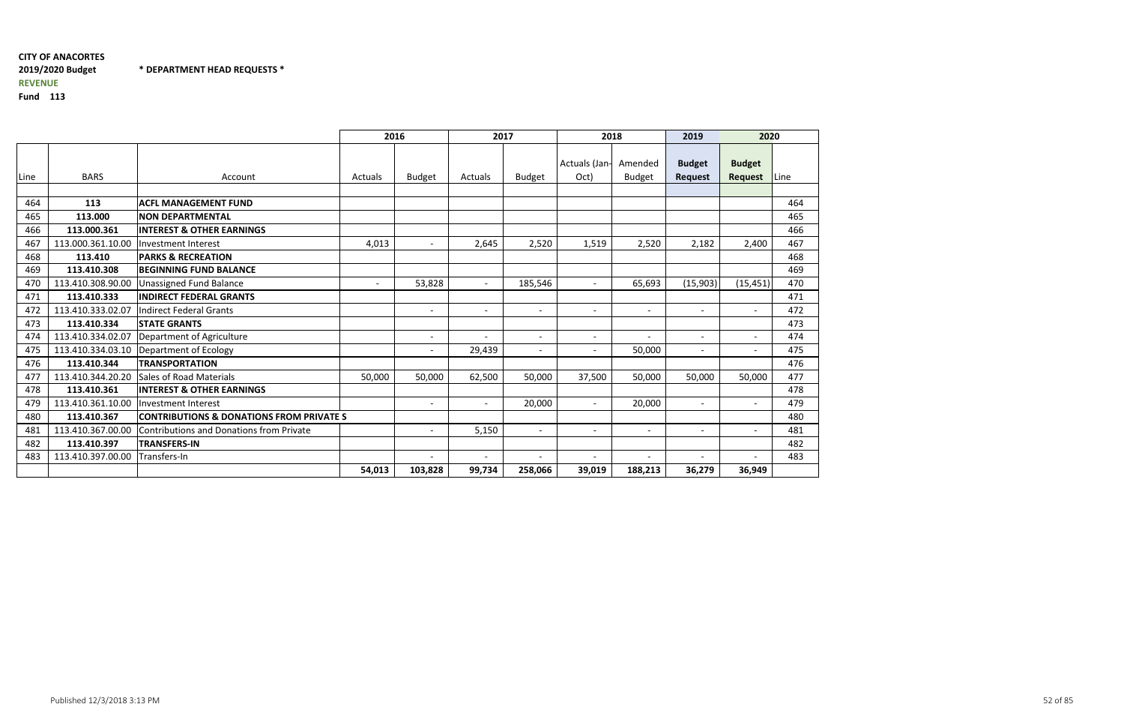## CITY OF ANACORTES2019/2020 Budget \* DEPARTMENT HEAD REQUESTS \*REVENUE

|      |                   |                                                     | 2016    |                          | 2017                     |                | 2018                     |                          | 2019                            | 2020                     |      |
|------|-------------------|-----------------------------------------------------|---------|--------------------------|--------------------------|----------------|--------------------------|--------------------------|---------------------------------|--------------------------|------|
| Line | <b>BARS</b>       | Account                                             | Actuals | <b>Budget</b>            | <b>Actuals</b>           | <b>Budget</b>  | Actuals (Jan-<br>Oct)    | Amended<br><b>Budget</b> | <b>Budget</b><br><b>Request</b> | <b>Budget</b><br>Request | Line |
|      |                   |                                                     |         |                          |                          |                |                          |                          |                                 |                          |      |
| 464  | 113               | <b>ACFL MANAGEMENT FUND</b>                         |         |                          |                          |                |                          |                          |                                 |                          | 464  |
| 465  | 113.000           | <b>NON DEPARTMENTAL</b>                             |         |                          |                          |                |                          |                          |                                 |                          | 465  |
| 466  | 113.000.361       | <b>INTEREST &amp; OTHER EARNINGS</b>                |         |                          |                          |                |                          |                          |                                 |                          | 466  |
| 467  | 113.000.361.10.00 | Investment Interest                                 | 4,013   | $\overline{\phantom{a}}$ | 2,645                    | 2,520          | 1,519                    | 2,520                    | 2,182                           | 2,400                    | 467  |
| 468  | 113.410           | <b>PARKS &amp; RECREATION</b>                       |         |                          |                          |                |                          |                          |                                 |                          | 468  |
| 469  | 113.410.308       | <b>BEGINNING FUND BALANCE</b>                       |         |                          |                          |                |                          |                          |                                 |                          | 469  |
| 470  | 113.410.308.90.00 | <b>Unassigned Fund Balance</b>                      |         | 53,828                   | $\overline{\phantom{a}}$ | 185,546        | $\overline{\phantom{0}}$ | 65,693                   | (15,903)                        | (15, 451)                | 470  |
| 471  | 113.410.333       | <b>INDIRECT FEDERAL GRANTS</b>                      |         |                          |                          |                |                          |                          |                                 |                          | 471  |
| 472  | 113.410.333.02.07 | <b>Indirect Federal Grants</b>                      |         | $\overline{\phantom{a}}$ | $\overline{\phantom{a}}$ | $\sim$         | $\overline{\phantom{0}}$ | $\overline{\phantom{0}}$ | $\overline{\phantom{0}}$        | $\overline{\phantom{0}}$ | 472  |
| 473  | 113.410.334       | <b>STATE GRANTS</b>                                 |         |                          |                          |                |                          |                          |                                 |                          | 473  |
| 474  | 113.410.334.02.07 | Department of Agriculture                           |         | $\overline{\phantom{a}}$ |                          |                | $\overline{\phantom{a}}$ | $\overline{\phantom{0}}$ | $\overline{\phantom{0}}$        | $\overline{\phantom{a}}$ | 474  |
| 475  | 113.410.334.03.10 | Department of Ecology                               |         | $\overline{a}$           | 29,439                   | $\overline{a}$ | $\overline{\phantom{0}}$ | 50,000                   | $\overline{\phantom{0}}$        | $\overline{\phantom{0}}$ | 475  |
| 476  | 113.410.344       | <b>TRANSPORTATION</b>                               |         |                          |                          |                |                          |                          |                                 |                          | 476  |
| 477  | 113.410.344.20.20 | <b>Sales of Road Materials</b>                      | 50,000  | 50,000                   | 62,500                   | 50,000         | 37,500                   | 50,000                   | 50,000                          | 50,000                   | 477  |
| 478  | 113.410.361       | <b>INTEREST &amp; OTHER EARNINGS</b>                |         |                          |                          |                |                          |                          |                                 |                          | 478  |
| 479  | 113.410.361.10.00 | Investment Interest                                 |         | $\overline{\phantom{a}}$ | $\overline{\phantom{0}}$ | 20,000         | $\overline{\phantom{0}}$ | 20,000                   | $\overline{\phantom{0}}$        | $\overline{\phantom{0}}$ | 479  |
| 480  | 113.410.367       | <b>CONTRIBUTIONS &amp; DONATIONS FROM PRIVATE S</b> |         |                          |                          |                |                          |                          |                                 |                          | 480  |
| 481  | 113.410.367.00.00 | Contributions and Donations from Private            |         | $\overline{\phantom{a}}$ | 5,150                    | $\sim$         | $\overline{\phantom{0}}$ | $\overline{\phantom{0}}$ | $\overline{\phantom{a}}$        | $\overline{\phantom{0}}$ | 481  |
| 482  | 113.410.397       | <b>TRANSFERS-IN</b>                                 |         |                          |                          |                |                          |                          |                                 |                          | 482  |
| 483  | 113.410.397.00.00 | Transfers-In                                        |         | $\overline{\phantom{a}}$ |                          |                |                          | $\overline{\phantom{0}}$ |                                 | $\overline{\phantom{0}}$ | 483  |
|      |                   |                                                     | 54,013  | 103,828                  | 99,734                   | 258,066        | 39,019                   | 188,213                  | 36,279                          | 36,949                   |      |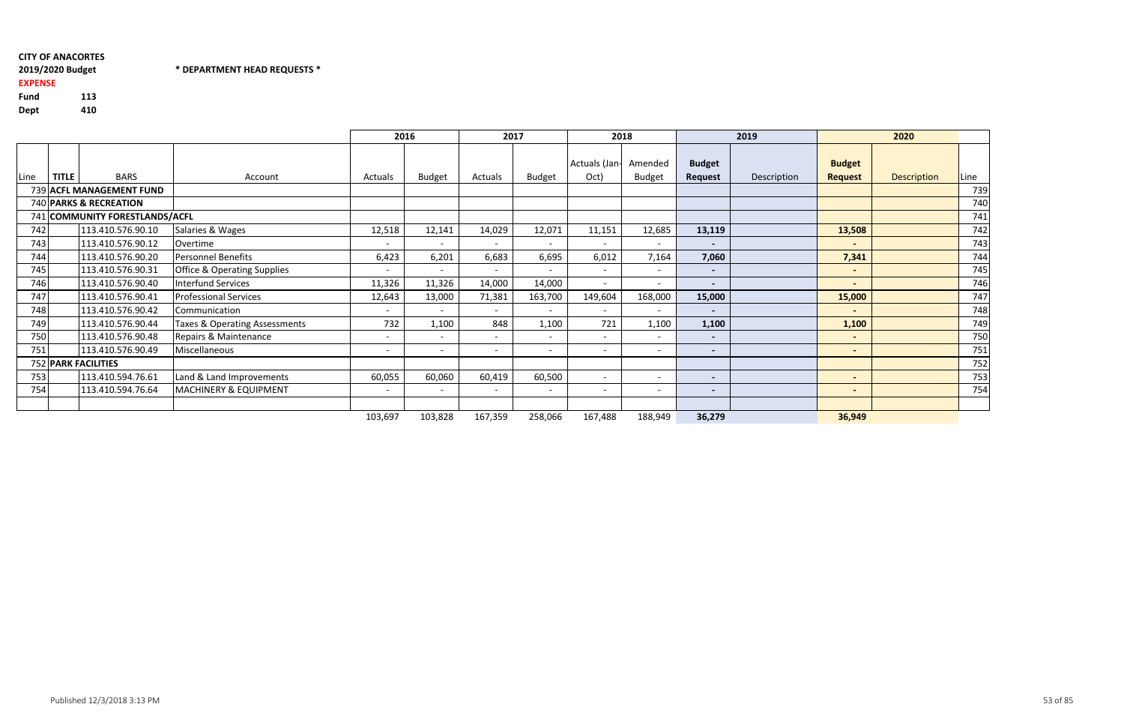## CITY OF ANACORTES2019/2020 Budget

## \* DEPARTMENT HEAD REQUESTS \*

## EXPENSE

Fund <sup>113</sup> Dept<sup>410</sup>

|      |              |                                |                                        |                          | 2016                     | 2017    |                          |                          | 2018                     |                          | 2019        |                          | 2020               |      |
|------|--------------|--------------------------------|----------------------------------------|--------------------------|--------------------------|---------|--------------------------|--------------------------|--------------------------|--------------------------|-------------|--------------------------|--------------------|------|
|      |              |                                |                                        |                          |                          |         |                          | Actuals (Jan-            | Amended                  | <b>Budget</b>            |             | <b>Budget</b>            |                    |      |
| Line | <b>TITLE</b> | <b>BARS</b>                    | Account                                | Actuals                  | <b>Budget</b>            | Actuals | <b>Budget</b>            | Oct)                     | <b>Budget</b>            | Request                  | Description | <b>Request</b>           | <b>Description</b> | Line |
|      |              | 739 ACFL MANAGEMENT FUND       |                                        |                          |                          |         |                          |                          |                          |                          |             |                          |                    | 739  |
|      |              | 740 PARKS & RECREATION         |                                        |                          |                          |         |                          |                          |                          |                          |             |                          |                    | 740  |
|      |              | 741 COMMUNITY FORESTLANDS/ACFL |                                        |                          |                          |         |                          |                          |                          |                          |             |                          |                    | 741  |
| 742  |              | 113.410.576.90.10              | Salaries & Wages                       | 12,518                   | 12,141                   | 14,029  | 12,071                   | 11,151                   | 12,685                   | 13,119                   |             | 13,508                   |                    | 742  |
| 743  |              | 113.410.576.90.12              | Overtime                               | $\overline{\phantom{a}}$ | $\overline{\phantom{a}}$ |         |                          | $\overline{\phantom{a}}$ | $\sim$                   | $\overline{\phantom{a}}$ |             | $\overline{\phantom{0}}$ |                    | 743  |
| 744  |              | 113.410.576.90.20              | <b>Personnel Benefits</b>              | 6,423                    | 6,201                    | 6,683   | 6,695                    | 6,012                    | 7,164                    | 7,060                    |             | 7,341                    |                    | 744  |
| 745  |              | 113.410.576.90.31              | <b>Office &amp; Operating Supplies</b> | $\overline{\phantom{a}}$ | $\overline{\phantom{a}}$ |         |                          | $\overline{\phantom{a}}$ | $\overline{\phantom{a}}$ | $\overline{\phantom{0}}$ |             | $\blacksquare$           |                    | 745  |
| 746  |              | 113.410.576.90.40              | Interfund Services                     | 11,326                   | 11,326                   | 14,000  | 14,000                   | $\overline{\phantom{a}}$ |                          | $\overline{\phantom{a}}$ |             | $\overline{\phantom{0}}$ |                    | 746  |
| 747  |              | 113.410.576.90.41              | <b>Professional Services</b>           | 12,643                   | 13,000                   | 71,381  | 163,700                  | 149,604                  | 168,000                  | 15,000                   |             | 15,000                   |                    | 747  |
| 748  |              | 113.410.576.90.42              | Communication                          | $\overline{\phantom{a}}$ | $\overline{\phantom{0}}$ |         |                          | $\overline{\phantom{a}}$ | $\overline{\phantom{0}}$ | $\blacksquare$           |             | $\sim$                   |                    | 748  |
| 749  |              | 113.410.576.90.44              | Taxes & Operating Assessments          | 732                      | 1,100                    | 848     | 1,100                    | 721                      | 1,100                    | 1,100                    |             | 1,100                    |                    | 749  |
| 750  |              | 113.410.576.90.48              | Repairs & Maintenance                  | $\overline{\phantom{a}}$ | $\overline{\phantom{a}}$ |         |                          | $\overline{\phantom{a}}$ | $\overline{\phantom{0}}$ | $\overline{\phantom{a}}$ |             | $\overline{\phantom{0}}$ |                    | 750  |
| 751  |              | 113.410.576.90.49              | Miscellaneous                          | $\overline{\phantom{a}}$ | $\overline{\phantom{a}}$ |         | $\overline{\phantom{a}}$ | $\overline{\phantom{a}}$ |                          | $\overline{\phantom{a}}$ |             | $\overline{\phantom{0}}$ |                    | 751  |
|      |              | <b>752 PARK FACILITIES</b>     |                                        |                          |                          |         |                          |                          |                          |                          |             |                          |                    | 752  |
| 753  |              | 113.410.594.76.61              | Land & Land Improvements               | 60,055                   | 60,060                   | 60,419  | 60,500                   | $\overline{a}$           | $\overline{\phantom{0}}$ | $\blacksquare$           |             | $\sim$                   |                    | 753  |
| 754  |              | 113.410.594.76.64              | MACHINERY & EQUIPMENT                  |                          | $\overline{\phantom{a}}$ |         |                          | $\overline{\phantom{a}}$ |                          | $\overline{\phantom{a}}$ |             |                          |                    | 754  |
|      |              |                                |                                        |                          |                          |         |                          |                          |                          |                          |             |                          |                    |      |
|      |              |                                |                                        | 103,697                  | 103,828                  | 167,359 | 258,066                  | 167,488                  | 188,949                  | 36,279                   |             | 36,949                   |                    |      |

53 of 85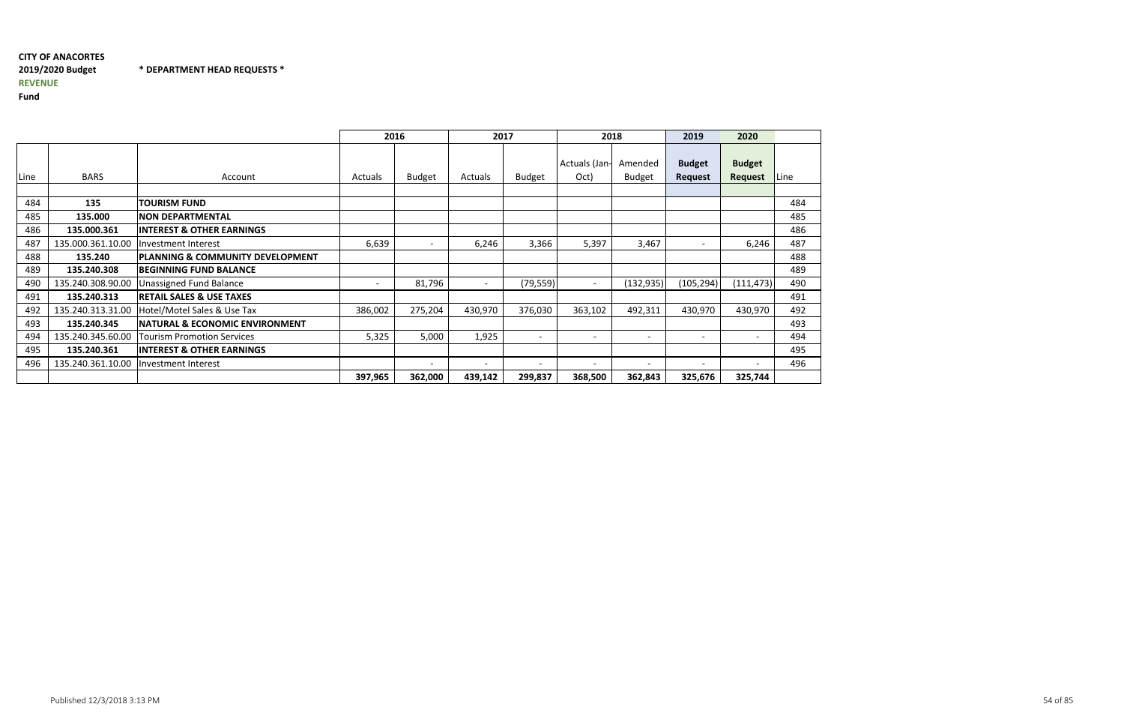# CITY OF ANACORTES2019/2020 BudgetREVENUE

\* DEPARTMENT HEAD REQUESTS \*

|      |                   |                                           | 2016    |                          | 2017    |                          | 2018                     |                          | 2019                            | 2020                     |      |
|------|-------------------|-------------------------------------------|---------|--------------------------|---------|--------------------------|--------------------------|--------------------------|---------------------------------|--------------------------|------|
| Line | <b>BARS</b>       | Account                                   | Actuals | <b>Budget</b>            | Actuals | <b>Budget</b>            | Actuals (Jan-<br>Oct)    | Amended<br><b>Budget</b> | <b>Budget</b><br><b>Request</b> | <b>Budget</b><br>Request | Line |
|      |                   |                                           |         |                          |         |                          |                          |                          |                                 |                          |      |
| 484  | 135               | <b>TOURISM FUND</b>                       |         |                          |         |                          |                          |                          |                                 |                          | 484  |
| 485  | 135.000           | <b>NON DEPARTMENTAL</b>                   |         |                          |         |                          |                          |                          |                                 |                          | 485  |
| 486  | 135.000.361       | <b>INTEREST &amp; OTHER EARNINGS</b>      |         |                          |         |                          |                          |                          |                                 |                          | 486  |
| 487  | 135.000.361.10.00 | Investment Interest                       | 6,639   | $\overline{\phantom{a}}$ | 6,246   | 3,366                    | 5,397                    | 3,467                    | $\overline{\phantom{a}}$        | 6,246                    | 487  |
| 488  | 135.240           | PLANNING & COMMUNITY DEVELOPMENT          |         |                          |         |                          |                          |                          |                                 |                          | 488  |
| 489  | 135.240.308       | <b>IBEGINNING FUND BALANCE</b>            |         |                          |         |                          |                          |                          |                                 |                          | 489  |
| 490  | 135.240.308.90.00 | <b>Unassigned Fund Balance</b>            |         | 81,796                   |         | (79, 559)                |                          | (132, 935)               | (105, 294)                      | (111, 473)               | 490  |
| 491  | 135.240.313       | <b>RETAIL SALES &amp; USE TAXES</b>       |         |                          |         |                          |                          |                          |                                 |                          | 491  |
| 492  | 135.240.313.31.00 | Hotel/Motel Sales & Use Tax               | 386,002 | 275,204                  | 430,970 | 376,030                  | 363,102                  | 492,311                  | 430,970                         | 430,970                  | 492  |
| 493  | 135.240.345       | <b>NATURAL &amp; ECONOMIC ENVIRONMENT</b> |         |                          |         |                          |                          |                          |                                 |                          | 493  |
| 494  | 135.240.345.60.00 | <b>Tourism Promotion Services</b>         | 5,325   | 5,000                    | 1,925   | $\overline{\phantom{0}}$ | $\overline{\phantom{0}}$ | $\overline{\phantom{a}}$ | $\overline{\phantom{0}}$        |                          | 494  |
| 495  | 135.240.361       | <b>INTEREST &amp; OTHER EARNINGS</b>      |         |                          |         |                          |                          |                          |                                 |                          | 495  |
| 496  | 135.240.361.10.00 | Investment Interest                       |         | $\overline{\phantom{0}}$ |         |                          |                          |                          |                                 |                          | 496  |
|      |                   |                                           | 397,965 | 362,000                  | 439,142 | 299,837                  | 368,500                  | 362,843                  | 325,676                         | 325,744                  |      |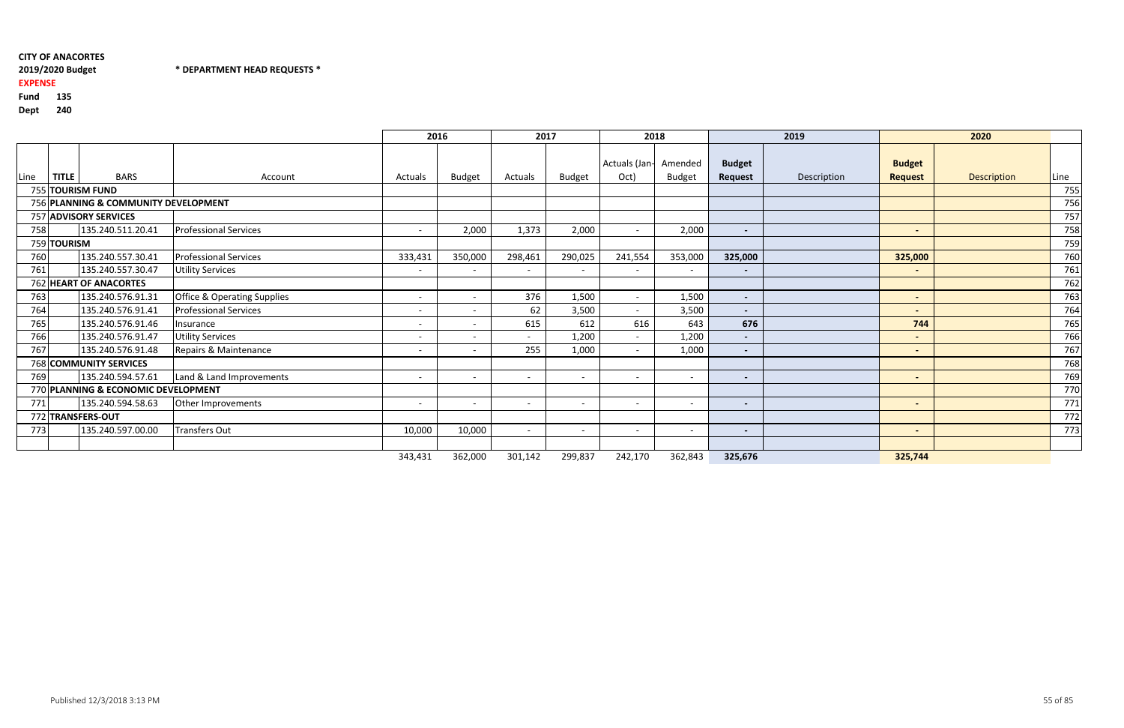## CITY OF ANACORTES2019/2020 Budget

## \* DEPARTMENT HEAD REQUESTS \*

## EXPENSE

Fund <sup>135</sup>

|      |              |                                      |                                        | 2016                     |                          | 2017                     |                          |                          | 2018                     |                          | 2019        |                | 2020               |      |
|------|--------------|--------------------------------------|----------------------------------------|--------------------------|--------------------------|--------------------------|--------------------------|--------------------------|--------------------------|--------------------------|-------------|----------------|--------------------|------|
|      |              |                                      |                                        |                          |                          |                          |                          | Actuals (Jan-            | Amended                  | <b>Budget</b>            |             | <b>Budget</b>  |                    |      |
| Line | <b>TITLE</b> | <b>BARS</b>                          | Account                                | Actuals                  | <b>Budget</b>            | Actuals                  | <b>Budget</b>            | Oct)                     | <b>Budget</b>            | Request                  | Description | <b>Request</b> | <b>Description</b> | Line |
|      |              | 755 TOURISM FUND                     |                                        |                          |                          |                          |                          |                          |                          |                          |             |                |                    | 755  |
|      |              | 756 PLANNING & COMMUNITY DEVELOPMENT |                                        |                          |                          |                          |                          |                          |                          |                          |             |                |                    | 756  |
|      |              | 757 ADVISORY SERVICES                |                                        |                          |                          |                          |                          |                          |                          |                          |             |                |                    | 757  |
| 758  |              | 135.240.511.20.41                    | <b>Professional Services</b>           | $\overline{\phantom{0}}$ | 2,000                    | 1,373                    | 2,000                    | $\overline{\phantom{0}}$ | 2,000                    | $\overline{\phantom{a}}$ |             | $\blacksquare$ |                    | 758  |
|      | 759 TOURISM  |                                      |                                        |                          |                          |                          |                          |                          |                          |                          |             |                |                    | 759  |
| 760  |              | 135.240.557.30.41                    | <b>Professional Services</b>           | 333,431                  | 350,000                  | 298,461                  | 290,025                  | 241,554                  | 353,000                  | 325,000                  |             | 325,000        |                    | 760  |
| 761  |              | 135.240.557.30.47                    | <b>Utility Services</b>                | $\overline{\phantom{0}}$ | $\overline{\phantom{a}}$ | $\overline{\phantom{a}}$ | $\overline{\phantom{a}}$ |                          | $\overline{\phantom{a}}$ | $\blacksquare$           |             | $\blacksquare$ |                    | 761  |
|      |              | 762 HEART OF ANACORTES               |                                        |                          |                          |                          |                          |                          |                          |                          |             |                |                    | 762  |
| 763  |              | 135.240.576.91.31                    | <b>Office &amp; Operating Supplies</b> | $\overline{\phantom{0}}$ | $\overline{a}$           | 376                      | 1,500                    | $\sim$                   | 1,500                    | $\blacksquare$           |             | $\blacksquare$ |                    | 763  |
| 764  |              | 135.240.576.91.41                    | <b>Professional Services</b>           | $\overline{\phantom{0}}$ | $\overline{\phantom{a}}$ | 62                       | 3,500                    | $\sim$                   | 3,500                    | $\blacksquare$           |             | $\blacksquare$ |                    | 764  |
| 765  |              | 135.240.576.91.46                    | Insurance                              | $\overline{\phantom{0}}$ | $\overline{\phantom{a}}$ | 615                      | 612                      | 616                      | 643                      | 676                      |             | 744            |                    | 765  |
| 766  |              | 135.240.576.91.47                    | <b>Utility Services</b>                | $\overline{\phantom{0}}$ | $\overline{\phantom{0}}$ | $\sim$                   | 1,200                    | $\sim$                   | 1,200                    | $\blacksquare$           |             | $\blacksquare$ |                    | 766  |
| 767  |              | 135.240.576.91.48                    | Repairs & Maintenance                  | $\overline{\phantom{0}}$ | $\overline{\phantom{a}}$ | 255                      | 1,000                    | $\overline{\phantom{0}}$ | 1,000                    | $\blacksquare$           |             | $\blacksquare$ |                    | 767  |
|      |              | 768 COMMUNITY SERVICES               |                                        |                          |                          |                          |                          |                          |                          |                          |             |                |                    | 768  |
| 769  |              | 135.240.594.57.61                    | Land & Land Improvements               | $\overline{\phantom{0}}$ | $\overline{\phantom{0}}$ | $\overline{\phantom{a}}$ | $\overline{\phantom{a}}$ | $\overline{\phantom{0}}$ | $\overline{\phantom{a}}$ | $\blacksquare$           |             | $\blacksquare$ |                    | 769  |
|      |              | 770 PLANNING & ECONOMIC DEVELOPMENT  |                                        |                          |                          |                          |                          |                          |                          |                          |             |                |                    | 770  |
| 771  |              | 135.240.594.58.63                    | Other Improvements                     | $\overline{\phantom{0}}$ |                          | $\overline{\phantom{a}}$ |                          |                          |                          | $\blacksquare$           |             | $\blacksquare$ |                    | 771  |
|      |              | 772 TRANSFERS-OUT                    |                                        |                          |                          |                          |                          |                          |                          |                          |             |                |                    | 772  |
| 773  |              | 135.240.597.00.00                    | <b>Transfers Out</b>                   | 10,000                   | 10,000                   | $\overline{\phantom{a}}$ | $\overline{\phantom{a}}$ |                          |                          | $\blacksquare$           |             | $\blacksquare$ |                    | 773  |
|      |              |                                      |                                        |                          |                          |                          |                          |                          |                          |                          |             |                |                    |      |
|      |              |                                      |                                        | 343,431                  | 362,000                  | 301,142                  | 299,837                  | 242,170                  | 362,843                  | 325,676                  |             | 325,744        |                    |      |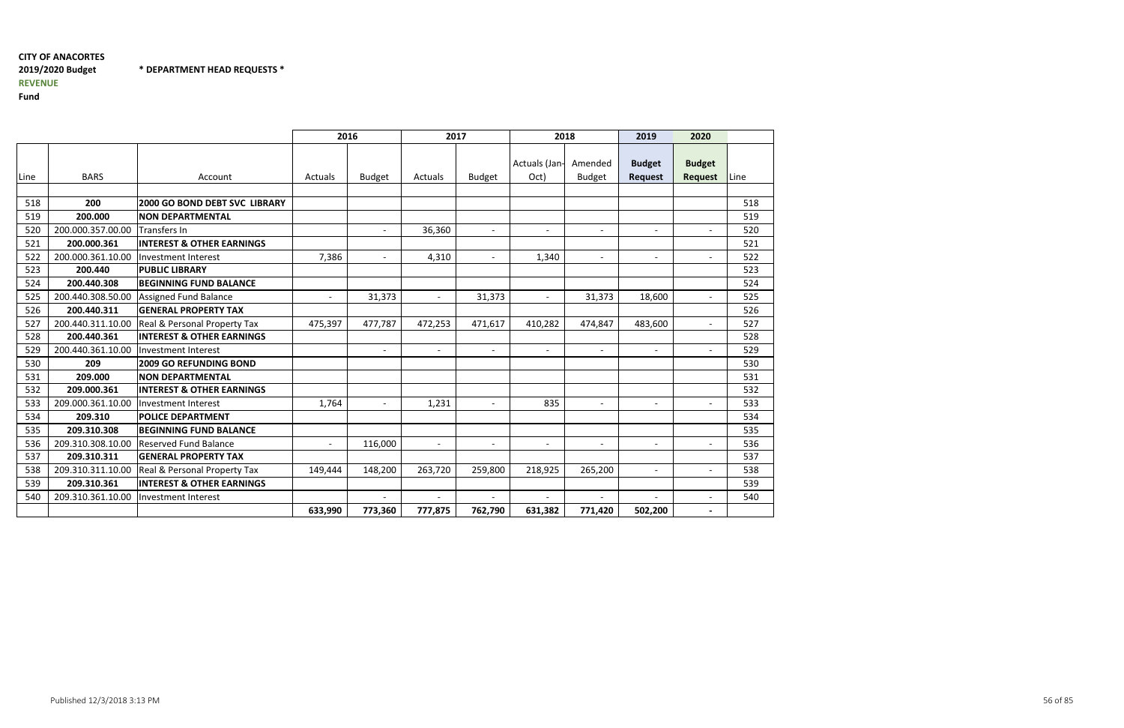## CITY OF ANACORTES2019/2020 BudgetREVENUE

\* DEPARTMENT HEAD REQUESTS \*

|             |                   |                                         | 2016           |                          | 2017                     |               | 2018                     |                          | 2019                            | 2020                            |      |
|-------------|-------------------|-----------------------------------------|----------------|--------------------------|--------------------------|---------------|--------------------------|--------------------------|---------------------------------|---------------------------------|------|
| <b>Line</b> | <b>BARS</b>       | Account                                 | Actuals        | <b>Budget</b>            | <b>Actuals</b>           | <b>Budget</b> | Actuals (Jan-<br>Oct)    | Amended<br><b>Budget</b> | <b>Budget</b><br><b>Request</b> | <b>Budget</b><br><b>Request</b> | Line |
|             |                   |                                         |                |                          |                          |               |                          |                          |                                 |                                 |      |
| 518         | 200               | <b>2000 GO BOND DEBT SVC LIBRARY</b>    |                |                          |                          |               |                          |                          |                                 |                                 | 518  |
| 519         | 200.000           | <b>NON DEPARTMENTAL</b>                 |                |                          |                          |               |                          |                          |                                 |                                 | 519  |
| 520         | 200.000.357.00.00 | Transfers In                            |                | $\overline{\phantom{a}}$ | 36,360                   | $\sim$        | $\overline{\phantom{a}}$ | $\overline{\phantom{0}}$ | $\blacksquare$                  | $\blacksquare$                  | 520  |
| 521         | 200.000.361       | <b>INTEREST &amp; OTHER EARNINGS</b>    |                |                          |                          |               |                          |                          |                                 |                                 | 521  |
| 522         | 200.000.361.10.00 | Investment Interest                     | 7,386          | $-$                      | 4,310                    | $ \,$         | 1,340                    | $\overline{\phantom{a}}$ | $\overline{\phantom{a}}$        | $\overline{a}$                  | 522  |
| 523         | 200.440           | <b>PUBLIC LIBRARY</b>                   |                |                          |                          |               |                          |                          |                                 |                                 | 523  |
| 524         | 200.440.308       | <b>BEGINNING FUND BALANCE</b>           |                |                          |                          |               |                          |                          |                                 |                                 | 524  |
| 525         | 200.440.308.50.00 | <b>Assigned Fund Balance</b>            | $\blacksquare$ | 31,373                   | $\overline{\phantom{a}}$ | 31,373        | $\overline{\phantom{a}}$ | 31,373                   | 18,600                          | $\overline{a}$                  | 525  |
| 526         | 200.440.311       | <b>GENERAL PROPERTY TAX</b>             |                |                          |                          |               |                          |                          |                                 |                                 | 526  |
| 527         | 200.440.311.10.00 | <b>Real &amp; Personal Property Tax</b> | 475,397        | 477,787                  | 472,253                  | 471,617       | 410,282                  | 474,847                  | 483,600                         | $\blacksquare$                  | 527  |
| 528         | 200.440.361       | <b>INTEREST &amp; OTHER EARNINGS</b>    |                |                          |                          |               |                          |                          |                                 |                                 | 528  |
| 529         | 200.440.361.10.00 | Investment Interest                     |                | $\overline{\phantom{a}}$ | $\overline{\phantom{a}}$ | $ \,$         | $\blacksquare$           | $\overline{\phantom{a}}$ | $\overline{\phantom{a}}$        | $\overline{a}$                  | 529  |
| 530         | 209               | <b>2009 GO REFUNDING BOND</b>           |                |                          |                          |               |                          |                          |                                 |                                 | 530  |
| 531         | 209.000           | <b>NON DEPARTMENTAL</b>                 |                |                          |                          |               |                          |                          |                                 |                                 | 531  |
| 532         | 209.000.361       | <b>INTEREST &amp; OTHER EARNINGS</b>    |                |                          |                          |               |                          |                          |                                 |                                 | 532  |
| 533         | 209.000.361.10.00 | Investment Interest                     | 1,764          | $-$                      | 1,231                    | $\sim$        | 835                      |                          | $\overline{\phantom{a}}$        | $\overline{\phantom{a}}$        | 533  |
| 534         | 209.310           | <b>POLICE DEPARTMENT</b>                |                |                          |                          |               |                          |                          |                                 |                                 | 534  |
| 535         | 209.310.308       | <b>BEGINNING FUND BALANCE</b>           |                |                          |                          |               |                          |                          |                                 |                                 | 535  |
| 536         | 209.310.308.10.00 | <b>Reserved Fund Balance</b>            | $\sim$         | 116,000                  | $\blacksquare$           | $\sim$        | $\overline{\phantom{a}}$ | $\blacksquare$           | $\overline{\phantom{a}}$        | $\blacksquare$                  | 536  |
| 537         | 209.310.311       | <b>GENERAL PROPERTY TAX</b>             |                |                          |                          |               |                          |                          |                                 |                                 | 537  |
| 538         | 209.310.311.10.00 | <b>Real &amp; Personal Property Tax</b> | 149,444        | 148,200                  | 263,720                  | 259,800       | 218,925                  | 265,200                  | $\sim$                          | $\overline{\phantom{a}}$        | 538  |
| 539         | 209.310.361       | <b>INTEREST &amp; OTHER EARNINGS</b>    |                |                          |                          |               |                          |                          |                                 |                                 | 539  |
| 540         | 209.310.361.10.00 | Investment Interest                     |                |                          |                          | $\sim$        | $\overline{a}$           |                          | $\overline{a}$                  | $\blacksquare$                  | 540  |
|             |                   |                                         | 633,990        | 773,360                  | 777,875                  | 762,790       | 631,382                  | 771,420                  | 502,200                         | $\blacksquare$                  |      |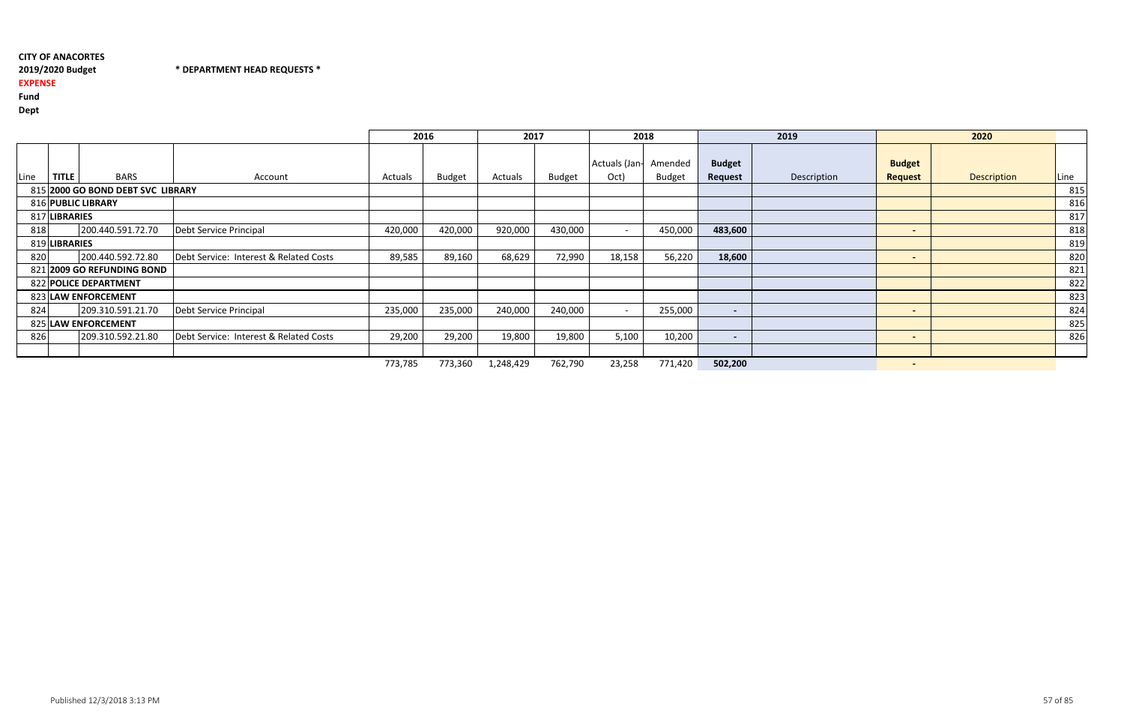## CITY OF ANACORTES2019/2020 Budget

## \* DEPARTMENT HEAD REQUESTS \*

# EXPENSE

Fund

|      |               |                                   |                                        | 2016    |               | 2017      |               | 2018          |               |                | 2019        |                          | 2020        |      |
|------|---------------|-----------------------------------|----------------------------------------|---------|---------------|-----------|---------------|---------------|---------------|----------------|-------------|--------------------------|-------------|------|
|      |               |                                   |                                        |         |               |           |               | Actuals (Jan- | Amended       | <b>Budget</b>  |             | <b>Budget</b>            |             |      |
| Line | <b>TITLE</b>  | <b>BARS</b>                       | Account                                | Actuals | <b>Budget</b> | Actuals   | <b>Budget</b> | Oct)          | <b>Budget</b> | Request        | Description | <b>Request</b>           | Description | Line |
|      |               | 815 2000 GO BOND DEBT SVC LIBRARY |                                        |         |               |           |               |               |               |                |             |                          |             | 815  |
|      |               | 816 PUBLIC LIBRARY                |                                        |         |               |           |               |               |               |                |             |                          |             | 816  |
|      | 817 LIBRARIES |                                   |                                        |         |               |           |               |               |               |                |             |                          |             | 817  |
| 818  |               | 200.440.591.72.70                 | Debt Service Principal                 | 420,000 | 420,000       | 920,000   | 430,000       |               | 450,000       | 483,600        |             | $\sim$                   |             | 818  |
|      | 819 LIBRARIES |                                   |                                        |         |               |           |               |               |               |                |             |                          |             | 819  |
| 820  |               | 200.440.592.72.80                 | Debt Service: Interest & Related Costs | 89,585  | 89,160        | 68,629    | 72,990        | 18,158        | 56,220        | 18,600         |             | $\sim$                   |             | 820  |
|      |               | 821 2009 GO REFUNDING BOND        |                                        |         |               |           |               |               |               |                |             |                          |             | 821  |
|      |               | 822 POLICE DEPARTMENT             |                                        |         |               |           |               |               |               |                |             |                          |             | 822  |
|      |               | 823 LAW ENFORCEMENT               |                                        |         |               |           |               |               |               |                |             |                          |             | 823  |
| 824  |               | 209.310.591.21.70                 | Debt Service Principal                 | 235,000 | 235,000       | 240,000   | 240,000       |               | 255,000       | $\blacksquare$ |             | $\sim$                   |             | 824  |
|      |               | 825 LAW ENFORCEMENT               |                                        |         |               |           |               |               |               |                |             |                          |             | 825  |
| 826  |               | 209.310.592.21.80                 | Debt Service: Interest & Related Costs | 29,200  | 29,200        | 19,800    | 19,800        | 5,100         | 10,200        | $\blacksquare$ |             | $\sim$                   |             | 826  |
|      |               |                                   |                                        |         |               |           |               |               |               |                |             |                          |             |      |
|      |               |                                   |                                        | 773,785 | 773,360       | 1,248,429 | 762,790       | 23,258        | 771,420       | 502,200        |             | $\overline{\phantom{0}}$ |             |      |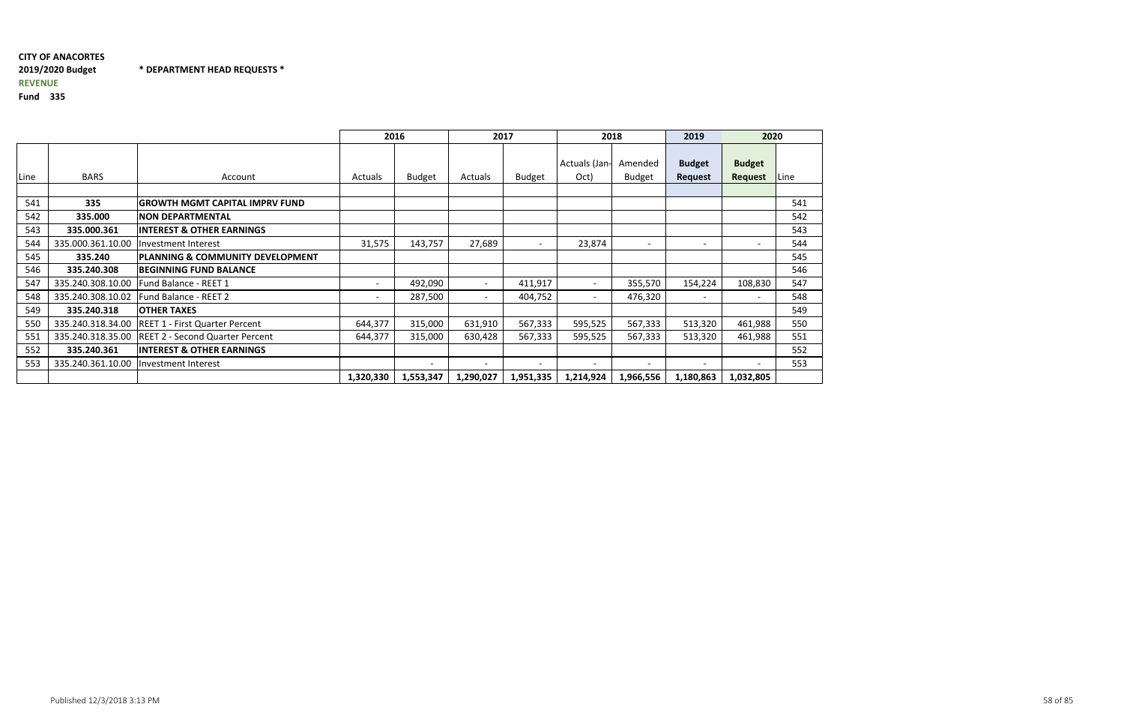## CITY OF ANACORTES2019/2020 Budget \* DEPARTMENT HEAD REQUESTS \*REVENUE

|      |                   |                                             |                | 2016                     |                          | 2017                     | 2018                  |                          | 2019                     | 2020                     |             |
|------|-------------------|---------------------------------------------|----------------|--------------------------|--------------------------|--------------------------|-----------------------|--------------------------|--------------------------|--------------------------|-------------|
| Line | <b>BARS</b>       | Account                                     | <b>Actuals</b> | Budget                   | Actuals                  | <b>Budget</b>            | Actuals (Jan-<br>Oct) | Amended<br><b>Budget</b> | <b>Budget</b><br>Request | <b>Budget</b><br>Request | <b>Line</b> |
|      |                   |                                             |                |                          |                          |                          |                       |                          |                          |                          |             |
| 541  | 335               | <b>GROWTH MGMT CAPITAL IMPRV FUND</b>       |                |                          |                          |                          |                       |                          |                          |                          | 541         |
| 542  | 335.000           | <b>NON DEPARTMENTAL</b>                     |                |                          |                          |                          |                       |                          |                          |                          | 542         |
| 543  | 335.000.361       | <b>INTEREST &amp; OTHER EARNINGS</b>        |                |                          |                          |                          |                       |                          |                          |                          | 543         |
| 544  | 335.000.361.10.00 | Investment Interest                         | 31,575         | 143,757                  | 27,689                   | $\qquad \qquad$          | 23,874                |                          | $\overline{\phantom{0}}$ |                          | 544         |
| 545  | 335.240           | <b>PLANNING &amp; COMMUNITY DEVELOPMENT</b> |                |                          |                          |                          |                       |                          |                          |                          | 545         |
| 546  | 335.240.308       | <b>BEGINNING FUND BALANCE</b>               |                |                          |                          |                          |                       |                          |                          |                          | 546         |
| 547  | 335.240.308.10.00 | Fund Balance - REET 1                       |                | 492,090                  |                          | 411,917                  |                       | 355,570                  | 154,224                  | 108,830                  | 547         |
| 548  | 335.240.308.10.02 | Fund Balance - REET 2                       |                | 287,500                  |                          | 404,752                  |                       | 476,320                  | $\overline{\phantom{0}}$ |                          | 548         |
| 549  | 335.240.318       | <b>OTHER TAXES</b>                          |                |                          |                          |                          |                       |                          |                          |                          | 549         |
| 550  | 335.240.318.34.00 | REET 1 - First Quarter Percent              | 644,377        | 315,000                  | 631,910                  | 567,333                  | 595,525               | 567,333                  | 513,320                  | 461,988                  | 550         |
| 551  | 335.240.318.35.00 | <b>REET 2 - Second Quarter Percent</b>      | 644,377        | 315,000                  | 630,428                  | 567,333                  | 595,525               | 567,333                  | 513,320                  | 461,988                  | 551         |
| 552  | 335.240.361       | <b>INTEREST &amp; OTHER EARNINGS</b>        |                |                          |                          |                          |                       |                          |                          |                          | 552         |
| 553  | 335.240.361.10.00 | Investment Interest                         |                | $\overline{\phantom{0}}$ | $\overline{\phantom{0}}$ | $\overline{\phantom{0}}$ |                       |                          | $\overline{\phantom{0}}$ |                          | 553         |
|      |                   |                                             | 1,320,330      | 1,553,347                | 1,290,027                | 1,951,335                | 1,214,924             | 1,966,556                | 1,180,863                | 1,032,805                |             |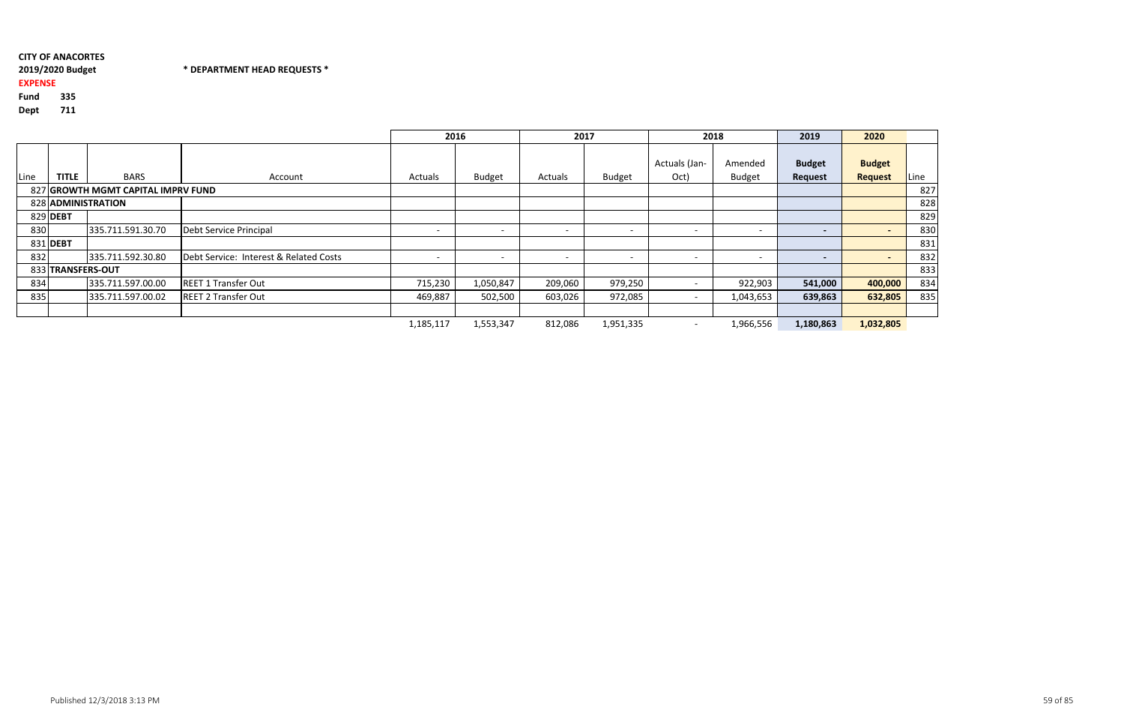# 2019/2020 Budget

\* DEPARTMENT HEAD REQUESTS \*

## EXPENSE

Fund<sup>335</sup>

|      |                   |                                    |                                        | 2016                     |                          | 2017                     |                          | 2018                     |                          | 2019                     | 2020                            |      |
|------|-------------------|------------------------------------|----------------------------------------|--------------------------|--------------------------|--------------------------|--------------------------|--------------------------|--------------------------|--------------------------|---------------------------------|------|
| Line | <b>TITLE</b>      | <b>BARS</b>                        | Account                                | Actuals                  | <b>Budget</b>            | Actuals                  | <b>Budget</b>            | Actuals (Jan-<br>Oct)    | Amended<br><b>Budget</b> | <b>Budget</b><br>Request | <b>Budget</b><br><b>Request</b> | Line |
|      |                   | 827 GROWTH MGMT CAPITAL IMPRV FUND |                                        |                          |                          |                          |                          |                          |                          |                          |                                 | 827  |
|      |                   | 828 ADMINISTRATION                 |                                        |                          |                          |                          |                          |                          |                          |                          |                                 | 828  |
|      | 829 DEBT          |                                    |                                        |                          |                          |                          |                          |                          |                          |                          |                                 | 829  |
| 830  |                   | 335.711.591.30.70                  | Debt Service Principal                 | $\overline{\phantom{0}}$ | $\overline{\phantom{0}}$ | $\overline{\phantom{0}}$ | $\overline{\phantom{0}}$ |                          | $\overline{\phantom{a}}$ | $\overline{\phantom{a}}$ |                                 | 830  |
|      | 831 DEBT          |                                    |                                        |                          |                          |                          |                          |                          |                          |                          |                                 | 831  |
| 832  |                   | 335.711.592.30.80                  | Debt Service: Interest & Related Costs | $\overline{\phantom{a}}$ | $\overline{\phantom{0}}$ | $\overline{\phantom{a}}$ | $\overline{\phantom{0}}$ |                          |                          | $\overline{\phantom{a}}$ |                                 | 832  |
|      | 833 TRANSFERS-OUT |                                    |                                        |                          |                          |                          |                          |                          |                          |                          |                                 | 833  |
| 834  |                   | 335.711.597.00.00                  | <b>REET 1 Transfer Out</b>             | 715,230                  | 1,050,847                | 209,060                  | 979,250                  |                          | 922,903                  | 541,000                  | 400,000                         | 834  |
| 835  |                   | 335.711.597.00.02                  | <b>REET 2 Transfer Out</b>             | 469,887                  | 502,500                  | 603,026                  | 972,085                  |                          | 1,043,653                | 639,863                  | 632,805                         | 835  |
|      |                   |                                    |                                        |                          |                          |                          |                          |                          |                          |                          |                                 |      |
|      |                   |                                    |                                        | 1,185,117                | 1,553,347                | 812,086                  | 1,951,335                | $\overline{\phantom{0}}$ | 1,966,556                | 1,180,863                | 1,032,805                       |      |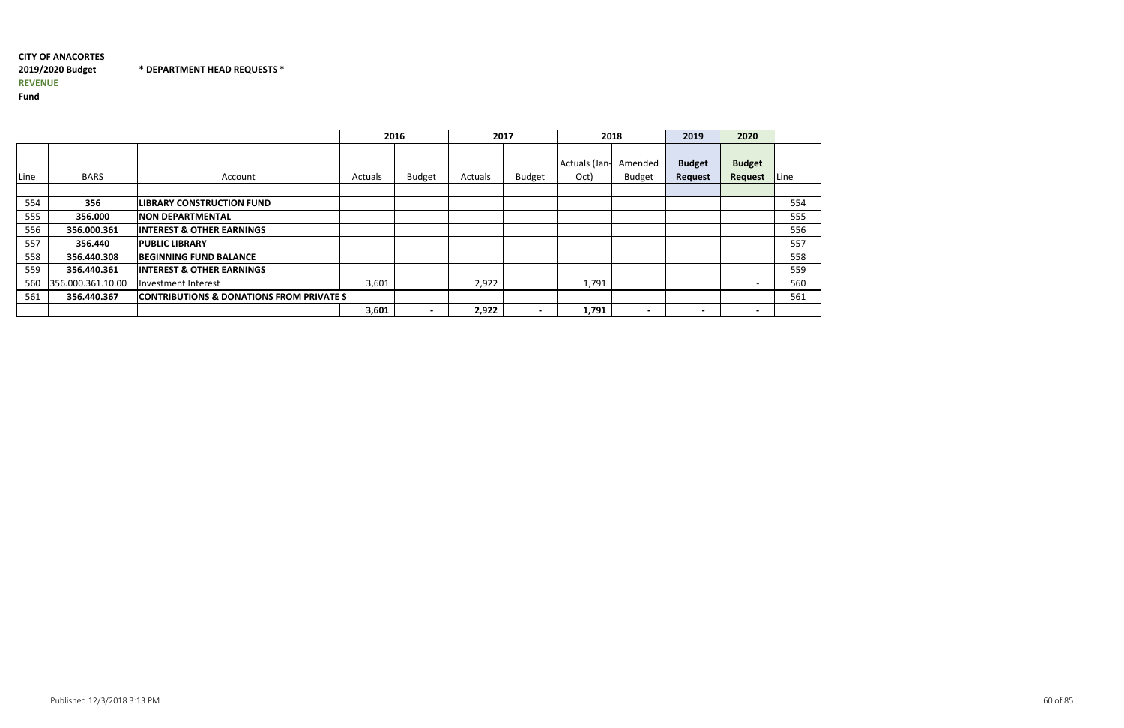#### CITY OF ANACORTES2019/2020 Budget \* DEPARTMENT HEAD REQUESTS \*REVENUE

|      |                   |                                                     |         | 2016          | 2017    |               | 2018                  |                          | 2019                            | 2020                     |      |
|------|-------------------|-----------------------------------------------------|---------|---------------|---------|---------------|-----------------------|--------------------------|---------------------------------|--------------------------|------|
| Line | <b>BARS</b>       | Account                                             | Actuals | <b>Budget</b> | Actuals | <b>Budget</b> | Actuals (Jan-<br>Oct) | Amended<br><b>Budget</b> | <b>Budget</b><br><b>Request</b> | <b>Budget</b><br>Request | Line |
| 554  | 356               | <b>LIBRARY CONSTRUCTION FUND</b>                    |         |               |         |               |                       |                          |                                 |                          | 554  |
| 555  | 356.000           | <b>NON DEPARTMENTAL</b>                             |         |               |         |               |                       |                          |                                 |                          | 555  |
| 556  | 356.000.361       | <b>INTEREST &amp; OTHER EARNINGS</b>                |         |               |         |               |                       |                          |                                 |                          | 556  |
| 557  | 356.440           | <b>PUBLIC LIBRARY</b>                               |         |               |         |               |                       |                          |                                 |                          | 557  |
| 558  | 356.440.308       | <b>BEGINNING FUND BALANCE</b>                       |         |               |         |               |                       |                          |                                 |                          | 558  |
| 559  | 356.440.361       | <b>INTEREST &amp; OTHER EARNINGS</b>                |         |               |         |               |                       |                          |                                 |                          | 559  |
| 560  | 356.000.361.10.00 | lInvestment Interest                                | 3,601   |               | 2,922   |               | 1,791                 |                          |                                 |                          | 560  |
| 561  | 356.440.367       | <b>CONTRIBUTIONS &amp; DONATIONS FROM PRIVATE S</b> |         |               |         |               |                       |                          |                                 |                          | 561  |
|      |                   |                                                     | 3,601   |               | 2,922   |               | 1,791                 | $\overline{\phantom{0}}$ | $\blacksquare$                  | $\overline{\phantom{0}}$ |      |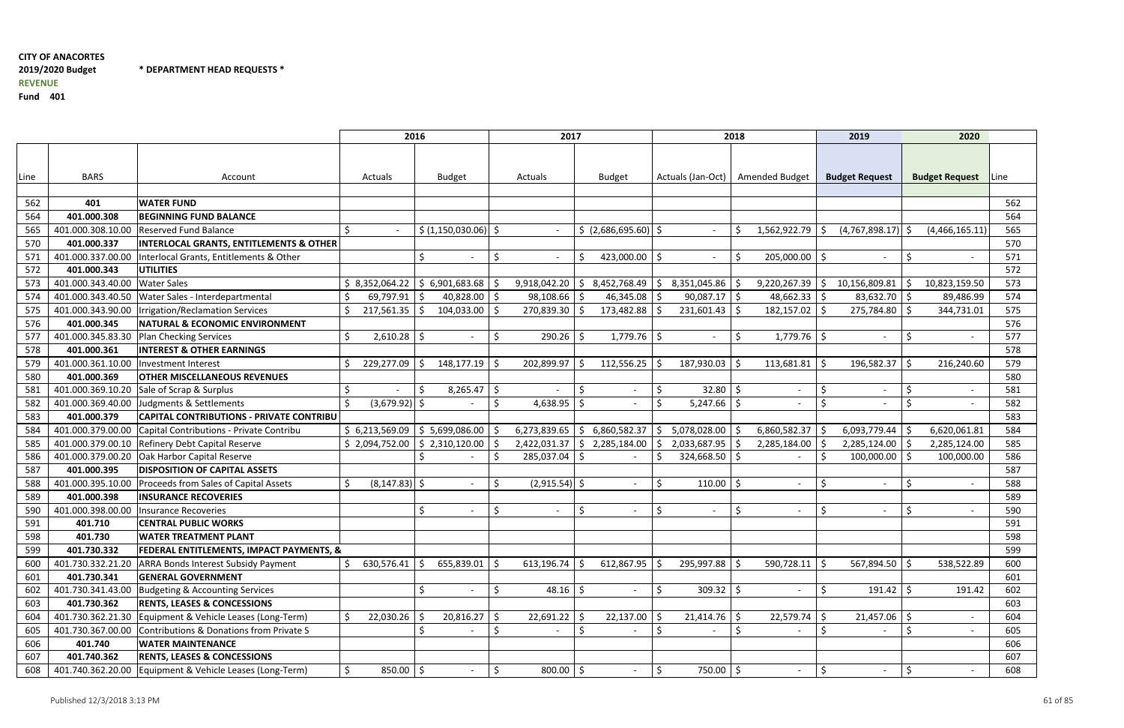## CITY OF ANACORTES2019/2020 BudgetREVENUE

\* DEPARTMENT HEAD REQUESTS \*

|      |                   |                                                    | 2016                   |                                            |     | 2017            |                                |                                | 2018                               | 2019                           | 2020                     |      |
|------|-------------------|----------------------------------------------------|------------------------|--------------------------------------------|-----|-----------------|--------------------------------|--------------------------------|------------------------------------|--------------------------------|--------------------------|------|
| Line | <b>BARS</b>       | Account                                            | Actuals                | <b>Budget</b>                              |     | Actuals         | <b>Budget</b>                  |                                | Actuals (Jan-Oct)   Amended Budget | <b>Budget Request</b>          | <b>Budget Request</b>    | Line |
|      |                   |                                                    |                        |                                            |     |                 |                                |                                |                                    |                                |                          |      |
| 562  | 401               | <b>WATER FUND</b>                                  |                        |                                            |     |                 |                                |                                |                                    |                                |                          | 562  |
| 564  | 401.000.308       | <b>BEGINNING FUND BALANCE</b>                      |                        |                                            |     |                 |                                |                                |                                    |                                |                          | 564  |
| 565  | 401.000.308.10.00 | <b>Reserved Fund Balance</b>                       | Ŝ.                     | $\frac{1}{2}$ (1,150,030.06) $\frac{1}{2}$ |     |                 | \$ (2,686,695.60)              | $\sim$                         | 1,562,922.79                       | (4, 767, 898.17)<br>-S         | (4,466,165.11)           | 565  |
| 570  | 401.000.337       | <b>INTERLOCAL GRANTS, ENTITLEMENTS &amp; OTHER</b> |                        |                                            |     |                 |                                |                                |                                    |                                |                          | 570  |
| 571  | 401.000.337.00.00 | Interlocal Grants, Entitlements & Other            |                        | $\overline{\phantom{a}}$                   | Ŝ.  |                 | 423,000.00 $\vert$ \$          | $\overline{\phantom{a}}$       | 205,000.00                         | l S                            |                          | 571  |
| 572  | 401.000.343       | <b>UTILITIES</b>                                   |                        |                                            |     |                 |                                |                                |                                    |                                |                          | 572  |
| 573  | 401.000.343.40.00 | <b>Water Sales</b>                                 | \$3,352,064.22         | \$6,901,683.68                             |     | 9,918,042.20    | 8,452,768.49<br>S.             | 8,351,045.86<br>$\varsigma$    | 9,220,267.39                       | 10,156,809.81<br>-\$           | 10,823,159.50            | 573  |
| 574  | 401.000.343.40.50 | Water Sales - Interdepartmental                    | 69,797.91              | 40,828.00<br>-S                            | -\$ | 98,108.66 \$    | 46,345.08                      | $90,087.17$ \$                 | 48,662.33                          | $83,632.70$ \$<br>-\$          | 89,486.99                | 574  |
| 575  | 401.000.343.90.00 | Irrigation/Reclamation Services                    | \$<br>217,561.35       | 104,033.00<br>-S                           | -Ŝ  | 270,839.30 \$   | 173,482.88                     | $231,601.43$   \$              | 182,157.02                         | 275,784.80 \$<br>-S            | 344,731.01               | 575  |
| 576  | 401.000.345       | <b>NATURAL &amp; ECONOMIC ENVIRONMENT</b>          |                        |                                            |     |                 |                                |                                |                                    |                                |                          | 576  |
| 577  | 401.000.345.83.30 | <b>Plan Checking Services</b>                      | $2,610.28$ \$          | $\sim$                                     | S.  | $290.26$ \$     | 1,779.76                       | -\$<br>$\sim$                  | \$<br>$1,779.76$ \$                |                                | $\sim$                   | 577  |
| 578  | 401.000.361       | <b>INTEREST &amp; OTHER EARNINGS</b>               |                        |                                            |     |                 |                                |                                |                                    |                                |                          | 578  |
| 579  | 401.000.361.10.00 | Investment Interest                                | 229,277.09             | 148,177.19<br>-S                           | -\$ | 202,899.97      | 112,556.25                     | 187,930.03<br>-Ś               | 113,681.81                         | 196,582.37<br>-\$              | $\zeta$<br>216,240.60    | 579  |
| 580  | 401.000.369       | <b>OTHER MISCELLANEOUS REVENUES</b>                |                        |                                            |     |                 |                                |                                |                                    |                                |                          | 580  |
| 581  | 401.000.369.10.20 | Sale of Scrap & Surplus                            | \$                     | 8,265.47<br>-S                             | \$  |                 | \$<br>$\overline{\phantom{a}}$ | $32.80$ \$<br>\$               | $\overline{\phantom{a}}$           | \$                             | $\sim$                   | 581  |
| 582  | 401.000.369.40.00 | Judgments & Settlements                            | $(3,679.92)$ \$<br>\$  |                                            | S.  | $4,638.95$ \$   |                                | -Ś<br>$5,247.66$ \$            | $\overline{\phantom{a}}$           | Š.                             | Ś<br>$\sim$              | 582  |
| 583  | 401.000.379       | <b>CAPITAL CONTRIBUTIONS - PRIVATE CONTRIBU</b>    |                        |                                            |     |                 |                                |                                |                                    |                                |                          | 583  |
| 584  | 401.000.379.00.00 | Capital Contributions - Private Contribu           | \$6,213,569.09         | \$5,699,086.00                             |     | 6,273,839.65    | 6,860,582.37<br>l Si           | 5,078,028.00                   | 6,860,582.37                       | 6,093,779.44<br>-S             | 6,620,061.81             | 584  |
| 585  | 401.000.379.00.10 | <b>Refinery Debt Capital Reserve</b>               | \$2,094,752.00         | \$2,310,120.00                             |     | 2,422,031.37    | 2,285,184.00<br>S.             | 2,033,687.95                   | 2,285,184.00                       | 2,285,124.00                   | 2,285,124.00             | 585  |
| 586  | 401.000.379.00.20 | Oak Harbor Capital Reserve                         |                        |                                            |     | 285,037.04      | l S                            | 324,668.50                     |                                    | 100,000.00<br>S,               | 100,000.00               | 586  |
| 587  | 401.000.395       | <b>DISPOSITION OF CAPITAL ASSETS</b>               |                        |                                            |     |                 |                                |                                |                                    |                                |                          | 587  |
| 588  | 401.000.395.10.00 | Proceeds from Sales of Capital Assets              | $(8, 147.83)$ \$<br>Ŝ. | $\overline{\phantom{a}}$                   | \$  | $(2,915.54)$ \$ | $\overline{\phantom{a}}$       | Ŝ.<br>110.00                   | S.<br>$\overline{\phantom{a}}$     | Š.<br>$\blacksquare$           | \$<br>$\sim$             | 588  |
| 589  | 401.000.398       | <b>INSURANCE RECOVERIES</b>                        |                        |                                            |     |                 |                                |                                |                                    |                                |                          | 589  |
| 590  | 401.000.398.00.00 | Insurance Recoveries                               |                        | $\overline{\phantom{a}}$                   | Ŝ.  |                 |                                | Ŝ.<br>$\overline{\phantom{a}}$ | $\overline{\phantom{a}}$           | Ś                              | $\overline{\phantom{a}}$ | 590  |
| 591  | 401.710           | <b>CENTRAL PUBLIC WORKS</b>                        |                        |                                            |     |                 |                                |                                |                                    |                                |                          | 591  |
| 598  | 401.730           | <b>WATER TREATMENT PLANT</b>                       |                        |                                            |     |                 |                                |                                |                                    |                                |                          | 598  |
| 599  | 401.730.332       | FEDERAL ENTITLEMENTS, IMPACT PAYMENTS, &           |                        |                                            |     |                 |                                |                                |                                    |                                |                          | 599  |
| 600  | 401.730.332.21.20 | <b>ARRA Bonds Interest Subsidy Payment</b>         | \$<br>630,576.41       | 655,839.01<br>-S                           | \$  | $613,196.74$ \$ | 612,867.95                     | 295,997.88<br>-\$              | 590,728.11                         | 567,894.50 \$<br>-\$           | 538,522.89               | 600  |
| 601  | 401.730.341       | <b>GENERAL GOVERNMENT</b>                          |                        |                                            |     |                 |                                |                                |                                    |                                |                          | 601  |
| 602  | 401.730.341.43.00 | Budgeting & Accounting Services                    |                        | Ś<br>$\sim$                                | \$  | $48.16$ \$      | $\sim$                         | \$<br>$309.32$ \$              | $\overline{\phantom{a}}$           | -Ś<br>$191.42$   \$            | 191.42                   | 602  |
| 603  | 401.730.362       | <b>RENTS, LEASES &amp; CONCESSIONS</b>             |                        |                                            |     |                 |                                |                                |                                    |                                |                          | 603  |
| 604  | 401.730.362.21.30 | Equipment & Vehicle Leases (Long-Term)             | 22,030.26              | 20,816.27<br>-S                            | \$  | $22,691.22$ \$  | 22,137.00                      | 21,414.76<br>\$                | 22,579.74<br>-\$                   | 21,457.06<br>-\$               | $\sim$                   | 604  |
| 605  | 401.730.367.00.00 | Contributions & Donations from Private S           |                        |                                            | \$  |                 |                                |                                | \$                                 |                                |                          | 605  |
| 606  | 401.740           | <b>WATER MAINTENANCE</b>                           |                        |                                            |     |                 |                                |                                |                                    |                                |                          | 606  |
| 607  | 401.740.362       | <b>RENTS, LEASES &amp; CONCESSIONS</b>             |                        |                                            |     |                 |                                |                                |                                    |                                |                          | 607  |
| 608  | 401.740.362.20.00 | Equipment & Vehicle Leases (Long-Term)             | $850.00$ \$<br>\$      | $\overline{\phantom{a}}$                   | \$  | $800.00$   \$   | $\sim$                         | 750.00 \$<br>\$                | $\overline{\phantom{a}}$           | \$<br>$\overline{\phantom{a}}$ | \$                       | 608  |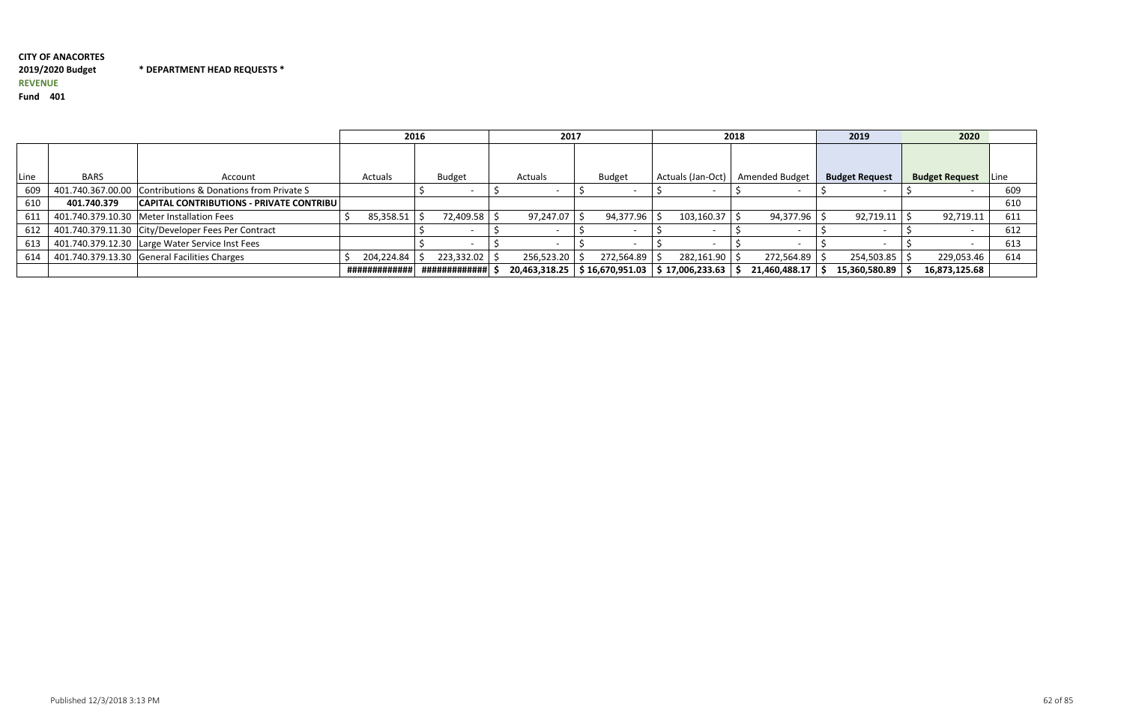#### CITY OF ANACORTES2019/2020 Budget \* DEPARTMENT HEAD REQUESTS \*REVENUE

|      |                   |                                                    |               | 2016          | 2017       |                                   | 2018                           |                | 2019                  | 2020                  |      |
|------|-------------------|----------------------------------------------------|---------------|---------------|------------|-----------------------------------|--------------------------------|----------------|-----------------------|-----------------------|------|
| Line | <b>BARS</b>       |                                                    |               |               |            |                                   |                                |                |                       |                       |      |
|      |                   | Account                                            | Actuals       | <b>Budget</b> | Actuals    | <b>Budget</b>                     | Actuals (Jan-Oct)              | Amended Budget | <b>Budget Request</b> | <b>Budget Request</b> | Line |
| 609  | 401.740.367.00.00 | Contributions & Donations from Private S           |               |               |            |                                   |                                |                |                       |                       | 609  |
| 610  | 401.740.379       | <b>CAPITAL CONTRIBUTIONS - PRIVATE CONTRIBU  </b>  |               |               |            |                                   |                                |                |                       |                       | 610  |
| 611  |                   | 401.740.379.10.30 Meter Installation Fees          | 85,358.51     | 72,409.58     | 97,247.07  | 94,377.96                         | 103,160.37                     | $94,377.96$ \$ | 92,719.11             | 92,719.11             | 611  |
| 612  |                   | 401.740.379.11.30 City/Developer Fees Per Contract |               |               |            |                                   |                                |                |                       |                       | 612  |
| 613  |                   | 401.740.379.12.30 Large Water Service Inst Fees    |               |               |            |                                   |                                |                |                       |                       | 613  |
| 614  |                   | 401.740.379.13.30 General Facilities Charges       | 204,224.84    | 223,332.02    | 256,523.20 | 272,564.89                        | $282,161.90$ \$                | 272,564.89     | 254,503.85            | 229,053.46            | 614  |
|      |                   |                                                    | ############# | ############# |            | $20,463,318.25$   \$16,670,951.03 | $\frac{1}{2}$ \$ 17,006,233.63 | 21,460,488.17  | 15,360,580.89         | 16,873,125.68         |      |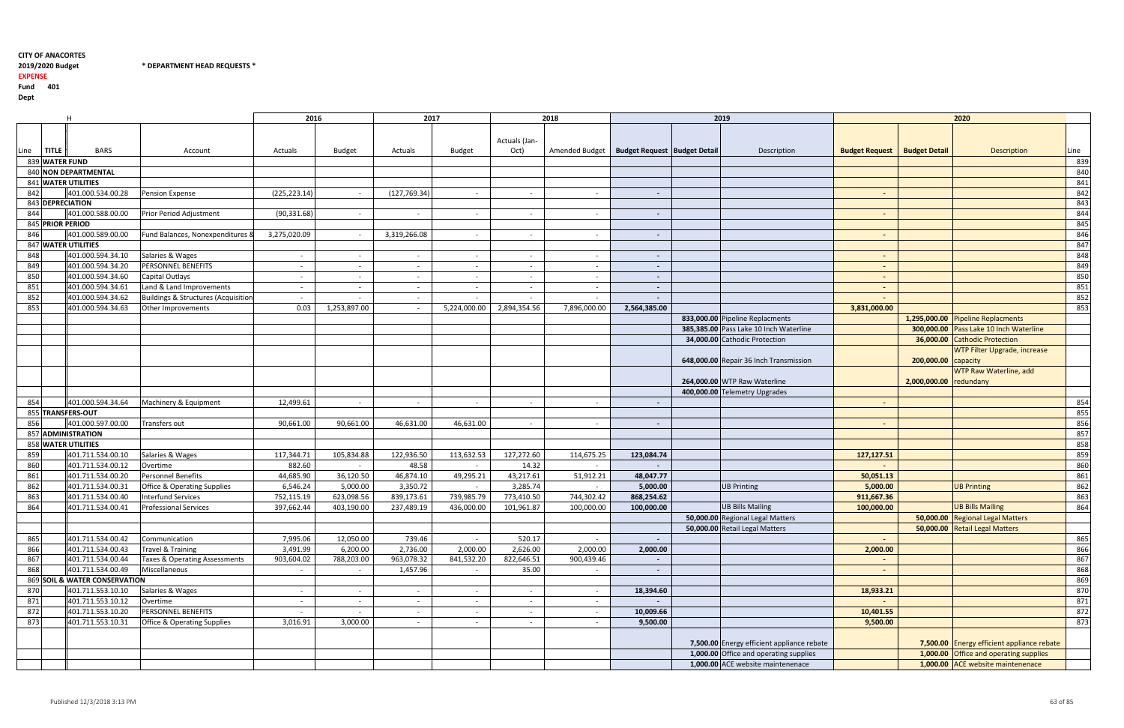2019/2020 Budget \* DEPARTMENT HEAD REQUESTS \*

## 2019/2020 Budget

EXPENSE

Fund <sup>401</sup>

|      |                | H                             |                                        | 2016          |               | 2017          |               |                          | 2018           |                                       | 2019                                       |                       |                        | 2020                                       |      |
|------|----------------|-------------------------------|----------------------------------------|---------------|---------------|---------------|---------------|--------------------------|----------------|---------------------------------------|--------------------------------------------|-----------------------|------------------------|--------------------------------------------|------|
|      |                |                               |                                        |               |               |               |               |                          |                |                                       |                                            |                       |                        |                                            |      |
|      |                |                               |                                        |               |               |               |               | Actuals (Jan-            |                |                                       |                                            |                       |                        |                                            |      |
|      | <b>TITLE</b>   | <b>BARS</b>                   | Account                                | Actuals       | <b>Budget</b> | Actuals       | <b>Budget</b> | Oct)                     | Amended Budget | <b>Budget Request   Budget Detail</b> | Description                                | <b>Budget Request</b> | <b>Budget Detail</b>   | <b>Description</b>                         | Line |
| Line | 839 WATER FUND |                               |                                        |               |               |               |               |                          |                |                                       |                                            |                       |                        |                                            | 839  |
|      |                | 840 NON DEPARTMENTAL          |                                        |               |               |               |               |                          |                |                                       |                                            |                       |                        |                                            |      |
|      |                |                               |                                        |               |               |               |               |                          |                |                                       |                                            |                       |                        |                                            | 840  |
|      |                | 841 WATER UTILITIES           |                                        |               |               |               |               |                          |                |                                       |                                            |                       |                        |                                            | 841  |
| 842  |                | 401.000.534.00.28             | <b>Pension Expense</b>                 | (225, 223.14) |               | (127, 769.34) |               |                          | $\sim$         | $\sim$                                |                                            | $\sim$                |                        |                                            | 842  |
|      |                | 843 DEPRECIATION              |                                        |               |               |               |               |                          |                |                                       |                                            |                       |                        |                                            | 843  |
| 844  |                | 401.000.588.00.00             | Prior Period Adjustment                | (90, 331.68)  | $\sim$        | $\sim$        | $\sim$        | $\sim$                   | $\sim$         | $\sim$                                |                                            | $\sim$                |                        |                                            | 844  |
|      |                | 845 PRIOR PERIOD              |                                        |               |               |               |               |                          |                |                                       |                                            |                       |                        |                                            | 845  |
| 846  |                | 401.000.589.00.00             | Fund Balances, Nonexpenditures &       | 3,275,020.09  |               | 3,319,266.08  | $\sim$        | $\sim$                   | $\sim$         | $\sim$                                |                                            | $\sim$                |                        |                                            | 846  |
|      |                | 847 WATER UTILITIES           |                                        |               |               |               |               |                          |                |                                       |                                            |                       |                        |                                            | 847  |
| 848  |                | 401.000.594.34.10             | Salaries & Wages                       |               |               | $\sim$        | $\sim$        | $\sim$                   | $\sim$         | $\overline{\phantom{a}}$              |                                            | $\sim$                |                        |                                            | 848  |
| 849  |                | 401.000.594.34.20             | <b>PERSONNEL BENEFITS</b>              |               |               | $\sim$        | $\sim$        |                          | $\sim$         | $\overline{\phantom{a}}$              |                                            | $\sim$                |                        |                                            | 849  |
| 850  |                | 401.000.594.34.60             | Capital Outlays                        |               |               | $\sim$        | $\sim$        |                          | $\sim$         | $\sim$                                |                                            | $\sim$                |                        |                                            | 850  |
| 851  |                | 401.000.594.34.61             | Land & Land Improvements               | $\sim$        |               | $\sim$        | $\sim$        | $\overline{\phantom{0}}$ | $\sim$         | $\blacksquare$                        |                                            | $\sim$                |                        |                                            | 851  |
| 852  |                | 401.000.594.34.62             | Buildings & Structures (Acquisition    |               |               |               |               |                          | $\sim$         |                                       |                                            |                       |                        |                                            | 852  |
| 853  |                | 401.000.594.34.63             | Other Improvements                     | 0.03          | 1,253,897.00  |               | 5,224,000.00  | 2,894,354.56             | 7,896,000.00   | 2,564,385.00                          |                                            | 3,831,000.00          |                        |                                            | 853  |
|      |                |                               |                                        |               |               |               |               |                          |                |                                       | 833,000.00 Pipeline Replacments            |                       |                        | 1,295,000.00 Pipeline Replacments          |      |
|      |                |                               |                                        |               |               |               |               |                          |                |                                       | 385,385.00 Pass Lake 10 Inch Waterline     |                       |                        | 300,000.00 Pass Lake 10 Inch Waterline     |      |
|      |                |                               |                                        |               |               |               |               |                          |                |                                       | 34,000.00 Cathodic Protection              |                       |                        | 36,000.00 Cathodic Protection              |      |
|      |                |                               |                                        |               |               |               |               |                          |                |                                       |                                            |                       |                        | WTP Filter Upgrade, increase               |      |
|      |                |                               |                                        |               |               |               |               |                          |                |                                       | 648,000.00 Repair 36 Inch Transmission     |                       | 200,000.00             | capacity                                   |      |
|      |                |                               |                                        |               |               |               |               |                          |                |                                       |                                            |                       |                        | WTP Raw Waterline, add                     |      |
|      |                |                               |                                        |               |               |               |               |                          |                |                                       |                                            |                       |                        |                                            |      |
|      |                |                               |                                        |               |               |               |               |                          |                |                                       | 264,000.00 WTP Raw Waterline               |                       | 2,000,000.00 redundany |                                            |      |
|      |                |                               |                                        |               |               |               |               |                          |                |                                       | 400,000.00 Telemetry Upgrades              |                       |                        |                                            |      |
| 854  |                | 401.000.594.34.64             | Machinery & Equipment                  | 12,499.61     |               |               |               |                          | $\sim$ $-$     |                                       |                                            | $\sim$                |                        |                                            | 854  |
|      |                | 855 TRANSFERS-OUT             |                                        |               |               |               |               |                          |                |                                       |                                            |                       |                        |                                            | 855  |
| 856  |                | 401.000.597.00.00             | Transfers out                          | 90,661.00     | 90,661.00     | 46,631.00     | 46,631.00     |                          | $\sim$ $-$     | $\sim$                                |                                            | $\sim$                |                        |                                            | 856  |
|      |                | 857 ADMINISTRATION            |                                        |               |               |               |               |                          |                |                                       |                                            |                       |                        |                                            | 857  |
|      |                | 858 WATER UTILITIES           |                                        |               |               |               |               |                          |                |                                       |                                            |                       |                        |                                            | 858  |
| 859  |                | 401.711.534.00.10             | Salaries & Wages                       | 117,344.71    | 105,834.88    | 122,936.50    | 113,632.53    | 127,272.60               | 114,675.25     | 123,084.74                            |                                            | 127,127.51            |                        |                                            | 859  |
| 860  |                | 401.711.534.00.12             | Overtime                               | 882.60        |               | 48.58         |               | 14.32                    | $\sim$         |                                       |                                            |                       |                        |                                            | 860  |
| 861  |                | 401.711.534.00.20             | Personnel Benefits                     | 44,685.90     | 36,120.50     | 46,874.10     | 49,295.21     | 43,217.61                | 51,912.21      | 48,047.77                             |                                            | 50,051.13             |                        |                                            | 861  |
| 862  |                | 401.711.534.00.31             | <b>Office &amp; Operating Supplies</b> | 6,546.24      | 5,000.00      | 3,350.72      | $\sim$        | 3,285.74                 | $\sim$         | 5,000.00                              | <b>UB Printing</b>                         | 5,000.00              |                        | <b>UB Printing</b>                         | 862  |
| 863  |                | 401.711.534.00.40             | <b>Interfund Services</b>              | 752,115.19    | 623,098.56    | 839,173.61    | 739,985.79    | 773,410.50               | 744,302.42     | 868,254.62                            |                                            | 911,667.36            |                        |                                            | 863  |
| 864  |                | 401.711.534.00.41             | <b>Professional Services</b>           | 397,662.44    | 403,190.00    | 237,489.19    | 436,000.00    | 101,961.87               | 100,000.00     | 100,000.00                            | <b>UB Bills Mailing</b>                    | 100,000.00            |                        | <b>UB Bills Mailing</b>                    | 864  |
|      |                |                               |                                        |               |               |               |               |                          |                |                                       | 50,000.00 Regional Legal Matters           |                       |                        | 50,000.00 Regional Legal Matters           |      |
|      |                |                               |                                        |               |               |               |               |                          |                |                                       | 50,000.00 Retail Legal Matters             |                       |                        | 50,000.00 Retail Legal Matters             |      |
| 865  |                | 401.711.534.00.42             | Communication                          | 7,995.06      | 12,050.00     | 739.46        | $\sim$        | 520.17                   | $\sim$         | $\sim$                                |                                            | $\sim$                |                        |                                            | 865  |
| 866  |                | 401.711.534.00.43             | <b>Travel &amp; Training</b>           | 3,491.99      | 6,200.00      | 2,736.00      | 2,000.00      | 2,626.00                 | 2,000.00       | 2,000.00                              |                                            | 2,000.00              |                        |                                            | 866  |
| 867  |                | 401.711.534.00.44             | Taxes & Operating Assessments          | 903,604.02    | 788,203.00    | 963,078.32    | 841,532.20    | 822,646.51               | 900,439.46     | $\sim$                                |                                            | $\blacksquare$        |                        |                                            | 867  |
| 868  |                | 401.711.534.00.49             | Miscellaneous                          |               |               | 1,457.96      | $\sim$        | 35.00                    | $\sim$         | $\sim$                                |                                            | $\blacksquare$        |                        |                                            | 868  |
|      |                | 869 SOIL & WATER CONSERVATION |                                        |               |               |               |               |                          |                |                                       |                                            |                       |                        |                                            | 869  |
| 870  |                | 401.711.553.10.10             | Salaries & Wages                       |               |               | $\sim$        | $\sim$        |                          | $\sim$         | 18,394.60                             |                                            | 18,933.21             |                        |                                            | 870  |
| 871  |                | 401.711.553.10.12             | Overtime                               | $\sim$        |               | $\sim$        | $\sim$        |                          | $\sim$         |                                       |                                            |                       |                        |                                            | 871  |
| 872  |                | 401.711.553.10.20             | PERSONNEL BENEFITS                     |               |               | $\sim$        |               |                          |                | 10,009.66                             |                                            | 10,401.55             |                        |                                            | 872  |
|      |                |                               |                                        |               |               |               | $\sim$        |                          | $\sim$         |                                       |                                            |                       |                        |                                            |      |
| 873  |                | 401.711.553.10.31             | <b>Office &amp; Operating Supplies</b> | 3,016.91      | 3,000.00      |               |               |                          | $\sim$         | 9,500.00                              |                                            | 9,500.00              |                        |                                            | 873  |
|      |                |                               |                                        |               |               |               |               |                          |                |                                       |                                            |                       |                        |                                            |      |
|      |                |                               |                                        |               |               |               |               |                          |                |                                       | 7,500.00 Energy efficient appliance rebate |                       |                        | 7,500.00 Energy efficient appliance rebate |      |
|      |                |                               |                                        |               |               |               |               |                          |                |                                       | 1,000.00 Office and operating supplies     |                       |                        | 1,000.00 Office and operating supplies     |      |
|      |                |                               |                                        |               |               |               |               |                          |                |                                       | 1,000.00 ACE website maintenenace          |                       |                        | 1,000.00 ACE website maintenenace          |      |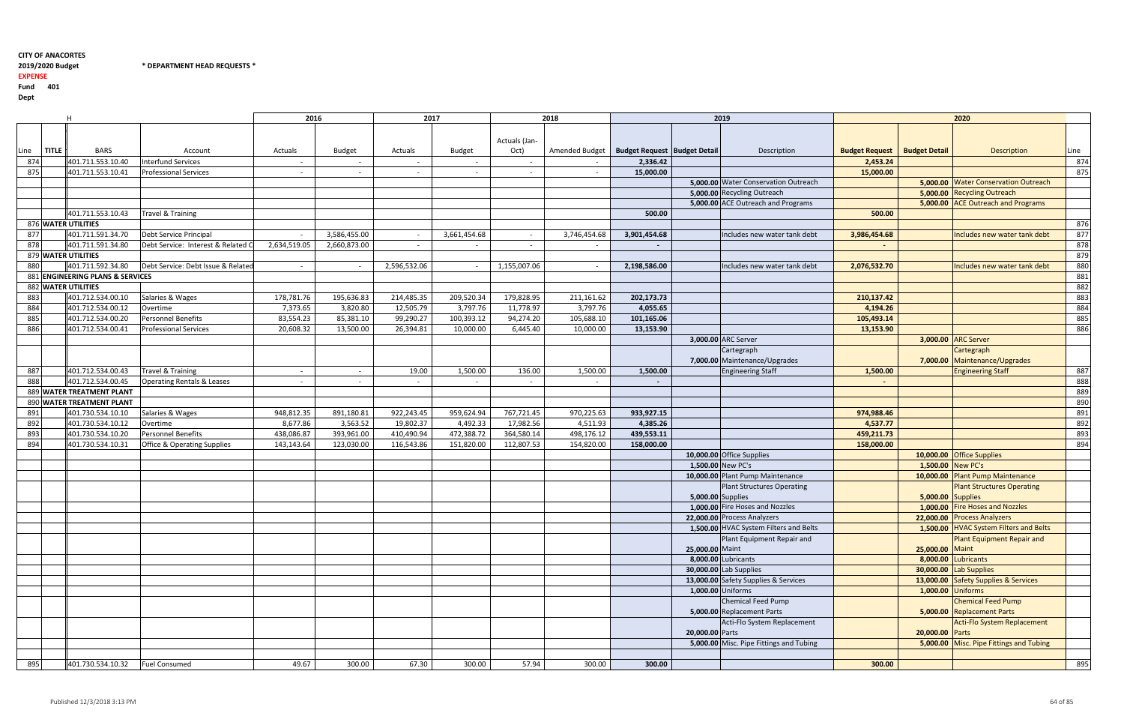#### 2019/2020 Budget \* DEPARTMENT HEAD REQUESTS \*

H <sup>2016</sup> <sup>2017</sup> <sup>2018</sup> <sup>2019</sup> <sup>2020</sup> Line $rac{\text{TITLE}}{874}$ DtBARS Account Actuals Budget Actuals Budget Budget Budget Actuals (Jan-Oct) Amended Budget **Budget Request Budget Detail** Description <sup>874</sup> 401.711.553.10.40 Interfund Services - - - - - - 2,336.42<sup>875</sup> 401.711.553.10.41 Professional Services - - - - - - 15,000.005,000.00 Water Conservation Outreach5,000.00 Recycling Outreach401.711.553.10.43 Travel & Training **500.00 Travel & Training 500.00 Solution Example 201.711.553.10.43** Travel & Training **500.00**  500.00 876 WATER UTILITIES WATER UTILITIES <sup>876</sup> 877 401.711.591.34.70 Debt Service Principal - 3,586,455.00 - 3,586,455.00 401.711.591.34.70 Debt Service Principal  $3,746,454.68$   $\vert$   $3,901,454.68$  | Includes new water tank debt 878 401.711.591.34.80 Debt Service: Interest & Related Costs 2,660,873.00 2,634,519.05 - - - - - - <sup>878</sup> 879 WATER UTILITIES WATER UTILITIES <sup>879</sup> 880 401.711.592.34.80 Debt Service: Debt Issue & Related Costs - - 2,596,532.06 - 1,155,007.06 - 2,198,586.00 Includes new water tank debt 2,076,532.70 Includes new water tank debt <sup>880</sup> 881 ENGINEERING PLANS & SERVICES ENGINEERING PLANS & SERVICES <sup>881</sup> 882 WATER UTILITIES WATER UTILITIES <sup>882</sup> 883 401.712.534.00.10 Salaries & Wages 178,781.76 195,636.83 214,485.35 209,520.34 179,828.95 211,161.62 211,161.62 884 401.712.534.00.12 Overtime 7,373.65 3,820.80 12,505.79 3,797.76 11,778.97 3,797.76 885 401.712.534.00.20 Personnel Benefits 83,554.23 85,381.10 99,290.27 100,393.12 94,274.20 105,688.10 <sup>886</sup> 401.712.534.00.41 Professional Services 20,608.32 13,500.00 26,394.81 10,000.00 6,445.40 10,000.003,000.00 ARC Server 3,000.007,000.00 | Maintenance/Upgrades Cartegraph 887 401.712.534.00.43 Travel & Training 19.00 1,500.00 1,500.00 1,500.00 1,500.00 1,500.00 1,500.00 1,500.00 1,500 888 401.712.534.00.45 Operating Rentals & Leases - - - - - - - - <sup>888</sup>889 WATER TREATMENT PLANT WATER TREATMENT PLANT <sup>889</sup> 890 WATER TREATMENT PLANT WATER TREATMENT PLANT <sup>890</sup> <sup>891</sup> 401.730.534.10.10 Salaries & Wages 948,812.35 891,180.81 922,243.45 959,624.94 767,721.45 970,225.63892 401.730.534.10.12 Overtime 8,677.86 3,563.52 19,802.37 4,492.33 17,982.56 4,511.93 <sup>893</sup> 401.730.534.10.20 Personnel Benefits 438,086.87 393,961.00 410,490.94 472,388.72 364,580.14 498,176.12894 401.730.534.10.31 1 Office & Operating Supplies 123,143.64 123,030.00 116,543.86 151,820.00 112,807.53 154,820.00 158,**000.00** 158,000.00 168,000.00 168,000.00 16894 158,000.00 168,000.00 168,000.00 168,000.00 168,000.00 168,000.00 16894 15 **5,000.00 S**upplies Plant Structures Operating **25,000.00 | Maint** Plant Equipment Repair and **5,000.00** Replacement Parts Chemical Feed Pump **20,000.00** | Parts Acti-Flo System Replacement 895 401.730.534.10.32 Fuel Consumed 49.67 49.67 300.00 67.30 300.00 57.94 57.94

EXPENSE

|                         |                                       |                   | 2019                                    |                       |                      | 2020                                   |      |
|-------------------------|---------------------------------------|-------------------|-----------------------------------------|-----------------------|----------------------|----------------------------------------|------|
|                         |                                       |                   |                                         |                       |                      |                                        |      |
|                         |                                       |                   |                                         |                       |                      |                                        |      |
| t                       | <b>Budget Request   Budget Detail</b> |                   | Description                             | <b>Budget Request</b> | <b>Budget Detail</b> | <b>Description</b>                     | Line |
|                         | 2,336.42                              |                   |                                         | 2,453.24              |                      |                                        | 874  |
|                         | 15,000.00                             |                   |                                         | 15,000.00             |                      |                                        | 875  |
|                         |                                       |                   | 5,000.00 Water Conservation Outreach    |                       |                      | 5,000.00 Water Conservation Outreach   |      |
|                         |                                       |                   | 5,000.00 Recycling Outreach             |                       |                      | 5,000.00 Recycling Outreach            |      |
|                         |                                       |                   | 5,000.00 ACE Outreach and Programs      |                       |                      | 5,000.00 ACE Outreach and Programs     |      |
|                         | 500.00                                |                   |                                         | 500.00                |                      |                                        |      |
|                         |                                       |                   |                                         |                       |                      |                                        | 876  |
| 8                       | 3,901,454.68                          |                   | Includes new water tank debt            | 3,986,454.68          |                      | Includes new water tank debt           | 877  |
|                         |                                       |                   |                                         |                       |                      |                                        | 878  |
|                         |                                       |                   |                                         |                       |                      |                                        | 879  |
|                         | 2,198,586.00                          |                   | Includes new water tank debt            | 2,076,532.70          |                      | Includes new water tank debt           | 880  |
|                         |                                       |                   |                                         |                       |                      |                                        | 881  |
|                         |                                       |                   |                                         |                       |                      |                                        | 882  |
| $\overline{2}$          | 202,173.73                            |                   |                                         | 210,137.42            |                      |                                        | 883  |
| 6                       | 4,055.65                              |                   |                                         | 4,194.26              |                      |                                        | 884  |
| 0                       | 101,165.06                            |                   |                                         | 105,493.14            |                      |                                        | 885  |
| 0                       | 13,153.90                             |                   |                                         | 13,153.90             |                      |                                        | 886  |
|                         |                                       |                   | 3,000.00 ARC Server                     |                       | 3,000.00             | <b>ARC Server</b>                      |      |
|                         |                                       |                   | Cartegraph                              |                       |                      | Cartegraph                             |      |
|                         |                                       |                   | 7,000.00 Maintenance/Upgrades           |                       | 7,000.00             | Maintenance/Upgrades                   |      |
| 0                       | 1,500.00                              |                   | <b>Engineering Staff</b>                | 1,500.00              |                      | <b>Engineering Staff</b>               | 887  |
|                         |                                       |                   |                                         |                       |                      |                                        | 888  |
|                         |                                       |                   |                                         |                       |                      |                                        | 889  |
|                         |                                       |                   |                                         |                       |                      |                                        | 890  |
| $\overline{\mathbf{3}}$ | 933,927.15                            |                   |                                         | 974,988.46            |                      |                                        | 891  |
| $\frac{3}{2}$           | 4,385.26                              |                   |                                         | 4,537.77              |                      |                                        | 892  |
|                         | 439,553.11                            |                   |                                         | 459,211.73            |                      |                                        | 893  |
| 0                       | 158,000.00                            |                   |                                         | 158,000.00            |                      |                                        | 894  |
|                         |                                       |                   | 10,000.00 Office Supplies               |                       |                      | 10,000.00 Office Supplies              |      |
|                         |                                       |                   | 1,500.00 New PC's                       |                       | 1,500.00 New PC's    |                                        |      |
|                         |                                       |                   | 10,000.00 Plant Pump Maintenance        |                       | 10,000.00            | <b>Plant Pump Maintenance</b>          |      |
|                         |                                       |                   | <b>Plant Structures Operating</b>       |                       |                      | <b>Plant Structures Operating</b>      |      |
|                         |                                       | 5,000.00 Supplies |                                         |                       | 5,000.00 Supplies    |                                        |      |
|                         |                                       |                   | 1,000.00 Fire Hoses and Nozzles         |                       |                      | 1,000.00 Fire Hoses and Nozzles        |      |
|                         |                                       |                   | 22,000.00 Process Analyzers             |                       |                      | 22,000.00 Process Analyzers            |      |
|                         |                                       |                   | 1,500.00 HVAC System Filters and Belts  |                       |                      | 1,500.00 HVAC System Filters and Belts |      |
|                         |                                       |                   | Plant Equipment Repair and              |                       |                      | <b>Plant Equipment Repair and</b>      |      |
|                         |                                       | 25,000.00 Maint   |                                         |                       | 25,000.00            | Maint                                  |      |
|                         |                                       |                   | 8,000.00 Lubricants                     |                       |                      | 8,000.00 Lubricants                    |      |
|                         |                                       |                   | 30,000.00 Lab Supplies                  |                       |                      | 30,000.00 Lab Supplies                 |      |
|                         |                                       |                   | 13,000.00 Safety Supplies & Services    |                       |                      | 13,000.00 Safety Supplies & Services   |      |
|                         |                                       |                   | 1,000.00 Uniforms                       |                       | 1,000.00             | <b>Uniforms</b>                        |      |
|                         |                                       |                   | <b>Chemical Feed Pump</b>               |                       |                      | <b>Chemical Feed Pump</b>              |      |
|                         |                                       |                   | 5,000.00 Replacement Parts              |                       | 5,000.00             | <b>Replacement Parts</b>               |      |
|                         |                                       |                   | Acti-Flo System Replacement             |                       |                      | <b>Acti-Flo System Replacement</b>     |      |
|                         |                                       | 20,000.00 Parts   |                                         |                       | 20,000.00            | Parts                                  |      |
|                         |                                       |                   | 5,000.00 Misc. Pipe Fittings and Tubing |                       | 5,000.00             | Misc. Pipe Fittings and Tubing         |      |
|                         |                                       |                   |                                         |                       |                      |                                        |      |
| 0                       | 300.00                                |                   |                                         | 300.00                |                      |                                        | 895  |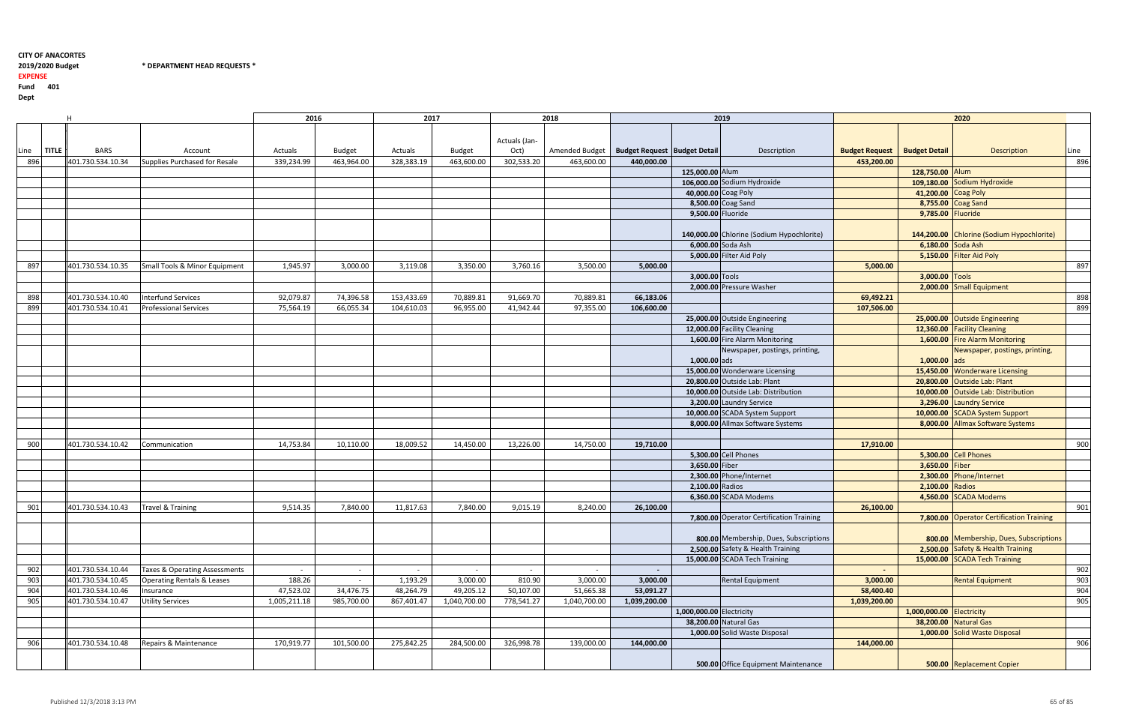## 2019/2020 Budget

2019/2020 Budget \* DEPARTMENT HEAD REQUESTS \*

EXPENSE

|      | H                           |                                       | 2016         |               | 2017       |               |               | 2018                                            |              |                          | 2019                                      |                       |                          | 2020                                      |      |
|------|-----------------------------|---------------------------------------|--------------|---------------|------------|---------------|---------------|-------------------------------------------------|--------------|--------------------------|-------------------------------------------|-----------------------|--------------------------|-------------------------------------------|------|
|      |                             |                                       |              |               |            |               |               |                                                 |              |                          |                                           |                       |                          |                                           |      |
|      |                             |                                       |              |               |            |               | Actuals (Jan- |                                                 |              |                          |                                           |                       |                          |                                           |      |
| Line | <b>TITLE</b><br><b>BARS</b> | Account                               | Actuals      | <b>Budget</b> | Actuals    | <b>Budget</b> | Oct)          | Amended Budget   Budget Request   Budget Detail |              |                          | Description                               | <b>Budget Request</b> | <b>Budget Detail</b>     | <b>Description</b>                        | Line |
| 896  | 401.730.534.10.34           | Supplies Purchased for Resale         | 339,234.99   | 463,964.00    | 328,383.19 | 463,600.00    | 302,533.20    | 463,600.00                                      | 440,000.00   |                          |                                           | 453,200.00            |                          |                                           | 896  |
|      |                             |                                       |              |               |            |               |               |                                                 |              | 125,000.00 Alum          |                                           |                       | 128,750.00 Alum          |                                           |      |
|      |                             |                                       |              |               |            |               |               |                                                 |              |                          | 106,000.00 Sodium Hydroxide               |                       |                          | 109,180.00 Sodium Hydroxide               |      |
|      |                             |                                       |              |               |            |               |               |                                                 |              | 40,000.00 Coag Poly      |                                           |                       | 41,200.00 Coag Poly      |                                           |      |
|      |                             |                                       |              |               |            |               |               |                                                 |              |                          | 8,500.00 Coag Sand                        |                       |                          | 8,755.00 Coag Sand                        |      |
|      |                             |                                       |              |               |            |               |               |                                                 |              | 9,500.00 Fluoride        |                                           |                       | 9,785.00 Fluoride        |                                           |      |
|      |                             |                                       |              |               |            |               |               |                                                 |              |                          |                                           |                       |                          |                                           |      |
|      |                             |                                       |              |               |            |               |               |                                                 |              |                          | 140,000.00 Chlorine (Sodium Hypochlorite) |                       |                          | 144,200.00 Chlorine (Sodium Hypochlorite) |      |
|      |                             |                                       |              |               |            |               |               |                                                 |              |                          | 6,000.00 Soda Ash                         |                       | 6,180.00 Soda Ash        |                                           |      |
|      |                             |                                       |              |               |            |               |               |                                                 |              |                          | 5,000.00 Filter Aid Poly                  |                       |                          | 5,150.00 Filter Aid Poly                  |      |
| 897  | 401.730.534.10.35           | Small Tools & Minor Equipment         | 1,945.97     | 3,000.00      | 3,119.08   | 3,350.00      | 3,760.16      | 3,500.00                                        | 5,000.00     |                          |                                           | 5,000.00              |                          |                                           | 897  |
|      |                             |                                       |              |               |            |               |               |                                                 |              | 3,000.00 Tools           |                                           |                       | 3,000.00 Tools           |                                           |      |
|      |                             |                                       |              |               |            |               |               |                                                 |              |                          | 2,000.00 Pressure Washer                  |                       |                          | 2,000.00 Small Equipment                  |      |
| 898  | 401.730.534.10.40           | Interfund Services                    | 92,079.87    | 74,396.58     | 153,433.69 | 70,889.81     | 91,669.70     | 70,889.81                                       | 66,183.06    |                          |                                           | 69,492.21             |                          |                                           | 898  |
| 899  | 401.730.534.10.41           | <b>Professional Services</b>          | 75,564.19    | 66,055.34     | 104,610.03 | 96,955.00     | 41,942.44     | 97,355.00                                       | 106,600.00   |                          |                                           | 107,506.00            |                          |                                           | 899  |
|      |                             |                                       |              |               |            |               |               |                                                 |              |                          | 25,000.00 Outside Engineering             |                       |                          | 25,000.00 Outside Engineering             |      |
|      |                             |                                       |              |               |            |               |               |                                                 |              |                          | 12,000.00 Facility Cleaning               |                       |                          | 12,360.00 Facility Cleaning               |      |
|      |                             |                                       |              |               |            |               |               |                                                 |              |                          | 1,600.00 Fire Alarm Monitoring            |                       |                          | 1,600.00 Fire Alarm Monitoring            |      |
|      |                             |                                       |              |               |            |               |               |                                                 |              |                          | Newspaper, postings, printing,            |                       |                          | Newspaper, postings, printing,            |      |
|      |                             |                                       |              |               |            |               |               |                                                 |              | $1,000.00$ ads           |                                           |                       | 1,000.00                 | ads                                       |      |
|      |                             |                                       |              |               |            |               |               |                                                 |              |                          | 15,000.00 Wonderware Licensing            |                       | 15,450.00                | <b>Wonderware Licensing</b>               |      |
|      |                             |                                       |              |               |            |               |               |                                                 |              |                          | 20,800.00 Outside Lab: Plant              |                       |                          | 20,800.00 Outside Lab: Plant              |      |
|      |                             |                                       |              |               |            |               |               |                                                 |              |                          | 10,000.00 Outside Lab: Distribution       |                       |                          | 10,000.00 Outside Lab: Distribution       |      |
|      |                             |                                       |              |               |            |               |               |                                                 |              |                          | 3,200.00 Laundry Service                  |                       |                          | 3,296.00 Laundry Service                  |      |
|      |                             |                                       |              |               |            |               |               |                                                 |              |                          | 10,000.00 SCADA System Support            |                       |                          | 10,000.00 SCADA System Support            |      |
|      |                             |                                       |              |               |            |               |               |                                                 |              |                          | 8,000.00 Allmax Software Systems          |                       |                          | 8,000.00 Allmax Software Systems          |      |
|      |                             |                                       |              |               |            |               |               |                                                 |              |                          |                                           |                       |                          |                                           |      |
| 900  | 401.730.534.10.42           | Communication                         | 14,753.84    | 10,110.00     | 18,009.52  | 14,450.00     | 13,226.00     | 14,750.00                                       | 19,710.00    |                          |                                           | 17,910.00             |                          |                                           | 900  |
|      |                             |                                       |              |               |            |               |               |                                                 |              |                          | 5,300.00 Cell Phones                      |                       |                          | 5,300.00 Cell Phones                      |      |
|      |                             |                                       |              |               |            |               |               |                                                 |              | 3,650.00 Fiber           |                                           |                       | 3,650.00                 | Fiber                                     |      |
|      |                             |                                       |              |               |            |               |               |                                                 |              |                          | 2,300.00 Phone/Internet                   |                       | 2,300.00                 | Phone/Internet                            |      |
|      |                             |                                       |              |               |            |               |               |                                                 |              | 2,100.00 Radios          |                                           |                       | 2,100.00 Radios          |                                           |      |
|      |                             |                                       |              |               |            |               |               |                                                 |              |                          | 6,360.00 SCADA Modems                     |                       | 4,560.00                 | <b>SCADA Modems</b>                       |      |
| 901  | 401.730.534.10.43           | <b>Travel &amp; Training</b>          | 9,514.35     | 7,840.00      | 11,817.63  | 7,840.00      | 9,015.19      | 8,240.00                                        | 26,100.00    |                          |                                           | 26,100.00             |                          |                                           | 901  |
|      |                             |                                       |              |               |            |               |               |                                                 |              |                          | 7,800.00 Operator Certification Training  |                       |                          | 7,800.00 Operator Certification Training  |      |
|      |                             |                                       |              |               |            |               |               |                                                 |              |                          |                                           |                       |                          |                                           |      |
|      |                             |                                       |              |               |            |               |               |                                                 |              |                          | 800.00 Membership, Dues, Subscriptions    |                       |                          | 800.00 Membership, Dues, Subscriptions    |      |
|      |                             |                                       |              |               |            |               |               |                                                 |              |                          | 2,500.00 Safety & Health Training         |                       |                          | 2,500.00 Safety & Health Training         |      |
|      |                             |                                       |              |               |            |               |               |                                                 |              |                          | 15,000.00 SCADA Tech Training             |                       |                          | 15,000.00 SCADA Tech Training             |      |
| 902  | 401.730.534.10.44           | Taxes & Operating Assessments         |              |               | $\sim$     |               |               | $\sim$                                          | $\sim$       |                          |                                           | $\sim$                |                          |                                           | 902  |
| 903  | 401.730.534.10.45           | <b>Operating Rentals &amp; Leases</b> | 188.26       | $\sim$        | 1,193.29   | 3,000.00      | 810.90        | 3,000.00                                        | 3,000.00     |                          | Rental Equipment                          | 3,000.00              |                          | <b>Rental Equipment</b>                   | 903  |
| 904  | 401.730.534.10.46           | Insurance                             | 47,523.02    | 34,476.75     | 48,264.79  | 49,205.12     | 50,107.00     | 51,665.38                                       | 53,091.27    |                          |                                           | 58,400.40             |                          |                                           | 904  |
| 905  | 401.730.534.10.47           | <b>Utility Services</b>               | 1,005,211.18 | 985,700.00    | 867,401.47 | 1,040,700.00  | 778,541.27    | 1,040,700.00                                    | 1,039,200.00 |                          |                                           | 1,039,200.00          |                          |                                           | 905  |
|      |                             |                                       |              |               |            |               |               |                                                 |              | 1,000,000.00 Electricity |                                           |                       | 1,000,000.00 Electricity |                                           |      |
|      |                             |                                       |              |               |            |               |               |                                                 |              |                          | 38,200.00 Natural Gas                     |                       |                          | 38,200.00 Natural Gas                     |      |
|      |                             |                                       |              |               |            |               |               |                                                 |              |                          | 1,000.00 Solid Waste Disposal             |                       |                          | 1,000.00 Solid Waste Disposal             |      |
| 906  | 401.730.534.10.48           | Repairs & Maintenance                 | 170,919.77   | 101,500.00    | 275,842.25 | 284,500.00    | 326,998.78    | 139,000.00                                      | 144,000.00   |                          |                                           | 144,000.00            |                          |                                           | 906  |
|      |                             |                                       |              |               |            |               |               |                                                 |              |                          |                                           |                       |                          |                                           |      |
|      |                             |                                       |              |               |            |               |               |                                                 |              |                          | 500.00 Office Equipment Maintenance       |                       |                          | 500.00 Replacement Copier                 |      |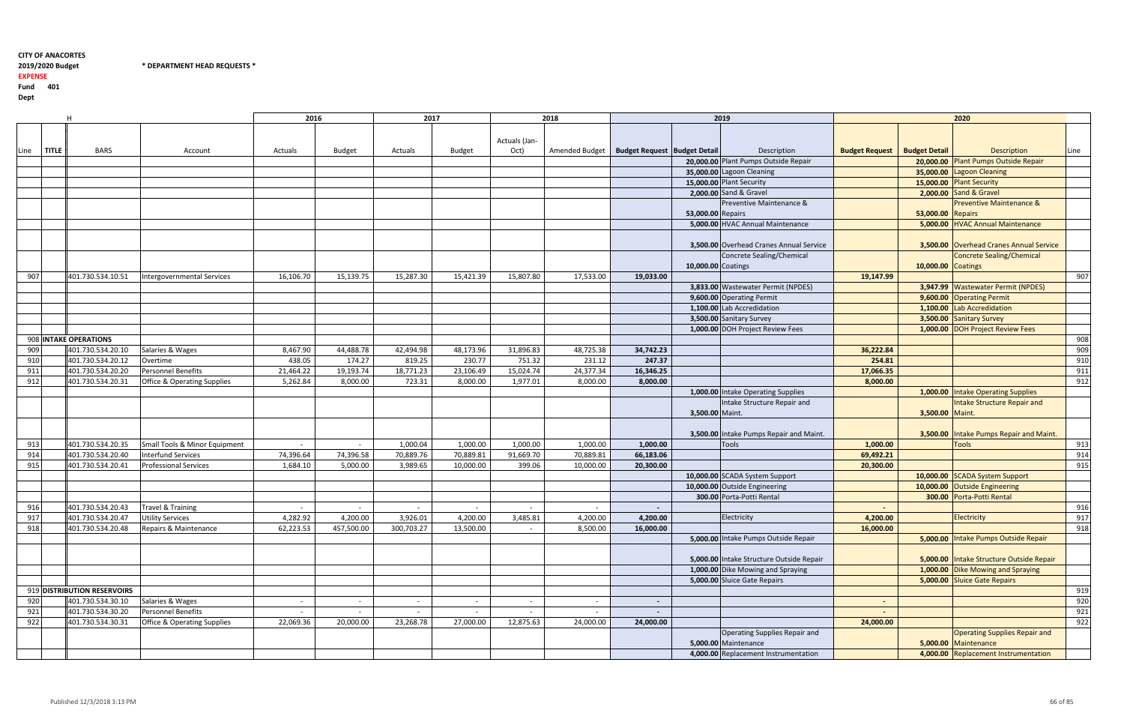2019/2020 Budget \* DEPARTMENT HEAD REQUESTS \*

2019/2020 Budget

EXPENSE

|      |              |                                        |                                        | 2016      |               | 2017       |           |               | 2018                                            |                          |                    | 2019                                     |                                       |                    | 2020                                     |      |
|------|--------------|----------------------------------------|----------------------------------------|-----------|---------------|------------|-----------|---------------|-------------------------------------------------|--------------------------|--------------------|------------------------------------------|---------------------------------------|--------------------|------------------------------------------|------|
|      |              |                                        |                                        |           |               |            |           |               |                                                 |                          |                    |                                          |                                       |                    |                                          |      |
|      |              |                                        |                                        |           |               |            |           | Actuals (Jan- |                                                 |                          |                    |                                          |                                       |                    |                                          |      |
|      | <b>TITLE</b> | <b>BARS</b>                            |                                        |           |               |            |           | Oct)          | Amended Budget   Budget Request   Budget Detail |                          |                    | Description                              | <b>Budget Request   Budget Detail</b> |                    | <b>Description</b>                       |      |
| Line |              |                                        | Account                                | Actuals   | <b>Budget</b> | Actuals    | Budget    |               |                                                 |                          |                    | 20,000.00 Plant Pumps Outside Repair     |                                       |                    |                                          | Line |
|      |              |                                        |                                        |           |               |            |           |               |                                                 |                          |                    |                                          |                                       | 20,000.00          | <b>Plant Pumps Outside Repair</b>        |      |
|      |              |                                        |                                        |           |               |            |           |               |                                                 |                          |                    | 35,000.00 Lagoon Cleaning                |                                       | 35,000.00          | <b>Lagoon Cleaning</b>                   |      |
|      |              |                                        |                                        |           |               |            |           |               |                                                 |                          |                    | 15,000.00 Plant Security                 |                                       | 15,000.00          | <b>Plant Security</b>                    |      |
|      |              |                                        |                                        |           |               |            |           |               |                                                 |                          |                    | 2,000.00 Sand & Gravel                   |                                       | 2,000.00           | Sand & Gravel                            |      |
|      |              |                                        |                                        |           |               |            |           |               |                                                 |                          |                    | Preventive Maintenance &                 |                                       |                    | <b>Preventive Maintenance &amp;</b>      |      |
|      |              |                                        |                                        |           |               |            |           |               |                                                 |                          | 53,000.00 Repairs  |                                          |                                       | 53,000.00          | <b>Repairs</b>                           |      |
|      |              |                                        |                                        |           |               |            |           |               |                                                 |                          |                    | 5,000.00 HVAC Annual Maintenance         |                                       | 5,000.00           | <b>HVAC Annual Maintenance</b>           |      |
|      |              |                                        |                                        |           |               |            |           |               |                                                 |                          |                    | 3,500.00 Overhead Cranes Annual Service  |                                       |                    | 3,500.00 Overhead Cranes Annual Service  |      |
|      |              |                                        |                                        |           |               |            |           |               |                                                 |                          |                    | Concrete Sealing/Chemical                |                                       |                    | <b>Concrete Sealing/Chemical</b>         |      |
|      |              |                                        |                                        |           |               |            |           |               |                                                 |                          |                    |                                          |                                       |                    |                                          |      |
|      |              |                                        |                                        |           |               |            |           |               |                                                 |                          | 10,000.00 Coatings |                                          |                                       | 10,000.00 Coatings |                                          |      |
| 907  |              | 401.730.534.10.51                      | Intergovernmental Services             | 16,106.70 | 15,139.75     | 15,287.30  | 15,421.39 | 15,807.80     | 17,533.00                                       | 19,033.00                |                    |                                          | 19,147.99                             |                    |                                          | 907  |
|      |              |                                        |                                        |           |               |            |           |               |                                                 |                          |                    | 3,833.00 Wastewater Permit (NPDES)       |                                       |                    | 3,947.99 Wastewater Permit (NPDES)       |      |
|      |              |                                        |                                        |           |               |            |           |               |                                                 |                          |                    | 9,600.00 Operating Permit                |                                       | 9,600.00           | <b>Operating Permit</b>                  |      |
|      |              |                                        |                                        |           |               |            |           |               |                                                 |                          |                    | 1,100.00 Lab Accredidation               |                                       | 1,100.00           | Lab Accredidation                        |      |
|      |              |                                        |                                        |           |               |            |           |               |                                                 |                          |                    | 3,500.00 Sanitary Survey                 |                                       | 3,500.00           | <b>Sanitary Survey</b>                   |      |
|      |              |                                        |                                        |           |               |            |           |               |                                                 |                          |                    | 1,000.00 DOH Project Review Fees         |                                       |                    | 1,000.00 DOH Project Review Fees         |      |
|      |              | 908 INTAKE OPERATIONS                  |                                        |           |               |            |           |               |                                                 |                          |                    |                                          |                                       |                    |                                          | 908  |
| 909  |              | 401.730.534.20.10                      | Salaries & Wages                       | 8,467.90  | 44,488.78     | 42,494.98  | 48,173.96 | 31,896.83     | 48,725.38                                       | 34,742.23                |                    |                                          | 36,222.84                             |                    |                                          | 909  |
| 910  |              | 401.730.534.20.12                      | Overtime                               | 438.05    | 174.27        | 819.25     | 230.77    | 751.32        | 231.12                                          | 247.37                   |                    |                                          | 254.81                                |                    |                                          | 910  |
| 911  |              | 401.730.534.20.20                      | Personnel Benefits                     | 21,464.22 | 19,193.74     | 18,771.23  | 23,106.49 | 15,024.74     | 24,377.34                                       | 16,346.25                |                    |                                          | 17,066.35                             |                    |                                          | 911  |
| 912  |              | 401.730.534.20.31                      | <b>Office &amp; Operating Supplies</b> | 5,262.84  | 8,000.00      | 723.31     | 8,000.00  | 1,977.01      | 8,000.00                                        | 8,000.00                 |                    |                                          | 8,000.00                              |                    |                                          | 912  |
|      |              |                                        |                                        |           |               |            |           |               |                                                 |                          |                    | 1,000.00 Intake Operating Supplies       |                                       |                    | 1,000.00 Intake Operating Supplies       |      |
|      |              |                                        |                                        |           |               |            |           |               |                                                 |                          |                    | Intake Structure Repair and              |                                       |                    | <b>Intake Structure Repair and</b>       |      |
|      |              |                                        |                                        |           |               |            |           |               |                                                 |                          | 3,500.00 Maint.    |                                          |                                       | 3,500.00           | Maint.                                   |      |
|      |              |                                        |                                        |           |               |            |           |               |                                                 |                          |                    |                                          |                                       |                    |                                          |      |
|      |              |                                        |                                        |           |               |            |           |               |                                                 |                          |                    | 3,500.00 Intake Pumps Repair and Maint.  |                                       | 3,500.00           | Intake Pumps Repair and Maint            |      |
| 913  |              | 401.730.534.20.35                      | Small Tools & Minor Equipment          | $\sim$    | $\sim$        | 1,000.04   | 1,000.00  | 1,000.00      | 1,000.00                                        | 1,000.00                 |                    | <b>Tools</b>                             | 1,000.00                              |                    | <b>Tools</b>                             | 913  |
| 914  |              | 401.730.534.20.40                      | <b>Interfund Services</b>              | 74,396.64 | 74,396.58     | 70,889.76  | 70,889.81 | 91,669.70     | 70,889.81                                       | 66,183.06                |                    |                                          | 69,492.21                             |                    |                                          | 914  |
| 915  |              | 401.730.534.20.41                      | <b>Professional Services</b>           | 1,684.10  | 5,000.00      | 3,989.65   | 10,000.00 | 399.06        | 10,000.00                                       | 20,300.00                |                    |                                          | 20,300.00                             |                    |                                          | 915  |
|      |              |                                        |                                        |           |               |            |           |               |                                                 |                          |                    | 10,000.00 SCADA System Support           |                                       | 10,000.00          | <b>SCADA System Support</b>              |      |
|      |              |                                        |                                        |           |               |            |           |               |                                                 |                          |                    | 10,000.00 Outside Engineering            |                                       | 10,000.00          | <b>Outside Engineering</b>               |      |
|      |              |                                        |                                        |           |               |            |           |               |                                                 |                          |                    | 300.00 Porta-Potti Rental                |                                       |                    | 300.00 Porta-Potti Rental                |      |
|      |              |                                        |                                        |           |               |            |           |               |                                                 |                          |                    |                                          |                                       |                    |                                          |      |
| 916  |              | 401.730.534.20.43<br>401.730.534.20.47 | Travel & Training                      |           |               | $\sim$     |           |               | $\sim$                                          |                          |                    |                                          |                                       |                    |                                          | 916  |
| 917  |              |                                        | <b>Utility Services</b>                | 4,282.92  | 4,200.00      | 3,926.01   | 4,200.00  | 3,485.81      | 4,200.00                                        | 4,200.00                 |                    | Electricity                              | 4,200.00                              |                    | Electricity                              | 917  |
| 918  |              | 401.730.534.20.48                      | Repairs & Maintenance                  | 62,223.53 | 457,500.00    | 300,703.27 | 13,500.00 |               | 8,500.00                                        | 16,000.00                |                    |                                          | 16,000.00                             |                    |                                          | 918  |
|      |              |                                        |                                        |           |               |            |           |               |                                                 |                          |                    | 5,000.00 Intake Pumps Outside Repair     |                                       |                    | 5,000.00 Intake Pumps Outside Repair     |      |
|      |              |                                        |                                        |           |               |            |           |               |                                                 |                          |                    |                                          |                                       |                    |                                          |      |
|      |              |                                        |                                        |           |               |            |           |               |                                                 |                          |                    | 5,000.00 Intake Structure Outside Repair |                                       |                    | 5,000.00 Intake Structure Outside Repair |      |
|      |              |                                        |                                        |           |               |            |           |               |                                                 |                          |                    | 1,000.00 Dike Mowing and Spraying        |                                       |                    | 1,000.00 Dike Mowing and Spraying        |      |
|      |              |                                        |                                        |           |               |            |           |               |                                                 |                          |                    | 5,000.00 Sluice Gate Repairs             |                                       |                    | 5,000.00 Sluice Gate Repairs             |      |
|      |              | 919 DISTRIBUTION RESERVOIRS            |                                        |           |               |            |           |               |                                                 |                          |                    |                                          |                                       |                    |                                          | 919  |
| 920  |              | 401.730.534.30.10                      | Salaries & Wages                       |           | $\sim$        | $\sim$     | $\sim$    |               | $\sim$                                          | $\overline{\phantom{a}}$ |                    |                                          | $\sim$                                |                    |                                          | 920  |
| 921  |              | 401.730.534.30.20                      | Personnel Benefits                     | $\sim$    | $\sim$        | $\sim$     | $\sim$    | $\sim$        | $\sim$                                          | $\sim$                   |                    |                                          | $\sim$                                |                    |                                          | 921  |
| 922  |              | 401.730.534.30.31                      | <b>Office &amp; Operating Supplies</b> | 22,069.36 | 20,000.00     | 23,268.78  | 27,000.00 | 12,875.63     | 24,000.00                                       | 24,000.00                |                    |                                          | 24,000.00                             |                    |                                          | 922  |
|      |              |                                        |                                        |           |               |            |           |               |                                                 |                          |                    | Operating Supplies Repair and            |                                       |                    | <b>Operating Supplies Repair and</b>     |      |
|      |              |                                        |                                        |           |               |            |           |               |                                                 |                          |                    | 5,000.00 Maintenance                     |                                       | 5,000.00           | Maintenance                              |      |
|      |              |                                        |                                        |           |               |            |           |               |                                                 |                          |                    | 4,000.00 Replacement Instrumentation     |                                       |                    | 4,000.00 Replacement Instrumentation     |      |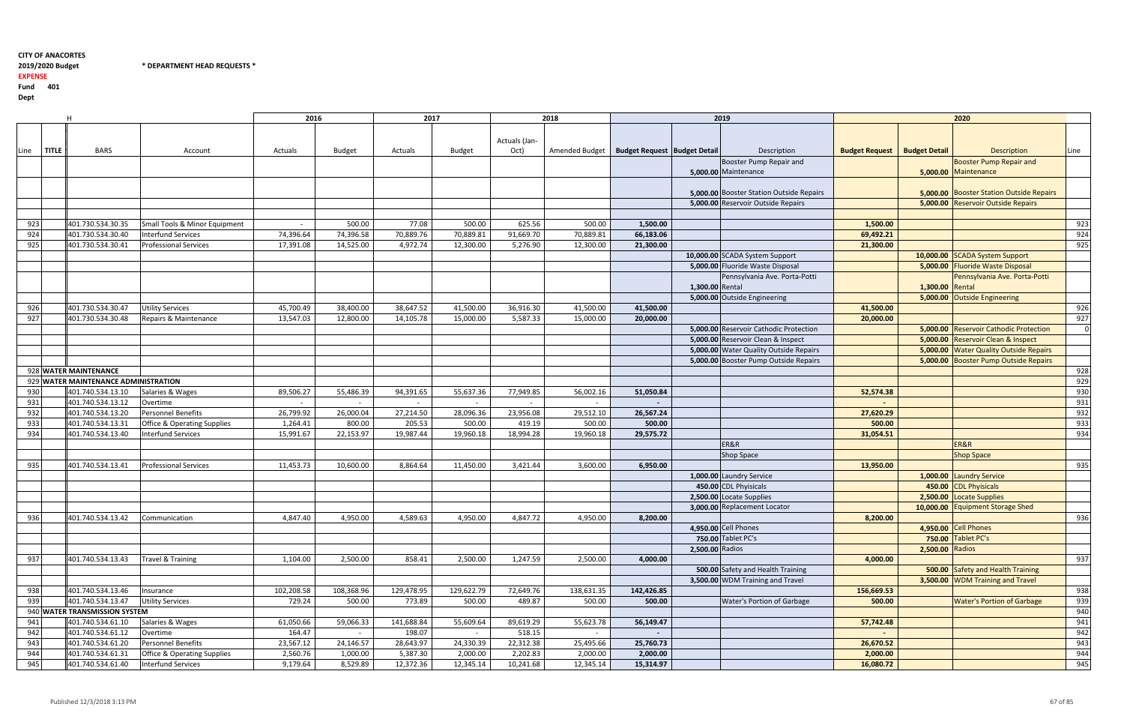2019/2020 Budget

2019/2020 Budget \* DEPARTMENT HEAD REQUESTS \*

EXPENSE

|      |              |                                      |                                        | 2016       |            | 2017       |               |               | 2018                                            |            |                 | 2019                                            |                                       |                 | 2020                                            |          |
|------|--------------|--------------------------------------|----------------------------------------|------------|------------|------------|---------------|---------------|-------------------------------------------------|------------|-----------------|-------------------------------------------------|---------------------------------------|-----------------|-------------------------------------------------|----------|
|      |              |                                      |                                        |            |            |            |               |               |                                                 |            |                 |                                                 |                                       |                 |                                                 |          |
|      |              |                                      |                                        |            |            |            |               | Actuals (Jan- |                                                 |            |                 |                                                 |                                       |                 |                                                 |          |
| Line | <b>TITLE</b> | <b>BARS</b>                          | Account                                | Actuals    | Budget     | Actuals    | <b>Budget</b> | Oct)          | Amended Budget   Budget Request   Budget Detail |            |                 | Description                                     | <b>Budget Request   Budget Detail</b> |                 | <b>Description</b>                              | Line     |
|      |              |                                      |                                        |            |            |            |               |               |                                                 |            |                 | Booster Pump Repair and                         |                                       |                 | <b>Booster Pump Repair and</b>                  |          |
|      |              |                                      |                                        |            |            |            |               |               |                                                 |            |                 | 5,000.00 Maintenance                            |                                       |                 | 5,000.00 Maintenance                            |          |
|      |              |                                      |                                        |            |            |            |               |               |                                                 |            |                 |                                                 |                                       |                 |                                                 |          |
|      |              |                                      |                                        |            |            |            |               |               |                                                 |            |                 | <b>5,000.00 Booster Station Outside Repairs</b> |                                       |                 | <b>5,000.00 Booster Station Outside Repairs</b> |          |
|      |              |                                      |                                        |            |            |            |               |               |                                                 |            |                 | 5,000.00 Reservoir Outside Repairs              |                                       |                 | 5,000.00 Reservoir Outside Repairs              |          |
|      |              |                                      |                                        |            |            |            |               |               |                                                 |            |                 |                                                 |                                       |                 |                                                 |          |
| 923  |              | 401.730.534.30.35                    | Small Tools & Minor Equipment          |            | 500.00     | 77.08      | 500.00        | 625.56        | 500.00                                          | 1,500.00   |                 |                                                 | 1,500.00                              |                 |                                                 | 923      |
| 924  |              | 401.730.534.30.40                    | <b>Interfund Services</b>              | 74,396.64  | 74,396.58  | 70,889.76  | 70,889.81     | 91,669.70     | 70,889.81                                       | 66,183.06  |                 |                                                 | 69,492.21                             |                 |                                                 | 924      |
| 925  |              | 401.730.534.30.41                    | <b>Professional Services</b>           | 17,391.08  | 14,525.00  | 4,972.74   | 12,300.00     | 5,276.90      | 12,300.00                                       | 21,300.00  |                 |                                                 | 21,300.00                             |                 |                                                 | 925      |
|      |              |                                      |                                        |            |            |            |               |               |                                                 |            |                 | 10,000.00 SCADA System Support                  |                                       | 10,000.00       | <b>SCADA System Support</b>                     |          |
|      |              |                                      |                                        |            |            |            |               |               |                                                 |            |                 | 5,000.00 Fluoride Waste Disposal                |                                       | 5,000.00        | <b>Fluoride Waste Disposal</b>                  |          |
|      |              |                                      |                                        |            |            |            |               |               |                                                 |            |                 | Pennsylvania Ave. Porta-Potti                   |                                       |                 | Pennsylvania Ave. Porta-Potti                   |          |
|      |              |                                      |                                        |            |            |            |               |               |                                                 |            | 1,300.00 Rental |                                                 |                                       | 1,300.00        | Rental                                          |          |
|      |              |                                      |                                        |            |            |            |               |               |                                                 |            |                 | 5,000.00 Outside Engineering                    |                                       | 5,000.00        |                                                 |          |
| 926  |              | 401.730.534.30.47                    | <b>Utility Services</b>                | 45,700.49  | 38,400.00  | 38,647.52  | 41,500.00     | 36,916.30     | 41,500.00                                       | 41,500.00  |                 |                                                 | 41,500.00                             |                 | <b>Outside Engineering</b>                      | 926      |
|      |              | 401.730.534.30.48                    | Repairs & Maintenance                  |            |            |            |               |               |                                                 |            |                 |                                                 |                                       |                 |                                                 | 927      |
| 927  |              |                                      |                                        | 13,547.03  | 12,800.00  | 14,105.78  | 15,000.00     | 5,587.33      | 15,000.00                                       | 20,000.00  |                 |                                                 | 20,000.00                             |                 | 5,000.00 Reservoir Cathodic Protection          | $\Omega$ |
|      |              |                                      |                                        |            |            |            |               |               |                                                 |            |                 | 5,000.00 Reservoir Cathodic Protection          |                                       |                 |                                                 |          |
|      |              |                                      |                                        |            |            |            |               |               |                                                 |            |                 | 5,000.00 Reservoir Clean & Inspect              |                                       | 5,000.00        | <b>Reservoir Clean &amp; Inspect</b>            |          |
|      |              |                                      |                                        |            |            |            |               |               |                                                 |            |                 | 5,000.00 Water Quality Outside Repairs          |                                       | 5,000.00        | <b>Water Quality Outside Repairs</b>            |          |
|      |              |                                      |                                        |            |            |            |               |               |                                                 |            |                 | 5,000.00 Booster Pump Outside Repairs           |                                       |                 | 5,000.00 Booster Pump Outside Repairs           |          |
|      |              | 928 WATER MAINTENANCE                |                                        |            |            |            |               |               |                                                 |            |                 |                                                 |                                       |                 |                                                 | 928      |
|      |              | 929 WATER MAINTENANCE ADMINISTRATION |                                        |            |            |            |               |               |                                                 |            |                 |                                                 |                                       |                 |                                                 | 929      |
| 930  |              | 401.740.534.13.10                    | Salaries & Wages                       | 89,506.27  | 55,486.39  | 94,391.65  | 55,637.36     | 77,949.85     | 56,002.16                                       | 51,050.84  |                 |                                                 | 52,574.38                             |                 |                                                 | 930      |
| 931  |              | 401.740.534.13.12                    | Overtime                               |            | $\sim$     | $\sim$     | $\sim$        | $\sim$        | $\sim$                                          |            |                 |                                                 |                                       |                 |                                                 | 931      |
| 932  |              | 401.740.534.13.20                    | Personnel Benefits                     | 26,799.92  | 26,000.04  | 27,214.50  | 28,096.36     | 23,956.08     | 29,512.10                                       | 26,567.24  |                 |                                                 | 27,620.29                             |                 |                                                 | 932      |
| 933  |              | 401.740.534.13.31                    | Office & Operating Supplies            | 1,264.41   | 800.00     | 205.53     | 500.00        | 419.19        | 500.00                                          | 500.00     |                 |                                                 | 500.00                                |                 |                                                 | 933      |
| 934  |              | 401.740.534.13.40                    | <b>Interfund Services</b>              | 15,991.67  | 22,153.97  | 19,987.44  | 19,960.18     | 18,994.28     | 19,960.18                                       | 29,575.72  |                 |                                                 | 31,054.51                             |                 |                                                 | 934      |
|      |              |                                      |                                        |            |            |            |               |               |                                                 |            |                 | ER&R                                            |                                       |                 | ER&R                                            |          |
|      |              |                                      |                                        |            |            |            |               |               |                                                 |            |                 | <b>Shop Space</b>                               |                                       |                 | <b>Shop Space</b>                               |          |
| 935  |              | 401.740.534.13.41                    | <b>Professional Services</b>           | 11,453.73  | 10,600.00  | 8,864.64   | 11,450.00     | 3,421.44      | 3,600.00                                        | 6,950.00   |                 |                                                 | 13,950.00                             |                 |                                                 | 935      |
|      |              |                                      |                                        |            |            |            |               |               |                                                 |            |                 | 1,000.00 Laundry Service                        |                                       | 1,000.00        | <b>Laundry Service</b>                          |          |
|      |              |                                      |                                        |            |            |            |               |               |                                                 |            |                 | 450.00 CDL Phyisicals                           |                                       | 450.00          | <b>CDL Phyisicals</b>                           |          |
|      |              |                                      |                                        |            |            |            |               |               |                                                 |            |                 | 2,500.00 Locate Supplies                        |                                       | 2,500.00        | <b>Locate Supplies</b>                          |          |
|      |              |                                      |                                        |            |            |            |               |               |                                                 |            |                 | 3.000.00 Replacement Locator                    |                                       | 10,000.00       | <b>Equipment Storage Shed</b>                   |          |
| 936  |              | 401.740.534.13.42                    | Communication                          | 4,847.40   | 4,950.00   | 4,589.63   | 4,950.00      | 4,847.72      | 4,950.00                                        | 8,200.00   |                 |                                                 | 8,200.00                              |                 |                                                 | 936      |
|      |              |                                      |                                        |            |            |            |               |               |                                                 |            |                 | 4,950.00 Cell Phones                            |                                       |                 | 4,950.00 Cell Phones                            |          |
|      |              |                                      |                                        |            |            |            |               |               |                                                 |            |                 | 750.00 Tablet PC's                              |                                       |                 | 750.00 Tablet PC's                              |          |
|      |              |                                      |                                        |            |            |            |               |               |                                                 |            | 2,500.00 Radios |                                                 |                                       | 2,500.00 Radios |                                                 |          |
| 937  |              | 401.740.534.13.43                    | <b>Travel &amp; Training</b>           | 1,104.00   | 2,500.00   | 858.41     | 2,500.00      | 1,247.59      | 2,500.00                                        | 4,000.00   |                 |                                                 | 4,000.00                              |                 |                                                 | 937      |
|      |              |                                      |                                        |            |            |            |               |               |                                                 |            |                 | 500.00 Safety and Health Training               |                                       |                 | 500.00 Safety and Health Training               |          |
|      |              |                                      |                                        |            |            |            |               |               |                                                 |            |                 | 3,500.00 WDM Training and Travel                |                                       |                 | 3,500.00 WDM Training and Travel                |          |
| 938  |              | 401.740.534.13.46                    | Insurance                              | 102,208.58 | 108,368.96 | 129,478.95 | 129,622.79    | 72,649.76     | 138,631.35                                      | 142,426.85 |                 |                                                 | 156,669.53                            |                 |                                                 | 938      |
| 939  |              | 401.740.534.13.47                    | <b>Utility Services</b>                | 729.24     | 500.00     | 773.89     | 500.00        | 489.87        | 500.00                                          | 500.00     |                 | Water's Portion of Garbage                      | 500.00                                |                 | <b>Water's Portion of Garbage</b>               | 939      |
|      |              | 940 WATER TRANSMISSION SYSTEM        |                                        |            |            |            |               |               |                                                 |            |                 |                                                 |                                       |                 |                                                 | 940      |
| 941  |              | 401.740.534.61.10                    | Salaries & Wages                       | 61,050.66  | 59,066.33  | 141,688.84 | 55,609.64     | 89,619.29     | 55,623.78                                       | 56,149.47  |                 |                                                 | 57,742.48                             |                 |                                                 | 941      |
| 942  |              | 401.740.534.61.12                    | Overtime                               | 164.47     | $\sim$     | 198.07     | $\sim$        | 518.15        | $\sim$                                          |            |                 |                                                 |                                       |                 |                                                 | 942      |
| 943  |              | 401.740.534.61.20                    | Personnel Benefits                     | 23,567.12  | 24,146.57  | 28,643.97  | 24,330.39     | 22,312.38     | 25,495.66                                       | 25,760.73  |                 |                                                 | 26,670.52                             |                 |                                                 | 943      |
| 944  |              | 401.740.534.61.31                    | <b>Office &amp; Operating Supplies</b> | 2,560.76   | 1,000.00   | 5,387.30   | 2,000.00      | 2,202.83      | 2,000.00                                        | 2,000.00   |                 |                                                 | 2,000.00                              |                 |                                                 | 944      |
| 945  |              | 401.740.534.61.40                    | <b>Interfund Services</b>              | 9,179.64   | 8,529.89   | 12,372.36  | 12,345.14     | 10,241.68     | 12,345.14                                       | 15,314.97  |                 |                                                 | 16,080.72                             |                 |                                                 | 945      |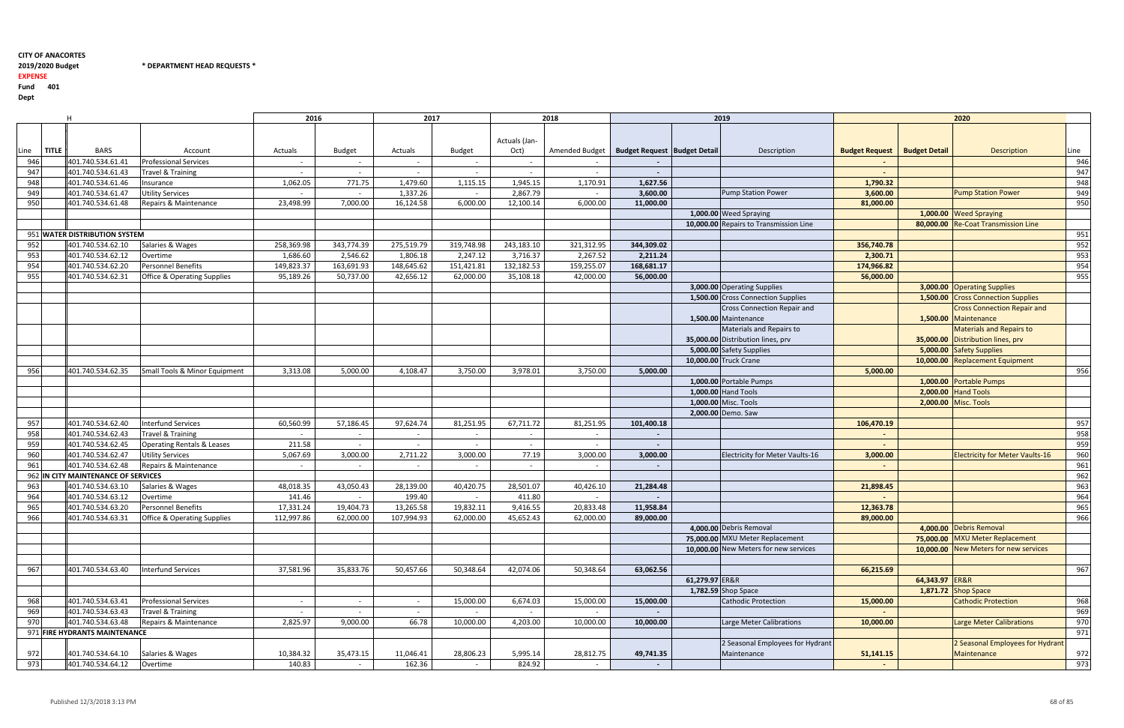2019/2020 Budget \* DEPARTMENT HEAD REQUESTS \*

## 2019/2020 Budget

EXPENSE

|      |              |                                     |                                        | 2016       |                | 2017       |               |               | 2018           |                                       |                | 2019                                   |                                       |                | 2020                                   |      |
|------|--------------|-------------------------------------|----------------------------------------|------------|----------------|------------|---------------|---------------|----------------|---------------------------------------|----------------|----------------------------------------|---------------------------------------|----------------|----------------------------------------|------|
|      |              |                                     |                                        |            |                |            |               |               |                |                                       |                |                                        |                                       |                |                                        |      |
|      |              |                                     |                                        |            |                |            |               | Actuals (Jan- |                |                                       |                |                                        |                                       |                |                                        |      |
| Line | <b>TITLE</b> | <b>BARS</b>                         | Account                                | Actuals    | <b>Budget</b>  | Actuals    | <b>Budget</b> | Oct)          | Amended Budget | <b>Budget Request   Budget Detail</b> |                | Description                            | <b>Budget Request   Budget Detail</b> |                | <b>Description</b>                     | Line |
| 946  |              | 401.740.534.61.41                   | <b>Professional Services</b>           |            | $\overline{a}$ | $\sim$     | $\sim$        |               |                |                                       |                |                                        |                                       |                |                                        | 946  |
| 947  |              | 401.740.534.61.43                   | Travel & Training                      |            | $\sim$         | $\sim$     | $\sim$        | $\sim$        | $\sim$         | $\sim$                                |                |                                        | $\sim$                                |                |                                        | 947  |
| 948  |              | 401.740.534.61.46                   | Insurance                              | 1,062.05   | 771.75         | 1,479.60   | 1,115.15      | 1,945.15      | 1,170.91       | 1,627.56                              |                |                                        | 1,790.32                              |                |                                        | 948  |
| 949  |              | 401.740.534.61.47                   | <b>Utility Services</b>                |            |                | 1,337.26   |               | 2,867.79      | $\sim$         | 3,600.00                              |                | <b>Pump Station Power</b>              | 3,600.00                              |                | <b>Pump Station Power</b>              | 949  |
| 950  |              | 401.740.534.61.48                   | Repairs & Maintenance                  | 23,498.99  | 7,000.00       | 16,124.58  | 6,000.00      | 12,100.14     | 6,000.00       | 11,000.00                             |                |                                        | 81,000.00                             |                |                                        | 950  |
|      |              |                                     |                                        |            |                |            |               |               |                |                                       |                | 1,000.00 Weed Spraying                 |                                       |                | 1,000.00 Weed Spraying                 |      |
|      |              |                                     |                                        |            |                |            |               |               |                |                                       |                | 10.000.00 Repairs to Transmission Line |                                       |                | 80,000.00 Re-Coat Transmission Line    |      |
|      |              | 951 WATER DISTRIBUTION SYSTEM       |                                        |            |                |            |               |               |                |                                       |                |                                        |                                       |                |                                        | 951  |
| 952  |              | 401.740.534.62.10                   | Salaries & Wages                       | 258,369.98 | 343,774.39     | 275,519.79 | 319,748.98    | 243,183.10    | 321,312.95     | 344,309.02                            |                |                                        | 356,740.78                            |                |                                        | 952  |
|      |              | 401.740.534.62.12                   |                                        | 1,686.60   | 2,546.62       | 1,806.18   | 2,247.12      | 3,716.37      | 2,267.52       | 2,211.24                              |                |                                        | 2,300.71                              |                |                                        | 953  |
| 953  |              |                                     | Overtime                               |            |                |            |               |               |                |                                       |                |                                        |                                       |                |                                        |      |
| 954  |              | 401.740.534.62.20                   | Personnel Benefits                     | 149,823.37 | 163,691.93     | 148,645.62 | 151,421.81    | 132,182.53    | 159,255.07     | 168,681.17                            |                |                                        | 174,966.82                            |                |                                        | 954  |
| 955  |              | 401.740.534.62.31                   | <b>Office &amp; Operating Supplies</b> | 95,189.26  | 50,737.00      | 42,656.12  | 62,000.00     | 35,108.18     | 42,000.00      | 56,000.00                             |                |                                        | 56,000.00                             |                |                                        | 955  |
|      |              |                                     |                                        |            |                |            |               |               |                |                                       |                | 3,000.00 Operating Supplies            |                                       |                | 3,000.00 Operating Supplies            |      |
|      |              |                                     |                                        |            |                |            |               |               |                |                                       |                | 1,500.00 Cross Connection Supplies     |                                       | 1,500.00       | <b>Cross Connection Supplies</b>       |      |
|      |              |                                     |                                        |            |                |            |               |               |                |                                       |                | <b>Cross Connection Repair and</b>     |                                       |                | <b>Cross Connection Repair and</b>     |      |
|      |              |                                     |                                        |            |                |            |               |               |                |                                       |                | 1,500.00 Maintenance                   |                                       | 1,500.00       | <b>Maintenance</b>                     |      |
|      |              |                                     |                                        |            |                |            |               |               |                |                                       |                | Materials and Repairs to               |                                       |                | <b>Materials and Repairs to</b>        |      |
|      |              |                                     |                                        |            |                |            |               |               |                |                                       |                | 35,000.00 Distribution lines, prv      |                                       |                | 35,000.00 Distribution lines, prv      |      |
|      |              |                                     |                                        |            |                |            |               |               |                |                                       |                | 5,000.00 Safety Supplies               |                                       | 5,000.00       | <b>Safety Supplies</b>                 |      |
|      |              |                                     |                                        |            |                |            |               |               |                |                                       |                | 10,000.00 Truck Crane                  |                                       |                | 10,000.00 Replacement Equipment        |      |
| 956  |              | 401.740.534.62.35                   | Small Tools & Minor Equipment          | 3,313.08   | 5,000.00       | 4,108.47   | 3,750.00      | 3,978.01      | 3,750.00       | 5,000.00                              |                |                                        | 5,000.00                              |                |                                        | 956  |
|      |              |                                     |                                        |            |                |            |               |               |                |                                       |                | 1,000.00 Portable Pumps                |                                       | 1,000.00       | <b>Portable Pumps</b>                  |      |
|      |              |                                     |                                        |            |                |            |               |               |                |                                       |                | 1.000.00 Hand Tools                    |                                       | 2,000.00       | <b>Hand Tools</b>                      |      |
|      |              |                                     |                                        |            |                |            |               |               |                |                                       |                | 1,000.00 Misc. Tools                   |                                       | 2,000.00       | Misc. Tools                            |      |
|      |              |                                     |                                        |            |                |            |               |               |                |                                       |                | 2,000.00 Demo. Saw                     |                                       |                |                                        |      |
| 957  |              | 401.740.534.62.40                   | Interfund Services                     | 60,560.99  | 57,186.45      | 97,624.74  | 81,251.95     | 67,711.72     | 81,251.95      | 101,400.18                            |                |                                        | 106,470.19                            |                |                                        | 957  |
| 958  |              | 401.740.534.62.43                   | <b>Travel &amp; Training</b>           |            | $\sim$         | $\sim$     | $\sim$        | $\sim$        | $\sim$         | $\overline{\phantom{a}}$              |                |                                        | $\overline{\phantom{a}}$              |                |                                        | 958  |
| 959  |              | 401.740.534.62.45                   | <b>Operating Rentals &amp; Leases</b>  | 211.58     | $\sim$         | $\sim$     | $\sim$ $-$    | $\sim$        | $\sim$         | $\overline{\phantom{a}}$              |                |                                        | $\sim$                                |                |                                        | 959  |
| 960  |              | 401.740.534.62.47                   | <b>Utility Services</b>                | 5,067.69   | 3,000.00       | 2,711.22   | 3,000.00      | 77.19         | 3,000.00       | 3,000.00                              |                | Electricity for Meter Vaults-16        | 3,000.00                              |                | <b>Electricity for Meter Vaults-16</b> | 960  |
| 961  |              | 401.740.534.62.48                   | Repairs & Maintenance                  |            |                | $\sim$     |               |               | $\sim$         |                                       |                |                                        | $\overline{\phantom{a}}$              |                |                                        | 961  |
|      |              | 962 IN CITY MAINTENANCE OF SERVICES |                                        |            |                |            |               |               |                |                                       |                |                                        |                                       |                |                                        | 962  |
| 963  |              | 401.740.534.63.10                   | Salaries & Wages                       | 48,018.35  | 43,050.43      | 28,139.00  | 40,420.75     | 28,501.07     | 40,426.10      | 21,284.48                             |                |                                        | 21,898.45                             |                |                                        | 963  |
| 964  |              | 401.740.534.63.12                   | Overtime                               | 141.46     | $\sim$         | 199.40     | $\sim$        | 411.80        | $\sim$         | $\overline{\phantom{a}}$              |                |                                        | $\sim$                                |                |                                        | 964  |
| 965  |              | 401.740.534.63.20                   | <b>Personnel Benefits</b>              | 17,331.24  | 19,404.73      | 13,265.58  | 19,832.11     | 9,416.55      | 20,833.48      | 11,958.84                             |                |                                        | 12,363.78                             |                |                                        | 965  |
| 966  |              | 401.740.534.63.31                   | <b>Office &amp; Operating Supplies</b> | 112,997.86 | 62,000.00      | 107,994.93 | 62,000.00     | 45,652.43     | 62,000.00      | 89,000.00                             |                |                                        | 89,000.00                             |                |                                        | 966  |
|      |              |                                     |                                        |            |                |            |               |               |                |                                       |                | 4,000.00 Debris Removal                |                                       |                | 4,000.00 Debris Removal                |      |
|      |              |                                     |                                        |            |                |            |               |               |                |                                       |                | 75,000.00 MXU Meter Replacement        |                                       |                | 75,000.00 MXU Meter Replacement        |      |
|      |              |                                     |                                        |            |                |            |               |               |                |                                       |                | 10,000.00 New Meters for new services  |                                       |                | 10,000.00 New Meters for new services  |      |
|      |              |                                     |                                        |            |                |            |               |               |                |                                       |                |                                        |                                       |                |                                        |      |
| 967  |              | 401.740.534.63.40                   | <b>Interfund Services</b>              | 37,581.96  | 35,833.76      | 50,457.66  | 50,348.64     | 42,074.06     | 50,348.64      | 63,062.56                             |                |                                        | 66,215.69                             |                |                                        | 967  |
|      |              |                                     |                                        |            |                |            |               |               |                |                                       | 61,279.97 ER&R |                                        |                                       | 64,343.97 ER&R |                                        |      |
|      |              |                                     |                                        |            |                |            |               |               |                |                                       |                | 1,782.59 Shop Space                    |                                       |                | 1,871.72 Shop Space                    |      |
| 968  |              | 401.740.534.63.41                   | <b>Professional Services</b>           | $\sim$     | $\sim$         | $\sim$     | 15,000.00     | 6,674.03      | 15,000.00      | 15,000.00                             |                | <b>Cathodic Protection</b>             | 15,000.00                             |                | <b>Cathodic Protection</b>             | 968  |
| 969  |              | 401.740.534.63.43                   | Travel & Training                      |            |                | $\sim$     |               |               |                |                                       |                |                                        |                                       |                |                                        | 969  |
| 970  |              | 401.740.534.63.48                   | Repairs & Maintenance                  | 2,825.97   | 9,000.00       | 66.78      | 10,000.00     | 4,203.00      | 10,000.00      | 10,000.00                             |                | Large Meter Calibrations               | 10,000.00                             |                | <b>Large Meter Calibrations</b>        | 970  |
|      |              | 971 FIRE HYDRANTS MAINTENANCE       |                                        |            |                |            |               |               |                |                                       |                |                                        |                                       |                |                                        | 971  |
|      |              |                                     |                                        |            |                |            |               |               |                |                                       |                | 2 Seasonal Employees for Hydrant       |                                       |                | 2 Seasonal Employees for Hydrant       |      |
| 972  |              | 401.740.534.64.10                   | Salaries & Wages                       | 10,384.32  | 35,473.15      | 11,046.41  | 28,806.23     | 5,995.14      | 28,812.75      | 49,741.35                             |                | Maintenance                            | 51,141.15                             |                | Maintenance                            | 972  |
| 973  |              | 401.740.534.64.12                   | Overtime                               | 140.83     | $\sim$         | 162.36     | $\sim$        | 824.92        | $\sim$         | $\sim$                                |                |                                        | $\sim$                                |                |                                        | 973  |
|      |              |                                     |                                        |            |                |            |               |               |                |                                       |                |                                        |                                       |                |                                        |      |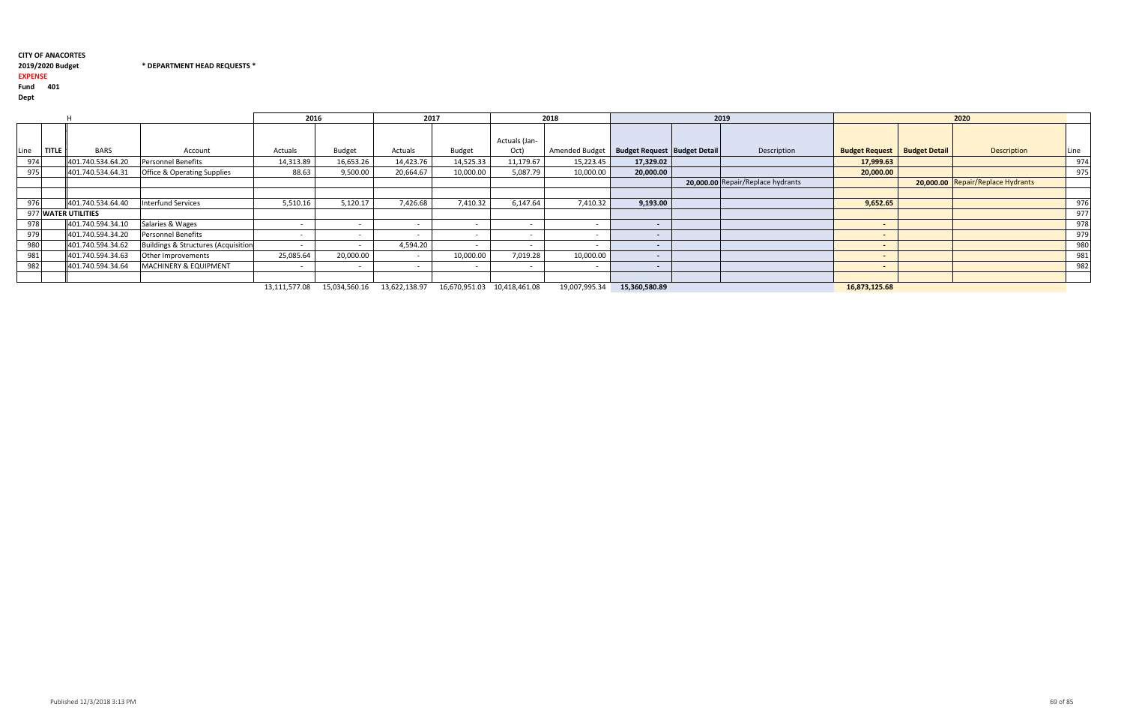2019/2020 Budget \* DEPARTMENT HEAD REQUESTS \*

## 2019/2020 Budget

## EXPENSE

Fund <sup>401</sup>

Dept

|                      |                   |                                        | 2016           |               | 2017      |           |               | 2018                                                                                                                                                                                                                                                                                                                                                                                 |                                                 | 2019                              |                                       | 2020                              |      |
|----------------------|-------------------|----------------------------------------|----------------|---------------|-----------|-----------|---------------|--------------------------------------------------------------------------------------------------------------------------------------------------------------------------------------------------------------------------------------------------------------------------------------------------------------------------------------------------------------------------------------|-------------------------------------------------|-----------------------------------|---------------------------------------|-----------------------------------|------|
|                      |                   |                                        |                |               |           |           | Actuals (Jan- |                                                                                                                                                                                                                                                                                                                                                                                      |                                                 |                                   |                                       |                                   |      |
| .ine<br><b>TITLE</b> | <b>BARS</b>       | Account                                | Actuals        | <b>Budget</b> | Actuals   | Budget    | Oct)          |                                                                                                                                                                                                                                                                                                                                                                                      | Amended Budget   Budget Request   Budget Detail | Description                       | <b>Budget Request   Budget Detail</b> | Description                       | Line |
| 974                  | 401.740.534.64.20 | <b>Personnel Benefits</b>              | 14,313.89      | 16,653.26     | 14,423.76 | 14,525.33 | 11,179.67     | 15,223.45                                                                                                                                                                                                                                                                                                                                                                            | 17,329.02                                       |                                   | 17,999.63                             |                                   | 974  |
| 975                  | 401.740.534.64.31 | <b>Office &amp; Operating Supplies</b> | 88.63          | 9,500.00      | 20,664.67 | 10,000.00 | 5,087.79      | 10,000.00                                                                                                                                                                                                                                                                                                                                                                            | 20,000.00                                       |                                   | 20,000.00                             |                                   | 975  |
|                      |                   |                                        |                |               |           |           |               |                                                                                                                                                                                                                                                                                                                                                                                      |                                                 | 20,000.00 Repair/Replace hydrants |                                       | 20,000.00 Repair/Replace Hydrants |      |
|                      |                   |                                        |                |               |           |           |               |                                                                                                                                                                                                                                                                                                                                                                                      |                                                 |                                   |                                       |                                   |      |
| 976                  | 401.740.534.64.40 | Interfund Services                     | 5,510.16       | 5,120.17      | 7,426.68  | 7,410.32  | 6,147.64      | 7,410.32                                                                                                                                                                                                                                                                                                                                                                             | 9,193.00                                        |                                   | 9,652.65                              |                                   | 976  |
| 977 WATER UTILITIES  |                   |                                        |                |               |           |           |               |                                                                                                                                                                                                                                                                                                                                                                                      |                                                 |                                   |                                       |                                   | 977  |
| 978                  | 401.740.594.34.10 | Salaries & Wages                       |                |               |           |           |               |                                                                                                                                                                                                                                                                                                                                                                                      |                                                 |                                   |                                       |                                   | 978  |
| 979                  | 401.740.594.34.20 | <b>Personnel Benefits</b>              |                |               |           |           |               | $\sim$                                                                                                                                                                                                                                                                                                                                                                               | $\overline{\phantom{a}}$                        |                                   | $\sim$                                |                                   | 979  |
| 980                  | 401.740.594.34.62 | Buildings & Structures (Acquisition    |                |               | 4,594.20  |           |               |                                                                                                                                                                                                                                                                                                                                                                                      | $\overline{\phantom{a}}$                        |                                   | $\overline{a}$                        |                                   | 980  |
| 981                  | 401.740.594.34.63 | Other Improvements                     | 25,085.64      | 20,000.00     |           | 10,000.00 | 7,019.28      | 10,000.00                                                                                                                                                                                                                                                                                                                                                                            | $\sim$                                          |                                   | $\overline{\phantom{0}}$              |                                   | 981  |
| 982                  | 401.740.594.34.64 | <b>MACHINERY &amp; EQUIPMENT</b>       |                |               |           |           | $\sim$        | $\sim$                                                                                                                                                                                                                                                                                                                                                                               |                                                 |                                   | $\overline{\phantom{0}}$              |                                   | 982  |
|                      |                   |                                        |                |               |           |           |               |                                                                                                                                                                                                                                                                                                                                                                                      |                                                 |                                   |                                       |                                   |      |
|                      |                   |                                        | $\overline{1}$ |               |           |           |               | $\overline{10}$ $\overline{0}$ $\overline{0}$ $\overline{0}$ $\overline{0}$ $\overline{0}$ $\overline{0}$ $\overline{0}$ $\overline{0}$ $\overline{0}$ $\overline{0}$ $\overline{0}$ $\overline{0}$ $\overline{0}$ $\overline{0}$ $\overline{0}$ $\overline{0}$ $\overline{0}$ $\overline{0}$ $\overline{0}$ $\overline{0}$ $\overline{0}$ $\overline{0}$ $\overline{0}$ $\overline$ | $1 - 0.00 - 0.00$                               |                                   | 1000000000000                         |                                   |      |

15,034,560.16 13,111,577.08 13,622,138.97 16,670,951.03 10,418,461.08 19,007,995.34 15,360,580.89 16,873,125.68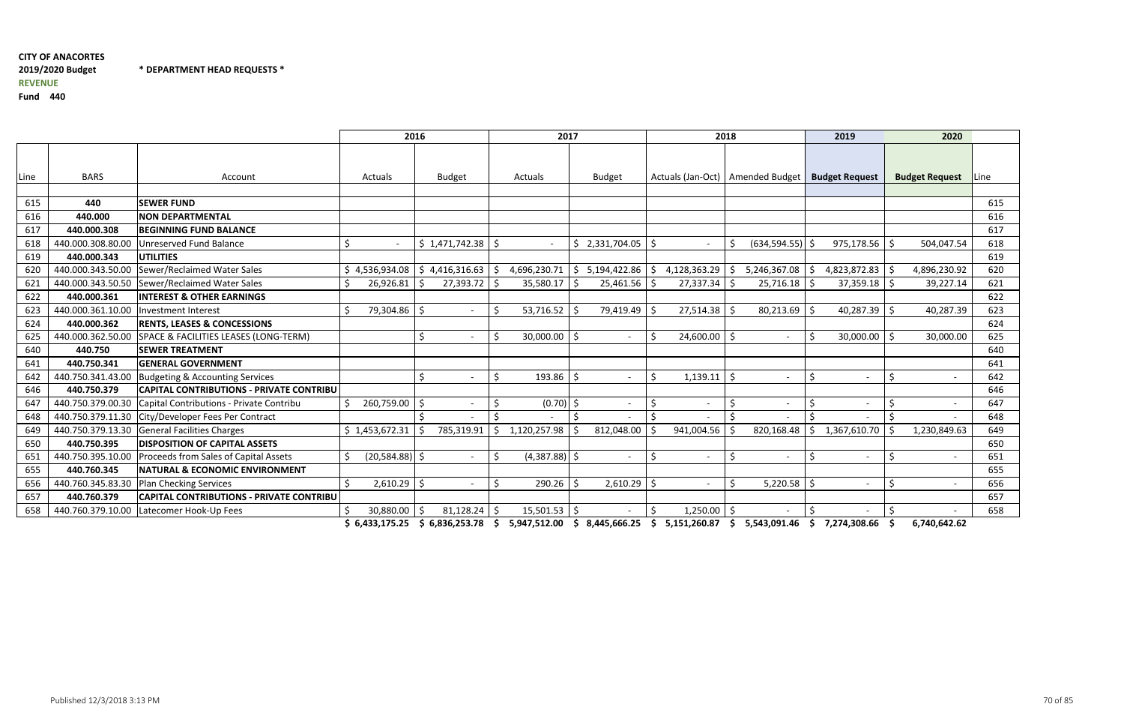## CITY OF ANACORTES 2019/2020 BudgetREVENUE

\* DEPARTMENT HEAD REQUESTS \*

Fund <sup>440</sup>

|      |                   |                                                 | 2016                     |                    |                       | 2017                          |                                | 2018                               | 2019                            | 2020                  |              |
|------|-------------------|-------------------------------------------------|--------------------------|--------------------|-----------------------|-------------------------------|--------------------------------|------------------------------------|---------------------------------|-----------------------|--------------|
| Line | <b>BARS</b>       | Account                                         | Actuals<br><b>Budget</b> |                    | Actuals               | <b>Budget</b>                 |                                | Actuals (Jan-Oct)   Amended Budget | <b>Budget Request</b>           | <b>Budget Request</b> | <b>ILine</b> |
|      |                   |                                                 |                          |                    |                       |                               |                                |                                    |                                 |                       |              |
| 615  | 440               | <b>SEWER FUND</b>                               |                          |                    |                       |                               |                                |                                    |                                 |                       | 615          |
| 616  | 440.000           | <b>NON DEPARTMENTAL</b>                         |                          |                    |                       |                               |                                |                                    |                                 |                       | 616          |
| 617  | 440.000.308       | <b>BEGINNING FUND BALANCE</b>                   |                          |                    |                       |                               |                                |                                    |                                 |                       | 617          |
| 618  | 440.000.308.80.00 | Unreserved Fund Balance                         | \$                       | \$1,471,742.38     |                       | 2,331,704.05 \$<br>\$.        |                                | $(634, 594.55)$ \$<br>\$           | 975,178.56                      | .S<br>504,047.54      | 618          |
| 619  | 440.000.343       | <b>UTILITIES</b>                                |                          |                    |                       |                               |                                |                                    |                                 |                       | 619          |
| 620  | 440.000.343.50.00 | Sewer/Reclaimed Water Sales                     | \$4,536,934.08           | 4,416,316.63<br>Ŝ. | 4,696,230.71<br>-S    | 5,194,422.86<br><sup>\$</sup> | 4,128,363.29<br>S.             | 5,246,367.08                       | 4,823,872.83<br>-S              | 4,896,230.92<br>-Ś    | 620          |
| 621  | 440.000.343.50.50 | Sewer/Reclaimed Water Sales                     | 26,926.81<br>Ŝ.          | 27,393.72          | 35,580.17             | 25,461.56                     | 27,337.34                      | 25,716.18                          | 37,359.18                       | 39,227.14             | 621          |
| 622  | 440.000.361       | <b>INTEREST &amp; OTHER EARNINGS</b>            |                          |                    |                       |                               |                                |                                    |                                 |                       | 622          |
| 623  | 440.000.361.10.00 | <b>Investment Interest</b>                      | 79,304.86<br>Ś.          | S.                 | 53,716.52             | 79,419.49                     | 27,514.38                      | $80,213.69$ \$                     | 40,287.39                       | 40,287.39<br>-Ś       | 623          |
| 624  | 440.000.362       | <b>RENTS, LEASES &amp; CONCESSIONS</b>          |                          |                    |                       |                               |                                |                                    |                                 |                       | 624          |
| 625  | 440.000.362.50.00 | SPACE & FACILITIES LEASES (LONG-TERM)           |                          | S.                 | 30,000.00             | - \$                          | 24,600.00<br>\$                | $\overline{\phantom{a}}$           | 30,000.00<br>\$                 | 30,000.00             | 625          |
| 640  | 440.750           | <b>SEWER TREATMENT</b>                          |                          |                    |                       |                               |                                |                                    |                                 |                       | 640          |
| 641  | 440.750.341       | <b>GENERAL GOVERNMENT</b>                       |                          |                    |                       |                               |                                |                                    |                                 |                       | 641          |
| 642  | 440.750.341.43.00 | <b>Budgeting &amp; Accounting Services</b>      |                          | ς.                 | 193.86                | - \$                          | Ŝ.<br>1,139.11                 | 1 S<br>$\overline{a}$              | -\$<br>$\overline{\phantom{a}}$ | $\zeta$               | 642          |
| 646  | 440.750.379       | <b>CAPITAL CONTRIBUTIONS - PRIVATE CONTRIBU</b> |                          |                    |                       |                               |                                |                                    |                                 |                       | 646          |
| 647  | 440.750.379.00.30 | Capital Contributions - Private Contribu        | 260,759.00               | S.                 | $(0.70)$ \$           |                               | \$<br>$\overline{\phantom{a}}$ | -\$<br>$\overline{\phantom{a}}$    | \$<br>$\overline{\phantom{a}}$  | $\zeta$               | 647          |
| 648  | 440.750.379.11.30 | City/Developer Fees Per Contract                |                          |                    |                       |                               | $\mathsf{\dot{S}}$             | -Ś                                 | -Ś                              | Ś.                    | 648          |
| 649  | 440.750.379.13.30 | <b>General Facilities Charges</b>               | \$1,453,672.31           | 785,319.91         | 1,120,257.98          | 812,048.00                    | 941,004.56                     | 820,168.48                         | 1,367,610.70<br>Š.              | 1,230,849.63          | 649          |
| 650  | 440.750.395       | <b>DISPOSITION OF CAPITAL ASSETS</b>            |                          |                    |                       |                               |                                |                                    |                                 |                       | 650          |
| 651  | 440.750.395.10.00 | Proceeds from Sales of Capital Assets           | $(20,584.88)$ \$<br>Ś.   |                    | $(4,387.88)$ \$<br>-Ś |                               | \$<br>$\overline{\phantom{a}}$ | \$<br>$\overline{\phantom{a}}$     | \$<br>$\overline{\phantom{a}}$  | $\zeta$               | 651          |
| 655  | 440.760.345       | <b>NATURAL &amp; ECONOMIC ENVIRONMENT</b>       |                          |                    |                       |                               |                                |                                    |                                 |                       | 655          |
| 656  | 440.760.345.83.30 | <b>Plan Checking Services</b>                   | Ś.<br>2,610.29           | $\zeta$            | 290.26<br>-Ś          | 2,610.29<br>-Ś                | $\zeta$                        | $5,220.58$ \$<br>S.                | $\overline{\phantom{a}}$        | \$                    | 656          |
| 657  | 440.760.379       | <b>CAPITAL CONTRIBUTIONS - PRIVATE CONTRIBU</b> |                          |                    |                       |                               |                                |                                    |                                 |                       | 657          |
| 658  | 440.760.379.10.00 | Latecomer Hook-Up Fees                          | 30,880.00<br>Ŝ           | 81,128.24          | 15,501.53             | -\$                           | \$<br>1,250.00                 | l S                                |                                 |                       | 658          |

\$ 6,433,175.25 \$ 6,836,253.78 \$ 5,947,512.00 \$ 8,445,666.25 \$ 5,151,260.87 \$ 5,543,091.46 \$ 7,274,308.66 \$ 6,740,642.62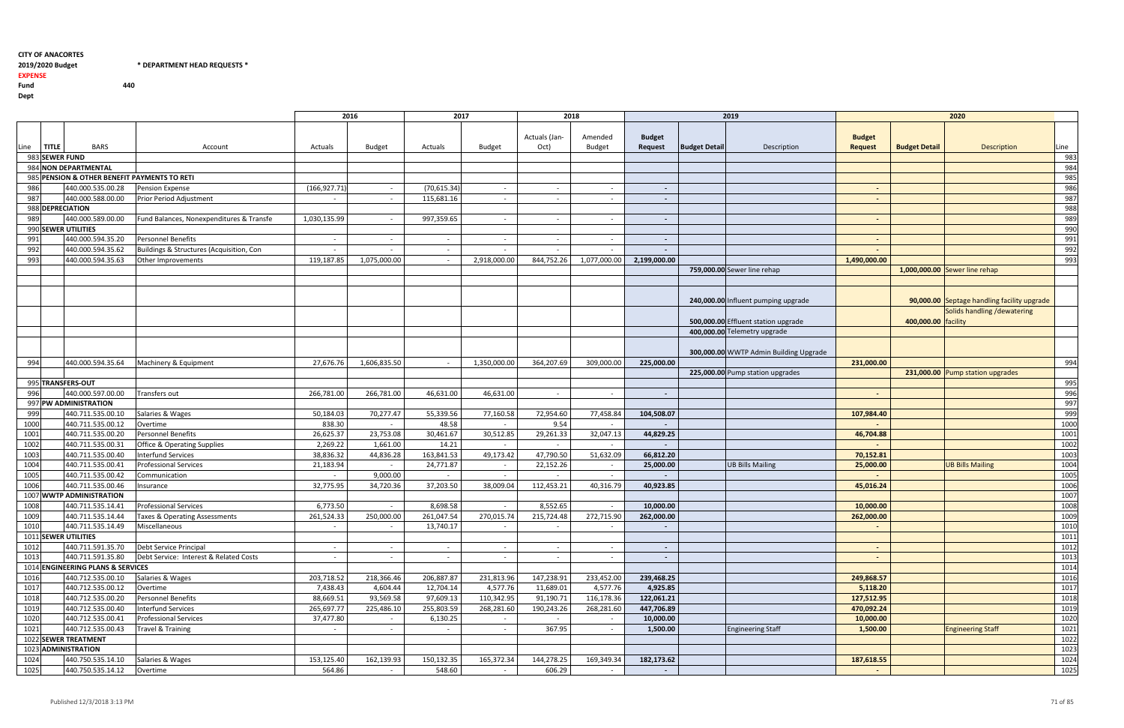## 2019/2020 Budget \* PEPARTMENT HEAD REQUESTS \*

EXPENSE

Fund 440

|                                                 |                      |                                               |                                          | 2016          |                | 2017         |               | 2018           |                          |                          |                      | 2019                                   | 2020           |                       |                                             |              |
|-------------------------------------------------|----------------------|-----------------------------------------------|------------------------------------------|---------------|----------------|--------------|---------------|----------------|--------------------------|--------------------------|----------------------|----------------------------------------|----------------|-----------------------|---------------------------------------------|--------------|
|                                                 |                      |                                               |                                          |               |                |              |               | Actuals (Jan-  | Amended                  | <b>Budget</b>            |                      |                                        | <b>Budget</b>  |                       |                                             |              |
| .ine                                            | <b>TITLE</b>         | <b>BARS</b>                                   | Account                                  | Actuals       | <b>Budget</b>  | Actuals      | <b>Budget</b> | Oct)           | <b>Budget</b>            | Request                  | <b>Budget Detail</b> | Description                            | <b>Request</b> | <b>Budget Detail</b>  | <b>Description</b>                          | Line         |
|                                                 | 983 SEWER FUND       |                                               |                                          |               |                |              |               |                |                          |                          |                      |                                        |                |                       |                                             | 983          |
|                                                 | 984 NON DEPARTMENTAL |                                               |                                          |               |                |              |               |                |                          |                          |                      |                                        |                |                       | 984                                         |              |
| PENSION & OTHER BENEFIT PAYMENTS TO RETI<br>985 |                      |                                               |                                          |               |                |              |               |                |                          |                          |                      |                                        |                | 985                   |                                             |              |
| 986                                             |                      | 440.000.535.00.28                             | <b>Pension Expense</b>                   | (166, 927.71) | $\sim$         | (70, 615.34) | $\sim$        | $\overline{a}$ | $\overline{a}$           | $\sim$                   |                      |                                        | $\sim$         |                       |                                             | 986          |
| 987                                             |                      | 440.000.588.00.00                             | <b>Prior Period Adjustment</b>           | $\sim$        | $\sim$         | 115,681.16   | $\sim$        | $\sim$         |                          | $\overline{\phantom{a}}$ |                      |                                        | $\sim$         |                       |                                             | 987          |
| 988 DEPRECIATION                                |                      |                                               |                                          |               |                |              |               |                |                          |                          |                      |                                        |                |                       |                                             | 988          |
| 989                                             |                      | 440.000.589.00.00                             | Fund Balances, Nonexpenditures & Transfe | 1,030,135.99  | $\overline{a}$ | 997,359.65   | $\sim$        | $\sim$         | $\overline{\phantom{a}}$ | $\overline{\phantom{a}}$ |                      |                                        |                |                       |                                             | 989          |
|                                                 |                      | 990 SEWER UTILITIES                           |                                          |               |                |              |               |                |                          |                          |                      |                                        |                |                       |                                             | 990          |
| 991                                             |                      | 440.000.594.35.20                             | <b>Personnel Benefits</b>                | $\sim$        | $\sim$         | $\sim$       | $\sim$        | $-$            | $\overline{a}$           | $\sim$                   |                      |                                        | $\sim$         |                       |                                             | 991          |
| 992                                             |                      | 440.000.594.35.62                             | Buildings & Structures (Acquisition, Con | $-$           |                | $\sim$       |               |                |                          |                          |                      |                                        |                |                       |                                             | 992          |
| 993                                             |                      | 440.000.594.35.63                             | Other Improvements                       | 119,187.85    | 1,075,000.00   | $\sim$       | 2,918,000.00  | 844,752.26     | 1,077,000.00             | 2,199,000.00             |                      |                                        | 1,490,000.00   |                       |                                             | 993          |
|                                                 |                      |                                               |                                          |               |                |              |               |                |                          |                          |                      | 759,000.00 Sewer line rehap            |                |                       | 1,000,000.00 Sewer line rehap               |              |
|                                                 |                      |                                               |                                          |               |                |              |               |                |                          |                          |                      |                                        |                |                       |                                             |              |
|                                                 |                      |                                               |                                          |               |                |              |               |                |                          |                          |                      |                                        |                |                       |                                             |              |
|                                                 |                      |                                               |                                          |               |                |              |               |                |                          |                          |                      | 240,000.00 Influent pumping upgrade    |                |                       | 90,000.00 Septage handling facility upgrade |              |
|                                                 |                      |                                               |                                          |               |                |              |               |                |                          |                          |                      |                                        |                |                       | Solids handling / dewatering                |              |
|                                                 |                      |                                               |                                          |               |                |              |               |                |                          |                          |                      | 500,000.00 Effluent station upgrade    |                | 400,000.00   facility |                                             |              |
|                                                 |                      |                                               |                                          |               |                |              |               |                |                          |                          |                      | 400,000.00 Telemetry upgrade           |                |                       |                                             |              |
|                                                 |                      |                                               |                                          |               |                |              |               |                |                          |                          |                      |                                        |                |                       |                                             |              |
|                                                 |                      |                                               |                                          |               |                |              |               |                |                          |                          |                      | 300,000.00 WWTP Admin Building Upgrade |                |                       |                                             |              |
| 994                                             |                      | 440.000.594.35.64                             | Machinery & Equipment                    | 27,676.76     | 1,606,835.50   | $\sim$       | 1,350,000.00  | 364,207.69     | 309,000.00               | 225,000.00               |                      |                                        | 231,000.00     |                       |                                             | 994          |
|                                                 |                      |                                               |                                          |               |                |              |               |                |                          |                          |                      | 225,000.00 Pump station upgrades       |                |                       | 231,000.00 Pump station upgrades            |              |
|                                                 |                      | 995 TRANSFERS-OUT                             |                                          |               |                |              |               |                |                          |                          |                      |                                        |                |                       |                                             | 995          |
| 996                                             |                      | 440.000.597.00.00                             | Transfers out                            | 266,781.00    | 266,781.00     | 46,631.00    | 46,631.00     | $\overline{a}$ | $\overline{\phantom{a}}$ | $\overline{\phantom{a}}$ |                      |                                        |                |                       |                                             | 996          |
|                                                 |                      | 997 PW ADMINISTRATION                         |                                          |               |                |              |               |                |                          |                          |                      |                                        |                |                       |                                             | 997          |
| 999                                             |                      | 440.711.535.00.10                             | Salaries & Wages                         | 50,184.03     | 70,277.47      | 55,339.56    | 77,160.58     | 72,954.60      | 77,458.84                | 104,508.07               |                      |                                        | 107,984.40     |                       |                                             | 999          |
| 1000                                            |                      | 440.711.535.00.12                             | Overtime                                 | 838.30        |                | 48.58        |               | 9.54           |                          |                          |                      |                                        |                |                       |                                             | 1000         |
| 1001                                            |                      | 440.711.535.00.20                             | <b>Personnel Benefits</b>                | 26,625.37     | 23,753.08      | 30,461.67    | 30,512.85     | 29,261.33      | 32,047.13                | 44,829.25                |                      |                                        | 46,704.88      |                       |                                             | 1001         |
| 1002                                            |                      | 440.711.535.00.31                             | <b>Office &amp; Operating Supplies</b>   | 2,269.22      | 1,661.00       | 14.21        | $\sim$        | $\sim$         |                          |                          |                      |                                        |                |                       |                                             | 1002         |
| 1003                                            |                      | 440.711.535.00.40                             | <b>Interfund Services</b>                | 38,836.32     | 44,836.28      | 163,841.53   | 49,173.42     | 47,790.50      | 51,632.09                | 66,812.20                |                      |                                        | 70,152.81      |                       |                                             | 1003         |
| 1004                                            |                      | 440.711.535.00.41                             | <b>Professional Services</b>             | 21,183.94     |                | 24,771.87    | $\sim$        | 22,152.26      |                          | 25,000.00                |                      | <b>UB Bills Mailing</b>                | 25,000.00      |                       | <b>UB Bills Mailing</b>                     | 1004         |
| 1005                                            |                      | 440.711.535.00.42                             | Communication                            |               | 9,000.00       |              |               |                |                          |                          |                      |                                        |                |                       |                                             | 1005         |
| 1006                                            |                      | 440.711.535.00.46                             | Insurance                                | 32,775.95     | 34,720.36      | 37,203.50    | 38,009.04     | 112,453.21     | 40,316.79                | 40,923.85                |                      |                                        | 45,016.24      |                       |                                             | 1006         |
| 1008                                            |                      | 1007 WWTP ADMINISTRATION<br>440.711.535.14.41 | <b>Professional Services</b>             | 6,773.50      |                | 8,698.58     |               | 8,552.65       |                          | 10,000.00                |                      |                                        | 10,000.00      |                       |                                             | 1007         |
| 1009                                            |                      | 440.711.535.14.44                             | Taxes & Operating Assessments            | 261,524.33    | 250,000.00     | 261,047.54   | 270,015.74    | 215,724.48     | 272,715.90               | 262,000.00               |                      |                                        | 262,000.00     |                       |                                             | 1008<br>1009 |
|                                                 |                      |                                               |                                          | $\sim$        | $\sim$         | 13,740.17    | $\sim$        |                |                          |                          |                      |                                        | $\sim$         |                       |                                             | 1010         |
| 1010                                            |                      | 1011 SEWER UTILITIES                          |                                          |               |                |              |               | $\sim$ $-$     | $\sim$                   | $\sim$                   |                      |                                        |                |                       |                                             | 1011         |
| 1012                                            |                      | 440.711.591.35.70                             | Debt Service Principal                   | $\sim$        | $\sim$         | $\sim$       | $\sim$        |                |                          | $\sim$                   |                      |                                        |                |                       |                                             | 1012         |
| 1013                                            |                      | 440.711.591.35.80                             | Debt Service: Interest & Related Costs   | $\sim$        | $\sim$         | $\sim$       | $\sim$        | $\sim$         | $\sim$                   | $\sim$                   |                      |                                        | $\sim$         |                       |                                             | 1013         |
|                                                 |                      | 1014 ENGINEERING PLANS & SERVICES             |                                          |               |                |              |               |                |                          |                          |                      |                                        |                |                       |                                             | 1014         |
| 1016                                            |                      | 440.712.535.00.10                             | Salaries & Wages                         | 203,718.52    | 218,366.46     | 206,887.87   | 231,813.96    | 147,238.91     | 233,452.00               | 239,468.25               |                      |                                        | 249,868.57     |                       |                                             | 1016         |
| 1017                                            |                      | 440.712.535.00.12                             | Overtime                                 | 7,438.43      | 4,604.44       | 12,704.14    | 4,577.76      | 11,689.01      | 4,577.76                 | 4,925.85                 |                      |                                        | 5,118.20       |                       |                                             | 1017         |
| 1018                                            |                      | 440.712.535.00.20                             | <b>Personnel Benefits</b>                | 88,669.51     | 93,569.58      | 97,609.13    | 110,342.95    | 91,190.71      | 116,178.36               | 122,061.21               |                      |                                        | 127,512.95     |                       |                                             | 1018         |
| 1019                                            |                      | 440.712.535.00.40                             | <b>Interfund Services</b>                | 265,697.77    | 225,486.10     | 255,803.59   | 268,281.60    | 190,243.26     | 268,281.60               | 447,706.89               |                      |                                        | 470,092.24     |                       |                                             | 1019         |
| 1020                                            |                      | 440.712.535.00.41                             | <b>Professional Services</b>             | 37,477.80     | $\sim$         | 6,130.25     | $\sim$        | $\sim$         | $\sim$                   | 10,000.00                |                      |                                        | 10,000.00      |                       |                                             | 1020         |
| 1021                                            |                      | 440.712.535.00.43                             | Travel & Training                        | $\sim$        | $\sim$         | $\sim$       | $\sim$ $-$    | 367.95         | $\sim$                   | 1,500.00                 |                      | <b>Engineering Staff</b>               | 1,500.00       |                       | <b>Engineering Staff</b>                    | 1021         |
|                                                 |                      | 1022 SEWER TREATMENT                          |                                          |               |                |              |               |                |                          |                          |                      |                                        |                |                       |                                             | 1022         |
|                                                 |                      | 1023 ADMINISTRATION                           |                                          |               |                |              |               |                |                          |                          |                      |                                        |                |                       |                                             | 1023         |
| 1024                                            |                      | 440.750.535.14.10                             | Salaries & Wages                         | 153,125.40    | 162,139.93     | 150,132.35   | 165,372.34    | 144,278.25     | 169,349.34               | 182,173.62               |                      |                                        | 187,618.55     |                       |                                             | 1024         |
| 1025                                            |                      | 440.750.535.14.12                             | Overtime                                 | 564.86        | $\sim$         | 548.60       | $\sim$        | 606.29         | $\sim$                   | $\sim$ $-$               |                      |                                        | $\sim$ $-$     |                       |                                             | 1025         |
|                                                 |                      |                                               |                                          |               |                |              |               |                |                          |                          |                      |                                        |                |                       |                                             |              |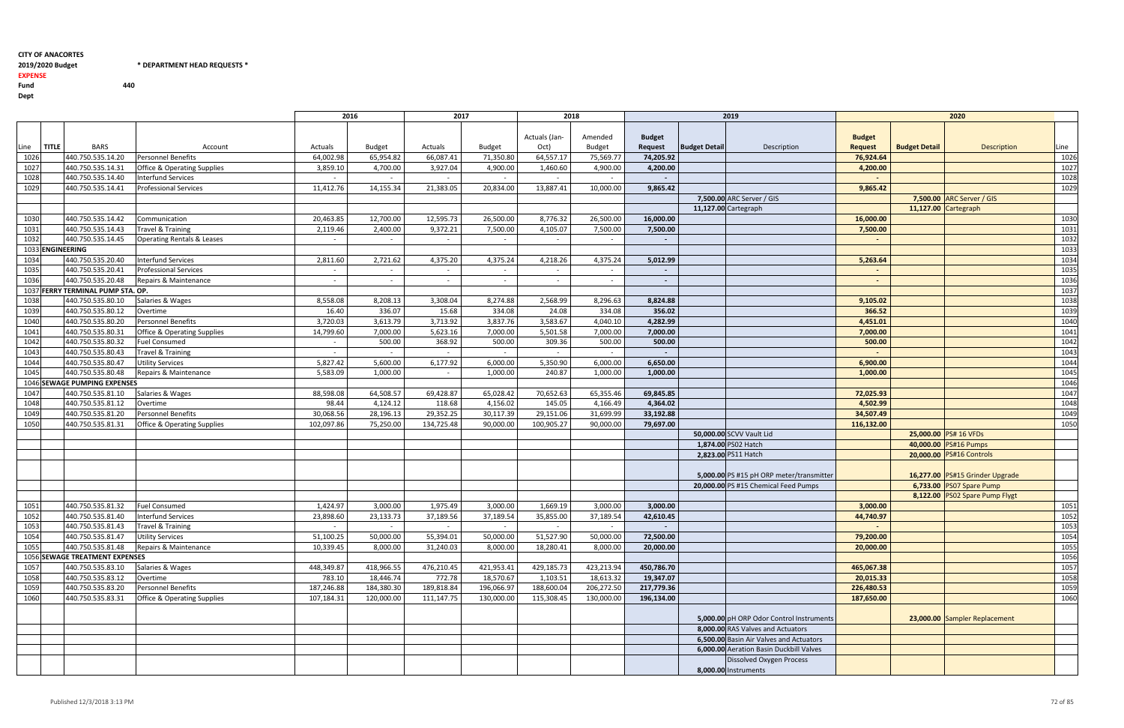## 2019/2020 Budget \* PEPARTMENT HEAD REQUESTS \*

### EXPENSE

Fund 440

|                              |                                   |                                        |            | 2018<br>2016<br>2017 |            |               | 2019          |               |               | 2020                                    |                                          |                |                      |                                 |      |
|------------------------------|-----------------------------------|----------------------------------------|------------|----------------------|------------|---------------|---------------|---------------|---------------|-----------------------------------------|------------------------------------------|----------------|----------------------|---------------------------------|------|
|                              |                                   |                                        |            |                      |            |               |               |               |               |                                         |                                          |                |                      |                                 |      |
|                              |                                   |                                        |            |                      |            |               | Actuals (Jan- | Amended       | <b>Budget</b> |                                         |                                          | <b>Budget</b>  |                      |                                 |      |
| <b>TITLE</b><br>Line         | <b>BARS</b>                       | Account                                | Actuals    | Budget               | Actuals    | <b>Budget</b> | Oct)          | <b>Budget</b> | Request       | <b>Budget Detail</b>                    | Description                              | <b>Request</b> | <b>Budget Detail</b> | <b>Description</b>              | Line |
| 1026                         | 440.750.535.14.20                 | <b>Personnel Benefits</b>              | 64,002.98  | 65,954.82            | 66,087.41  | 71,350.80     | 64,557.17     | 75,569.77     | 74,205.92     |                                         |                                          | 76,924.64      |                      |                                 | 1026 |
| 1027                         | 440.750.535.14.31                 | <b>Office &amp; Operating Supplies</b> | 3,859.10   | 4,700.00             | 3,927.04   | 4,900.00      | 1,460.60      | 4,900.00      | 4,200.00      |                                         |                                          | 4,200.00       |                      |                                 | 1027 |
| 1028                         | 440.750.535.14.40                 | Interfund Services                     | $\sim$     | $\sim$               | $\sim$     | $\sim$        |               |               |               |                                         |                                          |                |                      |                                 | 1028 |
| 1029                         | 440.750.535.14.41                 | <b>Professional Services</b>           | 11,412.76  | 14,155.34            | 21,383.05  | 20,834.00     | 13,887.41     | 10,000.00     | 9,865.42      |                                         |                                          | 9,865.42       |                      |                                 | 1029 |
|                              |                                   |                                        |            |                      |            |               |               |               |               |                                         | 7,500.00 ARC Server / GIS                |                |                      | 7,500.00 ARC Server / GIS       |      |
|                              |                                   |                                        |            |                      |            |               |               |               |               |                                         | 11,127.00 Cartegraph                     |                | 11,127.00 Cartegraph |                                 |      |
| 1030                         | 440.750.535.14.42                 | Communication                          | 20,463.85  | 12,700.00            | 12,595.73  | 26,500.00     | 8,776.32      | 26,500.00     | 16,000.00     |                                         |                                          | 16,000.00      |                      |                                 | 1030 |
| 1031                         | 440.750.535.14.43                 | Travel & Training                      | 2,119.46   | 2,400.00             | 9,372.21   | 7,500.00      | 4,105.07      | 7,500.00      | 7,500.00      |                                         |                                          | 7,500.00       |                      |                                 | 1031 |
| 1032                         | 440.750.535.14.45                 | <b>Operating Rentals &amp; Leases</b>  | $\sim$     | $\overline{a}$       | $\sim$     | $\sim$        | $\sim$        |               |               |                                         |                                          |                |                      |                                 | 1032 |
| 1033 ENGINEERING             |                                   |                                        |            |                      |            |               |               |               |               |                                         |                                          |                |                      |                                 | 1033 |
| 1034                         | 440.750.535.20.40                 | <b>Interfund Services</b>              | 2,811.60   | 2,721.62             | 4,375.20   | 4,375.24      | 4,218.26      | 4,375.24      | 5,012.99      |                                         |                                          | 5,263.64       |                      |                                 | 1034 |
| 1035                         | 440.750.535.20.41                 | <b>Professional Services</b>           | $\sim$     | $\sim$               | $\sim$     | $\sim$        | $\sim$        | $\sim$        |               |                                         |                                          |                |                      |                                 | 1035 |
| 1036                         | 440.750.535.20.48                 | Repairs & Maintenance                  | $\sim$     | $\sim$               | $\sim$     | $\sim$        | $\sim$        |               |               |                                         |                                          |                |                      |                                 | 1036 |
|                              | 1037 FERRY TERMINAL PUMP STA. OP. |                                        |            |                      |            |               |               |               |               |                                         |                                          |                |                      |                                 |      |
|                              | 440.750.535.80.10                 | Salaries & Wages                       | 8,558.08   | 8,208.13             | 3,308.04   | 8,274.88      |               |               | 8,824.88      |                                         |                                          |                |                      |                                 | 1037 |
| 1038                         |                                   |                                        |            |                      |            |               | 2,568.99      | 8,296.63      |               |                                         |                                          | 9,105.02       |                      |                                 | 1038 |
| 1039                         | 440.750.535.80.12                 | Overtime                               | 16.40      | 336.07               | 15.68      | 334.08        | 24.08         | 334.08        | 356.02        |                                         |                                          | 366.52         |                      |                                 | 1039 |
| 1040                         | 440.750.535.80.20                 | Personnel Benefits                     | 3,720.03   | 3,613.79             | 3,713.92   | 3,837.76      | 3,583.67      | 4,040.10      | 4,282.99      |                                         |                                          | 4,451.01       |                      |                                 | 1040 |
| 1041                         | 440.750.535.80.31                 | <b>Office &amp; Operating Supplies</b> | 14,799.60  | 7,000.00             | 5,623.16   | 7,000.00      | 5,501.58      | 7,000.00      | 7,000.00      |                                         |                                          | 7,000.00       |                      |                                 | 1041 |
| 1042                         | 440.750.535.80.32                 | <b>Fuel Consumed</b>                   | $\sim$     | 500.00               | 368.92     | 500.00        | 309.36        | 500.00        | 500.00        |                                         |                                          | 500.00         |                      |                                 | 1042 |
| 1043                         | 440.750.535.80.43                 | <b>Travel &amp; Training</b>           | $\sim$     | $\sim$               | $\sim$     | $\sim$ $-$    | $\sim$ $-$    | $\sim$        |               |                                         |                                          |                |                      |                                 | 1043 |
| 1044                         | 440.750.535.80.47                 | <b>Utility Services</b>                | 5,827.42   | 5,600.00             | 6,177.92   | 6,000.00      | 5,350.90      | 6,000.00      | 6,650.00      |                                         |                                          | 6,900.00       |                      |                                 | 1044 |
| 1045                         | 440.750.535.80.48                 | Repairs & Maintenance                  | 5,583.09   | 1,000.00             | $\sim$     | 1,000.00      | 240.87        | 1,000.00      | 1,000.00      |                                         |                                          | 1,000.00       |                      |                                 | 1045 |
| 1046 SEWAGE PUMPING EXPENSES |                                   |                                        |            |                      |            |               |               |               |               |                                         |                                          |                |                      |                                 | 1046 |
| 1047                         | 440.750.535.81.10                 | Salaries & Wages                       | 88,598.08  | 64,508.57            | 69,428.87  | 65,028.42     | 70,652.63     | 65,355.46     | 69,845.85     |                                         |                                          | 72,025.93      |                      |                                 | 1047 |
| 1048                         | 440.750.535.81.12                 | Overtime                               | 98.44      | 4,124.12             | 118.68     | 4,156.02      | 145.05        | 4,166.49      | 4,364.02      |                                         |                                          | 4,502.99       |                      |                                 | 1048 |
| 1049                         | 440.750.535.81.20                 | Personnel Benefits                     | 30,068.56  | 28,196.13            | 29,352.25  | 30,117.39     | 29,151.06     | 31,699.99     | 33,192.88     |                                         |                                          | 34,507.49      |                      |                                 | 1049 |
| 1050                         | 440.750.535.81.31                 | <b>Office &amp; Operating Supplies</b> | 102,097.86 | 75,250.00            | 134,725.48 | 90,000.00     | 100,905.27    | 90,000.00     | 79,697.00     |                                         |                                          | 116,132.00     |                      |                                 | 1050 |
|                              |                                   |                                        |            |                      |            |               |               |               |               |                                         | 50,000.00 SCVV Vault Lid                 |                |                      | 25,000.00 PS# 16 VFDs           |      |
|                              |                                   |                                        |            |                      |            |               |               |               |               | 1,874.00 PS02 Hatch                     |                                          |                |                      | 40,000.00 PS#16 Pumps           |      |
|                              |                                   |                                        |            |                      |            |               |               |               |               | 2,823.00 PS11 Hatch                     |                                          |                |                      | 20,000.00 PS#16 Controls        |      |
|                              |                                   |                                        |            |                      |            |               |               |               |               |                                         |                                          |                |                      |                                 |      |
|                              |                                   |                                        |            |                      |            |               |               |               |               |                                         | 5,000.00 PS #15 pH ORP meter/transmitter |                |                      | 16,277.00 PS#15 Grinder Upgrade |      |
|                              |                                   |                                        |            |                      |            |               |               |               |               |                                         | 20,000.00 PS #15 Chemical Feed Pumps     |                |                      | 6,733.00 PS07 Spare Pump        |      |
|                              |                                   |                                        |            |                      |            |               |               |               |               |                                         |                                          |                |                      | 8,122.00 PS02 Spare Pump Flygt  |      |
| 1051                         | 440.750.535.81.32                 | <b>Fuel Consumed</b>                   | 1,424.97   | 3,000.00             | 1,975.49   | 3,000.00      | 1,669.19      | 3,000.00      | 3,000.00      |                                         |                                          | 3,000.00       |                      |                                 | 1051 |
| 1052                         | 440.750.535.81.40                 | Interfund Services                     | 23,898.60  | 23,133.73            | 37,189.56  | 37,189.54     | 35,855.00     | 37,189.54     | 42,610.45     |                                         |                                          | 44,740.97      |                      |                                 | 1052 |
| 1053                         | 440.750.535.81.43                 | Travel & Training                      | $\sim$     | $\sim$               | $\sim$ $-$ | $\sim$        | $\sim$ $-$    | $\sim$        | $\sim$ $-$    |                                         |                                          | $\sim$         |                      |                                 | 1053 |
| 1054                         | 440.750.535.81.47                 | <b>Utility Services</b>                | 51,100.25  | 50,000.00            | 55,394.01  | 50,000.00     | 51,527.90     | 50,000.00     | 72,500.00     |                                         |                                          | 79,200.00      |                      |                                 | 1054 |
| 1055                         | 440.750.535.81.48                 | Repairs & Maintenance                  | 10,339.45  | 8,000.00             | 31,240.03  | 8,000.00      | 18,280.41     | 8,000.00      | 20,000.00     |                                         |                                          | 20,000.00      |                      |                                 | 1055 |
|                              | 1056 SEWAGE TREATMENT EXPENSES    |                                        |            |                      |            |               |               |               |               |                                         |                                          |                |                      |                                 | 1056 |
| 1057                         | 440.750.535.83.10                 | Salaries & Wages                       | 448,349.87 | 418,966.55           | 476,210.45 | 421,953.41    | 429,185.73    | 423,213.94    | 450,786.70    |                                         |                                          | 465,067.38     |                      |                                 | 1057 |
| 1058                         | 440.750.535.83.12                 | Overtime                               | 783.10     | 18,446.74            | 772.78     | 18,570.67     | 1,103.51      | 18,613.32     | 19,347.07     |                                         |                                          | 20,015.33      |                      |                                 | 1058 |
| 1059                         | 440.750.535.83.20                 | Personnel Benefits                     | 187,246.88 | 184,380.30           | 189,818.84 | 196,066.97    | 188,600.04    | 206,272.50    | 217,779.36    |                                         |                                          | 226,480.53     |                      |                                 | 1059 |
| 1060                         | 440.750.535.83.31                 | <b>Office &amp; Operating Supplies</b> | 107,184.31 | 120,000.00           | 111,147.75 | 130,000.00    | 115,308.45    | 130,000.00    | 196,134.00    |                                         |                                          | 187,650.00     |                      |                                 | 1060 |
|                              |                                   |                                        |            |                      |            |               |               |               |               |                                         |                                          |                |                      |                                 |      |
|                              |                                   |                                        |            |                      |            |               |               |               |               |                                         | 5,000.00 pH ORP Odor Control Instruments |                |                      | 23,000.00 Sampler Replacement   |      |
|                              |                                   |                                        |            |                      |            |               |               |               |               |                                         | 8,000.00 RAS Valves and Actuators        |                |                      |                                 |      |
|                              |                                   |                                        |            |                      |            |               |               |               |               |                                         |                                          |                |                      |                                 |      |
|                              |                                   |                                        |            |                      |            |               |               |               |               | 6,500.00 Basin Air Valves and Actuators |                                          |                |                      |                                 |      |
|                              |                                   |                                        |            |                      |            |               |               |               |               |                                         | 6,000.00 Aeration Basin Duckbill Valves  |                |                      |                                 |      |
|                              |                                   |                                        |            |                      |            |               |               |               |               |                                         | Dissolved Oxygen Process                 |                |                      |                                 |      |
|                              |                                   |                                        |            |                      |            |               |               |               |               |                                         | 8,000.00 Instruments                     |                |                      |                                 |      |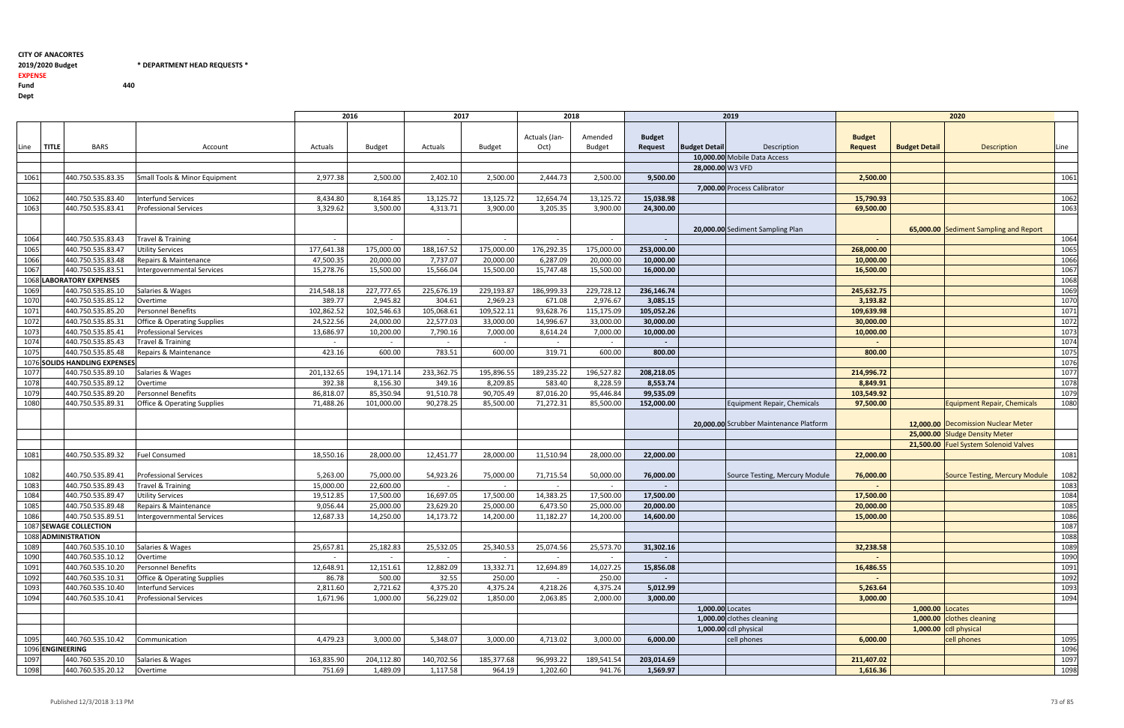### 2019/2020 Budget \* DEPARTMENT HEAD REQUESTS \*

Fund 440 Dept

EXPENSE

<sup>2016</sup> <sup>2017</sup> <sup>2018</sup> <sup>2019</sup> <sup>2020</sup> Linee **TITLE** BARS Account Account Actuals Budget Actuals Budget Budget Actuals (Jan-Oct) Amended Budget Budget Request Budget Detail Description Budget Request Budget Detail Description Line 10,000.00 Mobile Data Access 28,000.00 W3 VFD 1061 440.750.535.83.35 Small Tools & Minor Equipment 2,977.38 2,500.00 2,402.10 2,500.00 2,444.73 2,500.00 7,000.00 Process Calibrator <sup>1062</sup> 440.750.535.83.40 Interfund Services 8,434.80 8,164.85 13,125.72 13,125.72 12,654.74 13,125.72<sup>1063</sup> 440.750.535.83.41 Professional Services 3,329.62 3,500.00 4,313.71 3,900.00 3,205.35 3,900.0020,000.00 Sediment Sampling Plan <sup>1064</sup> 440.750.535.83.43 Travel & Training - - - - - - - - <sup>1064</sup><sup>1065</sup> 440.750.535.83.47 Utility Services 177,641.38 175,000.00 188,167.52 175,000.00 176,292.35 175,000.00<sup>1066</sup> 440.750.535.83.48 Repairs & Maintenance 47,500.35 20,000.00 7,737.07 20,000.00 6,287.09 20,000.00<sup>1067</sup> 440.750.535.83.51 Intergovernmental Services 15,278.76 15,500.00 15,566.04 15,500.00 15,747.48 15,500.00**1068 LABORATORY EXPENSES**  LABORATORY EXPENSES <sup>1068</sup> <sup>1069</sup> 440.750.535.85.10 Salaries & Wages 214,548.18 227,777.65 225,676.19 229,193.87 186,999.33 229,728.12<sup>1070</sup> 440.750.535.85.12 Overtime 389.77 2,945.82 304.61 2,969.23 671.08 2,976.67<sup>1071</sup> 440.750.535.85.20 Personnel Benefits 102,862.52 102,546.63 105,068.61 109,522.11 93,628.76 115,175.09<sup>1072</sup> 440.750.535.85.31 Office & Operating Supplies 24,522.56 24,000.00 22,577.03 33,000.00 14,996.67 33,000.00<sup>1073</sup> 440.750.535.85.41 Professional Services 13,686.97 10,200.00 7,790.16 7,000.00 8,614.24 7,000.00<sup>1074</sup> 440.750.535.85.43 Travel & Training - - - - - - - - <sup>1074</sup>1075 1440.750.535.85.48 Repairs & Maintenance 1988 1999 123.16 1000.00 1283.51 600.00 319.71 600.00 600.00 319 1076 SOLIDS HANDLING EXPENSES SOLIDS HANDLING EXPENSES <sup>1076</sup> <sup>1077</sup> 440.750.535.89.10 Salaries & Wages 201,132.65 194,171.14 233,362.75 195,896.55 189,235.22 196,527.82<sup>1078</sup> 440.750.535.89.12 Overtime 392.38 8,156.30 349.16 8,209.85 583.40 8,228.59<sup>1079</sup> 440.750.535.89.20 Personnel Benefits 86,818.07 85,350.94 91,510.78 90,705.49 87,016.20 95,446.84<sup>1080</sup> 440.750.535.89.31 Office & Operating Supplies 71,488.26 101,000.00 90,278.25 85,500.00 71,272.31 85,500.00152,000.00 Equipment Repair, Chemicals 20,000.00 Scrubber Maintenance Platform<sup>1081</sup> 440.750.535.89.32 Fuel Consumed 18,550.16 28,000.00 12,451.77 28,000.00 11,510.94 28,000.00<sup>1082</sup> 440.750.535.89.41 Professional Services 5,263.00 75,000.00 54,923.26 75,000.00 71,715.54 50,000.0050,000.00 76,000.00 Source Testing, Mercury Module <sup>1083</sup> 440.750.535.89.43 Travel & Training 15,000.00 22,600.00 - - - - - - <sup>1083</sup>1084 440.750.535.89.47 Utility Services 19,512.85 19,512.85 17,500.00 16,697.05 17,500.00 14,383.25 17,500.00 1 <sup>1085</sup> 440.750.535.89.48 Repairs & Maintenance 9,056.44 25,000.00 23,629.20 25,000.00 6,473.50 25,000.00<sup>1086</sup> 440.750.535.89.51 Intergovernmental Services 12,687.33 14,250.00 14,173.72 14,200.00 11,182.27 14,200.001087 SEWAGE COLLECTION $\sim$  1087  $\,$ 1088 ADMINISTRATION<u>n and the set of the set of the set of the set of the set of the set of the set of the set of the set of the set of the set of the set of the set of the set of the set of the set of the set of the set of the set of the se</u> <sup>1089</sup> 440.760.535.10.10 Salaries & Wages 25,657.81 25,182.83 25,532.05 25,340.53 25,074.56 25,573.70<sup>1090</sup> 440.760.535.10.12 Overtime - - - - - - - - <sup>1090</sup><sup>1091</sup> 440.760.535.10.20 Personnel Benefits 12,648.91 12,151.61 12,882.09 13,332.71 12,694.89 14,027.251092 440.760.535.10.31 Office & Operating Supplies 250.00 86.78 86.78 86.78 86.78 86.78 86.78 10.32.55 250.00 - 250.00 250.00 250.00 250.00 250.00 250.00 250.00 250.00 250.00 250.00 250.00 250.00 250.00 250.00 250.00 250.0 <sup>1093</sup> 440.760.535.10.40 Interfund Services 2,811.60 2,721.62 4,375.20 4,375.24 4,218.26 4,375.24<sup>1094</sup> 440.760.535.10.41 Professional Services 1,671.96 1,000.00 56,229.02 1,850.00 2,063.85 2,000.001,000.00 Locates 1095 440.760.535.10.42 Communication 1990 4,479.23 4,479.23 4,479.23 3,000.00 5,348.07 3,000.00 4,713.02 3,000 1096 <mark>ENGINEERING</mark> Сервенного производительного производительность при производительность при пример, по при пример, по при приме<br>Последните при пример, по пример, по пример, по пример, по пример, по пример, по пример, по пример, по пример, <sup>1097</sup> 440.760.535.20.10 Salaries & Wages 163,835.90 204,112.80 140,702.56 185,377.68 96,993.22 189,541.54<sup>1098</sup> 440.760.535.20.12 Overtime 751.69 1,489.09 1,117.58 964.19 1,202.60 941.76

|                                              |                                 |                      | 2019                                    |                                 |                      | 2020                                                                  |              |
|----------------------------------------------|---------------------------------|----------------------|-----------------------------------------|---------------------------------|----------------------|-----------------------------------------------------------------------|--------------|
|                                              | <b>Budget</b><br><b>Request</b> | <b>Budget Detail</b> | Description                             | <b>Budget</b><br><b>Request</b> | <b>Budget Detail</b> | <b>Description</b>                                                    | Line         |
|                                              |                                 |                      | 10,000.00 Mobile Data Access            |                                 |                      |                                                                       |              |
|                                              |                                 | 28,000.00 W3 VFD     |                                         |                                 |                      |                                                                       |              |
| 0                                            | 9,500.00                        |                      |                                         | 2,500.00                        |                      |                                                                       | 1061         |
|                                              |                                 |                      | 7,000.00 Process Calibrator             |                                 |                      |                                                                       |              |
| $\frac{2}{0}$                                | 15,038.98                       |                      |                                         | 15,790.93                       |                      |                                                                       | 1062         |
|                                              | 24,300.00                       |                      |                                         | 69,500.00                       |                      |                                                                       | 1063         |
|                                              |                                 |                      | 20,000.00 Sediment Sampling Plan        |                                 |                      | 65,000.00 Sediment Sampling and Report                                |              |
|                                              |                                 |                      |                                         |                                 |                      |                                                                       | 1064         |
|                                              | 253,000.00                      |                      |                                         | 268,000.00                      |                      |                                                                       | 1065         |
| $\begin{array}{c}\n0 \\ 0 \\ 0\n\end{array}$ | 10,000.00                       |                      |                                         | 10,000.00                       |                      |                                                                       | 1066         |
|                                              | 16,000.00                       |                      |                                         | 16,500.00                       |                      |                                                                       | 1067         |
|                                              |                                 |                      |                                         |                                 |                      |                                                                       | 1068         |
| $\frac{2}{7}$ $\frac{9}{9}$ $\frac{0}{0}$    | 236,146.74                      |                      |                                         | 245,632.75                      |                      |                                                                       | 1069         |
|                                              | 3,085.15                        |                      |                                         | 3,193.82                        |                      |                                                                       | 1070         |
|                                              | 105,052.26                      |                      |                                         | 109,639.98                      |                      |                                                                       | 1071         |
|                                              | 30,000.00                       |                      |                                         | 30,000.00                       |                      |                                                                       | 1072         |
|                                              | 10,000.00                       |                      |                                         | 10,000.00                       |                      |                                                                       | 1073         |
|                                              | 800.00                          |                      |                                         |                                 |                      |                                                                       | 1074         |
| $\overline{0}$                               |                                 |                      |                                         | 800.00                          |                      |                                                                       | 1075         |
|                                              |                                 |                      |                                         |                                 |                      |                                                                       | 1076         |
|                                              | 208,218.05                      |                      |                                         | 214,996.72                      |                      |                                                                       | 1077         |
|                                              | 8,553.74                        |                      |                                         | 8,849.91                        |                      |                                                                       | 1078<br>1079 |
| $\frac{2}{9}$ $\frac{4}{0}$                  | 99,535.09<br>152,000.00         |                      | Equipment Repair, Chemicals             | 103,549.92<br>97,500.00         |                      | <b>Equipment Repair, Chemicals</b>                                    |              |
|                                              |                                 |                      |                                         |                                 |                      |                                                                       | 1080         |
|                                              |                                 |                      | 20,000.00 Scrubber Maintenance Platform |                                 |                      | 12,000.00 Decomission Nuclear Meter<br>25,000.00 Sludge Density Meter |              |
|                                              |                                 |                      |                                         |                                 |                      | 21,500.00 Fuel System Solenoid Valves                                 |              |
| $\overline{0}$                               | 22,000.00                       |                      |                                         | 22,000.00                       |                      |                                                                       | 1081         |
| 0                                            | 76,000.00                       |                      | Source Testing, Mercury Module          | 76,000.00                       |                      | <b>Source Testing, Mercury Module</b>                                 | 1082         |
|                                              | $\overline{\phantom{a}}$        |                      |                                         |                                 |                      |                                                                       | 1083         |
| $\frac{0}{0}$                                | 17,500.00                       |                      |                                         | 17,500.00                       |                      |                                                                       | 1084         |
|                                              | 20,000.00                       |                      |                                         | 20,000.00                       |                      |                                                                       | 1085         |
| $\overline{\mathbf{0}}$                      | 14,600.00                       |                      |                                         | 15,000.00                       |                      |                                                                       | 1086         |
|                                              |                                 |                      |                                         |                                 |                      |                                                                       | 1087         |
|                                              |                                 |                      |                                         |                                 |                      |                                                                       | 1088         |
| 0                                            | 31,302.16                       |                      |                                         | 32,238.58                       |                      |                                                                       | 1089         |
|                                              |                                 |                      |                                         |                                 |                      |                                                                       | 1090         |
| $\overline{\phantom{1}}$                     | 15,856.08                       |                      |                                         | 16,486.55                       |                      |                                                                       | 1091         |
| $\overline{0}$                               |                                 |                      |                                         |                                 |                      |                                                                       | 1092         |
| $\frac{4}{0}$                                | 5,012.99                        |                      |                                         | 5,263.64                        |                      |                                                                       | 1093         |
|                                              | 3,000.00                        |                      |                                         | 3,000.00                        |                      |                                                                       | 1094         |
|                                              |                                 | 1,000.00 Locates     |                                         |                                 | 1,000.00 Locates     |                                                                       |              |
|                                              |                                 |                      | 1,000.00 clothes cleaning               |                                 | 1,000.00             | clothes cleaning                                                      |              |
|                                              |                                 |                      | $1,000.00$ cdl physical                 |                                 |                      | 1,000.00 cdl physical                                                 |              |
| 0                                            | 6,000.00                        |                      | cell phones                             | 6,000.00                        |                      | cell phones                                                           | 1095         |
|                                              |                                 |                      |                                         |                                 |                      |                                                                       | 1096         |
| $\frac{4}{1}$                                | 203,014.69                      |                      |                                         | 211,407.02                      |                      |                                                                       | 1097         |
| 6                                            | 1,569.97                        |                      |                                         | 1,616.36                        |                      |                                                                       | 1098         |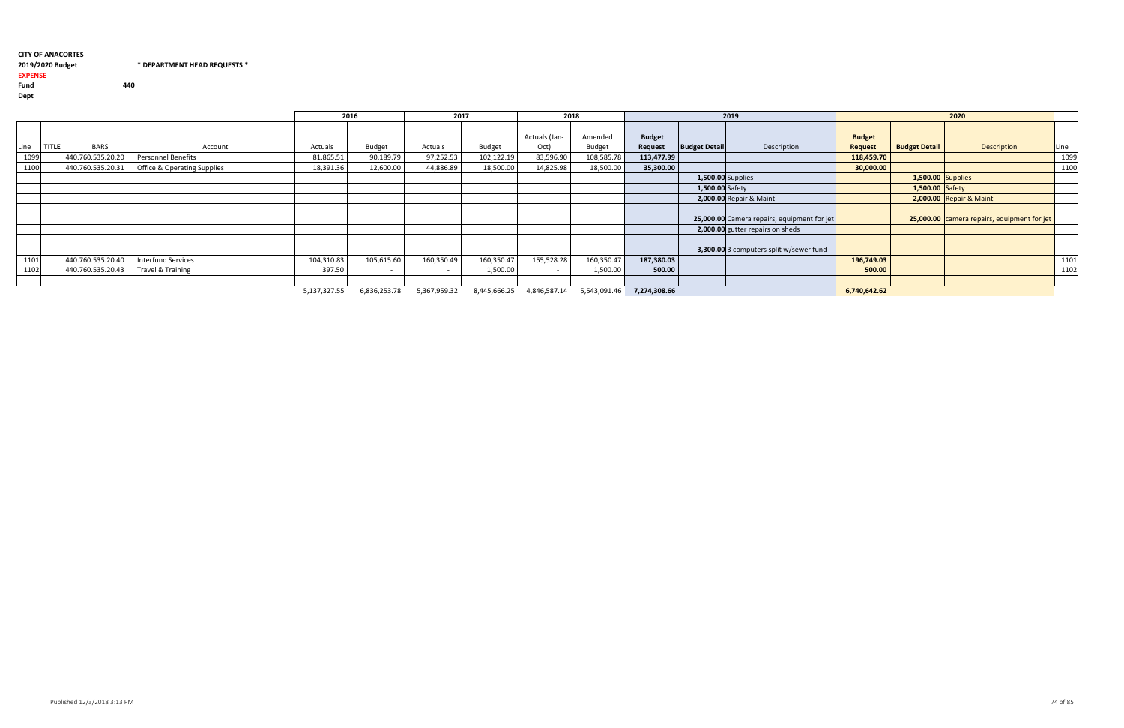#### 2019/2020 Budget \* DEPARTMENT HEAD REQUESTS \* EXPENSE

Fund 440 Dept

|                     |                   |                                        |                        | 2016                     | 2017                |            | 2018          |                                 |               |                      | 2019                                        |                |                      | 2020                                        |      |
|---------------------|-------------------|----------------------------------------|------------------------|--------------------------|---------------------|------------|---------------|---------------------------------|---------------|----------------------|---------------------------------------------|----------------|----------------------|---------------------------------------------|------|
|                     |                   |                                        |                        |                          |                     |            | Actuals (Jan- | Amended                         | <b>Budget</b> |                      |                                             | <b>Budget</b>  |                      |                                             |      |
| <b>TITLE</b><br>ine | <b>BARS</b>       | Account                                | Actuals                | Budget                   | Actuals             | Budget     | Oct)          | Budget                          | Request       | <b>Budget Detail</b> | Description                                 | <b>Request</b> | <b>Budget Detail</b> | Description                                 | Line |
| 1099                | 440.760.535.20.20 | Personnel Benefits                     | 81,865.51              | 90,189.79                | 97,252.53           | 102,122.19 | 83,596.90     | 108,585.78                      | 113,477.99    |                      |                                             | 118,459.70     |                      |                                             | 1099 |
| 1100                | 440.760.535.20.31 | <b>Office &amp; Operating Supplies</b> | 18,391.36              | 12,600.00                | 44,886.89           | 18,500.00  | 14,825.98     | 18,500.00                       | 35,300.00     |                      |                                             | 30,000.00      |                      |                                             | 1100 |
|                     |                   |                                        |                        |                          |                     |            |               |                                 |               | 1,500.00 Supplies    |                                             |                | 1,500.00 Supplies    |                                             |      |
|                     |                   |                                        |                        |                          |                     |            |               |                                 |               | 1,500.00 Safety      |                                             |                | 1,500.00 Safety      |                                             |      |
|                     |                   |                                        |                        |                          |                     |            |               |                                 |               |                      | 2,000.00 Repair & Maint                     |                |                      | 2,000.00 Repair & Maint                     |      |
|                     |                   |                                        |                        |                          |                     |            |               |                                 |               |                      | 25,000.00 Camera repairs, equipment for jet |                |                      | 25,000.00 camera repairs, equipment for jet |      |
|                     |                   |                                        |                        |                          |                     |            |               |                                 |               |                      | 2,000.00 gutter repairs on sheds            |                |                      |                                             |      |
|                     |                   |                                        |                        |                          |                     |            |               |                                 |               |                      | 3,300.00 3 computers split w/sewer fund     |                |                      |                                             |      |
| 1101                | 440.760.535.20.40 | <b>Interfund Services</b>              | 104,310.83             | 105,615.60               | 160,350.49          | 160,350.47 | 155,528.28    | 160,350.47                      | 187,380.03    |                      |                                             | 196,749.03     |                      |                                             | 1101 |
| 1102                | 440.760.535.20.43 | Travel & Training                      | 397.50                 | $\overline{\phantom{a}}$ | $\sim$              | 1,500.00   |               | 1,500.00                        | 500.00        |                      |                                             | 500.00         |                      |                                             | 1102 |
|                     |                   |                                        |                        |                          |                     |            |               |                                 |               |                      |                                             |                |                      |                                             |      |
|                     |                   |                                        | $F \rightarrow 277.27$ | $\sim$ 000 050 70        | $F - T = T - T - T$ | 0.11500000 |               | $101650711$ $55100116$ $707100$ |               |                      |                                             | 0.750000000    |                      |                                             |      |

5,137,327.55 6,836,253.78 5,367,959.32 8,445,666.25 4,846,587.14 5,543,091.46 **7,274,308.66 6,740,642.62 6,740,642.62**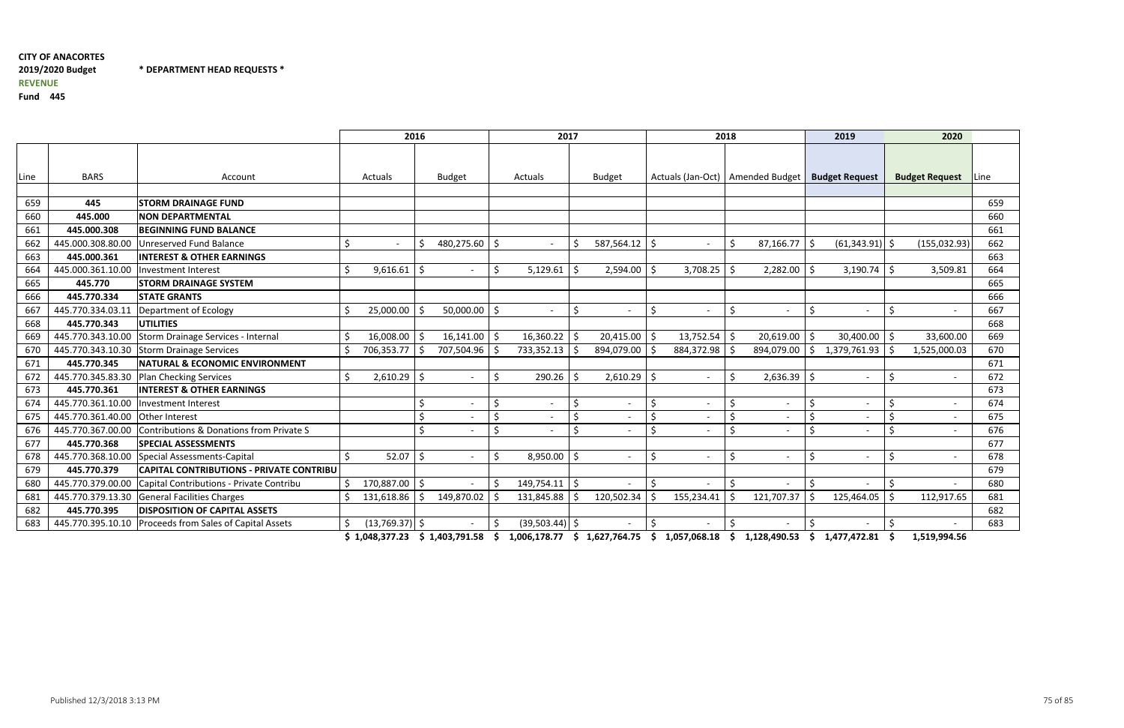\* DEPARTMENT HEAD REQUESTS \*

Fund <sup>445</sup>

|      |                   |                                                 | 2016                   |                     |                  |     | 2017              |    |                          | 2018    |                                    |         |                          | 2019 |                          | 2020    |                       |      |
|------|-------------------|-------------------------------------------------|------------------------|---------------------|------------------|-----|-------------------|----|--------------------------|---------|------------------------------------|---------|--------------------------|------|--------------------------|---------|-----------------------|------|
| Line | <b>BARS</b>       | Account                                         | Actuals                |                     | <b>Budget</b>    |     | Actuals           |    | <b>Budget</b>            |         | Actuals (Jan-Oct)   Amended Budget |         |                          |      | <b>Budget Request</b>    |         | <b>Budget Request</b> | Line |
|      |                   |                                                 |                        |                     |                  |     |                   |    |                          |         |                                    |         |                          |      |                          |         |                       |      |
| 659  | 445               | <b>STORM DRAINAGE FUND</b>                      |                        |                     |                  |     |                   |    |                          |         |                                    |         |                          |      |                          |         |                       | 659  |
| 660  | 445.000           | <b>NON DEPARTMENTAL</b>                         |                        |                     |                  |     |                   |    |                          |         |                                    |         |                          |      |                          |         |                       | 660  |
| 661  | 445.000.308       | <b>BEGINNING FUND BALANCE</b>                   |                        |                     |                  |     |                   |    |                          |         |                                    |         |                          |      |                          |         |                       | 661  |
| 662  | 445.000.308.80.00 | Unreserved Fund Balance                         | \$                     | <sup>5</sup>        | 480,275.60       | -S  |                   | -S | $587,564.12$ \$          |         |                                    | -Ś      | 87,166.77                | l \$ | $(61,343.91)$ \$         |         | (155, 032.93)         | 662  |
| 663  | 445.000.361       | <b>INTEREST &amp; OTHER EARNINGS</b>            |                        |                     |                  |     |                   |    |                          |         |                                    |         |                          |      |                          |         |                       | 663  |
| 664  | 445.000.361.10.00 | <b>Investment Interest</b>                      | \$<br>9,616.61         | Š.                  |                  |     | 5,129.61          | -S | 2,594.00                 |         | 3,708.25                           |         | 2,282.00                 |      | 3,190.74                 | -S      | 3,509.81              | 664  |
| 665  | 445.770           | <b>STORM DRAINAGE SYSTEM</b>                    |                        |                     |                  |     |                   |    |                          |         |                                    |         |                          |      |                          |         |                       | 665  |
| 666  | 445.770.334       | <b>STATE GRANTS</b>                             |                        |                     |                  |     |                   |    |                          |         |                                    |         |                          |      |                          |         |                       | 666  |
| 667  | 445.770.334.03.1  | Department of Ecology                           | 25,000.00              | -Ś                  | $50,000.00$   \$ |     |                   | Ŝ. | $\overline{\phantom{a}}$ | Ŝ.      | $\overline{\phantom{a}}$           | Š.      | $\overline{\phantom{0}}$ |      | $\overline{\phantom{a}}$ | \$      |                       | 667  |
| 668  | 445.770.343       | <b>UTILITIES</b>                                |                        |                     |                  |     |                   |    |                          |         |                                    |         |                          |      |                          |         |                       | 668  |
| 669  | 445.770.343.10.00 | Storm Drainage Services - Internal              | 16,008.00              | -Ś                  | 16,141.00        | l S | 16,360.22         | -Ś | $20,415.00$   \$         |         | $13,752.54$ \$                     |         | $20,619.00$   \$         |      | 30,400.00                | l \$    | 33,600.00             | 669  |
| 670  |                   | 445.770.343.10.30 Storm Drainage Services       | Ś.<br>706,353.77       | -S                  | 707,504.96       |     | 733,352.13        | -S | 894,079.00               |         | 884,372.98                         |         | 894,079.00               | I\$  | 1,379,761.93             | -S      | 1,525,000.03          | 670  |
| 671  | 445.770.345       | <b>NATURAL &amp; ECONOMIC ENVIRONMENT</b>       |                        |                     |                  |     |                   |    |                          |         |                                    |         |                          |      |                          |         |                       | 671  |
| 672  | 445.770.345.83.30 | Plan Checking Services                          | Ś.<br>2,610.29         | -\$                 |                  |     | 290.26            | -S | $2,610.29$ \$            |         | $\overline{\phantom{a}}$           | Š.      | $2,636.39$ \$            |      | $\overline{\phantom{a}}$ | \$      |                       | 672  |
| 673  | 445.770.361       | <b>INTEREST &amp; OTHER EARNINGS</b>            |                        |                     |                  |     |                   |    |                          |         |                                    |         |                          |      |                          |         |                       | 673  |
| 674  | 445.770.361.10.00 | <b>Investment Interest</b>                      |                        | $\zeta$             |                  | Ś.  |                   | Ś. |                          | $\zeta$ |                                    | \$      |                          | \$   | $\overline{\phantom{a}}$ | \$      |                       | 674  |
| 675  | 445.770.361.40.00 | <b>Other Interest</b>                           |                        | Ś                   |                  |     |                   | Ś. |                          |         |                                    |         |                          | \$   |                          | Ś       |                       | 675  |
| 676  | 445.770.367.00.00 | Contributions & Donations from Private S        |                        | Ś.                  |                  | Ś   |                   | Ś. |                          | $\zeta$ |                                    | $\zeta$ |                          | \$   | $\blacksquare$           | \$      |                       | 676  |
| 677  | 445.770.368       | <b>SPECIAL ASSESSMENTS</b>                      |                        |                     |                  |     |                   |    |                          |         |                                    |         |                          |      |                          |         |                       | 677  |
| 678  | 445.770.368.10.00 | Special Assessments-Capital                     | Ś.<br>52.07            | $\ddot{\mathsf{S}}$ |                  | \$  | $8,950.00$ \$     |    | $\overline{\phantom{a}}$ | $\zeta$ | $\overline{\phantom{a}}$           | $\zeta$ | $\overline{\phantom{0}}$ | \$   | $\overline{\phantom{a}}$ | $\zeta$ |                       | 678  |
| 679  | 445.770.379       | <b>CAPITAL CONTRIBUTIONS - PRIVATE CONTRIBU</b> |                        |                     |                  |     |                   |    |                          |         |                                    |         |                          |      |                          |         |                       | 679  |
| 680  | 445.770.379.00.00 | Capital Contributions - Private Contribu        | 170,887.00 \$          |                     |                  |     | $149,754.11$   \$ |    |                          |         |                                    |         |                          |      |                          |         |                       | 680  |
| 681  | 445.770.379.13.30 | General Facilities Charges                      | 131,618.86             | -S                  | 149,870.02       |     | 131,845.88        |    | 120,502.34               |         | 155,234.41                         |         | 121,707.37               | -S   | 125,464.05               |         | 112,917.65            | 681  |
| 682  | 445.770.395       | <b>DISPOSITION OF CAPITAL ASSETS</b>            |                        |                     |                  |     |                   |    |                          |         |                                    |         |                          |      |                          |         |                       | 682  |
| 683  | 445.770.395.10.10 | Proceeds from Sales of Capital Assets           | $(13,769.37)$ \$<br>\$ | $\overline{a}$      |                  |     | $(39,503.44)$ \$  |    |                          | $\zeta$ |                                    | Ś.      | $\overline{\phantom{a}}$ | \$   | $\overline{\phantom{a}}$ | Ś.      |                       | 683  |

\$ 1,048,377.23 \$ 1,403,791.58 \$ 1,006,178.77 \$ 1,627,764.75 \$ 1,057,068.18 \$ 1,128,490.53 \$ 1,477,472.81 \$ 1,519,994.56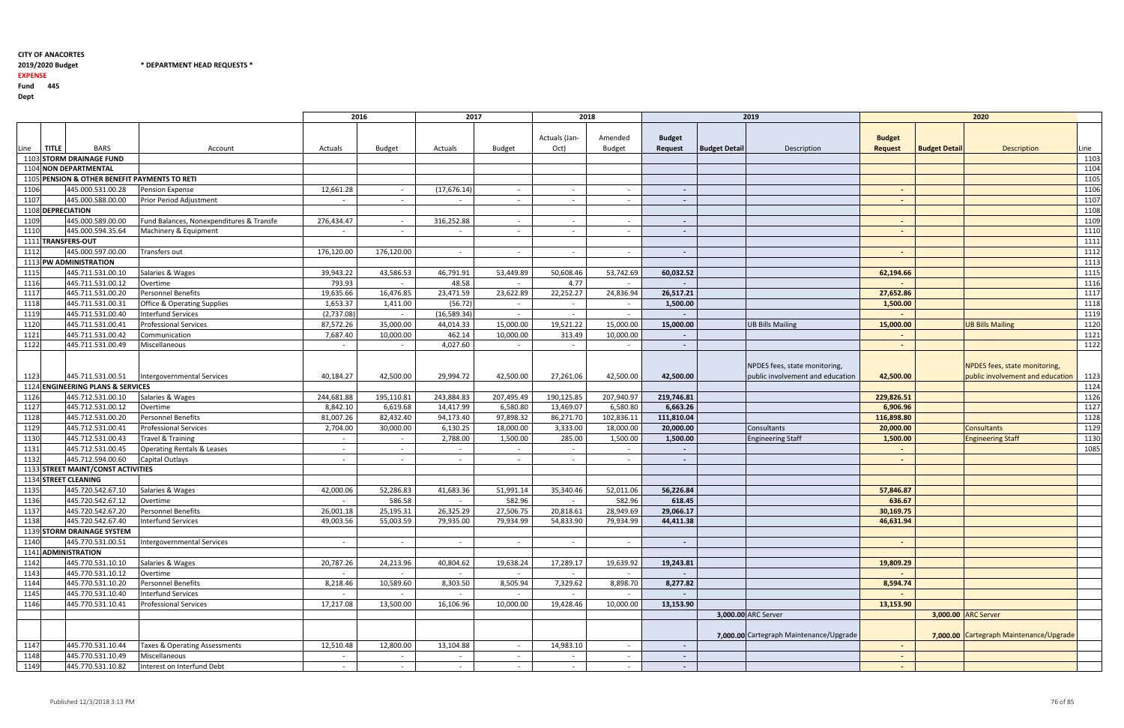$*$  DEPARTMENT HEAD REQUESTS  $*$ 

### 2019/2020 Budget

EXPENSE

Fund <sup>445</sup>

Dept

|      |              |                                               |                                          | 2016                     |               | 2017                     |               | 2018           |                |                          | 2019                 |                                         |                |                      | 2020                                    |      |
|------|--------------|-----------------------------------------------|------------------------------------------|--------------------------|---------------|--------------------------|---------------|----------------|----------------|--------------------------|----------------------|-----------------------------------------|----------------|----------------------|-----------------------------------------|------|
|      |              |                                               |                                          |                          |               |                          |               |                |                |                          |                      |                                         |                |                      |                                         |      |
|      |              |                                               |                                          |                          |               |                          |               |                |                |                          |                      |                                         |                |                      |                                         |      |
|      |              |                                               |                                          |                          |               |                          |               | Actuals (Jan-  | Amended        | <b>Budget</b>            |                      |                                         | <b>Budget</b>  |                      |                                         |      |
| Line | <b>TITLE</b> | <b>BARS</b>                                   | Account                                  | Actuals                  | <b>Budget</b> | Actuals                  | <b>Budget</b> | Oct)           | <b>Budget</b>  | Request                  | <b>Budget Detail</b> | Description                             | <b>Request</b> | <b>Budget Detail</b> | <b>Description</b>                      | Line |
|      |              | 1103 STORM DRAINAGE FUND                      |                                          |                          |               |                          |               |                |                |                          |                      |                                         |                |                      |                                         | 1103 |
|      |              | 1104 NON DEPARTMENTAL                         |                                          |                          |               |                          |               |                |                |                          |                      |                                         |                |                      |                                         | 1104 |
|      |              | 1105 PENSION & OTHER BENEFIT PAYMENTS TO RETI |                                          |                          |               |                          |               |                |                |                          |                      |                                         |                |                      |                                         | 1105 |
| 1106 |              | 445.000.531.00.28                             | Pension Expense                          | 12,661.28                | $\sim$        | (17, 676.14)             | $\sim$        | $\sim$         | $\sim$         | $\blacksquare$           |                      |                                         | $\sim$         |                      |                                         | 1106 |
| 1107 |              | 445.000.588.00.00                             | Prior Period Adjustment                  | $\overline{\phantom{a}}$ | $\sim$        |                          | $\sim$        | $\sim$         | $\sim$         | $\blacksquare$           |                      |                                         | $\sim$         |                      |                                         | 1107 |
|      |              | 1108 DEPRECIATION                             |                                          |                          |               |                          |               |                |                |                          |                      |                                         |                |                      |                                         | 1108 |
| 1109 |              | 445.000.589.00.00                             | Fund Balances, Nonexpenditures & Transfe | 276,434.47               | $\sim$        | 316,252.88               | $\sim$        | $\sim$         | $\overline{a}$ | $\sim$                   |                      |                                         | $\sim$         |                      |                                         | 1109 |
| 1110 |              | 445.000.594.35.64                             | Machinery & Equipment                    | $\overline{\phantom{a}}$ | $\sim$        |                          | $\sim$        | $\sim$         | $\sim$         | $\blacksquare$           |                      |                                         | $\sim$         |                      |                                         | 1110 |
|      |              | 1111 TRANSFERS-OUT                            |                                          |                          |               |                          |               |                |                |                          |                      |                                         |                |                      |                                         | 1111 |
| 1112 |              | 445.000.597.00.00                             | Transfers out                            | 176,120.00               | 176,120.00    | $\sim$                   | $\sim$        | $\overline{a}$ | $\sim$         | $\overline{\phantom{a}}$ |                      |                                         |                |                      |                                         | 1112 |
|      |              | 1113 PW ADMINISTRATION                        |                                          |                          |               |                          |               |                |                |                          |                      |                                         |                |                      |                                         | 1113 |
| 1115 |              | 445.711.531.00.10                             | Salaries & Wages                         | 39,943.22                | 43,586.53     | 46,791.91                | 53,449.89     | 50,608.46      | 53,742.69      | 60,032.52                |                      |                                         | 62,194.66      |                      |                                         | 1115 |
| 1116 |              | 445.711.531.00.12                             | Overtime                                 | 793.93                   | $\sim$        | 48.58                    | $\sim$        | 4.77           | $\sim$         |                          |                      |                                         |                |                      |                                         | 1116 |
| 1117 |              | 445.711.531.00.20                             | Personnel Benefits                       | 19,635.66                | 16,476.85     | 23,471.59                | 23,622.89     | 22,252.27      | 24,836.94      | 26,517.21                |                      |                                         | 27,652.86      |                      |                                         | 1117 |
|      |              |                                               |                                          |                          |               |                          |               |                |                |                          |                      |                                         |                |                      |                                         |      |
| 1118 |              | 445.711.531.00.31                             | <b>Office &amp; Operating Supplies</b>   | 1,653.37                 | 1,411.00      | (56.72)                  | $\sim$        | $\overline{a}$ | $\sim$         | 1,500.00                 |                      |                                         | 1,500.00       |                      |                                         | 1118 |
| 1119 |              | 445.711.531.00.40                             | Interfund Services                       | (2,737.08)               | $\sim$        | (16, 589.34)             | $\sim$        | $\sim$         | $\sim$         |                          |                      |                                         |                |                      |                                         | 1119 |
| 1120 |              | 445.711.531.00.41                             | <b>Professional Services</b>             | 87,572.26                | 35,000.00     | 44,014.33                | 15,000.00     | 19,521.22      | 15,000.00      | 15,000.00                |                      | <b>UB Bills Mailing</b>                 | 15,000.00      |                      | <b>UB Bills Mailing</b>                 | 1120 |
| 1121 |              | 445.711.531.00.42                             | Communication                            | 7,687.40                 | 10,000.00     | 462.14                   | 10,000.00     | 313.49         | 10,000.00      |                          |                      |                                         |                |                      |                                         | 1121 |
| 1122 |              | 445.711.531.00.49                             | Miscellaneous                            | $\overline{\phantom{a}}$ | $\sim$        | 4,027.60                 |               |                |                | $\sim$                   |                      |                                         |                |                      |                                         | 1122 |
|      |              |                                               |                                          |                          |               |                          |               |                |                |                          |                      |                                         |                |                      |                                         |      |
|      |              |                                               |                                          |                          |               |                          |               |                |                |                          |                      | NPDES fees, state monitoring,           |                |                      | NPDES fees, state monitoring,           |      |
| 1123 |              | 445.711.531.00.51                             | Intergovernmental Services               | 40,184.27                | 42,500.00     | 29,994.72                | 42,500.00     | 27,261.06      | 42,500.00      | 42,500.00                |                      | public involvement and education        | 42,500.00      |                      | public involvement and education        | 1123 |
|      |              | 1124 ENGINEERING PLANS & SERVICES             |                                          |                          |               |                          |               |                |                |                          |                      |                                         |                |                      |                                         | 1124 |
| 1126 |              | 445.712.531.00.10                             | Salaries & Wages                         | 244,681.88               | 195,110.81    | 243,884.83               | 207,495.49    | 190,125.85     | 207,940.97     | 219,746.81               |                      |                                         | 229,826.51     |                      |                                         | 1126 |
| 1127 |              | 445.712.531.00.12                             | Overtime                                 | 8,842.10                 | 6,619.68      | 14,417.99                | 6,580.80      | 13,469.07      | 6,580.80       | 6,663.26                 |                      |                                         | 6,906.96       |                      |                                         | 1127 |
| 1128 |              | 445.712.531.00.20                             | <b>Personnel Benefits</b>                | 81,007.26                | 82,432.40     | 94,173.40                | 97,898.32     | 86,271.70      | 102,836.11     | 111,810.04               |                      |                                         | 116,898.80     |                      |                                         | 1128 |
| 1129 |              | 445.712.531.00.41                             | <b>Professional Services</b>             | 2,704.00                 | 30,000.00     | 6,130.25                 | 18,000.00     | 3,333.00       | 18,000.00      | 20,000.00                |                      | Consultants                             | 20,000.00      |                      | <b>Consultants</b>                      | 1129 |
| 1130 |              | 445.712.531.00.43                             | Travel & Training                        | $\sim$                   | $\sim$        | 2,788.00                 | 1,500.00      | 285.00         | 1,500.00       | 1,500.00                 |                      | <b>Engineering Staff</b>                | 1,500.00       |                      | <b>Engineering Staff</b>                | 1130 |
| 1131 |              | 445.712.531.00.45                             | <b>Operating Rentals &amp; Leases</b>    | $\sim$                   | $\sim$        | $-$                      | $\sim$        | $\sim$         | $\sim$         |                          |                      |                                         | $\sim$         |                      |                                         | 1085 |
| 1132 |              | 445.712.594.00.60                             | Capital Outlays                          | $\sim$                   | $\sim$        | $\overline{\phantom{a}}$ | $\sim$        | $\sim$         | $\sim$         | $\overline{\phantom{a}}$ |                      |                                         | $\sim$         |                      |                                         |      |
|      |              | 1133 STREET MAINT/CONST ACTIVITIES            |                                          |                          |               |                          |               |                |                |                          |                      |                                         |                |                      |                                         |      |
|      |              | 1134 STREET CLEANING                          |                                          |                          |               |                          |               |                |                |                          |                      |                                         |                |                      |                                         |      |
| 1135 |              | 445.720.542.67.10                             | Salaries & Wages                         | 42,000.06                | 52,286.83     | 41,683.36                | 51,991.14     | 35,340.46      | 52,011.06      | 56,226.84                |                      |                                         | 57,846.87      |                      |                                         |      |
| 1136 |              | 445.720.542.67.12                             | Overtime                                 |                          | 586.58        |                          | 582.96        |                | 582.96         | 618.45                   |                      |                                         | 636.67         |                      |                                         |      |
| 1137 |              | 445.720.542.67.20                             | <b>Personnel Benefits</b>                | 26,001.18                | 25,195.31     | 26,325.29                | 27,506.75     | 20,818.61      | 28,949.69      | 29,066.17                |                      |                                         | 30,169.75      |                      |                                         |      |
| 1138 |              | 445.720.542.67.40                             | <b>Interfund Services</b>                | 49,003.56                | 55,003.59     | 79,935.00                | 79,934.99     | 54,833.90      | 79,934.99      | 44,411.38                |                      |                                         | 46,631.94      |                      |                                         |      |
|      |              | 1139 STORM DRAINAGE SYSTEM                    |                                          |                          |               |                          |               |                |                |                          |                      |                                         |                |                      |                                         |      |
| 1140 |              | 445.770.531.00.51                             | Intergovernmental Services               |                          |               |                          |               |                |                |                          |                      |                                         |                |                      |                                         |      |
|      |              |                                               |                                          | $\sim$                   | $\sim$        | $\sim$                   | $\sim$        | $\sim$         | $\sim$         | $\sim$                   |                      |                                         | $\sim$         |                      |                                         |      |
|      |              | 1141 ADMINISTRATION                           |                                          |                          |               |                          |               |                |                |                          |                      |                                         |                |                      |                                         |      |
| 1142 |              | 445.770.531.10.10                             | Salaries & Wages                         | 20,787.26                | 24,213.96     | 40,804.62                | 19,638.24     | 17,289.17      | 19,639.92      | 19,243.81                |                      |                                         | 19,809.29      |                      |                                         |      |
| 1143 |              | 445.770.531.10.12                             | Overtime                                 | $\sim 10^{-11}$          | $\sim$        |                          | $\sim$        | $\sim$         | $\sim$         |                          |                      |                                         |                |                      |                                         |      |
| 1144 |              | 445.770.531.10.20                             | Personnel Benefits                       | 8,218.46                 | 10,589.60     | 8,303.50                 | 8,505.94      | 7,329.62       | 8,898.70       | 8,277.82                 |                      |                                         | 8,594.74       |                      |                                         |      |
| 1145 |              | 445.770.531.10.40                             | <b>Interfund Services</b>                |                          |               |                          |               | $\overline{a}$ | $\sim$ $-$     |                          |                      |                                         |                |                      |                                         |      |
| 1146 |              | 445.770.531.10.41                             | <b>Professional Services</b>             | 17,217.08                | 13,500.00     | 16,106.96                | 10,000.00     | 19,428.46      | 10,000.00      | 13,153.90                |                      |                                         | 13,153.90      |                      |                                         |      |
|      |              |                                               |                                          |                          |               |                          |               |                |                |                          | 3,000.00 ARC Server  |                                         |                |                      | 3,000.00 ARC Server                     |      |
|      |              |                                               |                                          |                          |               |                          |               |                |                |                          |                      |                                         |                |                      |                                         |      |
|      |              |                                               |                                          |                          |               |                          |               |                |                |                          |                      | 7,000.00 Cartegraph Maintenance/Upgrade |                |                      | 7,000.00 Cartegraph Maintenance/Upgrade |      |
| 1147 |              | 445.770.531.10.44                             | Taxes & Operating Assessments            | 12,510.48                | 12,800.00     | 13,104.88                | $\sim$        | 14,983.10      | $\sim$         | $\sim$                   |                      |                                         | $\sim$         |                      |                                         |      |
| 1148 |              | 445.770.531.10.49                             | Miscellaneous                            | $\sim$                   | $\sim$        |                          | $\sim$        | $\sim$         | $\sim$         | $\sim$                   |                      |                                         | $\sim$         |                      |                                         |      |
| 1149 |              | 445.770.531.10.82                             | Interest on Interfund Debt               | $\sim$                   | $\sim$        | $\sim$                   | $\sim$        | $\sim$         | $\sim$ $-$     | $\sim$                   |                      |                                         |                |                      |                                         |      |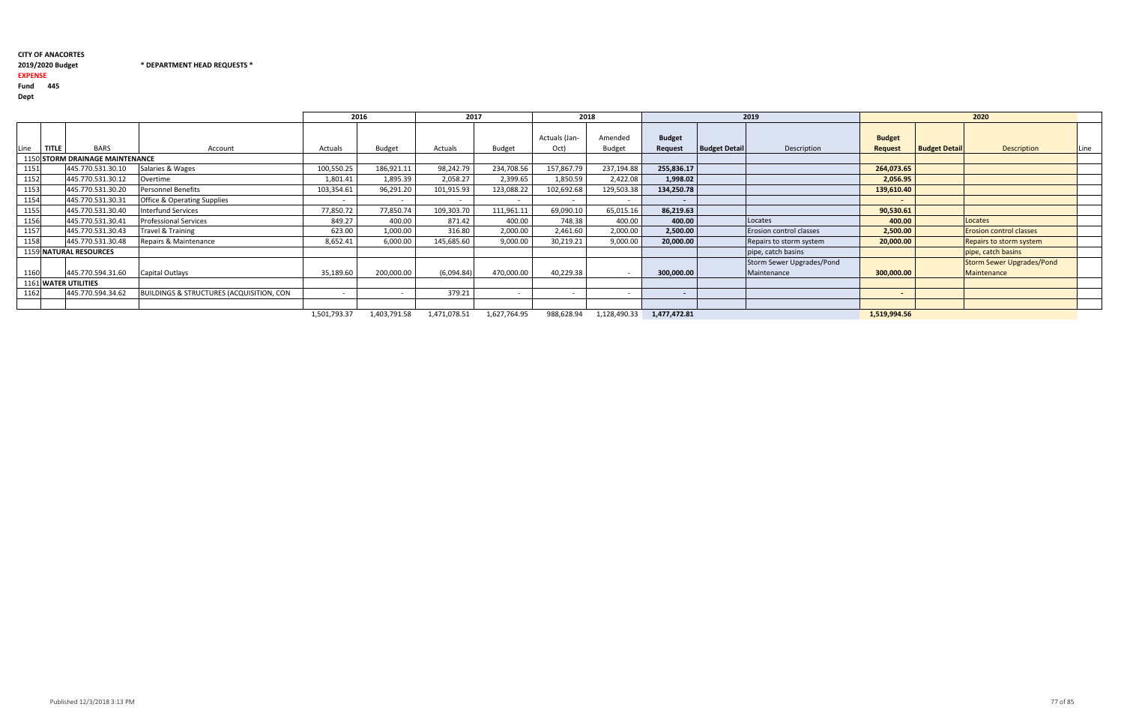$*$  DEPARTMENT HEAD REQUESTS  $*$ 

### 2019/2020 Budget

## EXPENSE

Fund <sup>445</sup>

Dept

|                      |                                        |                                                     | 2016         |               | 2017                     |                          | 2018          |              |                          |                      | 2019                      |                          |                      | 2020                             |      |
|----------------------|----------------------------------------|-----------------------------------------------------|--------------|---------------|--------------------------|--------------------------|---------------|--------------|--------------------------|----------------------|---------------------------|--------------------------|----------------------|----------------------------------|------|
| Line<br><b>TITLE</b> | <b>BARS</b>                            |                                                     |              |               |                          |                          | Actuals (Jan- | Amended      | <b>Budget</b>            |                      |                           | <b>Budget</b>            |                      |                                  |      |
|                      |                                        | Account                                             | Actuals      | <b>Budget</b> | Actuals                  | Budget                   | Oct)          | Budget       | Request                  | <b>Budget Detail</b> | Description               | <b>Request</b>           | <b>Budget Detail</b> | <b>Description</b>               | Line |
|                      | <b>1150 STORM DRAINAGE MAINTENANCE</b> |                                                     |              |               |                          |                          |               |              |                          |                      |                           |                          |                      |                                  |      |
| 1151                 | 445.770.531.30.10                      | Salaries & Wages                                    | 100,550.25   | 186,921.11    | 98,242.79                | 234,708.56               | 157,867.79    | 237,194.88   | 255,836.17               |                      |                           | 264,073.65               |                      |                                  |      |
| 1152                 | 445.770.531.30.12                      | Overtime                                            | 1,801.41     | 1,895.39      | 2,058.27                 | 2,399.65                 | 1,850.59      | 2,422.08     | 1,998.02                 |                      |                           | 2,056.95                 |                      |                                  |      |
| 1153                 | 445.770.531.30.20                      | <b>Personnel Benefits</b>                           | 103,354.61   | 96,291.20     | 101,915.93               | 123,088.22               | 102,692.68    | 129,503.38   | 134,250.78               |                      |                           | 139,610.40               |                      |                                  |      |
| 1154                 | 445.770.531.30.31                      | <b>Office &amp; Operating Supplies</b>              | $\sim$       | $\sim$        | $\overline{\phantom{a}}$ | $\overline{\phantom{0}}$ | $\sim$        | $\sim$       | $\overline{\phantom{a}}$ |                      |                           | $\sim$                   |                      |                                  |      |
| 1155                 | 445.770.531.30.40                      | <b>Interfund Services</b>                           | 77,850.72    | 77,850.74     | 109,303.70               | 111,961.11               | 69,090.10     | 65,015.16    | 86,219.63                |                      |                           | 90,530.61                |                      |                                  |      |
| 1156                 | 445.770.531.30.41                      | <b>Professional Services</b>                        | 849.27       | 400.00        | 871.42                   | 400.00                   | 748.38        | 400.00       | 400.00                   |                      | Locates                   | 400.00                   |                      | Locates                          |      |
| 1157                 | 445.770.531.30.43                      | Travel & Training                                   | 623.00       | 1,000.00      | 316.80                   | 2,000.00                 | 2,461.60      | 2,000.00     | 2,500.00                 |                      | Erosion control classes   | 2,500.00                 |                      | <b>Erosion control classes</b>   |      |
| 1158                 | 445.770.531.30.48                      | Repairs & Maintenance                               | 8,652.41     | 6,000.00      | 145,685.60               | 9,000.00                 | 30,219.21     | 9,000.00     | 20,000.00                |                      | Repairs to storm system   | 20,000.00                |                      | Repairs to storm system          |      |
|                      | 1159 NATURAL RESOURCES                 |                                                     |              |               |                          |                          |               |              |                          |                      | pipe, catch basins        |                          |                      | pipe, catch basins               |      |
|                      |                                        |                                                     |              |               |                          |                          |               |              |                          |                      | Storm Sewer Upgrades/Pond |                          |                      | <b>Storm Sewer Upgrades/Pond</b> |      |
| 1160                 | 445.770.594.31.60                      | Capital Outlays                                     | 35,189.60    | 200,000.00    | (6,094.84)               | 470,000.00               | 40,229.38     |              | 300,000.00               |                      | Maintenance               | 300,000.00               |                      | Maintenance                      |      |
|                      | 1161 WATER UTILITIES                   |                                                     |              |               |                          |                          |               |              |                          |                      |                           |                          |                      |                                  |      |
| 1162                 | 445.770.594.34.62                      | <b>BUILDINGS &amp; STRUCTURES (ACQUISITION, CON</b> | $\sim$ $-$   | $\sim$        | 379.21                   | $\sim$                   | $\sim$        |              | $\overline{\phantom{a}}$ |                      |                           | $\overline{\phantom{0}}$ |                      |                                  |      |
|                      |                                        |                                                     |              |               |                          |                          |               |              |                          |                      |                           |                          |                      |                                  |      |
|                      |                                        |                                                     | 1,501,793.37 | 1,403,791.58  | 1,471,078.51             | 1,627,764.95             | 988,628.94    | 1,128,490.33 | 1,477,472.81             |                      |                           | 1,519,994.56             |                      |                                  |      |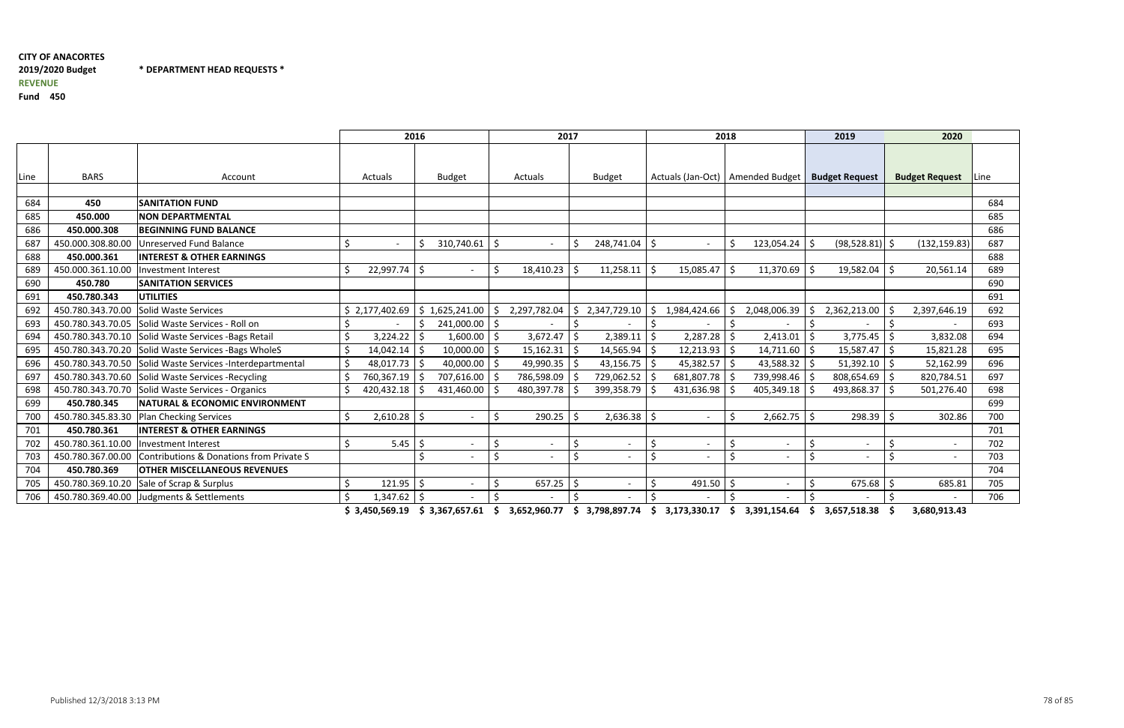\* DEPARTMENT HEAD REQUESTS \*

Fund <sup>450</sup>

|      |                   | 2016                                                       |                                                                                                      |                    |     | 2017         |    | 2018                    |                                    |    |                          | 2019 |                          | 2020       |                       |      |
|------|-------------------|------------------------------------------------------------|------------------------------------------------------------------------------------------------------|--------------------|-----|--------------|----|-------------------------|------------------------------------|----|--------------------------|------|--------------------------|------------|-----------------------|------|
|      |                   |                                                            |                                                                                                      |                    |     |              |    |                         |                                    |    |                          |      |                          |            |                       |      |
| Line | <b>BARS</b>       | Account                                                    | Actuals                                                                                              | <b>Budget</b>      |     | Actuals      |    | <b>Budget</b>           | Actuals (Jan-Oct)   Amended Budget |    |                          |      | <b>Budget Request</b>    |            | <b>Budget Request</b> | Line |
|      |                   |                                                            |                                                                                                      |                    |     |              |    |                         |                                    |    |                          |      |                          |            |                       |      |
| 684  | 450               | <b>SANITATION FUND</b>                                     |                                                                                                      |                    |     |              |    |                         |                                    |    |                          |      |                          |            |                       | 684  |
| 685  | 450.000           | <b>NON DEPARTMENTAL</b>                                    |                                                                                                      |                    |     |              |    |                         |                                    |    |                          |      |                          |            |                       | 685  |
| 686  | 450.000.308       | <b>BEGINNING FUND BALANCE</b>                              |                                                                                                      |                    |     |              |    |                         |                                    |    |                          |      |                          |            |                       | 686  |
| 687  | 450.000.308.80.00 | Unreserved Fund Balance                                    | \$                                                                                                   | 310,740.61<br>\$   |     |              | Ŝ. | 248,741.04 \$           |                                    | \$ | 123,054.24               | -\$  | (98, 528.81)             | \$         | (132, 159.83)         | 687  |
| 688  | 450.000.361       | <b>INTEREST &amp; OTHER EARNINGS</b>                       |                                                                                                      |                    |     |              |    |                         |                                    |    |                          |      |                          |            |                       | 688  |
| 689  | 450.000.361.10.00 | Investment Interest                                        | 22,997.74                                                                                            | Ŝ.                 |     | 18,410.23    |    | $11,258.11$ \$          | 15,085.47                          | -S | $11,370.69$ \$           |      | 19,582.04                |            | 20,561.14             | 689  |
| 690  | 450.780           | <b>SANITATION SERVICES</b>                                 |                                                                                                      |                    |     |              |    |                         |                                    |    |                          |      |                          |            |                       | 690  |
| 691  | 450.780.343       | <b>UTILITIES</b>                                           |                                                                                                      |                    |     |              |    |                         |                                    |    |                          |      |                          |            |                       | 691  |
| 692  | 450.780.343.70.00 | Solid Waste Services                                       | \$2,177,402.69                                                                                       | 1,625,241.00<br>\$ | \$. | 2,297,782.04 | \$ | 2,347,729.10            | 1,984,424.66                       |    | 2,048,006.39             |      | 2,362,213.00             |            | 2,397,646.19          | 692  |
| 693  | 450.780.343.70.05 | Solid Waste Services - Roll on                             |                                                                                                      | 241,000.00         | ∣\$ |              |    |                         |                                    |    |                          |      |                          |            |                       | 693  |
| 694  |                   | 450.780.343.70.10 Solid Waste Services - Bags Retail       | 3,224.22                                                                                             | 1,600.00           | l S | 3,672.47     | -S | $2,389.11$ \$           | 2,287.28                           |    | 2,413.01                 | l S  | 3,775.45                 |            | 3,832.08              | 694  |
| 695  |                   | 450.780.343.70.20 Solid Waste Services - Bags WholeS       | \$<br>14,042.14                                                                                      | 10,000.00          |     | 15,162.31    | -Ś | $14,565.94$ \$          | $12,213.93$ \$                     |    | $14,711.60$ \$           |      | 15,587.47                | Ŝ.         | 15,821.28             | 695  |
| 696  |                   | 450.780.343.70.50 Solid Waste Services - Interdepartmental | \$<br>48,017.73                                                                                      | 40,000.00<br>-S    |     | 49,990.35    | -Ś | 43,156.75 $\frac{1}{5}$ | 45,382.57                          |    | 43,588.32 \$             |      | 51,392.10                |            | 52,162.99             | 696  |
| 697  |                   | 450.780.343.70.60 Solid Waste Services -Recycling          | 760,367.19                                                                                           | 707,616.00         |     | 786,598.09   | -S | 729,062.52 \$           | 681,807.78                         |    | 739,998.46 \$            |      | 808,654.69               | -\$        | 820,784.51            | 697  |
| 698  |                   | 450.780.343.70.70 Solid Waste Services - Organics          | 420,432.18                                                                                           | 431,460.00         |     | 480,397.78   |    | 399,358.79              | 431,636.98                         |    | 405,349.18               |      | 493,868.37               |            | 501,276.40            | 698  |
| 699  | 450.780.345       | <b>NATURAL &amp; ECONOMIC ENVIRONMENT</b>                  |                                                                                                      |                    |     |              |    |                         |                                    |    |                          |      |                          |            |                       | 699  |
| 700  | 450.780.345.83.30 | <b>Plan Checking Services</b>                              | Ś.<br>2,610.28                                                                                       | Ŝ.                 | Ś,  | 290.25       |    | $2,636.38$ \$           |                                    | Š. | $2,662.75$ \$            |      | 298.39                   |            | 302.86                | 700  |
| 701  | 450.780.361       | <b>INTEREST &amp; OTHER EARNINGS</b>                       |                                                                                                      |                    |     |              |    |                         |                                    |    |                          |      |                          |            |                       | 701  |
| 702  | 450.780.361.10.00 | Investment Interest                                        | 5.45                                                                                                 | -Ś                 |     |              | -Ś |                         | \$                                 |    | $\overline{\phantom{a}}$ |      | $\overline{\phantom{a}}$ |            |                       | 702  |
| 703  | 450.780.367.00.00 | Contributions & Donations from Private S                   |                                                                                                      |                    |     |              |    |                         |                                    |    |                          |      | $\overline{\phantom{a}}$ |            |                       | 703  |
| 704  | 450.780.369       | <b>OTHER MISCELLANEOUS REVENUES</b>                        |                                                                                                      |                    |     |              |    |                         |                                    |    |                          |      |                          |            |                       | 704  |
| 705  | 450.780.369.10.20 | Sale of Scrap & Surplus                                    | 121.95<br>\$                                                                                         | -\$                |     | 657.25       | -Ś |                         | 491.50                             |    |                          |      | 675.68                   |            | 685.81                | 705  |
| 706  | 450.780.369.40.00 | Judgments & Settlements                                    | 1,347.62                                                                                             | -\$                |     |              |    |                         |                                    |    | $\overline{\phantom{a}}$ |      |                          |            |                       | 706  |
|      |                   |                                                            | CO 2010 LO 2010 CONTRACTER AND CONTRACTED AND CONTRACTED AND CONTRACTED AND CONTRACTED AS CITY TO 20 |                    |     |              |    |                         |                                    |    |                          |      |                          | $\epsilon$ | 2000030               |      |

\$ 3,450,569.19 \$ 3,367,657.61 \$ 3,652,960.77 \$ 3,798,897.74 \$ 3,173,330.17 \$ 3,391,154.64 \$ 3,657,518.38 \$ 3,680,913.43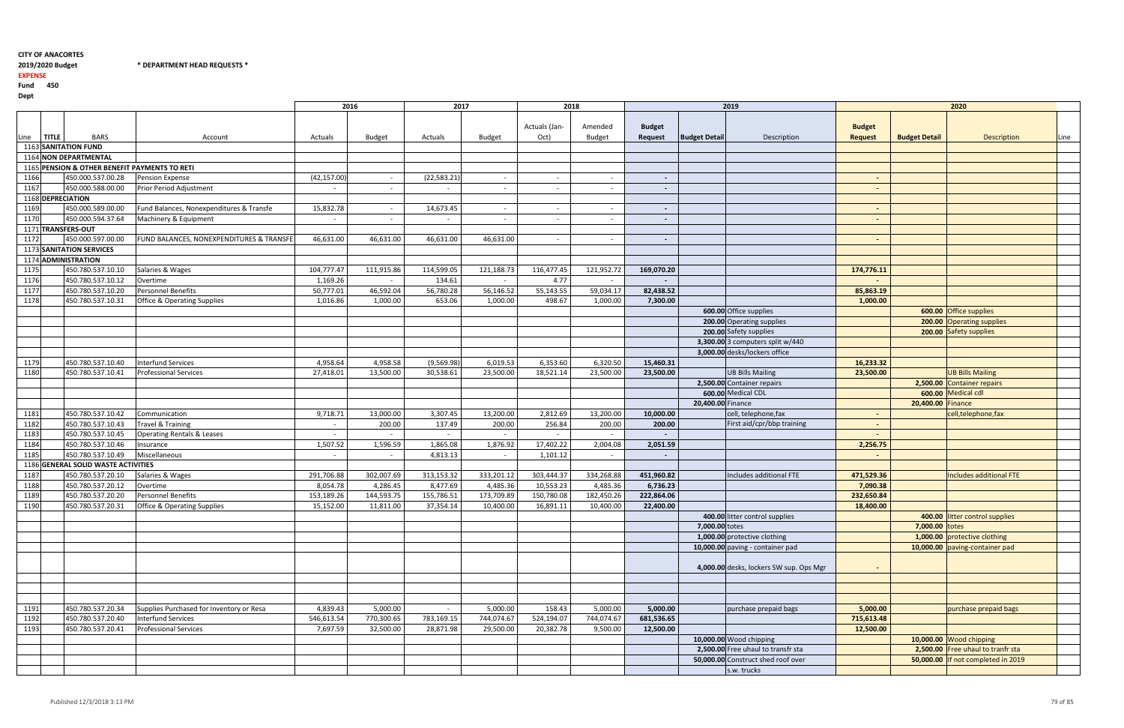## 2019/2020 Budget \* DEPARTMENT HEAD REQUESTS \*

#### EXPENSE

Fund <sup>450</sup>

|      |              |                                               |                                          |              | 2016       | 2017         |            | 2018                     |                          |                          |                      | 2019                                    |                                 |                      | 2020                               |      |
|------|--------------|-----------------------------------------------|------------------------------------------|--------------|------------|--------------|------------|--------------------------|--------------------------|--------------------------|----------------------|-----------------------------------------|---------------------------------|----------------------|------------------------------------|------|
| Line | <b>TITLE</b> | <b>BARS</b>                                   | Account                                  | Actuals      | Budget     | Actuals      | Budget     | Actuals (Jan-<br>Oct)    | Amended<br>Budget        | <b>Budget</b><br>Request | <b>Budget Detail</b> | Description                             | <b>Budget</b><br><b>Request</b> | <b>Budget Detail</b> | <b>Description</b>                 | Line |
|      |              | 1163 SANITATION FUND                          |                                          |              |            |              |            |                          |                          |                          |                      |                                         |                                 |                      |                                    |      |
|      |              | 1164 NON DEPARTMENTAL                         |                                          |              |            |              |            |                          |                          |                          |                      |                                         |                                 |                      |                                    |      |
|      |              | 1165 PENSION & OTHER BENEFIT PAYMENTS TO RETI |                                          |              |            |              |            |                          |                          |                          |                      |                                         |                                 |                      |                                    |      |
| 1166 |              | 450.000.537.00.28                             | Pension Expense                          | (42, 157.00) | $\sim$     | (22, 583.21) | $\sim$     | $\sim$                   |                          | $\sim$                   |                      |                                         | $\sim$                          |                      |                                    |      |
| 1167 |              | 450.000.588.00.00                             | Prior Period Adjustment                  | $\sim$       | $\sim$     | $\sim$       | $\sim$     | $\overline{\phantom{a}}$ |                          |                          |                      |                                         | $\sim$                          |                      |                                    |      |
|      |              | 1168 DEPRECIATION                             |                                          |              |            |              |            |                          |                          |                          |                      |                                         |                                 |                      |                                    |      |
| 1169 |              | 450.000.589.00.00                             | Fund Balances, Nonexpenditures & Transfe | 15,832.78    | $\sim$     | 14,673.45    | $\sim$     | $\sim$                   | $\overline{\phantom{0}}$ | $\sim$                   |                      |                                         | $\sim$                          |                      |                                    |      |
| 1170 |              | 450.000.594.37.64                             | Machinery & Equipment                    | $\sim$       | $\sim$     | $\sim$       | $\sim$     | $\sim$                   | $\overline{\phantom{0}}$ |                          |                      |                                         | $\sim$                          |                      |                                    |      |
|      |              | 1171 TRANSFERS-OUT                            |                                          |              |            |              |            |                          |                          |                          |                      |                                         |                                 |                      |                                    |      |
| 1172 |              | 450.000.597.00.00                             | FUND BALANCES, NONEXPENDITURES & TRANSFE | 46,631.00    | 46,631.00  | 46,631.00    | 46,631.00  | $\sim$                   |                          |                          |                      |                                         | $\sim$                          |                      |                                    |      |
|      |              | 1173 SANITATION SERVICES                      |                                          |              |            |              |            |                          |                          |                          |                      |                                         |                                 |                      |                                    |      |
|      |              | 1174 ADMINISTRATION                           |                                          |              |            |              |            |                          |                          |                          |                      |                                         |                                 |                      |                                    |      |
| 1175 |              | 450.780.537.10.10                             | Salaries & Wages                         | 104,777.47   | 111,915.86 | 114,599.05   | 121,188.73 | 116,477.45               | 121,952.72               | 169,070.20               |                      |                                         | 174,776.11                      |                      |                                    |      |
|      |              |                                               |                                          |              |            |              |            |                          |                          |                          |                      |                                         |                                 |                      |                                    |      |
| 1176 |              | 450.780.537.10.12                             | Overtime                                 | 1,169.26     | $\sim$     | 134.61       | $\sim$     | 4.77                     |                          |                          |                      |                                         | $\sim$                          |                      |                                    |      |
| 1177 |              | 450.780.537.10.20                             | <b>Personnel Benefits</b>                | 50,777.01    | 46,592.04  | 56,780.28    | 56,146.52  | 55,143.55                | 59,034.17                | 82,438.52                |                      |                                         | 85,863.19                       |                      |                                    |      |
| 1178 |              | 450.780.537.10.31                             | <b>Office &amp; Operating Supplies</b>   | 1,016.86     | 1,000.00   | 653.06       | 1,000.00   | 498.67                   | 1,000.00                 | 7,300.00                 |                      |                                         | 1,000.00                        |                      |                                    |      |
|      |              |                                               |                                          |              |            |              |            |                          |                          |                          |                      | 600.00 Office supplies                  |                                 |                      | 600.00 Office supplies             |      |
|      |              |                                               |                                          |              |            |              |            |                          |                          |                          |                      | 200.00 Operating supplies               |                                 |                      | 200.00 Operating supplies          |      |
|      |              |                                               |                                          |              |            |              |            |                          |                          |                          |                      | 200.00 Safety supplies                  |                                 |                      | 200.00 Safety supplies             |      |
|      |              |                                               |                                          |              |            |              |            |                          |                          |                          |                      | 3,300.00 3 computers split $w/440$      |                                 |                      |                                    |      |
|      |              |                                               |                                          |              |            |              |            |                          |                          |                          |                      | 3,000.00 desks/lockers office           |                                 |                      |                                    |      |
| 1179 |              | 450.780.537.10.40                             | <b>Interfund Services</b>                | 4,958.64     | 4,958.58   | (9,569.98)   | 6,019.53   | 6,353.60                 | 6,320.50                 | 15,460.31                |                      |                                         | 16,233.32                       |                      |                                    |      |
| 1180 |              | 450.780.537.10.41                             | <b>Professional Services</b>             | 27,418.01    | 13,500.00  | 30,538.61    | 23,500.00  | 18,521.14                | 23,500.00                | 23,500.00                |                      | <b>UB Bills Mailing</b>                 | 23,500.00                       |                      | <b>UB Bills Mailing</b>            |      |
|      |              |                                               |                                          |              |            |              |            |                          |                          |                          |                      | 2,500.00 Container repairs              |                                 |                      | 2,500.00 Container repairs         |      |
|      |              |                                               |                                          |              |            |              |            |                          |                          |                          |                      | 600.00 Medical CDL                      |                                 |                      | 600.00 Medical cdl                 |      |
|      |              |                                               |                                          |              |            |              |            |                          |                          |                          | 20,400.00 Finance    |                                         |                                 | 20,400.00 Finance    |                                    |      |
| 1181 |              | 450.780.537.10.42                             | Communication                            | 9,718.71     | 13,000.00  | 3,307.45     | 13,200.00  | 2,812.69                 | 13,200.00                | 10,000.00                |                      | cell, telephone, fax                    | $\sim$                          |                      | cell, telephone, fax               |      |
| 1182 |              | 450.780.537.10.43                             | Travel & Training                        | $\sim$       | 200.00     | 137.49       | 200.00     | 256.84                   | 200.00                   | 200.00                   |                      | First aid/cpr/bbp training              | $\sim$                          |                      |                                    |      |
| 1183 |              | 450.780.537.10.45                             | <b>Operating Rentals &amp; Leases</b>    | $\sim$       | $\sim$     | $\sim$       | $\sim$     | $\sim$                   |                          | $\sim$                   |                      |                                         | $\sim$                          |                      |                                    |      |
| 1184 |              | 450.780.537.10.46                             | Insurance                                | 1,507.52     | 1,596.59   | 1,865.08     | 1,876.92   | 17,402.22                | 2,004.08                 | 2,051.59                 |                      |                                         | 2,256.75                        |                      |                                    |      |
| 1185 |              | 450.780.537.10.49                             | Miscellaneous                            | $\sim$       | $\sim$     | 4,813.13     | $\sim$     | 1,101.12                 | $\sim$                   | $\sim$                   |                      |                                         | $\blacksquare$                  |                      |                                    |      |
|      |              | 1186 GENERAL SOLID WASTE ACTIVITIES           |                                          |              |            |              |            |                          |                          |                          |                      |                                         |                                 |                      |                                    |      |
| 1187 |              | 450.780.537.20.10                             | Salaries & Wages                         | 291,706.88   | 302,007.69 | 313,153.32   | 333,201.12 | 303,444.37               | 334,268.88               | 451,960.82               |                      | Includes additional FTE                 | 471,529.36                      |                      | Includes additional FTE            |      |
| 1188 |              | 450.780.537.20.12                             | Overtime                                 | 8,054.78     | 4,286.45   | 8,477.69     | 4,485.36   | 10,553.23                | 4,485.36                 | 6,736.23                 |                      |                                         | 7,090.38                        |                      |                                    |      |
| 1189 |              | 450.780.537.20.20                             | <b>Personnel Benefits</b>                | 153,189.26   | 144,593.75 | 155,786.51   | 173,709.89 | 150,780.08               | 182,450.26               | 222,864.06               |                      |                                         | 232,650.84                      |                      |                                    |      |
| 1190 |              | 450.780.537.20.31                             | <b>Office &amp; Operating Supplies</b>   | 15,152.00    | 11,811.00  | 37,354.14    | 10,400.00  | 16,891.11                | 10,400.00                | 22,400.00                |                      |                                         | 18,400.00                       |                      |                                    |      |
|      |              |                                               |                                          |              |            |              |            |                          |                          |                          |                      | 400.00 litter control supplies          |                                 |                      | 400.00 litter control supplies     |      |
|      |              |                                               |                                          |              |            |              |            |                          |                          |                          | 7,000.00 totes       |                                         |                                 | $7,000.00$ totes     |                                    |      |
|      |              |                                               |                                          |              |            |              |            |                          |                          |                          |                      | 1,000.00 protective clothing            |                                 |                      | 1,000.00 protective clothing       |      |
|      |              |                                               |                                          |              |            |              |            |                          |                          |                          |                      | 10,000.00 paving - container pad        |                                 |                      | 10,000.00 paving-container pad     |      |
|      |              |                                               |                                          |              |            |              |            |                          |                          |                          |                      |                                         |                                 |                      |                                    |      |
|      |              |                                               |                                          |              |            |              |            |                          |                          |                          |                      | 4,000.00 desks, lockers SW sup. Ops Mgr | $\sim$                          |                      |                                    |      |
|      |              |                                               |                                          |              |            |              |            |                          |                          |                          |                      |                                         |                                 |                      |                                    |      |
|      |              |                                               |                                          |              |            |              |            |                          |                          |                          |                      |                                         |                                 |                      |                                    |      |
|      |              |                                               |                                          |              |            |              |            |                          |                          |                          |                      |                                         |                                 |                      |                                    |      |
| 1191 |              | 450.780.537.20.34                             | Supplies Purchased for Inventory or Resa | 4,839.43     | 5,000.00   | $\sim$       | 5,000.00   | 158.43                   | 5,000.00                 | 5,000.00                 |                      | purchase prepaid bags                   | 5,000.00                        |                      | purchase prepaid bags              |      |
| 1192 |              | 450.780.537.20.40                             | Interfund Services                       | 546,613.54   | 770,300.65 | 783,169.15   | 744,074.67 | 524,194.07               | 744,074.67               | 681,536.65               |                      |                                         | 715,613.48                      |                      |                                    |      |
| 1193 |              | 450.780.537.20.41                             | <b>Professional Services</b>             | 7,697.59     | 32,500.00  | 28,871.98    | 29,500.00  | 20,382.78                | 9,500.00                 | 12,500.00                |                      |                                         | 12,500.00                       |                      |                                    |      |
|      |              |                                               |                                          |              |            |              |            |                          |                          |                          |                      | 10,000.00 Wood chipping                 |                                 |                      | 10,000.00 Wood chipping            |      |
|      |              |                                               |                                          |              |            |              |            |                          |                          |                          |                      | 2,500.00 Free uhaul to transfr sta      |                                 |                      | 2,500.00 Free uhaul to tranfr sta  |      |
|      |              |                                               |                                          |              |            |              |            |                          |                          |                          |                      | 50,000.00 Construct shed roof over      |                                 |                      | 50,000.00 If not completed in 2019 |      |
|      |              |                                               |                                          |              |            |              |            |                          |                          |                          |                      | s.w. trucks                             |                                 |                      |                                    |      |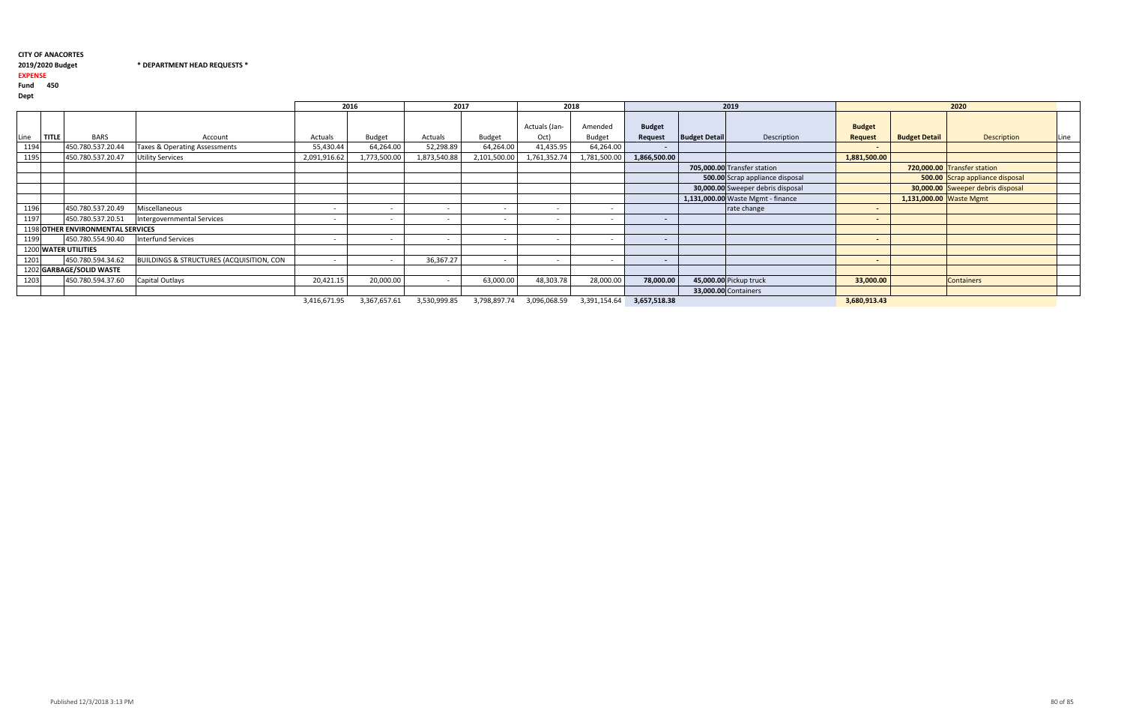### 2019/2020 Budget \* DEPARTMENT HEAD REQUESTS \*

EXPENSE

Fund <sup>450</sup>

| レート・ |              |                                   |                                                     |                          |               |                          |                          |               |               |                          |                      |                                   |                          |                         |                                   |      |
|------|--------------|-----------------------------------|-----------------------------------------------------|--------------------------|---------------|--------------------------|--------------------------|---------------|---------------|--------------------------|----------------------|-----------------------------------|--------------------------|-------------------------|-----------------------------------|------|
|      |              |                                   |                                                     |                          | 2016          | 2017                     |                          | 2018          |               |                          |                      | 2019                              |                          |                         | 2020                              |      |
|      |              |                                   |                                                     |                          |               |                          |                          | Actuals (Jan- | Amended       | <b>Budget</b>            |                      |                                   | <b>Budget</b>            |                         |                                   |      |
| Line | <b>TITLE</b> | <b>BARS</b>                       | Account                                             | Actuals                  | <b>Budget</b> | Actuals                  | <b>Budget</b>            | Oct)          | <b>Budget</b> | Request                  | <b>Budget Detail</b> | Description                       | <b>Request</b>           | <b>Budget Detail</b>    | <b>Description</b>                | Line |
| 1194 |              | 450.780.537.20.44                 | Taxes & Operating Assessments                       | 55,430.44                | 64,264.00     | 52,298.89                | 64,264.00                | 41,435.95     | 64,264.00     | $\sim$                   |                      |                                   | $\overline{\phantom{0}}$ |                         |                                   |      |
| 1195 |              | 450.780.537.20.47                 | <b>Utility Services</b>                             | 2,091,916.62             | 1,773,500.00  | 1,873,540.88             | 2,101,500.00             | 1,761,352.74  | 1,781,500.00  | 1,866,500.00             |                      |                                   | 1,881,500.00             |                         |                                   |      |
|      |              |                                   |                                                     |                          |               |                          |                          |               |               |                          |                      | 705,000.00 Transfer station       |                          |                         | 720,000.00 Transfer station       |      |
|      |              |                                   |                                                     |                          |               |                          |                          |               |               |                          |                      | 500.00 Scrap appliance disposal   |                          |                         | 500.00 Scrap appliance disposal   |      |
|      |              |                                   |                                                     |                          |               |                          |                          |               |               |                          |                      | 30,000.00 Sweeper debris disposal |                          |                         | 30,000.00 Sweeper debris disposal |      |
|      |              |                                   |                                                     |                          |               |                          |                          |               |               |                          |                      | 1,131,000.00 Waste Mgmt - finance |                          | 1,131,000.00 Waste Mgmt |                                   |      |
| 1196 |              | 450.780.537.20.49                 | Miscellaneous                                       |                          |               |                          |                          |               |               |                          |                      | rate change                       | $\sim$                   |                         |                                   |      |
| 1197 |              | 450.780.537.20.51                 | Intergovernmental Services                          | $\overline{\phantom{0}}$ |               | $\overline{\phantom{a}}$ | $\overline{\phantom{a}}$ |               |               | $\overline{\phantom{a}}$ |                      |                                   | $\blacksquare$           |                         |                                   |      |
|      |              | 1198 OTHER ENVIRONMENTAL SERVICES |                                                     |                          |               |                          |                          |               |               |                          |                      |                                   |                          |                         |                                   |      |
| 1199 |              | 450.780.554.90.40                 | Interfund Services                                  |                          |               |                          |                          |               |               | $\overline{\phantom{0}}$ |                      |                                   | $\sim$                   |                         |                                   |      |
|      |              | <b>1200 WATER UTILITIES</b>       |                                                     |                          |               |                          |                          |               |               |                          |                      |                                   |                          |                         |                                   |      |
| 1201 |              | 450.780.594.34.62                 | <b>BUILDINGS &amp; STRUCTURES (ACQUISITION, CON</b> | $\overline{\phantom{0}}$ |               | 36,367.27                |                          |               |               | $\overline{\phantom{a}}$ |                      |                                   | $\sim$                   |                         |                                   |      |
|      |              | 1202 GARBAGE/SOLID WASTE          |                                                     |                          |               |                          |                          |               |               |                          |                      |                                   |                          |                         |                                   |      |
| 1203 |              | 450.780.594.37.60                 | Capital Outlays                                     | 20,421.15                | 20,000.00     |                          | 63,000.00                | 48,303.78     | 28,000.00     | 78,000.00                |                      | 45,000.00 Pickup truck            | 33,000.00                |                         | <b>Containers</b>                 |      |
|      |              |                                   |                                                     |                          |               |                          |                          |               |               |                          |                      | 33,000.00 Containers              |                          |                         |                                   |      |
|      |              |                                   |                                                     |                          |               |                          |                          |               |               |                          |                      |                                   | 3 680 913 43             |                         |                                   |      |

3,416,671.95 3,367,657.61 3,530,999.85 3,798,897.74 3,096,068.59 3,391,154.64 **3,657,518.38** 3,416,671.95 3,680,**913.43**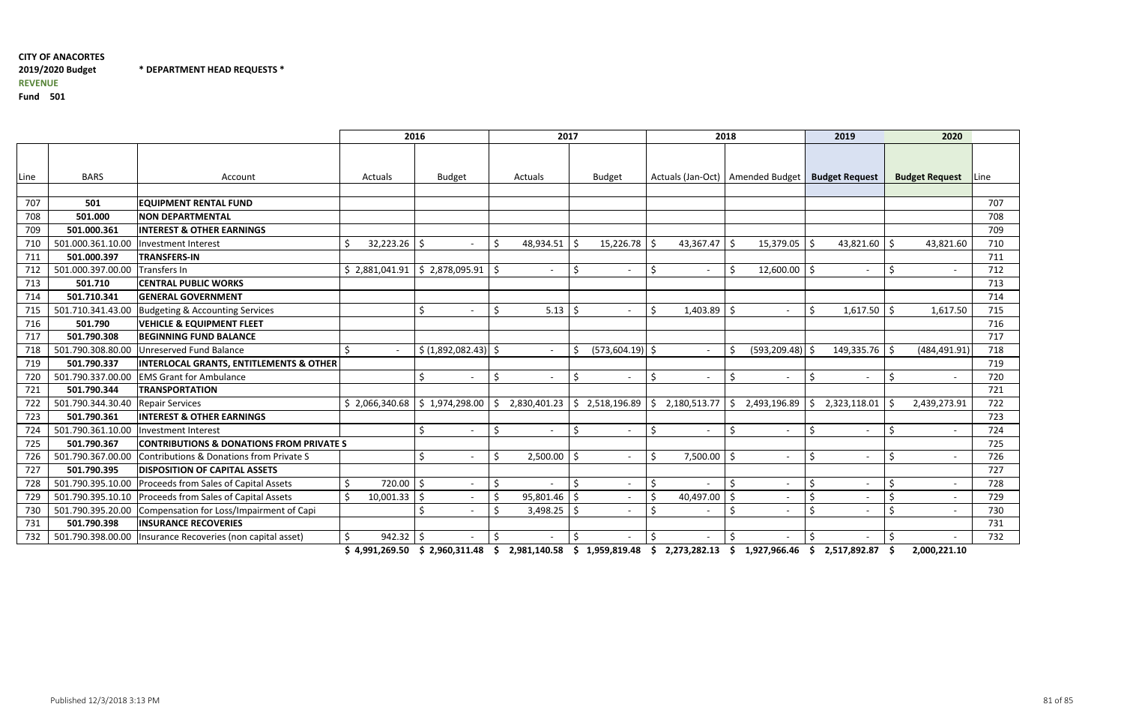\* DEPARTMENT HEAD REQUESTS \*

Fund <sup>501</sup>

|      |                   |                                                     | 2016                               |                                            |     | 2017         |                         | 2018                                |                                         |               | 2019                     | 2020                                                                                                                                                                                                                                                                                                                            |             |
|------|-------------------|-----------------------------------------------------|------------------------------------|--------------------------------------------|-----|--------------|-------------------------|-------------------------------------|-----------------------------------------|---------------|--------------------------|---------------------------------------------------------------------------------------------------------------------------------------------------------------------------------------------------------------------------------------------------------------------------------------------------------------------------------|-------------|
|      |                   |                                                     |                                    |                                            |     |              |                         |                                     |                                         |               |                          |                                                                                                                                                                                                                                                                                                                                 |             |
| Line | <b>BARS</b>       | Account                                             | Actuals                            | <b>Budget</b>                              |     | Actuals      | <b>Budget</b>           | Actuals (Jan-Oct)   Amended Budget  |                                         |               | <b>Budget Request</b>    | <b>Budget Request</b>                                                                                                                                                                                                                                                                                                           | <b>Line</b> |
|      |                   |                                                     |                                    |                                            |     |              |                         |                                     |                                         |               |                          |                                                                                                                                                                                                                                                                                                                                 |             |
| 707  | 501               | <b>EQUIPMENT RENTAL FUND</b>                        |                                    |                                            |     |              |                         |                                     |                                         |               |                          |                                                                                                                                                                                                                                                                                                                                 | 707         |
| 708  | 501.000           | <b>NON DEPARTMENTAL</b>                             |                                    |                                            |     |              |                         |                                     |                                         |               |                          |                                                                                                                                                                                                                                                                                                                                 | 708         |
| 709  | 501.000.361       | <b>INTEREST &amp; OTHER EARNINGS</b>                |                                    |                                            |     |              |                         |                                     |                                         |               |                          |                                                                                                                                                                                                                                                                                                                                 | 709         |
| 710  | 501.000.361.10.00 | <b>Investment Interest</b>                          | 32,223.26                          | -Ś                                         |     | 48,934.51    | $15,226.78$   \$        | 43,367.47                           | 15,379.05<br>l S                        | 1\$           | 43,821.60                | S.<br>43,821.60                                                                                                                                                                                                                                                                                                                 | 710         |
| 711  | 501.000.397       | <b>TRANSFERS-IN</b>                                 |                                    |                                            |     |              |                         |                                     |                                         |               |                          |                                                                                                                                                                                                                                                                                                                                 | 711         |
| 712  | 501.000.397.00.00 | Transfers In                                        | \$2,881,041.91                     | \$2,878,095.91                             |     |              | .S                      | Š.<br>$\overline{\phantom{a}}$      | $12,600.00$ \$<br>-Ś                    |               | $\overline{\phantom{a}}$ | -Ś                                                                                                                                                                                                                                                                                                                              | 712         |
| 713  | 501.710           | <b>CENTRAL PUBLIC WORKS</b>                         |                                    |                                            |     |              |                         |                                     |                                         |               |                          |                                                                                                                                                                                                                                                                                                                                 | 713         |
| 714  | 501.710.341       | <b>GENERAL GOVERNMENT</b>                           |                                    |                                            |     |              |                         |                                     |                                         |               |                          |                                                                                                                                                                                                                                                                                                                                 | 714         |
| 715  | 501.710.341.43.00 | Budgeting & Accounting Services                     |                                    | ς.                                         |     | 5.13         | -Ś                      | Š.<br>$1,403.89$ \$                 | $\blacksquare$                          | Š.            | 1,617.50                 | 1,617.50<br>- Ś                                                                                                                                                                                                                                                                                                                 | 715         |
| 716  | 501.790           | <b>VEHICLE &amp; EQUIPMENT FLEET</b>                |                                    |                                            |     |              |                         |                                     |                                         |               |                          |                                                                                                                                                                                                                                                                                                                                 | 716         |
| 717  | 501.790.308       | <b>BEGINNING FUND BALANCE</b>                       |                                    |                                            |     |              |                         |                                     |                                         |               |                          |                                                                                                                                                                                                                                                                                                                                 | 717         |
| 718  | 501.790.308.80.00 | <b>Unreserved Fund Balance</b>                      | Ŝ.<br>$\sim$                       | $\frac{1}{2}$ (1,892,082.43) $\frac{1}{2}$ |     |              | $(573,604.19)$ \$<br>S, | $\overline{\phantom{a}}$            | $(593, 209.48)$ \$<br>-Ś                |               | 149,335.76               | - Ś<br>(484, 491.91)                                                                                                                                                                                                                                                                                                            | 718         |
| 719  | 501.790.337       | <b>INTERLOCAL GRANTS, ENTITLEMENTS &amp; OTHER</b>  |                                    |                                            |     |              |                         |                                     |                                         |               |                          |                                                                                                                                                                                                                                                                                                                                 | 719         |
| 720  | 501.790.337.00.00 | <b>EMS Grant for Ambulance</b>                      |                                    | \$<br>$\overline{\phantom{a}}$             | -S  |              | Ś.                      | $\zeta$<br>$\overline{\phantom{a}}$ | -\$<br>$\overline{\phantom{a}}$         | \$            | $\overline{\phantom{a}}$ | -Ś                                                                                                                                                                                                                                                                                                                              | 720         |
| 721  | 501.790.344       | <b>TRANSPORTATION</b>                               |                                    |                                            |     |              |                         |                                     |                                         |               |                          |                                                                                                                                                                                                                                                                                                                                 | 721         |
| 722  | 501.790.344.30.40 | <b>Repair Services</b>                              | $$2,066,340.68 \mid $1,974,298.00$ |                                            | \$  | 2,830,401.23 | S.                      | 2,518,196.89   \$2,180,513.77       | $\frac{1}{2}$ 2,493,196.89              | l \$          | 2,323,118.01             | -Ś<br>2,439,273.91                                                                                                                                                                                                                                                                                                              | 722         |
| 723  | 501.790.361       | <b>INTEREST &amp; OTHER EARNINGS</b>                |                                    |                                            |     |              |                         |                                     |                                         |               |                          |                                                                                                                                                                                                                                                                                                                                 | 723         |
| 724  | 501.790.361.10.00 | <b>Investment Interest</b>                          |                                    | Ŝ.                                         | S,  |              | $\zeta$                 | $\zeta$<br>$\overline{\phantom{a}}$ | \$<br>$\overline{\phantom{a}}$          | \$            | $\overline{\phantom{a}}$ | S,                                                                                                                                                                                                                                                                                                                              | 724         |
| 725  | 501.790.367       | <b>CONTRIBUTIONS &amp; DONATIONS FROM PRIVATE S</b> |                                    |                                            |     |              |                         |                                     |                                         |               |                          |                                                                                                                                                                                                                                                                                                                                 | 725         |
| 726  | 501.790.367.00.00 | Contributions & Donations from Private S            |                                    | <                                          |     | 2,500.00     | -Ś                      | Š.<br>7,500.00                      | <u>  \$</u><br>$\overline{\phantom{a}}$ | \$            | $\overline{\phantom{0}}$ | -Ś                                                                                                                                                                                                                                                                                                                              | 726         |
| 727  | 501.790.395       | <b>DISPOSITION OF CAPITAL ASSETS</b>                |                                    |                                            |     |              |                         |                                     |                                         |               |                          |                                                                                                                                                                                                                                                                                                                                 | 727         |
| 728  | 501.790.395.10.00 | Proceeds from Sales of Capital Assets               | 720.00<br>Ś.                       | $\zeta$                                    | \$. |              |                         | \$                                  | $\zeta$                                 | \$            |                          | Š.                                                                                                                                                                                                                                                                                                                              | 728         |
| 729  | 501.790.395.10.10 | Proceeds from Sales of Capital Assets               | $10,001.33$ \$                     |                                            |     | 95,801.46    | -\$                     | $\zeta$<br>40,497.00                | l \$                                    | S,            | $\overline{\phantom{a}}$ |                                                                                                                                                                                                                                                                                                                                 | 729         |
| 730  | 501.790.395.20.00 | Compensation for Loss/Impairment of Capi            |                                    |                                            |     | 3,498.25     |                         | $\mathsf{\dot{S}}$                  | -S                                      | Š.            |                          | -Ś                                                                                                                                                                                                                                                                                                                              | 730         |
| 731  | 501.790.398       | <b>INSURANCE RECOVERIES</b>                         |                                    |                                            |     |              |                         |                                     |                                         |               |                          |                                                                                                                                                                                                                                                                                                                                 | 731         |
| 732  | 501.790.398.00.00 | Insurance Recoveries (non capital asset)            | $942.32$   \$                      |                                            | \$  |              | Ŝ.                      | \$                                  | \$                                      | $\ddot{\phi}$ |                          | \$<br>$\alpha$ and $\alpha$ contract $\alpha$ and $\alpha$ and $\alpha$ contracted $\alpha$ and $\alpha$ contract $\alpha$ and $\alpha$ and $\alpha$ and $\alpha$ and $\alpha$ and $\alpha$ and $\alpha$ and $\alpha$ and $\alpha$ and $\alpha$ and $\alpha$ and $\alpha$ and $\alpha$ and $\alpha$ and $\alpha$ and $\alpha$ a | 732         |

\$ 4,991,269.50 \$ 2,960,311.48 \$ 2,981,140.58 \$ 1,959,819.48 \$ 2,273,282.13 \$ 1,927,966.46 \$ 2,517,892.87 \$ 2,000,221.10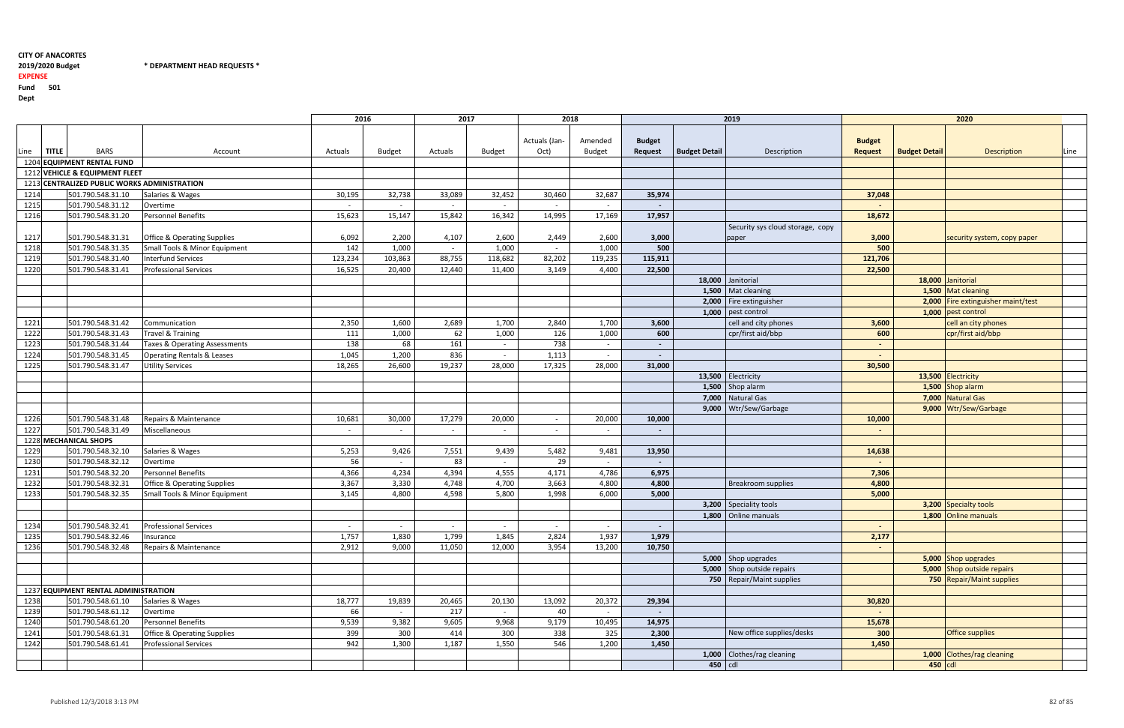#### 2019/2020 Budget \* \* DEPARTMENT HEAD REQUESTS \*

<sup>2016</sup> <sup>2017</sup> <sup>2018</sup> <sup>2019</sup> <sup>2020</sup> Linee **TITLE** BARS Account Account Actuals Budget Actuals Budget Budget Actuals (Jan-Oct) Amended Budget Budget Request Budget Detail Description Budget Request Budget Detail Description Line 1204 EQUIPMENT RENTAL FUND 1212 VEHICLE & EQUIPMENT FLEET 1213 CENTRALIZED PUBLIC WORKS ADMINISTRATIONSalaries & Wages <sup>1214</sup> 501.790.548.31.10 Salaries & Wages 30,195 32,738 33,089 32,452 30,460 32,687<mark>37,048 35,974</mark> 37,048 <sup>1215</sup> 501.790.548.31.12 Overtime - - - - - - - - <sup>1216</sup> 501.790.548.31.20 Personnel Benefits 15,623 15,147 15,842 16,342 14,995 17,169 17,957 18,672 1217 501.790.548.31.31 Office & Operating Supplies 6,092 2,200 4,107 2,600 2,449 2,600 2,449 2,600<br>1218 501.790.548.31.35 Small Tools & Minor Equipment 142 1,000 - 1,000 - 1,000  $\frac{3,000}{500}$ Security sys cloud storage, cop paper 1218 501.790.548.31.35 Small Tools & Minor Equipment 142 1,000 - 1,000 - 1,000 - 1,000 - 1,000 - 1,000 - 1,000<br>1219 501.790.548.31.40 Interfund Services 123,234 103,863 88,755 118,682 82,202 0 500 500 500 500 <sup>1219</sup> 501.790.548.31.40 Interfund Services 123,234 103,863 88,755 118,682 82,202 119,2355 115,911 121,706 <sup>1220</sup> 501.790.548.31.41 Professional Services 16,525 20,400 12,440 11,400 3,149 4,4000 22,500 22,500 22,500 18,000 Janitorial 1,500 Mat cleaning 2,000 Fire extinguisher  $1,000$  pest control 1221 501.790.548.31.42 Communication 2,550 2,350 1,600 2,689 1,700 2,840 1,700 1,700 1,700 1,700 1,700 1,700 1,700 1,700 1,700 1,700 1,700 1,700 1,700 1,700 1,700 1,700 1,700 1,700 1,700 1,700 1,700 1,700 1,700 1,700 1,700 1,700 3,600 cell and city phones<br>1,000 600 cpr/first aid/bbp 1222 501.790.548.31.43 Travel & Training 1,000 111 1,000 1126 1,000 126 1,000 126 1,000 126 1,000 126 1,000 126 600 cpr/first aid/bbp 1223 501.790.548.31.44 Taxes & Operating Assessments 138 68 161 - 738 - 738 - - - - - - - - - - - - - - - - - -1224 501.790.548.31.45 Operating Rentals & Leases 1,045 1,045 1,200 1,200 836 1,045 1,113 1,113 1,113 1,113 1, <sup>1225</sup> 501.790.548.31.47 Utility Services 18,265 26,600 19,237 28,000 17,325 28,0000 31,000 31,000 30,50<mark>0</mark> 13,500 Electricity  $\overline{1,500}$  Shop alarm 7,000 | Natural Gas 9,000 Wtr/Sew/Garbage 1226 501.790.548.31.48 Repairs & Maintenance 10,681 30,000 17,279 20,000 - 20,000 - 20,000 20,000 17,279 20,000 10,000 10,000 <sup>1227</sup> 501.790.548.31.49 Miscellaneous - - - - - - - - 1228 MECHANICAL SHOPS 1229 501.790.548.32.10 Salaries & Wages 1229 5,253 9,426 7,551 9,439 5,482 9,481 9,481 9,481 9,481 9,481 9,481 13,950 14,638 <sup>1230</sup> 501.790.548.32.12 Overtime 56 - 83 - 29 - - - <sup>1231</sup> 501.790.548.32.20 Personnel Benefits 4,366 4,234 4,394 4,555 4,171 4,786 6,975 7,306 1232 501.790.548.32.31 Office & Operating Supplies 3,367 3,330 4,748 4,700 3,663 4,800<br>1233 501.790.548.32.35 Small Tools & Minor Equipment 3,145 4,800 4,598 5,800 1,998 6,000 4,800 Breakroom supplies<br>5,000 Small Tools & Minor Equipment 5,000 5,000 3,200 Speciality tools 1,800 Online manuals <sup>1234</sup> 501.790.548.32.41 Professional Services - - - - - - - - 1235 501.790.548.32.46 Insurance 1,757 1,830 1,799 1,845 2,824 1,937 1,937 1,845 1,937 <mark>1,979 2,177</mark> <sup>1236</sup> 501.790.548.32.48 Repairs & Maintenance 2,912 9,000 11,050 12,000 3,954 13,2000 10,750 - 10,750 - 10,750 - 10,750 - 10,750 - 10,750 - 10,000 - 10,000 - 10,000 - 10,000 - 10,000 - 10,000 - 1 5,000 Shop upgrades 5,000 Shop outside repairs 750 | Repair/Maint supplies 1237 EQUIPMENT RENTAL ADMINISTRATIONSalaries & Wages 1238 501.790.548.61.10 Salaries & Wages 18,777 19,839 20,465 20,130 13,092 20,372 29,394 30,820 <sup>1239</sup> 501.790.548.61.12 Overtime 66 - 217 - 40 - - - <sup>1240</sup> 501.790.548.61.20 Personnel Benefits 9,539 9,382 9,605 9,968 9,179 10,495<u>5 14,975 2001 - 15,678 15,678 15,678 15,678 15,678 15,678 15,678 15,678 15,678 15,678 15,678 15,678 15,678 15</u> 1241 501.790.548.61.31 Office & Operating Supplies 399 300 414 300 338 325<br>1242 501.790.548.61.41 Professional Services 399 342 1,300 1,187 1,550 546 1,200 2,300 New office supplies/desks<br>1,450 <sup>1242</sup> 501.790.548.61.41 Professional Services 942 1,300 1,187 1,550 546 1,200 1,450 1,450 1,000 Clothes/rag cleaning  $450$  cdl

## EXPENSE

 Fund <sup>501</sup>Dept

|    |                                 |                      | 2020                               |      |
|----|---------------------------------|----------------------|------------------------------------|------|
|    | <b>Budget</b><br><b>Request</b> | <b>Budget Detail</b> | Description                        | Line |
|    |                                 |                      |                                    |      |
|    |                                 |                      |                                    |      |
|    |                                 |                      |                                    |      |
|    | 37,048                          |                      |                                    |      |
|    |                                 |                      |                                    |      |
|    | 18,672                          |                      |                                    |      |
| pу | 3,000                           |                      | security system, copy paper        |      |
|    | 500                             |                      |                                    |      |
|    | 121,706                         |                      |                                    |      |
|    | 22,500                          |                      |                                    |      |
|    |                                 | 18,000               | Janitorial                         |      |
|    |                                 |                      | 1,500 Mat cleaning                 |      |
|    |                                 |                      | 2,000 Fire extinguisher maint/test |      |
|    |                                 | 1,000                | pest control                       |      |
|    | 3,600                           |                      | cell an city phones                |      |
|    | 600                             |                      | cpr/first aid/bbp                  |      |
|    |                                 |                      |                                    |      |
|    |                                 |                      |                                    |      |
|    | 30,500                          |                      |                                    |      |
|    |                                 |                      | 13,500 Electricity                 |      |
|    |                                 |                      | 1,500 Shop alarm                   |      |
|    |                                 |                      | 7,000 Natural Gas                  |      |
|    |                                 | 9,000                | Wtr/Sew/Garbage                    |      |
|    | 10,000                          |                      |                                    |      |
|    | -                               |                      |                                    |      |
|    |                                 |                      |                                    |      |
|    | 14,638                          |                      |                                    |      |
|    | -                               |                      |                                    |      |
|    | 7,306                           |                      |                                    |      |
|    | 4,800<br>5,000                  |                      |                                    |      |
|    |                                 |                      | 3,200 Specialty tools              |      |
|    |                                 | 1,800                | <b>Online manuals</b>              |      |
|    |                                 |                      |                                    |      |
|    | 2,177                           |                      |                                    |      |
|    |                                 |                      |                                    |      |
|    |                                 | 5,000                | Shop upgrades                      |      |
|    |                                 | 5,000                | Shop outside repairs               |      |
|    |                                 | 750                  | <b>Repair/Maint supplies</b>       |      |
|    |                                 |                      |                                    |      |
|    | 30,820                          |                      |                                    |      |
|    |                                 |                      |                                    |      |
|    | 15,678                          |                      |                                    |      |
|    | 300                             |                      | <b>Office supplies</b>             |      |
|    | 1,450                           |                      |                                    |      |
|    |                                 | 1,000                | Clothes/rag cleaning               |      |
|    |                                 | 450                  | cdl                                |      |
|    |                                 |                      |                                    |      |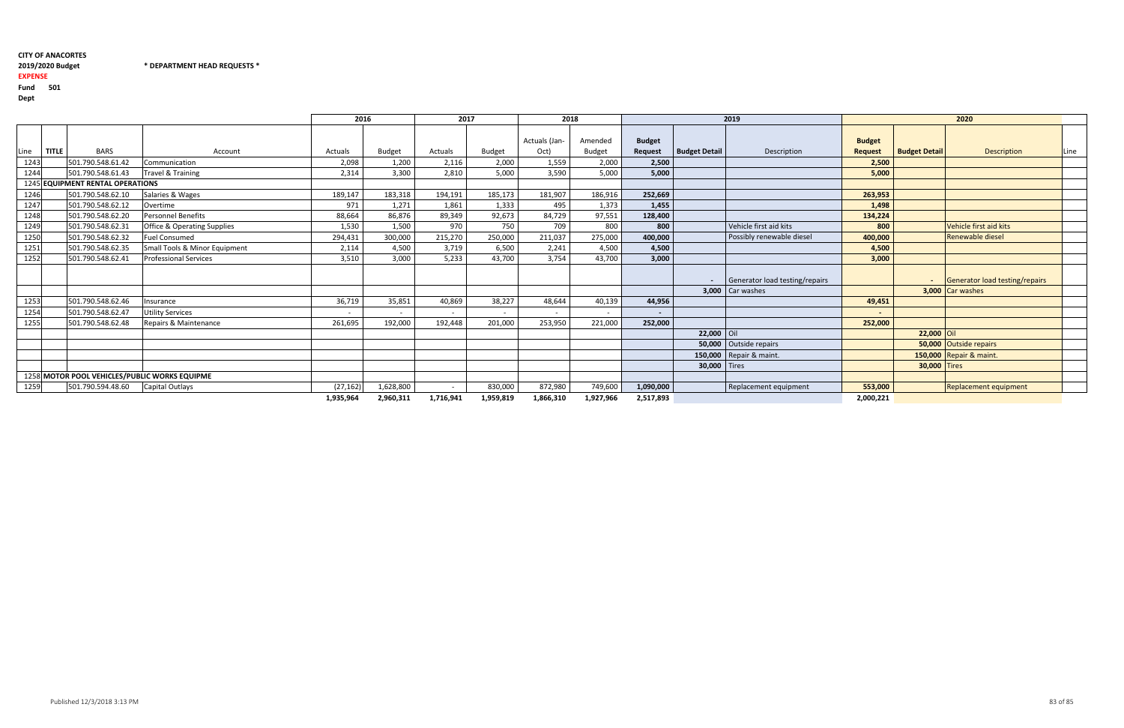#### 2019/2020 Budget \* DEPARTMENT HEAD REQUESTS \*

### EXPENSE

 Fund <sup>501</sup>Dept

<sup>2016</sup> <sup>2017</sup> <sup>2018</sup> <sup>2019</sup> <sup>2020</sup> Linee **TITLE** BARS Account Account Actuals Budget Actuals Budget Budget Actuals (Jan-Oct) Amended Budget Budget Request Budget Detail Description Budget Request Budget Detail Description Line 1243 501.790.548.61.42 Communication 2,000 2,098 1,200 2,116 2,000 1,559 2,000 2,1559 2,000 2,000 2,000 2,000 2,000 2,000 2,000 2,000 2,000 2,000 2,000 2,000 2,000 2,000 2,000 2,000 2,000 2,000 2,000 2,000 2,000 2,000 2,00 0 2,500 2,500 2,500 2,500 2,500 2,500 2,500 2,500 2,500 2,500 2,500 2,500 2,500 2,500 2,500 2,500 2,500 2,500 2,500 2,500 2,500 2,500 2,500 2,500 2,500 2,500 2,500 2,500 2,500 2,500 2,500 2,500 2,500 2,500 2,500 2,500 2,50 1244 501.790.548.61.43 Travel & Training 2,314 3,300 2,810 5,000 3,590 5,000 5,000 5,000 5,000 5,000 5,000 5,000 5,000 5,000 5,000 5,000 5,000 5,000 5,000 5,000 5,000 5,000 5,000 5,000 5,000 5,000 5,000 5,000 5,000 5,000 5 5,000 5,000 1245 EQUIPMENT RENTAL OPERATIONS 1246 501.790.548.62.10 Salaries & Wages 189,147 183,318 194,191 185,173 181,907 186,916 6 252,669 252,669 263,953 1247 501.790.548.62.12 Overtime 2001 1,373 971 1,271 1,861 1,333 495 1,373 3 1,455 2.9 1,498 <sup>1248</sup> 501.790.548.62.20 Personnel Benefits 88,664 86,876 89,349 92,673 84,729 97,5511 128,400 **128,400** 134,224 1249 501.790.548.62.31 Office & Operating Supplies 1,530 1,500 970 750 709 709 800<br>1250 501.790.548.62.32 Fuel Consumed 294,431 300,000 215,270 250,000 211,037 275,000 800 Vehicle first aid kits<br>400,000 Possibly renewable <sup>1250</sup> 501.790.548.62.32 Fuel Consumed 294,431 300,000 215,270 250,000 211,037 275,00015,000 100,000 Possibly renewable diesel<br>1,500 1,500 1251 501.790.548.62.35 Small Tools & Minor Equipment 2,114 4,500 3,719 6,500 2,241 4,500<br>1252 501.790.548.62.41 Professional Services 3,510 3,000 5,233 43,700 3,754 43,700 0 4,500 4,500 4,500 4,500 <sup>1252</sup> 501.790.548.62.41 Professional Services 3,510 3,000 5,233 43,700 3,754 43,700 3,000 3,000 - Generator load testing/repairs  $3,000$  Car washes <sup>1253</sup> 501.790.548.62.46 Insurance 36,719 35,851 40,869 38,227 48,644 40,1399 44,956 44,956 49,451 <sup>1254</sup> 501.790.548.62.47 Utility Services - - - - - - - - 1255 501.790.548.62.48 Repairs & Maintenance 261,695 192,000 192,448 201,000 253,950 221,000 0 252,000 252,000 252,000 252,000  $22,000$  Oil 50,000 Outside repairs 150,000 Repair & maint. **30,000** Tires 1258 MOTOR POOL VEHICLES/PUBLIC WORKS EQUIPME 1259 501.790.594.48.60 Capital Outlays (27,162) 1,628,800 - 830,000 872,980 749,600<br>1,935,964 2,960,311 1,716,941 1,959,819 1,866,310 1,927,966 1,090,000 Replacement equipment 2,517,893 2,960,3111,935,964 1,716,941 1,959,819 1,866,310 1,927,966 2,517,893 2,000,221

|   | 2020                            |                      |                                |      |  |  |  |  |  |  |  |
|---|---------------------------------|----------------------|--------------------------------|------|--|--|--|--|--|--|--|
|   | <b>Budget</b><br><b>Request</b> | <b>Budget Detail</b> | Description                    | Line |  |  |  |  |  |  |  |
|   | 2,500                           |                      |                                |      |  |  |  |  |  |  |  |
|   | 5,000                           |                      |                                |      |  |  |  |  |  |  |  |
|   |                                 |                      |                                |      |  |  |  |  |  |  |  |
|   | 263,953                         |                      |                                |      |  |  |  |  |  |  |  |
|   | 1,498                           |                      |                                |      |  |  |  |  |  |  |  |
|   | 134,224                         |                      |                                |      |  |  |  |  |  |  |  |
|   | 800                             |                      | Vehicle first aid kits         |      |  |  |  |  |  |  |  |
|   | 400,000                         |                      | <b>Renewable diesel</b>        |      |  |  |  |  |  |  |  |
|   | 4,500                           |                      |                                |      |  |  |  |  |  |  |  |
|   | 3,000                           |                      |                                |      |  |  |  |  |  |  |  |
| S |                                 |                      | Generator load testing/repairs |      |  |  |  |  |  |  |  |
|   |                                 | 3,000                | Car washes                     |      |  |  |  |  |  |  |  |
|   | 49,451                          |                      |                                |      |  |  |  |  |  |  |  |
|   |                                 |                      |                                |      |  |  |  |  |  |  |  |
|   | 252,000                         |                      |                                |      |  |  |  |  |  |  |  |
|   |                                 | 22,000               | Oil                            |      |  |  |  |  |  |  |  |
|   |                                 | 50,000               | <b>Outside repairs</b>         |      |  |  |  |  |  |  |  |
|   |                                 | 150,000              | Repair & maint.                |      |  |  |  |  |  |  |  |
|   |                                 | 30,000               | <b>Tires</b>                   |      |  |  |  |  |  |  |  |
|   |                                 |                      |                                |      |  |  |  |  |  |  |  |
|   | 553,000                         |                      | <b>Replacement equipment</b>   |      |  |  |  |  |  |  |  |
|   | 2 NOV 221                       |                      |                                |      |  |  |  |  |  |  |  |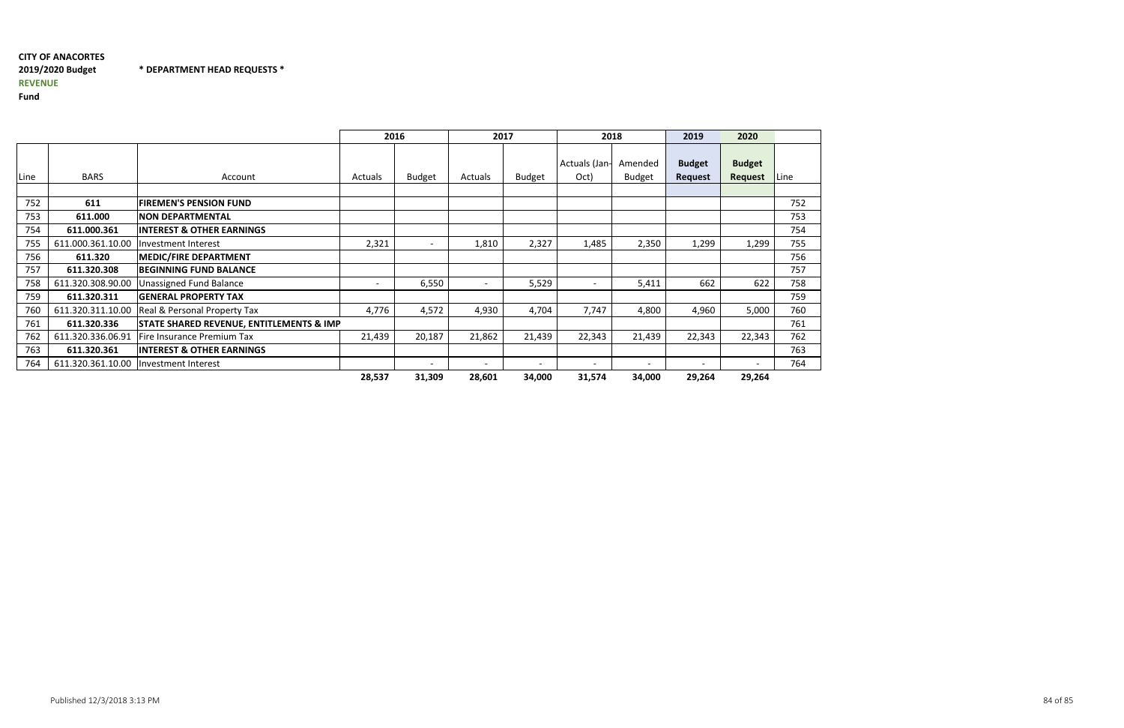\* DEPARTMENT HEAD REQUESTS \*

Fund

|      |                   |                                                     | 2016           |                          | 2017                     |                          | 2018                     |                          | 2019                            | 2020                     |      |
|------|-------------------|-----------------------------------------------------|----------------|--------------------------|--------------------------|--------------------------|--------------------------|--------------------------|---------------------------------|--------------------------|------|
| Line | <b>BARS</b>       | Account                                             | <b>Actuals</b> | <b>Budget</b>            | Actuals                  | <b>Budget</b>            | Actuals (Jan-<br>Oct)    | Amended<br><b>Budget</b> | <b>Budget</b><br><b>Request</b> | <b>Budget</b><br>Request | Line |
|      |                   |                                                     |                |                          |                          |                          |                          |                          |                                 |                          |      |
| 752  | 611               | <b>FIREMEN'S PENSION FUND</b>                       |                |                          |                          |                          |                          |                          |                                 |                          | 752  |
| 753  | 611.000           | <b>NON DEPARTMENTAL</b>                             |                |                          |                          |                          |                          |                          |                                 |                          | 753  |
| 754  | 611.000.361       | <b>INTEREST &amp; OTHER EARNINGS</b>                |                |                          |                          |                          |                          |                          |                                 |                          | 754  |
| 755  | 611.000.361.10.00 | Investment Interest                                 | 2,321          | $\overline{\phantom{0}}$ | 1,810                    | 2,327                    | 1,485                    | 2,350                    | 1,299                           | 1,299                    | 755  |
| 756  | 611.320           | <b>MEDIC/FIRE DEPARTMENT</b>                        |                |                          |                          |                          |                          |                          |                                 |                          | 756  |
| 757  | 611.320.308       | <b>BEGINNING FUND BALANCE</b>                       |                |                          |                          |                          |                          |                          |                                 |                          | 757  |
| 758  | 611.320.308.90.00 | <b>Unassigned Fund Balance</b>                      |                | 6,550                    |                          | 5,529                    |                          | 5,411                    | 662                             | 622                      | 758  |
| 759  | 611.320.311       | <b>GENERAL PROPERTY TAX</b>                         |                |                          |                          |                          |                          |                          |                                 |                          | 759  |
| 760  | 611.320.311.10.00 | <b>Real &amp; Personal Property Tax</b>             | 4,776          | 4,572                    | 4,930                    | 4,704                    | 7,747                    | 4,800                    | 4,960                           | 5,000                    | 760  |
| 761  | 611.320.336       | <b>STATE SHARED REVENUE, ENTITLEMENTS &amp; IMP</b> |                |                          |                          |                          |                          |                          |                                 |                          | 761  |
| 762  | 611.320.336.06.91 | Fire Insurance Premium Tax                          | 21,439         | 20,187                   | 21,862                   | 21,439                   | 22,343                   | 21,439                   | 22,343                          | 22,343                   | 762  |
| 763  | 611.320.361       | <b>INTEREST &amp; OTHER EARNINGS</b>                |                |                          |                          |                          |                          |                          |                                 |                          | 763  |
| 764  |                   | 611.320.361.10.00   Investment Interest             |                | $\overline{\phantom{0}}$ | $\overline{\phantom{0}}$ | $\overline{\phantom{0}}$ | $\overline{\phantom{0}}$ |                          | $\overline{\phantom{0}}$        | $\overline{\phantom{0}}$ | 764  |
|      |                   |                                                     | 28,537         | 31,309                   | 28,601                   | 34,000                   | 31,574                   | 34,000                   | 29,264                          | 29,264                   |      |